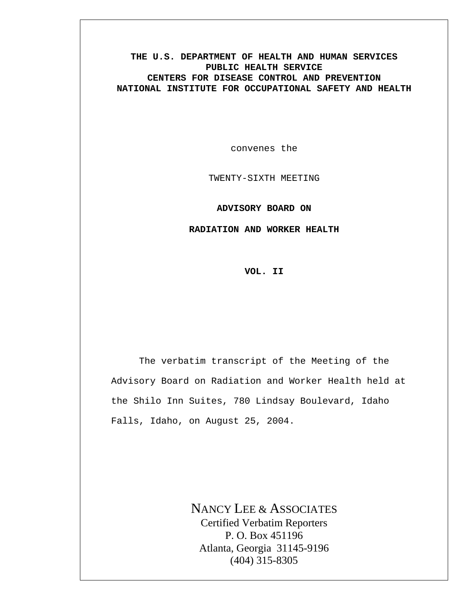# **THE U.S. DEPARTMENT OF HEALTH AND HUMAN SERVICES PUBLIC HEALTH SERVICE CENTERS FOR DISEASE CONTROL AND PREVENTION NATIONAL INSTITUTE FOR OCCUPATIONAL SAFETY AND HEALTH**

convenes the

TWENTY-SIXTH MEETING

**ADVISORY BOARD ON** 

**RADIATION AND WORKER HEALTH** 

**VOL. II** 

The verbatim transcript of the Meeting of the Advisory Board on Radiation and Worker Health held at the Shilo Inn Suites, 780 Lindsay Boulevard, Idaho Falls, Idaho, on August 25, 2004.

> NANCY LEE & ASSOCIATES Certified Verbatim Reporters P. O. Box 451196 Atlanta, Georgia 31145-9196 (404) 315-8305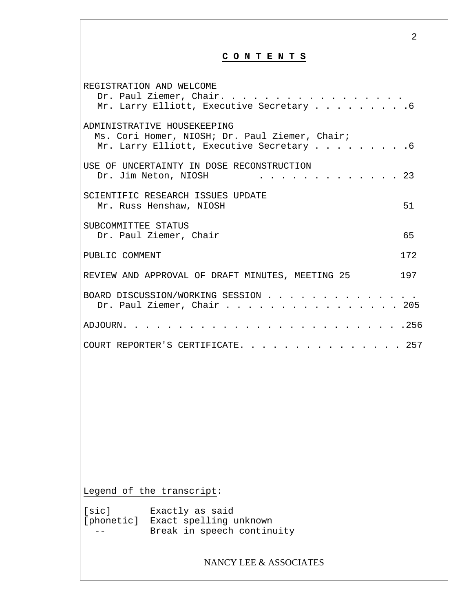2 **C O N T E N T S** REGISTRATION AND WELCOME Dr. Paul Ziemer, Chair. . . . . . . . . . . . . . Mr. Larry Elliott, Executive Secretary . . . . . . . . 6 ADMINISTRATIVE HOUSEKEEPING Ms. Cori Homer, NIOSH; Dr. Paul Ziemer, Chair; Mr. Larry Elliott, Executive Secretary . . . . . . . . . 6 USE OF UNCERTAINTY IN DOSE RECONSTRUCTION Dr. Jim Neton, NIOSH . . . . . . . . . . . . 23 SCIENTIFIC RESEARCH ISSUES UPDATE Mr. Russ Henshaw, NIOSH 51 SUBCOMMITTEE STATUS Dr. Paul Ziemer, Chair 65 PUBLIC COMMENT 172 REVIEW AND APPROVAL OF DRAFT MINUTES, MEETING 25 197 BOARD DISCUSSION/WORKING SESSION . . . . . . . . . . . . . . Dr. Paul Ziemer, Chair . . . . . . . . . . . . . . . . 205 ADJOURN. . . . . . . . . . . . . . . . . . . . . . . . . .256 COURT REPORTER'S CERTIFICATE. . . . . . . . . . . . . . 257 Legend of the transcript: [sic] Exactly as said [phonetic] Exact spelling unknown -- Break in speech continuity NANCY LEE & ASSOCIATES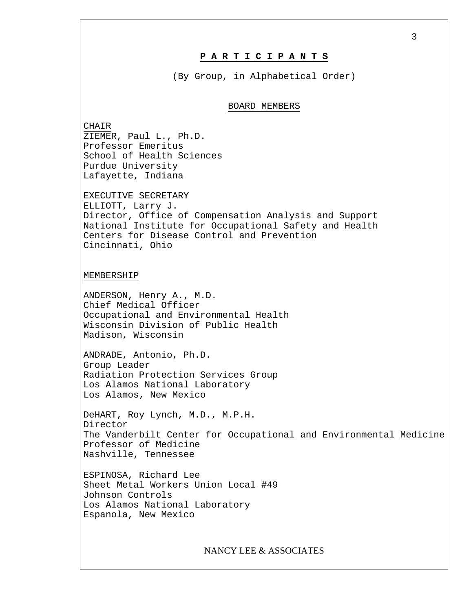## **P A R T I C I P A N T S**

(By Group, in Alphabetical Order)

### BOARD MEMBERS

CHAIR ZIEMER, Paul L., Ph.D. Professor Emeritus School of Health Sciences Purdue University Lafayette, Indiana

EXECUTIVE SECRETARY

ELLIOTT, Larry J. Director, Office of Compensation Analysis and Support National Institute for Occupational Safety and Health Centers for Disease Control and Prevention Cincinnati, Ohio

#### MEMBERSHIP

ANDERSON, Henry A., M.D. Chief Medical Officer Occupational and Environmental Health Wisconsin Division of Public Health Madison, Wisconsin

ANDRADE, Antonio, Ph.D. Group Leader Radiation Protection Services Group Los Alamos National Laboratory Los Alamos, New Mexico

DeHART, Roy Lynch, M.D., M.P.H. Director The Vanderbilt Center for Occupational and Environmental Medicine Professor of Medicine Nashville, Tennessee

ESPINOSA, Richard Lee Sheet Metal Workers Union Local #49 Johnson Controls Los Alamos National Laboratory Espanola, New Mexico

NANCY LEE & ASSOCIATES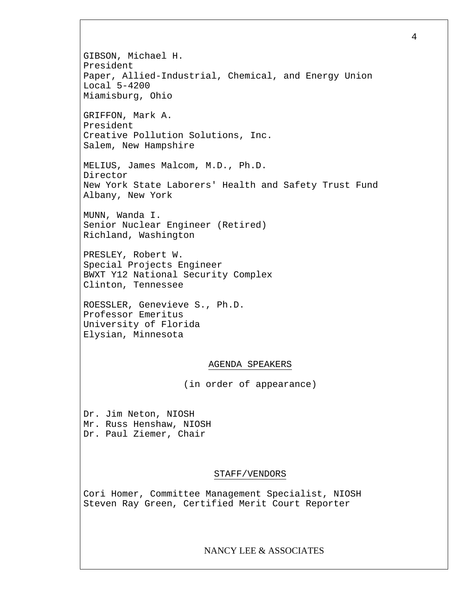GIBSON, Michael H. President Paper, Allied-Industrial, Chemical, and Energy Union Local 5-4200 Miamisburg, Ohio GRIFFON, Mark A. President Creative Pollution Solutions, Inc. Salem, New Hampshire MELIUS, James Malcom, M.D., Ph.D. Director New York State Laborers' Health and Safety Trust Fund Albany, New York MUNN, Wanda I. Senior Nuclear Engineer (Retired) Richland, Washington PRESLEY, Robert W. Special Projects Engineer BWXT Y12 National Security Complex Clinton, Tennessee ROESSLER, Genevieve S., Ph.D. Professor Emeritus University of Florida Elysian, Minnesota AGENDA SPEAKERS (in order of appearance) Dr. Jim Neton, NIOSH Mr. Russ Henshaw, NIOSH Dr. Paul Ziemer, Chair STAFF/VENDORS Cori Homer, Committee Management Specialist, NIOSH Steven Ray Green, Certified Merit Court Reporter NANCY LEE & ASSOCIATES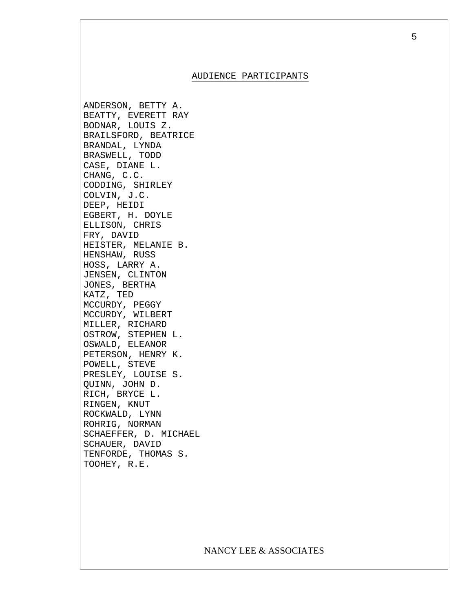#### AUDIENCE PARTICIPANTS

ANDERSON, BETTY A. BEATTY, EVERETT RAY BODNAR, LOUIS Z. BRAILSFORD, BEATRICE BRANDAL, LYNDA BRASWELL, TODD CASE, DIANE L. CHANG, C.C. CODDING, SHIRLEY COLVIN, J.C. DEEP, HEIDI EGBERT, H. DOYLE ELLISON, CHRIS FRY, DAVID HEISTER, MELANIE B. HENSHAW, RUSS HOSS, LARRY A. JENSEN, CLINTON JONES, BERTHA KATZ, TED MCCURDY, PEGGY MCCURDY, WILBERT MILLER, RICHARD OSTROW, STEPHEN L. OSWALD, ELEANOR PETERSON, HENRY K. POWELL, STEVE PRESLEY, LOUISE S. QUINN, JOHN D. RICH, BRYCE L. RINGEN, KNUT ROCKWALD, LYNN ROHRIG, NORMAN SCHAEFFER, D. MICHAEL SCHAUER, DAVID TENFORDE, THOMAS S. TOOHEY, R.E.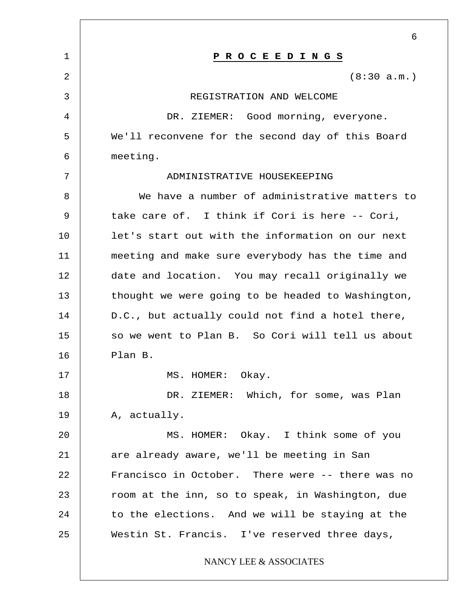|              | 6                                                 |
|--------------|---------------------------------------------------|
| $\mathbf{1}$ | P R O C E E D I N G S                             |
| 2            | (8:30 a.m.)                                       |
| 3            | REGISTRATION AND WELCOME                          |
| 4            | DR. ZIEMER: Good morning, everyone.               |
| 5            | We'll reconvene for the second day of this Board  |
| 6            | meeting.                                          |
| 7            | ADMINISTRATIVE HOUSEKEEPING                       |
| 8            | We have a number of administrative matters to     |
| 9            | take care of. I think if Cori is here -- Cori,    |
| 10           | let's start out with the information on our next  |
| 11           | meeting and make sure everybody has the time and  |
| 12           | date and location. You may recall originally we   |
| 13           | thought we were going to be headed to Washington, |
| 14           | D.C., but actually could not find a hotel there,  |
| 15           | so we went to Plan B. So Cori will tell us about  |
| 16           | Plan B.                                           |
| 17           | MS. HOMER: Okay.                                  |
| 18           | DR. ZIEMER: Which, for some, was Plan             |
| 19           | A, actually.                                      |
| 20           | MS. HOMER: Okay. I think some of you              |
| 21           | are already aware, we'll be meeting in San        |
| 22           | Francisco in October. There were -- there was no  |
| 23           | room at the inn, so to speak, in Washington, due  |
| 24           | to the elections. And we will be staying at the   |
| 25           | Westin St. Francis. I've reserved three days,     |
|              | NANCY LEE & ASSOCIATES                            |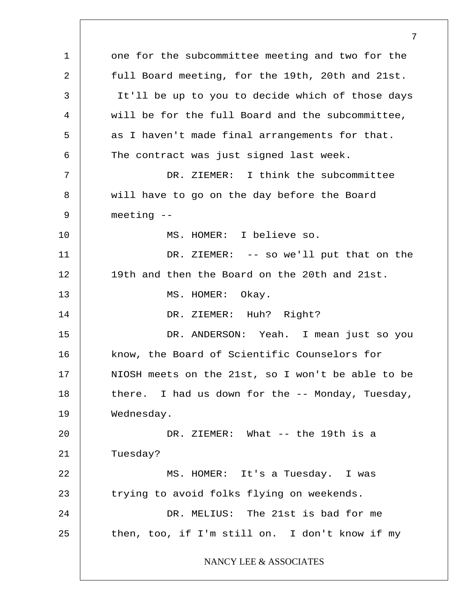1 2 3 4 5 6 7 8 9 10 11 12 13 14 15 16 17 18 19 20 21 22 23 24 25 one for the subcommittee meeting and two for the full Board meeting, for the 19th, 20th and 21st. It'll be up to you to decide which of those days will be for the full Board and the subcommittee, as I haven't made final arrangements for that. The contract was just signed last week. DR. ZIEMER: I think the subcommittee will have to go on the day before the Board meeting -- MS. HOMER: I believe so. DR. ZIEMER: -- so we'll put that on the 19th and then the Board on the 20th and 21st. MS. HOMER: Okay. DR. ZIEMER: Huh? Right? DR. ANDERSON: Yeah. I mean just so you know, the Board of Scientific Counselors for NIOSH meets on the 21st, so I won't be able to be there. I had us down for the -- Monday, Tuesday, Wednesday. DR. ZIEMER: What -- the 19th is a Tuesday? MS. HOMER: It's a Tuesday. I was trying to avoid folks flying on weekends. DR. MELIUS: The 21st is bad for me then, too, if I'm still on. I don't know if my NANCY LEE & ASSOCIATES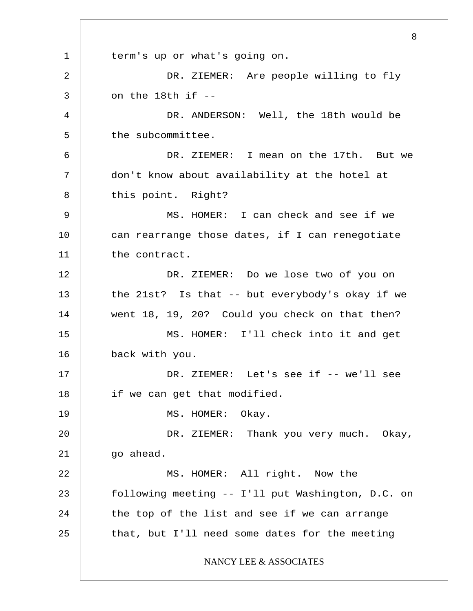1 2 3 4 5 6 7 8 9 10 11 12 13 14 15 16 17 18 19 20 21 22 23 24 25 8 term's up or what's going on. DR. ZIEMER: Are people willing to fly on the 18th if -- DR. ANDERSON: Well, the 18th would be the subcommittee. DR. ZIEMER: I mean on the 17th. But we don't know about availability at the hotel at this point. Right? MS. HOMER: I can check and see if we can rearrange those dates, if I can renegotiate the contract. DR. ZIEMER: Do we lose two of you on the 21st? Is that -- but everybody's okay if we went 18, 19, 20? Could you check on that then? MS. HOMER: I'll check into it and get back with you. DR. ZIEMER: Let's see if -- we'll see if we can get that modified. MS. HOMER: Okay. DR. ZIEMER: Thank you very much. Okay, go ahead. MS. HOMER: All right. Now the following meeting -- I'll put Washington, D.C. on the top of the list and see if we can arrange that, but I'll need some dates for the meeting NANCY LEE & ASSOCIATES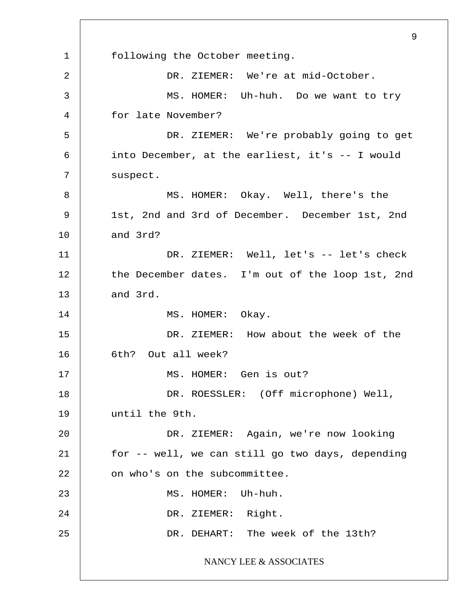1 2 3 4 5 6 7 8 9 10 11 12 13 14 15 16 17 18 19 20 21 22 23 24 25 9 following the October meeting. DR. ZIEMER: We're at mid-October. MS. HOMER: Uh-huh. Do we want to try for late November? DR. ZIEMER: We're probably going to get into December, at the earliest, it's -- I would suspect. MS. HOMER: Okay. Well, there's the 1st, 2nd and 3rd of December. December 1st, 2nd and 3rd? DR. ZIEMER: Well, let's -- let's check the December dates. I'm out of the loop 1st, 2nd and 3rd. MS. HOMER: Okay. DR. ZIEMER: How about the week of the 6th? Out all week? MS. HOMER: Gen is out? DR. ROESSLER: (Off microphone) Well, until the 9th. DR. ZIEMER: Again, we're now looking for -- well, we can still go two days, depending on who's on the subcommittee. MS. HOMER: Uh-huh. DR. ZIEMER: Right. DR. DEHART: The week of the 13th? NANCY LEE & ASSOCIATES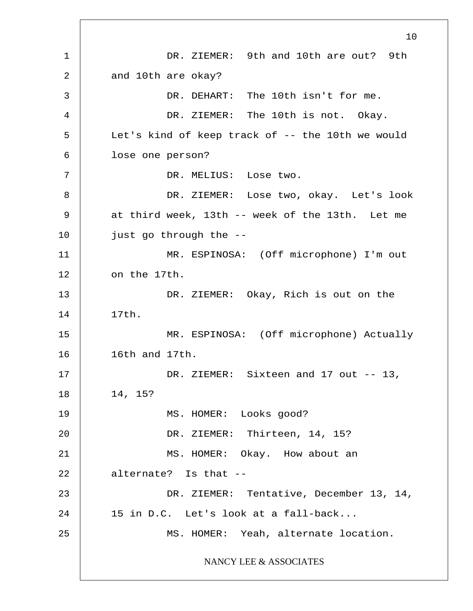1 2 3 4 5 6 7 8 9 10 11 12 13 14 15 16 17 18 19 20 21 22 23 24 25 10 DR. ZIEMER: 9th and 10th are out? 9th and 10th are okay? DR. DEHART: The 10th isn't for me. DR. ZIEMER: The 10th is not. Okay. Let's kind of keep track of -- the 10th we would lose one person? DR. MELIUS: Lose two. DR. ZIEMER: Lose two, okay. Let's look at third week, 13th -- week of the 13th. Let me just go through the -- MR. ESPINOSA: (Off microphone) I'm out on the 17th. DR. ZIEMER: Okay, Rich is out on the 17th. MR. ESPINOSA: (Off microphone) Actually 16th and 17th. DR. ZIEMER: Sixteen and 17 out -- 13, 14, 15? MS. HOMER: Looks good? DR. ZIEMER: Thirteen, 14, 15? MS. HOMER: Okay. How about an alternate? Is that -- DR. ZIEMER: Tentative, December 13, 14, 15 in D.C. Let's look at a fall-back... MS. HOMER: Yeah, alternate location. NANCY LEE & ASSOCIATES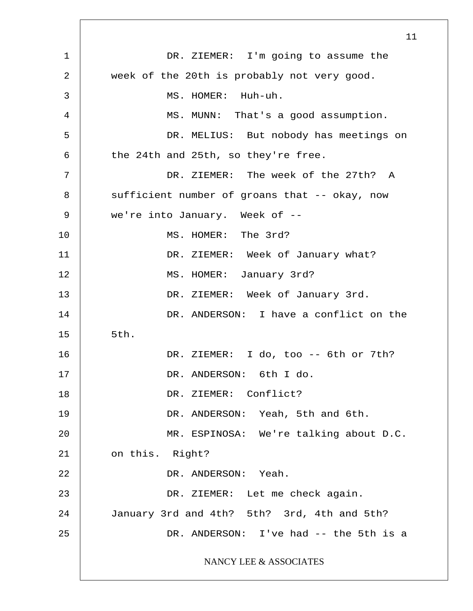|    | 11                                            |
|----|-----------------------------------------------|
| 1  | DR. ZIEMER: I'm going to assume the           |
| 2  | week of the 20th is probably not very good.   |
| 3  | MS. HOMER: Huh-uh.                            |
| 4  | MS. MUNN: That's a good assumption.           |
| 5  | DR. MELIUS: But nobody has meetings on        |
| 6  | the 24th and 25th, so they're free.           |
| 7  | DR. ZIEMER: The week of the 27th? A           |
| 8  | sufficient number of groans that -- okay, now |
| 9  | we're into January. Week of --                |
| 10 | MS. HOMER: The 3rd?                           |
| 11 | DR. ZIEMER: Week of January what?             |
| 12 | MS. HOMER: January 3rd?                       |
| 13 | DR. ZIEMER: Week of January 3rd.              |
| 14 | DR. ANDERSON: I have a conflict on the        |
| 15 | 5th.                                          |
| 16 | DR. ZIEMER: I do, too -- 6th or 7th?          |
| 17 | DR. ANDERSON: 6th I do.                       |
| 18 | DR. ZIEMER: Conflict?                         |
| 19 | DR. ANDERSON: Yeah, 5th and 6th.              |
| 20 | MR. ESPINOSA: We're talking about D.C.        |
| 21 | on this. Right?                               |
| 22 | DR. ANDERSON: Yeah.                           |
| 23 | DR. ZIEMER: Let me check again.               |
| 24 | January 3rd and 4th? 5th? 3rd, 4th and 5th?   |
| 25 | DR. ANDERSON: I've had -- the 5th is a        |
|    | NANCY LEE & ASSOCIATES                        |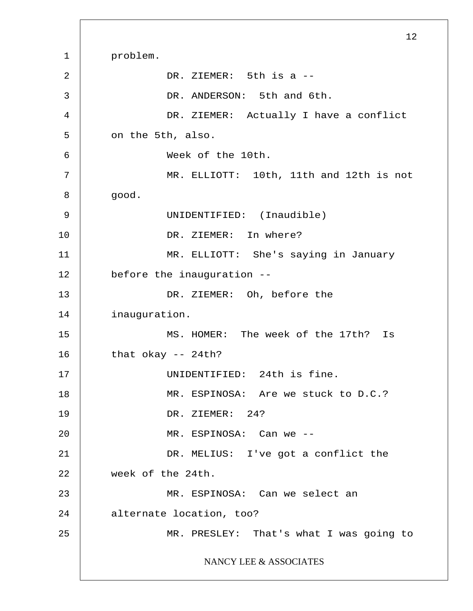1 2 3 4 5 6 7 8 9 10 11 12 13 14 15 16 17 18 19 20 21 22 23 24 25 12 problem. DR. ZIEMER: 5th is a -- DR. ANDERSON: 5th and 6th. DR. ZIEMER: Actually I have a conflict on the 5th, also. Week of the 10th. MR. ELLIOTT: 10th, 11th and 12th is not good. UNIDENTIFIED: (Inaudible) DR. ZIEMER: In where? MR. ELLIOTT: She's saying in January before the inauguration -- DR. ZIEMER: Oh, before the inauguration. MS. HOMER: The week of the 17th? Is that okay -- 24th? UNIDENTIFIED: 24th is fine. MR. ESPINOSA: Are we stuck to D.C.? DR. ZIEMER: 24? MR. ESPINOSA: Can we -- DR. MELIUS: I've got a conflict the week of the 24th. MR. ESPINOSA: Can we select an alternate location, too? MR. PRESLEY: That's what I was going to NANCY LEE & ASSOCIATES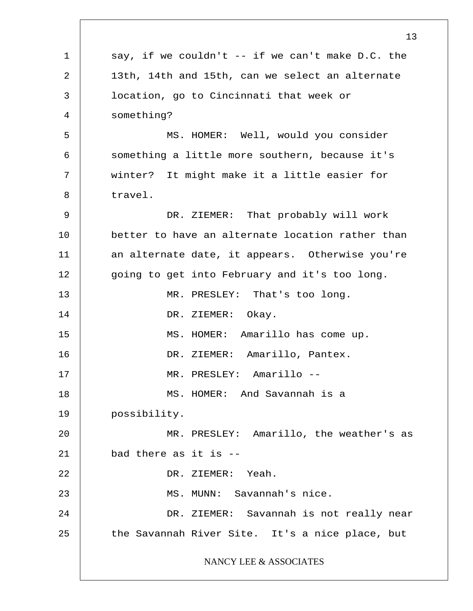1 2 3 4 5 6 7 8 9 10 11 12 13 14 15 16 17 18 19 20 21 22 23 24 25 13 say, if we couldn't -- if we can't make D.C. the 13th, 14th and 15th, can we select an alternate location, go to Cincinnati that week or something? MS. HOMER: Well, would you consider something a little more southern, because it's winter? It might make it a little easier for travel. DR. ZIEMER: That probably will work better to have an alternate location rather than an alternate date, it appears. Otherwise you're going to get into February and it's too long. MR. PRESLEY: That's too long. DR. ZIEMER: Okay. MS. HOMER: Amarillo has come up. DR. ZIEMER: Amarillo, Pantex. MR. PRESLEY: Amarillo -- MS. HOMER: And Savannah is a possibility. MR. PRESLEY: Amarillo, the weather's as bad there as it is -- DR. ZIEMER: Yeah. MS. MUNN: Savannah's nice. DR. ZIEMER: Savannah is not really near the Savannah River Site. It's a nice place, but NANCY LEE & ASSOCIATES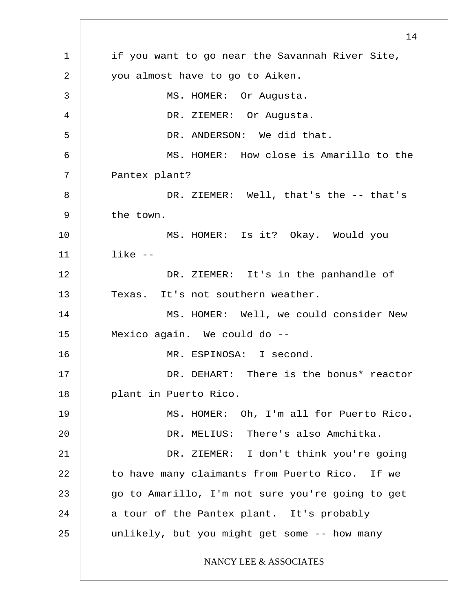1 2 3 4 5 6 7 8 9 10 11 12 13 14 15 16 17 18 19 20 21 22 23 24 25 14 if you want to go near the Savannah River Site, you almost have to go to Aiken. MS. HOMER: Or Augusta. DR. ZIEMER: Or Augusta. DR. ANDERSON: We did that. MS. HOMER: How close is Amarillo to the Pantex plant? DR. ZIEMER: Well, that's the -- that's the town. MS. HOMER: Is it? Okay. Would you like -- DR. ZIEMER: It's in the panhandle of Texas. It's not southern weather. MS. HOMER: Well, we could consider New Mexico again. We could do -- MR. ESPINOSA: I second. DR. DEHART: There is the bonus\* reactor plant in Puerto Rico. MS. HOMER: Oh, I'm all for Puerto Rico. DR. MELIUS: There's also Amchitka. DR. ZIEMER: I don't think you're going to have many claimants from Puerto Rico. If we go to Amarillo, I'm not sure you're going to get a tour of the Pantex plant. It's probably unlikely, but you might get some -- how many NANCY LEE & ASSOCIATES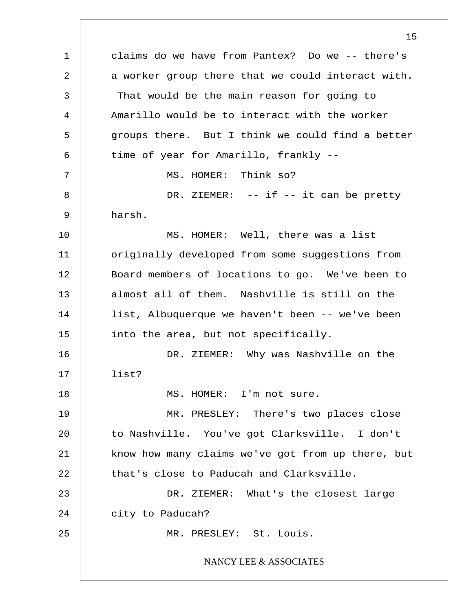1 2 3 4 5 6 7 8 9 10 11 12 13 14 15 16 17 18 19 20 21 22 23 24 25 15 claims do we have from Pantex? Do we -- there's a worker group there that we could interact with. That would be the main reason for going to Amarillo would be to interact with the worker groups there. But I think we could find a better time of year for Amarillo, frankly -- MS. HOMER: Think so? DR. ZIEMER: -- if -- it can be pretty harsh. MS. HOMER: Well, there was a list originally developed from some suggestions from Board members of locations to go. We've been to almost all of them. Nashville is still on the list, Albuquerque we haven't been -- we've been into the area, but not specifically. DR. ZIEMER: Why was Nashville on the list? MS. HOMER: I'm not sure. MR. PRESLEY: There's two places close to Nashville. You've got Clarksville. I don't know how many claims we've got from up there, but that's close to Paducah and Clarksville. DR. ZIEMER: What's the closest large city to Paducah? MR. PRESLEY: St. Louis. NANCY LEE & ASSOCIATES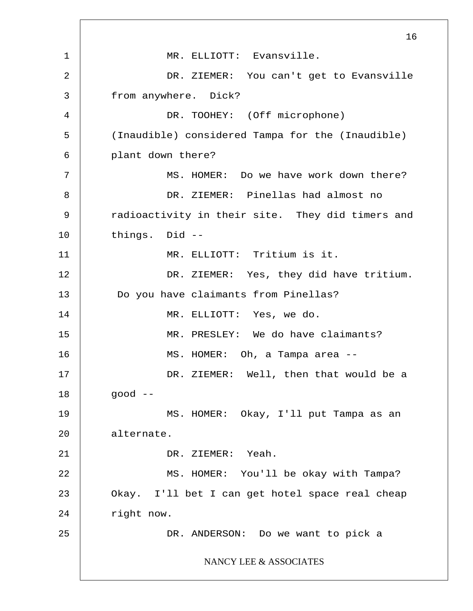1 2 3 4 5 6 7 8 9 10 11 12 13 14 15 16 17 18 19 20 21 22 23 24 25 16 MR. ELLIOTT: Evansville. DR. ZIEMER: You can't get to Evansville from anywhere. Dick? DR. TOOHEY: (Off microphone) (Inaudible) considered Tampa for the (Inaudible) plant down there? MS. HOMER: Do we have work down there? DR. ZIEMER: Pinellas had almost no radioactivity in their site. They did timers and things. Did -- MR. ELLIOTT: Tritium is it. DR. ZIEMER: Yes, they did have tritium. Do you have claimants from Pinellas? MR. ELLIOTT: Yes, we do. MR. PRESLEY: We do have claimants? MS. HOMER: Oh, a Tampa area -- DR. ZIEMER: Well, then that would be a good -- MS. HOMER: Okay, I'll put Tampa as an alternate. DR. ZIEMER: Yeah. MS. HOMER: You'll be okay with Tampa? Okay. I'll bet I can get hotel space real cheap right now. DR. ANDERSON: Do we want to pick a NANCY LEE & ASSOCIATES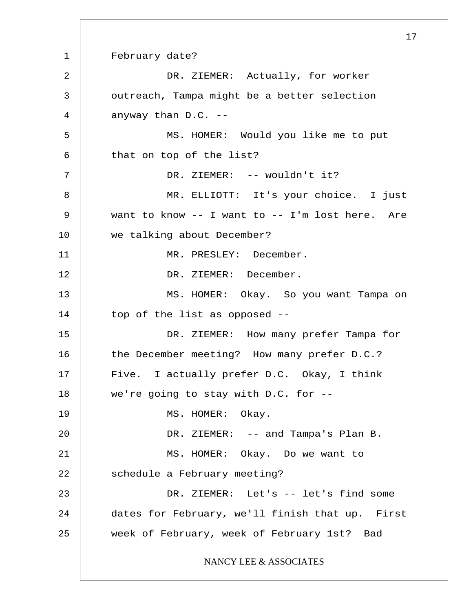1 2 3 4 5 6 7 8 9 10 11 12 13 14 15 16 17 18 19 20 21 22 23 24 25 17 February date? DR. ZIEMER: Actually, for worker outreach, Tampa might be a better selection anyway than D.C. -- MS. HOMER: Would you like me to put that on top of the list? DR. ZIEMER: -- wouldn't it? MR. ELLIOTT: It's your choice. I just want to know -- I want to -- I'm lost here. Are we talking about December? MR. PRESLEY: December. DR. ZIEMER: December. MS. HOMER: Okay. So you want Tampa on top of the list as opposed -- DR. ZIEMER: How many prefer Tampa for the December meeting? How many prefer D.C.? Five. I actually prefer D.C. Okay, I think we're going to stay with D.C. for -- MS. HOMER: Okay. DR. ZIEMER: -- and Tampa's Plan B. MS. HOMER: Okay. Do we want to schedule a February meeting? DR. ZIEMER: Let's -- let's find some dates for February, we'll finish that up. First week of February, week of February 1st? Bad NANCY LEE & ASSOCIATES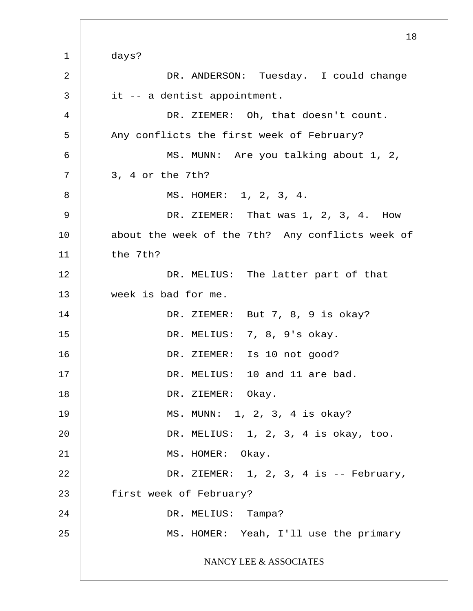1 2 3 4 5 6 7 8 9 10 11 12 13 14 15 16 17 18 19 20 21 22 23 24 25 days? DR. ANDERSON: Tuesday. I could change it -- a dentist appointment. DR. ZIEMER: Oh, that doesn't count. Any conflicts the first week of February? MS. MUNN: Are you talking about 1, 2, 3, 4 or the 7th? MS. HOMER: 1, 2, 3, 4. DR. ZIEMER: That was 1, 2, 3, 4. How about the week of the 7th? Any conflicts week of the 7th? DR. MELIUS: The latter part of that week is bad for me. DR. ZIEMER: But 7, 8, 9 is okay? DR. MELIUS: 7, 8, 9's okay. DR. ZIEMER: Is 10 not good? DR. MELIUS: 10 and 11 are bad. DR. ZIEMER: Okay. MS. MUNN: 1, 2, 3, 4 is okay? DR. MELIUS: 1, 2, 3, 4 is okay, too. MS. HOMER: Okay. DR. ZIEMER: 1, 2, 3, 4 is -- February, first week of February? DR. MELIUS: Tampa? MS. HOMER: Yeah, I'll use the primary NANCY LEE & ASSOCIATES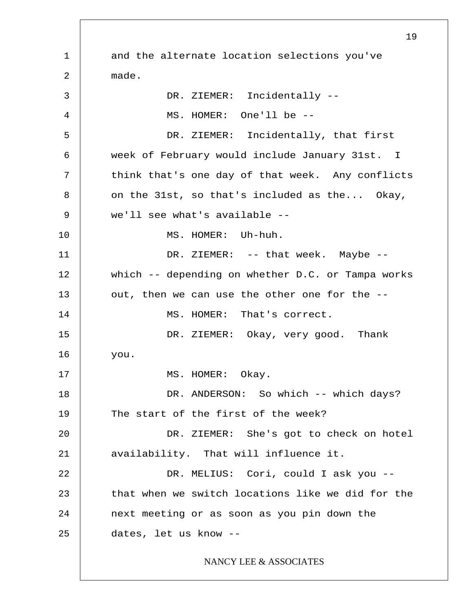1 2 3 4 5 6 7 8 9 10 11 12 13 14 15 16 17 18 19 20 21 22 23 24 25 and the alternate location selections you've made. DR. ZIEMER: Incidentally -- MS. HOMER: One'll be -- DR. ZIEMER: Incidentally, that first week of February would include January 31st. I think that's one day of that week. Any conflicts on the 31st, so that's included as the... Okay, we'll see what's available -- MS. HOMER: Uh-huh. DR. ZIEMER: -- that week. Maybe -which -- depending on whether D.C. or Tampa works out, then we can use the other one for the -- MS. HOMER: That's correct. DR. ZIEMER: Okay, very good. Thank you. MS. HOMER: Okay. DR. ANDERSON: So which -- which days? The start of the first of the week? DR. ZIEMER: She's got to check on hotel availability. That will influence it. DR. MELIUS: Cori, could I ask you - that when we switch locations like we did for the next meeting or as soon as you pin down the dates, let us know -- NANCY LEE & ASSOCIATES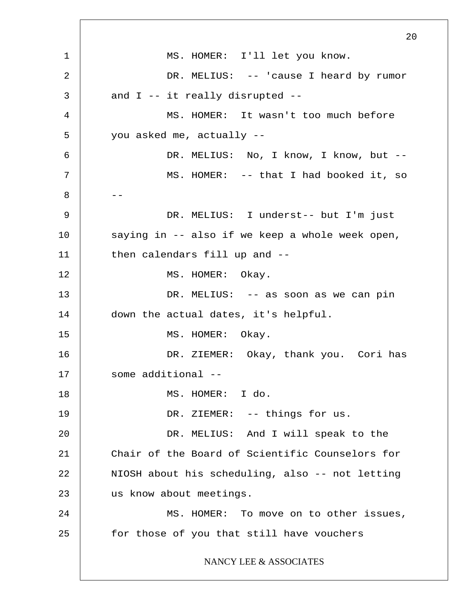1 2 3 4 5 6 7 8 9 10 11 12 13 14 15 16 17 18 19 20 21 22 23 24 25 20 MS. HOMER: I'll let you know. DR. MELIUS: -- 'cause I heard by rumor and I -- it really disrupted -- MS. HOMER: It wasn't too much before you asked me, actually -- -- DR. MELIUS: No, I know, I know, but --MS. HOMER: -- that I had booked it, so DR. MELIUS: I underst-- but I'm just saying in -- also if we keep a whole week open, then calendars fill up and -- MS. HOMER: Okay. DR. MELIUS: -- as soon as we can pin down the actual dates, it's helpful. MS. HOMER: Okay. DR. ZIEMER: Okay, thank you. Cori has some additional -- MS. HOMER: I do. DR. ZIEMER: -- things for us. DR. MELIUS: And I will speak to the Chair of the Board of Scientific Counselors for NIOSH about his scheduling, also -- not letting us know about meetings. MS. HOMER: To move on to other issues, for those of you that still have vouchers NANCY LEE & ASSOCIATES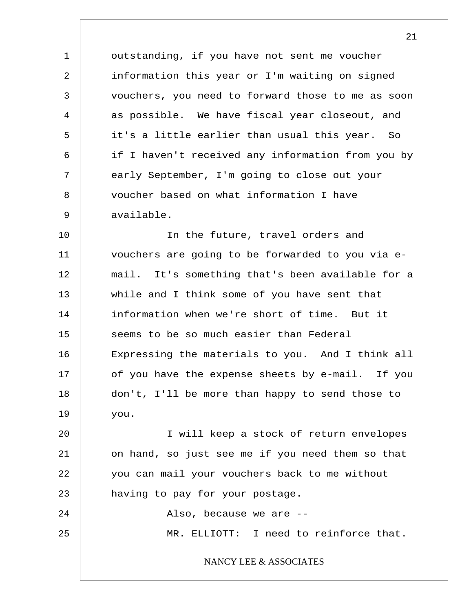1 2 3 4 5 6 7 8 9 outstanding, if you have not sent me voucher information this year or I'm waiting on signed vouchers, you need to forward those to me as soon as possible. We have fiscal year closeout, and it's a little earlier than usual this year. So if I haven't received any information from you by early September, I'm going to close out your voucher based on what information I have available.

10 11 12 13 14 15 16 17 18 19 In the future, travel orders and vouchers are going to be forwarded to you via email. It's something that's been available for a while and I think some of you have sent that information when we're short of time. But it seems to be so much easier than Federal Expressing the materials to you. And I think all of you have the expense sheets by e-mail. If you don't, I'll be more than happy to send those to you.

20 21 22 23 I will keep a stock of return envelopes on hand, so just see me if you need them so that you can mail your vouchers back to me without having to pay for your postage.

24 25 Also, because we are -- MR. ELLIOTT: I need to reinforce that.

NANCY LEE & ASSOCIATES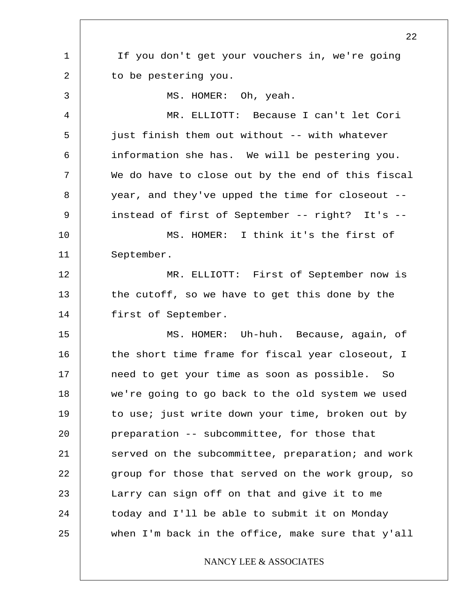1 2 3 4 5 6 7 8 9 10 11 12 13 14 15 16 17 18 19 20 21 22 23 24 25 22 If you don't get your vouchers in, we're going to be pestering you. MS. HOMER: Oh, yeah. MR. ELLIOTT: Because I can't let Cori just finish them out without -- with whatever information she has. We will be pestering you. We do have to close out by the end of this fiscal year, and they've upped the time for closeout - instead of first of September -- right? It's -- MS. HOMER: I think it's the first of September. MR. ELLIOTT: First of September now is the cutoff, so we have to get this done by the first of September. MS. HOMER: Uh-huh. Because, again, of the short time frame for fiscal year closeout, I need to get your time as soon as possible. So we're going to go back to the old system we used to use; just write down your time, broken out by preparation -- subcommittee, for those that served on the subcommittee, preparation; and work group for those that served on the work group, so Larry can sign off on that and give it to me today and I'll be able to submit it on Monday when I'm back in the office, make sure that y'all NANCY LEE & ASSOCIATES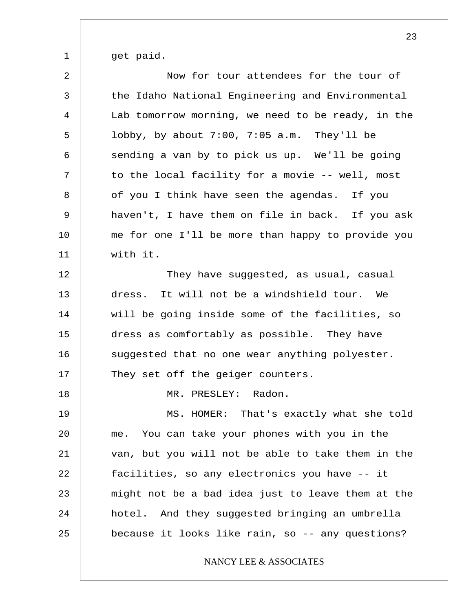1 get paid.

| $\overline{a}$ | Now for tour attendees for the tour of            |
|----------------|---------------------------------------------------|
| 3              | the Idaho National Engineering and Environmental  |
| $\overline{4}$ | Lab tomorrow morning, we need to be ready, in the |
| 5              | lobby, by about $7:00$ , $7:05$ a.m. They'll be   |
| 6              | sending a van by to pick us up. We'll be going    |
| 7              | to the local facility for a movie -- well, most   |
| 8              | of you I think have seen the agendas. If you      |
| 9              | haven't, I have them on file in back. If you ask  |
| 10             | me for one I'll be more than happy to provide you |
| 11             | with it.                                          |
| 12             | They have suggested, as usual, casual             |
| 13             | dress. It will not be a windshield tour. We       |
| 14             | will be going inside some of the facilities, so   |
| 15             | dress as comfortably as possible. They have       |
| 16             | suggested that no one wear anything polyester.    |
| 17             | They set off the geiger counters.                 |
| 18             | MR. PRESLEY: Radon.                               |
| 19             | MS. HOMER: That's exactly what she told           |
| 20             | You can take your phones with you in the<br>me.   |
| 21             | van, but you will not be able to take them in the |
| 22             | facilities, so any electronics you have -- it     |
| 23             | might not be a bad idea just to leave them at the |
| 24             | hotel. And they suggested bringing an umbrella    |
| 25             | because it looks like rain, so -- any questions?  |
|                | NANCY LEE & ASSOCIATES                            |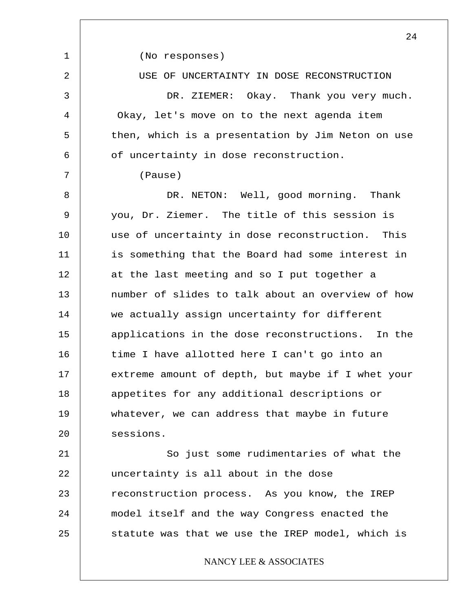|                | 24                                                |
|----------------|---------------------------------------------------|
| 1              | (No responses)                                    |
| $\overline{a}$ | USE OF UNCERTAINTY IN DOSE RECONSTRUCTION         |
| 3              | DR. ZIEMER: Okay. Thank you very much.            |
| 4              | Okay, let's move on to the next agenda item       |
| 5              | then, which is a presentation by Jim Neton on use |
| 6              | of uncertainty in dose reconstruction.            |
| 7              | (Pause)                                           |
| 8              | DR. NETON: Well, good morning. Thank              |
| 9              | you, Dr. Ziemer. The title of this session is     |
| 10             | use of uncertainty in dose reconstruction. This   |
| 11             | is something that the Board had some interest in  |
| 12             | at the last meeting and so I put together a       |
| 13             | number of slides to talk about an overview of how |
| 14             | we actually assign uncertainty for different      |
| 15             | applications in the dose reconstructions. In the  |
| 16             | time I have allotted here I can't go into an      |
| 17             | extreme amount of depth, but maybe if I whet your |
| 18             | appetites for any additional descriptions or      |
| 19             | whatever, we can address that maybe in future     |
| 20             | sessions.                                         |
| 21             | So just some rudimentaries of what the            |
| 22             | uncertainty is all about in the dose              |
| 23             | reconstruction process. As you know, the IREP     |
| 24             | model itself and the way Congress enacted the     |
| 25             | statute was that we use the IREP model, which is  |
|                | NANCY LEE & ASSOCIATES                            |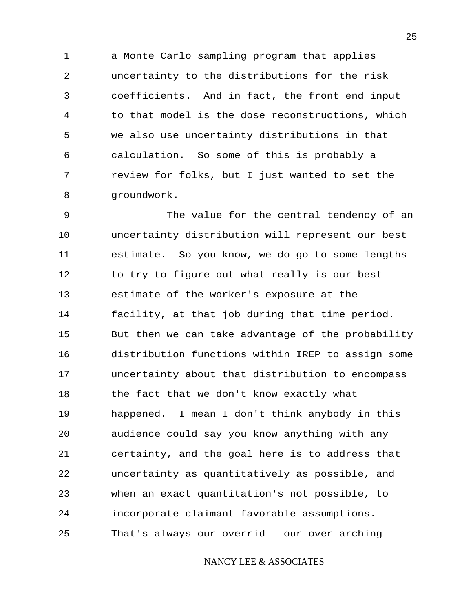a Monte Carlo sampling program that applies uncertainty to the distributions for the risk coefficients. And in fact, the front end input to that model is the dose reconstructions, which we also use uncertainty distributions in that calculation. So some of this is probably a review for folks, but I just wanted to set the groundwork.

1

2

3

4

5

6

7

8

9 10 11 12 13 14 15 16 17 18 19 20 21 22 23 24 25 The value for the central tendency of an uncertainty distribution will represent our best estimate. So you know, we do go to some lengths to try to figure out what really is our best estimate of the worker's exposure at the facility, at that job during that time period. But then we can take advantage of the probability distribution functions within IREP to assign some uncertainty about that distribution to encompass the fact that we don't know exactly what happened. I mean I don't think anybody in this audience could say you know anything with any certainty, and the goal here is to address that uncertainty as quantitatively as possible, and when an exact quantitation's not possible, to incorporate claimant-favorable assumptions. That's always our overrid-- our over-arching

# NANCY LEE & ASSOCIATES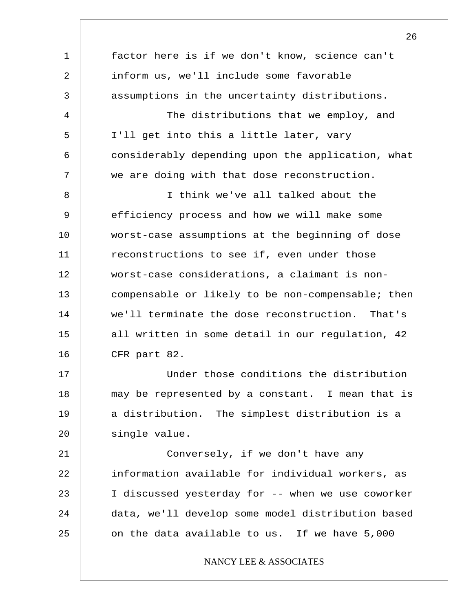1 2 3 4 5 6 7 8 9 10 11 12 13 14 15 16 17 18 19 20 21 22 23 24 25 factor here is if we don't know, science can't inform us, we'll include some favorable assumptions in the uncertainty distributions. The distributions that we employ, and I'll get into this a little later, vary considerably depending upon the application, what we are doing with that dose reconstruction. I think we've all talked about the efficiency process and how we will make some worst-case assumptions at the beginning of dose reconstructions to see if, even under those worst-case considerations, a claimant is noncompensable or likely to be non-compensable; then we'll terminate the dose reconstruction. That's all written in some detail in our regulation, 42 CFR part 82. Under those conditions the distribution may be represented by a constant. I mean that is a distribution. The simplest distribution is a single value. Conversely, if we don't have any information available for individual workers, as I discussed yesterday for -- when we use coworker data, we'll develop some model distribution based on the data available to us. If we have 5,000 NANCY LEE & ASSOCIATES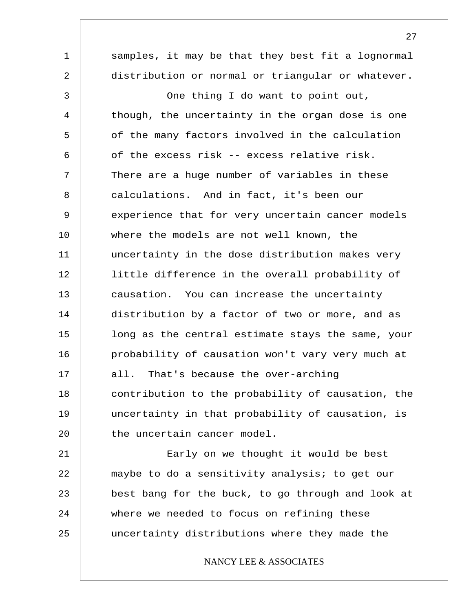1 2 3 4 5 6 7 8 9 10 11 12 13 14 15 16 17 18 19 20 21 22 23 samples, it may be that they best fit a lognormal distribution or normal or triangular or whatever. One thing I do want to point out, though, the uncertainty in the organ dose is one of the many factors involved in the calculation of the excess risk -- excess relative risk. There are a huge number of variables in these calculations. And in fact, it's been our experience that for very uncertain cancer models where the models are not well known, the uncertainty in the dose distribution makes very little difference in the overall probability of causation. You can increase the uncertainty distribution by a factor of two or more, and as long as the central estimate stays the same, your probability of causation won't vary very much at all. That's because the over-arching contribution to the probability of causation, the uncertainty in that probability of causation, is the uncertain cancer model. Early on we thought it would be best maybe to do a sensitivity analysis; to get our best bang for the buck, to go through and look at

24

# 25

## NANCY LEE & ASSOCIATES

where we needed to focus on refining these

uncertainty distributions where they made the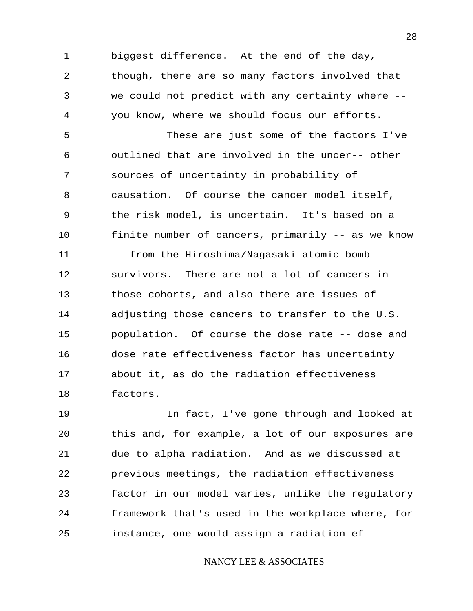biggest difference. At the end of the day, though, there are so many factors involved that we could not predict with any certainty where - you know, where we should focus our efforts.

1

2

3

4

5 6 7 8 9 10 11 12 13 14 15 16 17 18 These are just some of the factors I've outlined that are involved in the uncer-- other sources of uncertainty in probability of causation. Of course the cancer model itself, the risk model, is uncertain. It's based on a finite number of cancers, primarily -- as we know -- from the Hiroshima/Nagasaki atomic bomb survivors. There are not a lot of cancers in those cohorts, and also there are issues of adjusting those cancers to transfer to the U.S. population. Of course the dose rate -- dose and dose rate effectiveness factor has uncertainty about it, as do the radiation effectiveness factors.

19 20 21 22 23 24 25 In fact, I've gone through and looked at this and, for example, a lot of our exposures are due to alpha radiation. And as we discussed at previous meetings, the radiation effectiveness factor in our model varies, unlike the regulatory framework that's used in the workplace where, for instance, one would assign a radiation ef--

# NANCY LEE & ASSOCIATES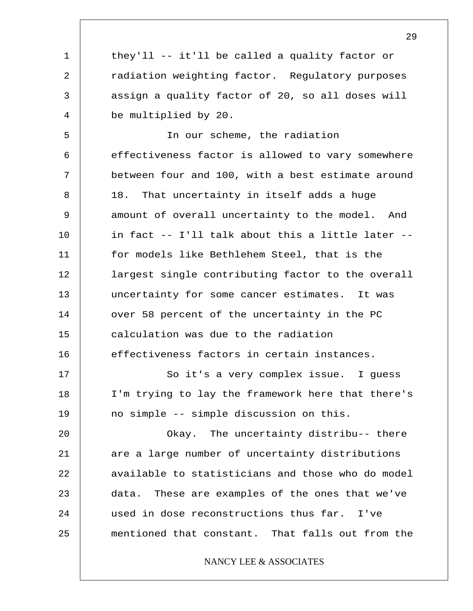they'll -- it'll be called a quality factor or radiation weighting factor. Regulatory purposes assign a quality factor of 20, so all doses will be multiplied by 20.

1

2

3

4

5 6 7 8 9 10 11 12 13 14 15 16 In our scheme, the radiation effectiveness factor is allowed to vary somewhere between four and 100, with a best estimate around 18. That uncertainty in itself adds a huge amount of overall uncertainty to the model. And in fact -- I'll talk about this a little later - for models like Bethlehem Steel, that is the largest single contributing factor to the overall uncertainty for some cancer estimates. It was over 58 percent of the uncertainty in the PC calculation was due to the radiation effectiveness factors in certain instances.

17 18 19 So it's a very complex issue. I guess I'm trying to lay the framework here that there's no simple -- simple discussion on this.

20 21 22 23 24 25 Okay. The uncertainty distribu-- there are a large number of uncertainty distributions available to statisticians and those who do model data. These are examples of the ones that we've used in dose reconstructions thus far. I've mentioned that constant. That falls out from the

# NANCY LEE & ASSOCIATES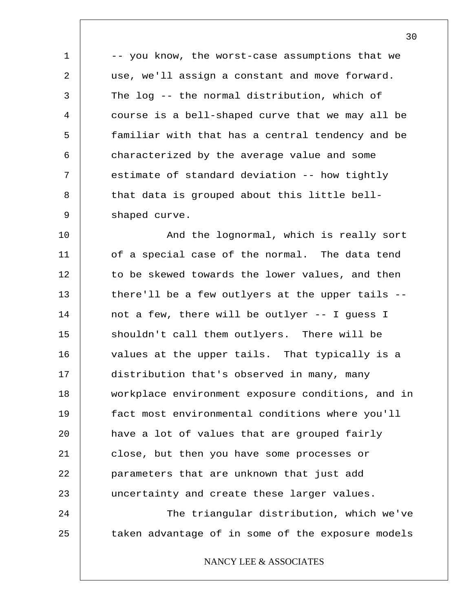-- you know, the worst-case assumptions that we use, we'll assign a constant and move forward. The log -- the normal distribution, which of course is a bell-shaped curve that we may all be familiar with that has a central tendency and be characterized by the average value and some estimate of standard deviation -- how tightly that data is grouped about this little bellshaped curve.

1

2

3

4

5

6

7

8

9

10 11 12 13 14 15 16 17 18 19 20 21 22 23 24 25 And the lognormal, which is really sort of a special case of the normal. The data tend to be skewed towards the lower values, and then there'll be a few outlyers at the upper tails - not a few, there will be outlyer -- I guess I shouldn't call them outlyers. There will be values at the upper tails. That typically is a distribution that's observed in many, many workplace environment exposure conditions, and in fact most environmental conditions where you'll have a lot of values that are grouped fairly close, but then you have some processes or parameters that are unknown that just add uncertainty and create these larger values. The triangular distribution, which we've taken advantage of in some of the exposure models

NANCY LEE & ASSOCIATES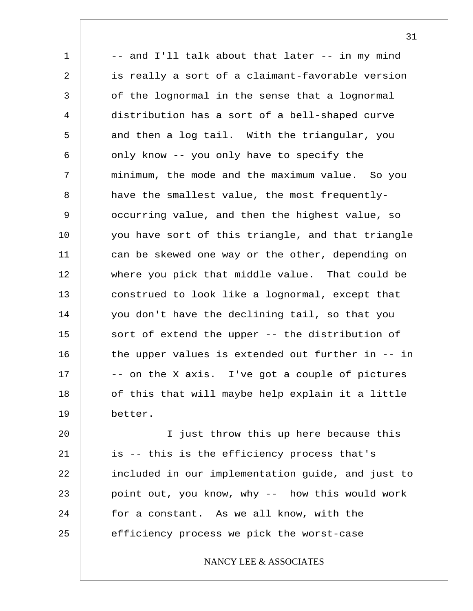1 2 3 4 5 6 7 8 9 10 11 12 13 14 15 16 17 18 19 -- and I'll talk about that later -- in my mind is really a sort of a claimant-favorable version of the lognormal in the sense that a lognormal distribution has a sort of a bell-shaped curve and then a log tail. With the triangular, you only know -- you only have to specify the minimum, the mode and the maximum value. So you have the smallest value, the most frequentlyoccurring value, and then the highest value, so you have sort of this triangle, and that triangle can be skewed one way or the other, depending on where you pick that middle value. That could be construed to look like a lognormal, except that you don't have the declining tail, so that you sort of extend the upper -- the distribution of the upper values is extended out further in -- in -- on the X axis. I've got a couple of pictures of this that will maybe help explain it a little better.

20 21 22 23 24 25 I just throw this up here because this is -- this is the efficiency process that's included in our implementation guide, and just to point out, you know, why -- how this would work for a constant. As we all know, with the efficiency process we pick the worst-case

NANCY LEE & ASSOCIATES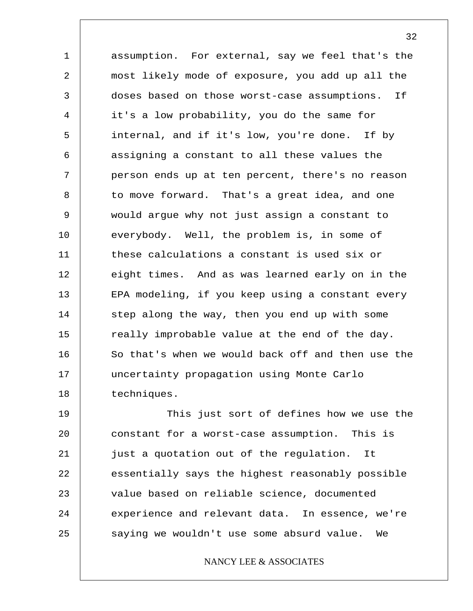1 2 3 4 5 6 7 8 9 10 11 12 13 14 15 16 17 18 assumption. For external, say we feel that's the most likely mode of exposure, you add up all the doses based on those worst-case assumptions. If it's a low probability, you do the same for internal, and if it's low, you're done. If by assigning a constant to all these values the person ends up at ten percent, there's no reason to move forward. That's a great idea, and one would argue why not just assign a constant to everybody. Well, the problem is, in some of these calculations a constant is used six or eight times. And as was learned early on in the EPA modeling, if you keep using a constant every step along the way, then you end up with some really improbable value at the end of the day. So that's when we would back off and then use the uncertainty propagation using Monte Carlo techniques.

19 20 21 22 23 24 25 This just sort of defines how we use the constant for a worst-case assumption. This is just a quotation out of the regulation. It essentially says the highest reasonably possible value based on reliable science, documented experience and relevant data. In essence, we're saying we wouldn't use some absurd value. We

# NANCY LEE & ASSOCIATES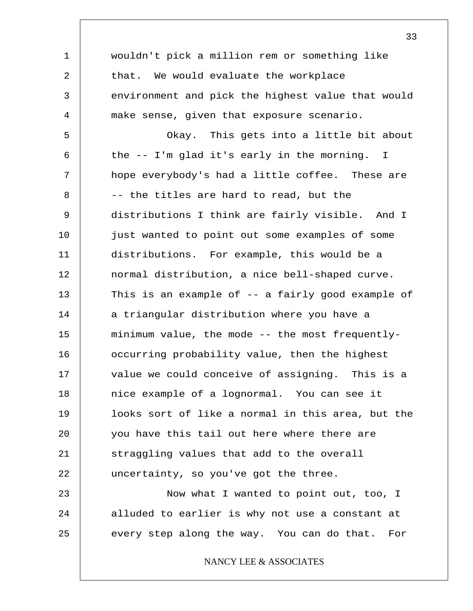1 2 3 4 5 6 7 8 9 10 11 12 13 14 15 16 17 18 19 20 21 22 23 24 25 wouldn't pick a million rem or something like that. We would evaluate the workplace environment and pick the highest value that would make sense, given that exposure scenario. Okay. This gets into a little bit about the -- I'm glad it's early in the morning. I hope everybody's had a little coffee. These are -- the titles are hard to read, but the distributions I think are fairly visible. And I just wanted to point out some examples of some distributions. For example, this would be a normal distribution, a nice bell-shaped curve. This is an example of -- a fairly good example of a triangular distribution where you have a minimum value, the mode -- the most frequentlyoccurring probability value, then the highest value we could conceive of assigning. This is a nice example of a lognormal. You can see it looks sort of like a normal in this area, but the you have this tail out here where there are straggling values that add to the overall uncertainty, so you've got the three. Now what I wanted to point out, too, I alluded to earlier is why not use a constant at every step along the way. You can do that. For NANCY LEE & ASSOCIATES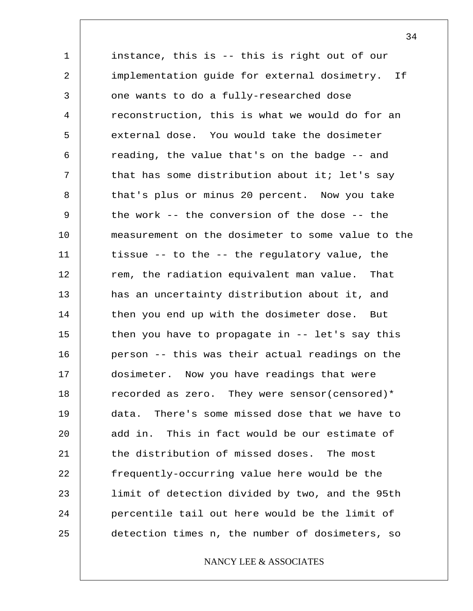1 2 3 4 5 6 7 8 9 10 11 12 13 14 15 16 17 18 19 20 21 22 23 24 25 instance, this is -- this is right out of our implementation guide for external dosimetry. If one wants to do a fully-researched dose reconstruction, this is what we would do for an external dose. You would take the dosimeter reading, the value that's on the badge -- and that has some distribution about it; let's say that's plus or minus 20 percent. Now you take the work -- the conversion of the dose -- the measurement on the dosimeter to some value to the tissue -- to the -- the regulatory value, the rem, the radiation equivalent man value. That has an uncertainty distribution about it, and then you end up with the dosimeter dose. But then you have to propagate in -- let's say this person -- this was their actual readings on the dosimeter. Now you have readings that were recorded as zero. They were sensor(censored)\* data. There's some missed dose that we have to add in. This in fact would be our estimate of the distribution of missed doses. The most frequently-occurring value here would be the limit of detection divided by two, and the 95th percentile tail out here would be the limit of detection times n, the number of dosimeters, so

# NANCY LEE & ASSOCIATES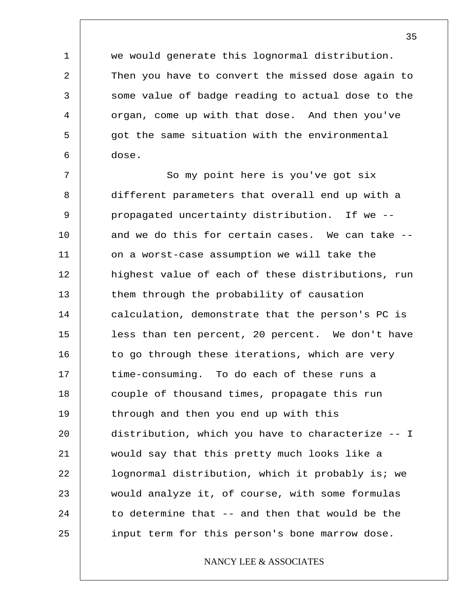we would generate this lognormal distribution. Then you have to convert the missed dose again to some value of badge reading to actual dose to the organ, come up with that dose. And then you've got the same situation with the environmental dose.

1

2

3

4

5

6

7 8 9 10 11 12 13 14 15 16 17 18 19 20 21 22 23 24 25 So my point here is you've got six different parameters that overall end up with a propagated uncertainty distribution. If we - and we do this for certain cases. We can take - on a worst-case assumption we will take the highest value of each of these distributions, run them through the probability of causation calculation, demonstrate that the person's PC is less than ten percent, 20 percent. We don't have to go through these iterations, which are very time-consuming. To do each of these runs a couple of thousand times, propagate this run through and then you end up with this distribution, which you have to characterize -- I would say that this pretty much looks like a lognormal distribution, which it probably is; we would analyze it, of course, with some formulas to determine that -- and then that would be the input term for this person's bone marrow dose.

# NANCY LEE & ASSOCIATES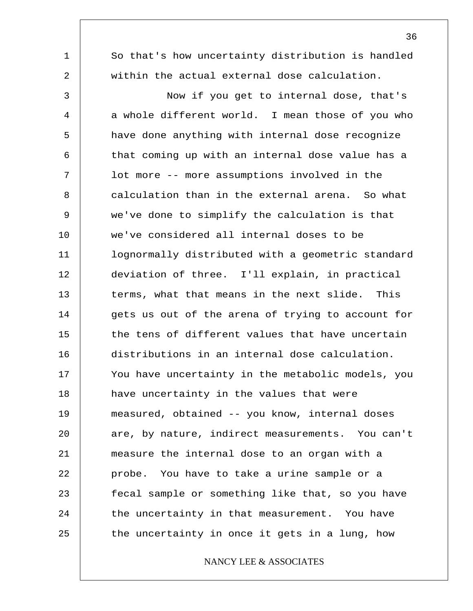1 2 3 4 5 6 7 8 9 10 11 12 13 14 15 16 17 18 19 20 21 22 23 24 25 So that's how uncertainty distribution is handled within the actual external dose calculation. Now if you get to internal dose, that's a whole different world. I mean those of you who have done anything with internal dose recognize that coming up with an internal dose value has a lot more -- more assumptions involved in the calculation than in the external arena. So what we've done to simplify the calculation is that we've considered all internal doses to be lognormally distributed with a geometric standard deviation of three. I'll explain, in practical terms, what that means in the next slide. This gets us out of the arena of trying to account for the tens of different values that have uncertain distributions in an internal dose calculation. You have uncertainty in the metabolic models, you have uncertainty in the values that were measured, obtained -- you know, internal doses are, by nature, indirect measurements. You can't measure the internal dose to an organ with a probe. You have to take a urine sample or a fecal sample or something like that, so you have the uncertainty in that measurement. You have the uncertainty in once it gets in a lung, how NANCY LEE & ASSOCIATES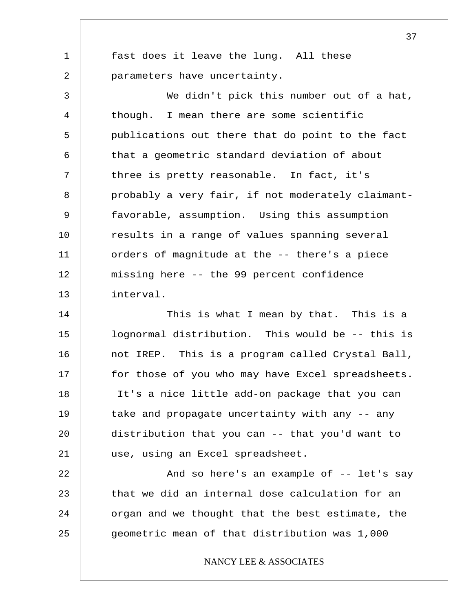1 2 fast does it leave the lung. All these parameters have uncertainty.

3 4 5 6 7 8 9 10 11 12 13 We didn't pick this number out of a hat, though. I mean there are some scientific publications out there that do point to the fact that a geometric standard deviation of about three is pretty reasonable. In fact, it's probably a very fair, if not moderately claimantfavorable, assumption. Using this assumption results in a range of values spanning several orders of magnitude at the -- there's a piece missing here -- the 99 percent confidence interval.

14 15 16 17 18 19 20 21 This is what I mean by that. This is a lognormal distribution. This would be -- this is not IREP. This is a program called Crystal Ball, for those of you who may have Excel spreadsheets. It's a nice little add-on package that you can take and propagate uncertainty with any -- any distribution that you can -- that you'd want to use, using an Excel spreadsheet.

22 23 24 25 And so here's an example of -- let's say that we did an internal dose calculation for an organ and we thought that the best estimate, the geometric mean of that distribution was 1,000

NANCY LEE & ASSOCIATES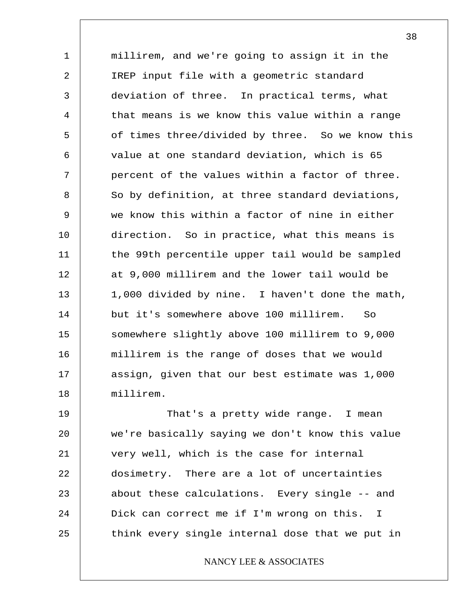1 2 3 4 5 6 7 8 9 10 11 12 13 14 15 16 17 18 millirem, and we're going to assign it in the IREP input file with a geometric standard deviation of three. In practical terms, what that means is we know this value within a range of times three/divided by three. So we know this value at one standard deviation, which is 65 percent of the values within a factor of three. So by definition, at three standard deviations, we know this within a factor of nine in either direction. So in practice, what this means is the 99th percentile upper tail would be sampled at 9,000 millirem and the lower tail would be 1,000 divided by nine. I haven't done the math, but it's somewhere above 100 millirem. So somewhere slightly above 100 millirem to 9,000 millirem is the range of doses that we would assign, given that our best estimate was 1,000 millirem.

19 20 21 22 23 24 25 That's a pretty wide range. I mean we're basically saying we don't know this value very well, which is the case for internal dosimetry. There are a lot of uncertainties about these calculations. Every single -- and Dick can correct me if I'm wrong on this. I think every single internal dose that we put in

NANCY LEE & ASSOCIATES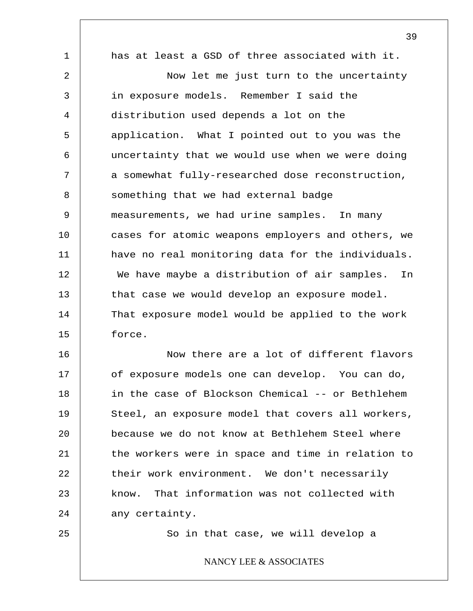1 2 3 4 5 6 7 8 9 10 11 12 13 14 15 16 17 18 19 20 21 22 has at least a GSD of three associated with it. Now let me just turn to the uncertainty in exposure models. Remember I said the distribution used depends a lot on the application. What I pointed out to you was the uncertainty that we would use when we were doing a somewhat fully-researched dose reconstruction, something that we had external badge measurements, we had urine samples. In many cases for atomic weapons employers and others, we have no real monitoring data for the individuals. We have maybe a distribution of air samples. In that case we would develop an exposure model. That exposure model would be applied to the work force. Now there are a lot of different flavors of exposure models one can develop. You can do, in the case of Blockson Chemical -- or Bethlehem Steel, an exposure model that covers all workers, because we do not know at Bethlehem Steel where the workers were in space and time in relation to their work environment. We don't necessarily

39

24 any certainty.

23

25

So in that case, we will develop a

know. That information was not collected with

NANCY LEE & ASSOCIATES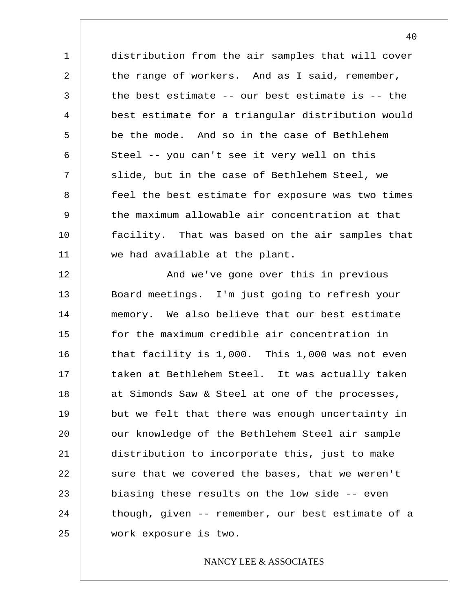1 2 3 4 5 6 7 8 9 10 11 distribution from the air samples that will cover the range of workers. And as I said, remember, the best estimate -- our best estimate is -- the best estimate for a triangular distribution would be the mode. And so in the case of Bethlehem Steel -- you can't see it very well on this slide, but in the case of Bethlehem Steel, we feel the best estimate for exposure was two times the maximum allowable air concentration at that facility. That was based on the air samples that we had available at the plant.

12 13 14 15 16 17 18 19 20 21 22 23 24 25 And we've gone over this in previous Board meetings. I'm just going to refresh your memory. We also believe that our best estimate for the maximum credible air concentration in that facility is 1,000. This 1,000 was not even taken at Bethlehem Steel. It was actually taken at Simonds Saw & Steel at one of the processes, but we felt that there was enough uncertainty in our knowledge of the Bethlehem Steel air sample distribution to incorporate this, just to make sure that we covered the bases, that we weren't biasing these results on the low side -- even though, given -- remember, our best estimate of a work exposure is two.

## NANCY LEE & ASSOCIATES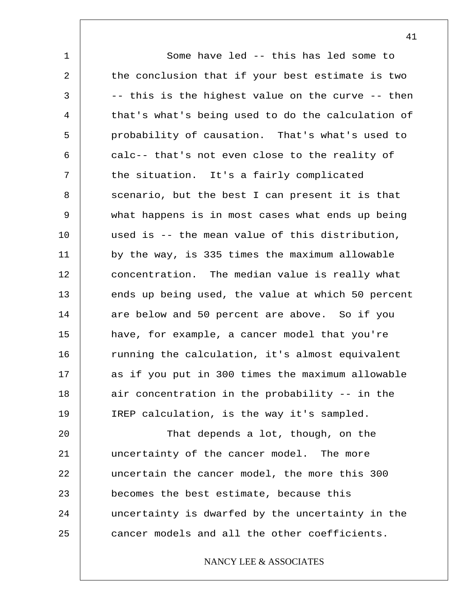1 2 3 4 5 6 7 8 9 10 11 12 13 14 15 16 17 18 19 20 Some have led -- this has led some to the conclusion that if your best estimate is two -- this is the highest value on the curve -- then that's what's being used to do the calculation of probability of causation. That's what's used to calc-- that's not even close to the reality of the situation. It's a fairly complicated scenario, but the best I can present it is that what happens is in most cases what ends up being used is -- the mean value of this distribution, by the way, is 335 times the maximum allowable concentration. The median value is really what ends up being used, the value at which 50 percent are below and 50 percent are above. So if you have, for example, a cancer model that you're running the calculation, it's almost equivalent as if you put in 300 times the maximum allowable air concentration in the probability -- in the IREP calculation, is the way it's sampled. That depends a lot, though, on the

21 22 23 24 25 uncertainty of the cancer model. The more uncertain the cancer model, the more this 300 becomes the best estimate, because this uncertainty is dwarfed by the uncertainty in the cancer models and all the other coefficients.

# NANCY LEE & ASSOCIATES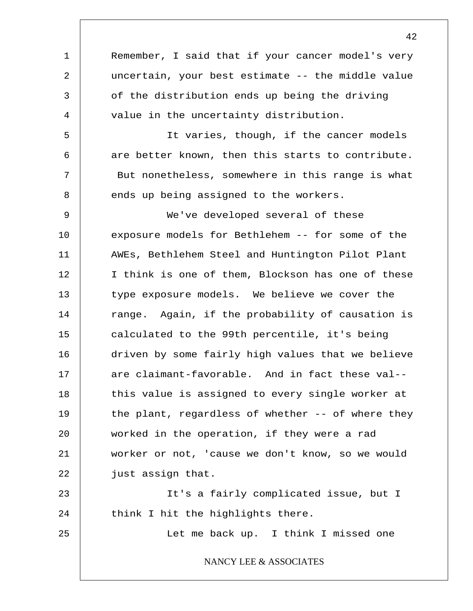1 2 3 4 5 6 7 8 9 10 11 12 13 14 15 16 17 18 19 20 21 22 23 24 25 Remember, I said that if your cancer model's very uncertain, your best estimate -- the middle value of the distribution ends up being the driving value in the uncertainty distribution. It varies, though, if the cancer models are better known, then this starts to contribute. But nonetheless, somewhere in this range is what ends up being assigned to the workers. We've developed several of these exposure models for Bethlehem -- for some of the AWEs, Bethlehem Steel and Huntington Pilot Plant I think is one of them, Blockson has one of these type exposure models. We believe we cover the range. Again, if the probability of causation is calculated to the 99th percentile, it's being driven by some fairly high values that we believe are claimant-favorable. And in fact these val- this value is assigned to every single worker at the plant, regardless of whether -- of where they worked in the operation, if they were a rad worker or not, 'cause we don't know, so we would just assign that. It's a fairly complicated issue, but I think I hit the highlights there. Let me back up. I think I missed one NANCY LEE & ASSOCIATES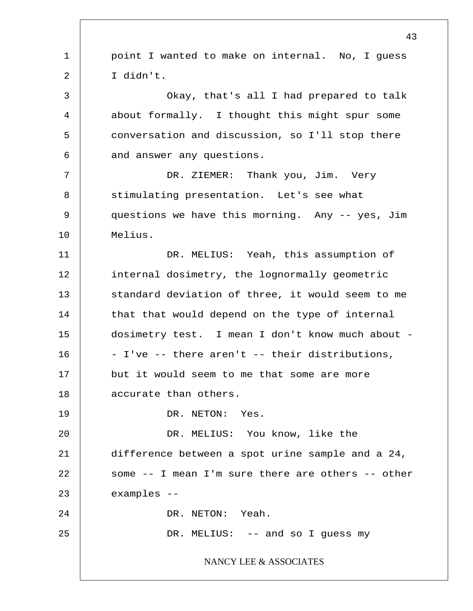1 2 3 4 5 6 7 8 9 10 11 12 13 14 15 16 17 18 19 20 21 22 23 24 25 43 point I wanted to make on internal. No, I guess I didn't. Okay, that's all I had prepared to talk about formally. I thought this might spur some conversation and discussion, so I'll stop there and answer any questions. DR. ZIEMER: Thank you, Jim. Very stimulating presentation. Let's see what questions we have this morning. Any -- yes, Jim Melius. DR. MELIUS: Yeah, this assumption of internal dosimetry, the lognormally geometric standard deviation of three, it would seem to me that that would depend on the type of internal dosimetry test. I mean I don't know much about - - I've -- there aren't -- their distributions, but it would seem to me that some are more accurate than others. DR. NETON: Yes. DR. MELIUS: You know, like the difference between a spot urine sample and a 24, some -- I mean I'm sure there are others -- other examples -- DR. NETON: Yeah. DR. MELIUS: -- and so I guess my NANCY LEE & ASSOCIATES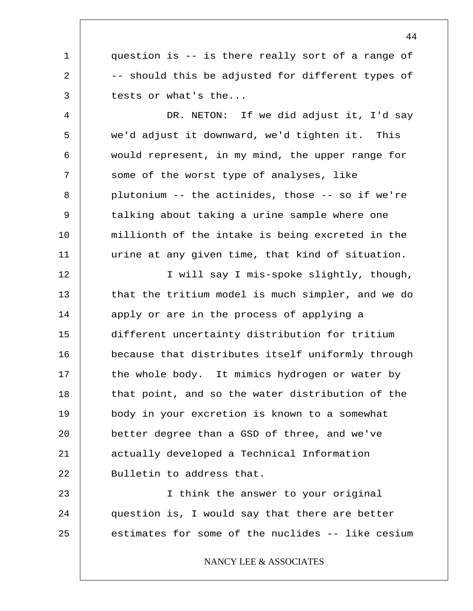1 question is -- is there really sort of a range of -- should this be adjusted for different types of tests or what's the...

2

3

4 5 6 7 8 9 10 11 DR. NETON: If we did adjust it, I'd say we'd adjust it downward, we'd tighten it. This would represent, in my mind, the upper range for some of the worst type of analyses, like plutonium -- the actinides, those -- so if we're talking about taking a urine sample where one millionth of the intake is being excreted in the urine at any given time, that kind of situation.

12 13 14 15 16 17 18 19 20 21 22 I will say I mis-spoke slightly, though, that the tritium model is much simpler, and we do apply or are in the process of applying a different uncertainty distribution for tritium because that distributes itself uniformly through the whole body. It mimics hydrogen or water by that point, and so the water distribution of the body in your excretion is known to a somewhat better degree than a GSD of three, and we've actually developed a Technical Information Bulletin to address that.

23 24 25 I think the answer to your original question is, I would say that there are better estimates for some of the nuclides -- like cesium

NANCY LEE & ASSOCIATES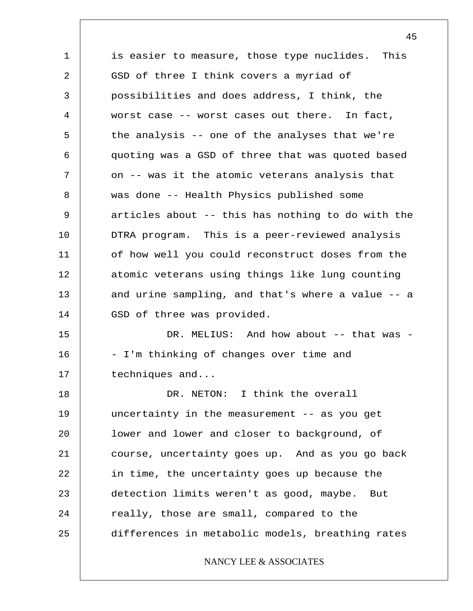1 2 3 4 5 6 7 8 9 10 11 12 13 14 15 16 17 18 19 20 21 22 23 24 25 is easier to measure, those type nuclides. This GSD of three I think covers a myriad of possibilities and does address, I think, the worst case -- worst cases out there. In fact, the analysis -- one of the analyses that we're quoting was a GSD of three that was quoted based on -- was it the atomic veterans analysis that was done -- Health Physics published some articles about -- this has nothing to do with the DTRA program. This is a peer-reviewed analysis of how well you could reconstruct doses from the atomic veterans using things like lung counting and urine sampling, and that's where a value -- a GSD of three was provided. DR. MELIUS: And how about -- that was -- I'm thinking of changes over time and techniques and... DR. NETON: I think the overall uncertainty in the measurement -- as you get lower and lower and closer to background, of course, uncertainty goes up. And as you go back in time, the uncertainty goes up because the detection limits weren't as good, maybe. But really, those are small, compared to the differences in metabolic models, breathing rates NANCY LEE & ASSOCIATES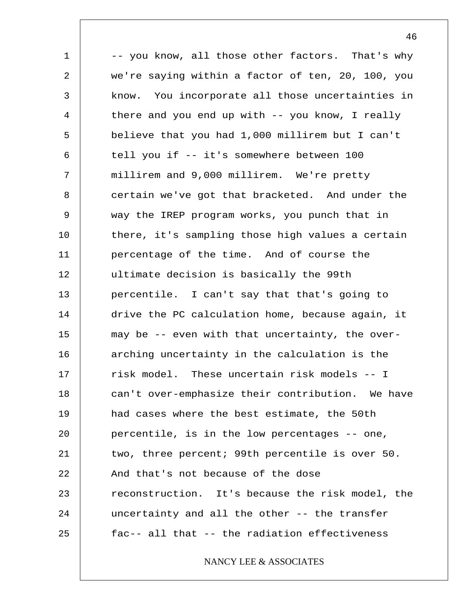1 2 3 4 5 6 7 8 9 10 11 12 13 14 15 16 17 18 19 20 21 22 23 24 25 -- you know, all those other factors. That's why we're saying within a factor of ten, 20, 100, you know. You incorporate all those uncertainties in there and you end up with -- you know, I really believe that you had 1,000 millirem but I can't tell you if -- it's somewhere between 100 millirem and 9,000 millirem. We're pretty certain we've got that bracketed. And under the way the IREP program works, you punch that in there, it's sampling those high values a certain percentage of the time. And of course the ultimate decision is basically the 99th percentile. I can't say that that's going to drive the PC calculation home, because again, it may be -- even with that uncertainty, the overarching uncertainty in the calculation is the risk model. These uncertain risk models -- I can't over-emphasize their contribution. We have had cases where the best estimate, the 50th percentile, is in the low percentages -- one, two, three percent; 99th percentile is over 50. And that's not because of the dose reconstruction. It's because the risk model, the uncertainty and all the other -- the transfer fac-- all that -- the radiation effectiveness NANCY LEE & ASSOCIATES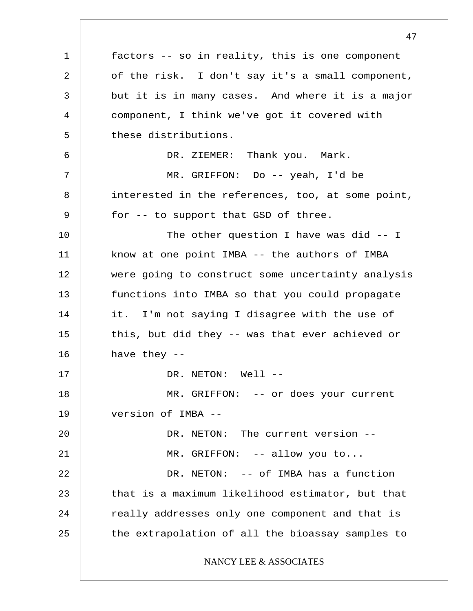1 2 3 4 5 6 7 8 9 10 11 12 13 14 15 16 17 18 19 20 21 22 23 24 25 factors -- so in reality, this is one component of the risk. I don't say it's a small component, but it is in many cases. And where it is a major component, I think we've got it covered with these distributions. DR. ZIEMER: Thank you. Mark. MR. GRIFFON: Do -- yeah, I'd be interested in the references, too, at some point, for -- to support that GSD of three. The other question I have was did -- I know at one point IMBA -- the authors of IMBA were going to construct some uncertainty analysis functions into IMBA so that you could propagate it. I'm not saying I disagree with the use of this, but did they -- was that ever achieved or have they -- DR. NETON: Well --MR. GRIFFON: -- or does your current version of IMBA -- DR. NETON: The current version --MR. GRIFFON: -- allow you to... DR. NETON: -- of IMBA has a function that is a maximum likelihood estimator, but that really addresses only one component and that is the extrapolation of all the bioassay samples to NANCY LEE & ASSOCIATES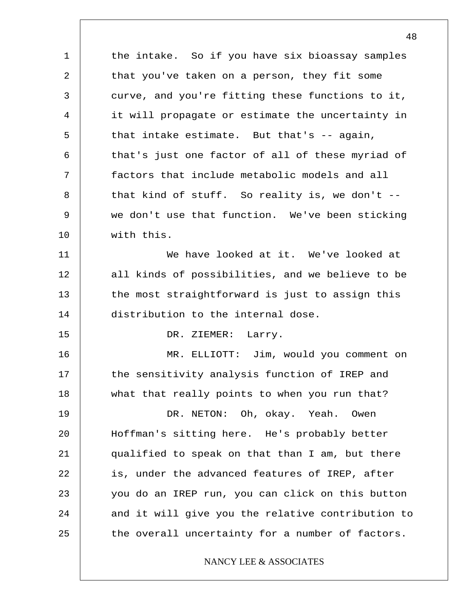1 2 3 4 5 6 7 8 9 10 11 12 13 14 15 16 17 18 19 20 21 22 23 the intake. So if you have six bioassay samples that you've taken on a person, they fit some curve, and you're fitting these functions to it, it will propagate or estimate the uncertainty in that intake estimate. But that's -- again, that's just one factor of all of these myriad of factors that include metabolic models and all that kind of stuff. So reality is, we don't - we don't use that function. We've been sticking with this. We have looked at it. We've looked at all kinds of possibilities, and we believe to be the most straightforward is just to assign this distribution to the internal dose. DR. ZIEMER: Larry. MR. ELLIOTT: Jim, would you comment on the sensitivity analysis function of IREP and what that really points to when you run that? DR. NETON: Oh, okay. Yeah. Owen Hoffman's sitting here. He's probably better qualified to speak on that than I am, but there is, under the advanced features of IREP, after you do an IREP run, you can click on this button

and it will give you the relative contribution to the overall uncertainty for a number of factors.

24

25

### NANCY LEE & ASSOCIATES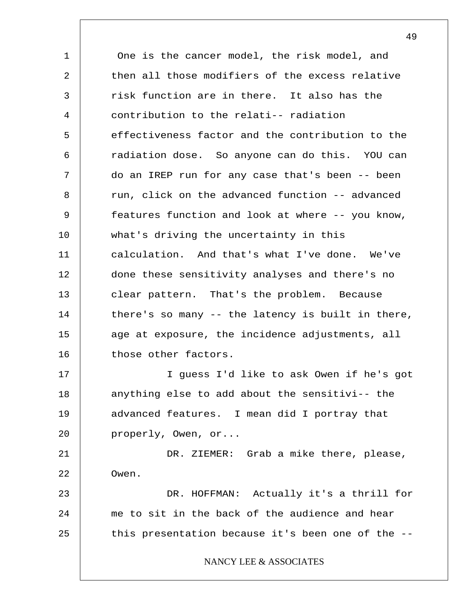1 2 3 4 5 6 7 8 9 10 11 12 13 14 15 16 17 18 19 20 21 22 23 24 25 One is the cancer model, the risk model, and then all those modifiers of the excess relative risk function are in there. It also has the contribution to the relati-- radiation effectiveness factor and the contribution to the radiation dose. So anyone can do this. YOU can do an IREP run for any case that's been -- been run, click on the advanced function -- advanced features function and look at where -- you know, what's driving the uncertainty in this calculation. And that's what I've done. We've done these sensitivity analyses and there's no clear pattern. That's the problem. Because there's so many -- the latency is built in there, age at exposure, the incidence adjustments, all those other factors. I guess I'd like to ask Owen if he's got anything else to add about the sensitivi-- the advanced features. I mean did I portray that properly, Owen, or... DR. ZIEMER: Grab a mike there, please, Owen. DR. HOFFMAN: Actually it's a thrill for me to sit in the back of the audience and hear this presentation because it's been one of the -- NANCY LEE & ASSOCIATES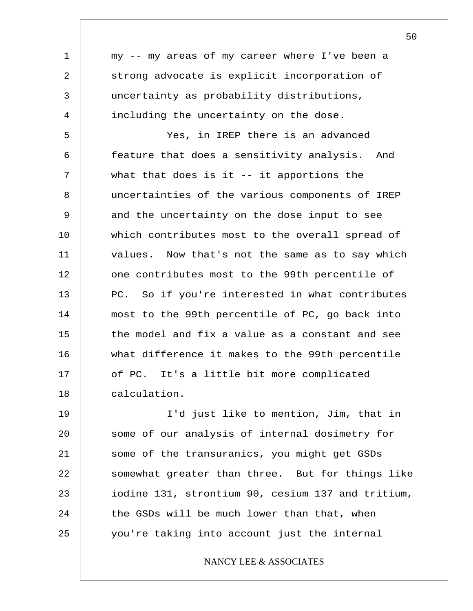1 2 3 4 5 6 7 8 9 10 11 12 13 14 15 16 17 18 19 20 21 22 my -- my areas of my career where I've been a strong advocate is explicit incorporation of uncertainty as probability distributions, including the uncertainty on the dose. Yes, in IREP there is an advanced feature that does a sensitivity analysis. And what that does is it  $-$ - it apportions the uncertainties of the various components of IREP and the uncertainty on the dose input to see which contributes most to the overall spread of values. Now that's not the same as to say which one contributes most to the 99th percentile of PC. So if you're interested in what contributes most to the 99th percentile of PC, go back into the model and fix a value as a constant and see what difference it makes to the 99th percentile of PC. It's a little bit more complicated calculation. I'd just like to mention, Jim, that in some of our analysis of internal dosimetry for some of the transuranics, you might get GSDs somewhat greater than three. But for things like

NANCY LEE & ASSOCIATES

iodine 131, strontium 90, cesium 137 and tritium,

the GSDs will be much lower than that, when

you're taking into account just the internal

23

24

25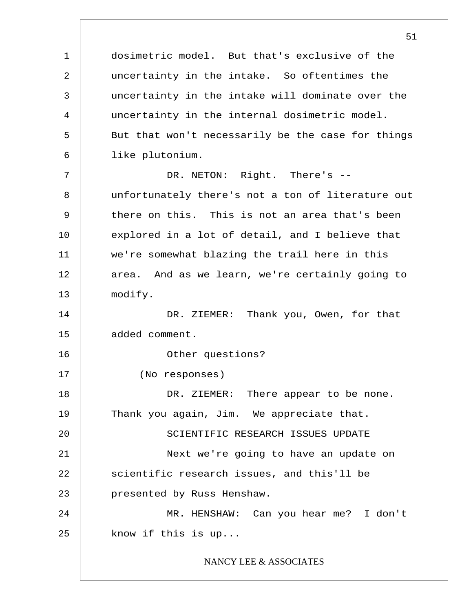1 2 3 4 5 6 7 8 9 10 11 12 13 14 15 16 17 18 19 20 21 22 23 24 25 51 dosimetric model. But that's exclusive of the uncertainty in the intake. So oftentimes the uncertainty in the intake will dominate over the uncertainty in the internal dosimetric model. But that won't necessarily be the case for things like plutonium. DR. NETON: Right. There's -unfortunately there's not a ton of literature out there on this. This is not an area that's been explored in a lot of detail, and I believe that we're somewhat blazing the trail here in this area. And as we learn, we're certainly going to modify. DR. ZIEMER: Thank you, Owen, for that added comment. Other questions? (No responses) DR. ZIEMER: There appear to be none. Thank you again, Jim. We appreciate that. SCIENTIFIC RESEARCH ISSUES UPDATE Next we're going to have an update on scientific research issues, and this'll be presented by Russ Henshaw. MR. HENSHAW: Can you hear me? I don't know if this is up... NANCY LEE & ASSOCIATES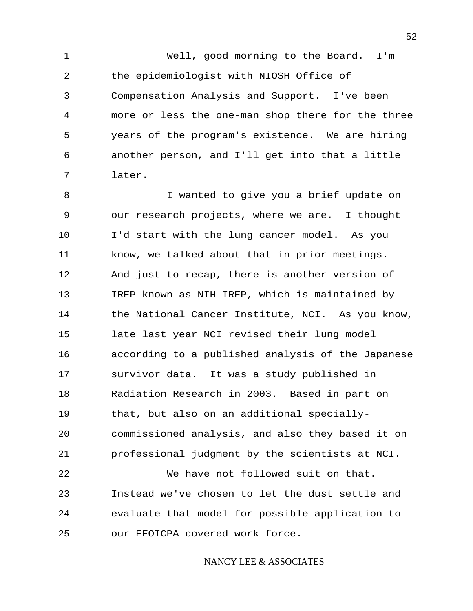Well, good morning to the Board. I'm the epidemiologist with NIOSH Office of Compensation Analysis and Support. I've been more or less the one-man shop there for the three years of the program's existence. We are hiring another person, and I'll get into that a little later.

1

2

3

4

5

6

7

8 9 10 11 12 13 14 15 16 17 18 19 20 21 22 23 I wanted to give you a brief update on our research projects, where we are. I thought I'd start with the lung cancer model. As you know, we talked about that in prior meetings. And just to recap, there is another version of IREP known as NIH-IREP, which is maintained by the National Cancer Institute, NCI. As you know, late last year NCI revised their lung model according to a published analysis of the Japanese survivor data. It was a study published in Radiation Research in 2003. Based in part on that, but also on an additional speciallycommissioned analysis, and also they based it on professional judgment by the scientists at NCI. We have not followed suit on that. Instead we've chosen to let the dust settle and

24 25 evaluate that model for possible application to our EEOICPA-covered work force.

## NANCY LEE & ASSOCIATES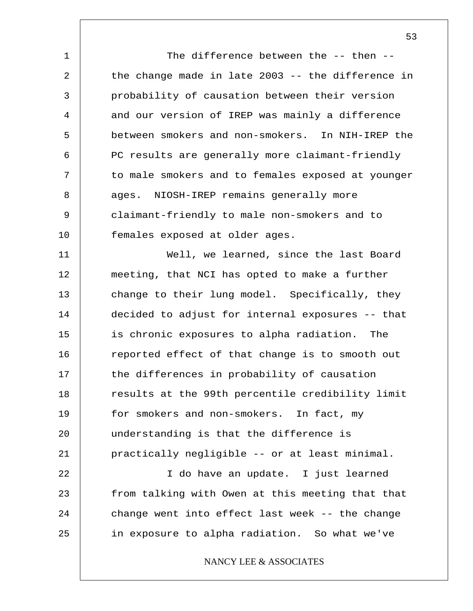1 2 3 4 5 6 7 8 9 10 11 12 13 The difference between the -- then - the change made in late 2003 -- the difference in probability of causation between their version and our version of IREP was mainly a difference between smokers and non-smokers. In NIH-IREP the PC results are generally more claimant-friendly to male smokers and to females exposed at younger ages. NIOSH-IREP remains generally more claimant-friendly to male non-smokers and to females exposed at older ages. Well, we learned, since the last Board meeting, that NCI has opted to make a further change to their lung model. Specifically, they

14 15 16 17 18 19 20 21 decided to adjust for internal exposures -- that is chronic exposures to alpha radiation. The reported effect of that change is to smooth out the differences in probability of causation results at the 99th percentile credibility limit for smokers and non-smokers. In fact, my understanding is that the difference is practically negligible -- or at least minimal.

22 23 24 25 I do have an update. I just learned from talking with Owen at this meeting that that change went into effect last week -- the change in exposure to alpha radiation. So what we've

## NANCY LEE & ASSOCIATES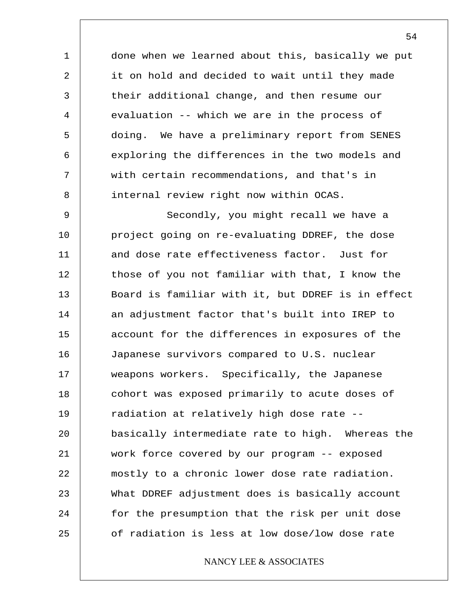done when we learned about this, basically we put it on hold and decided to wait until they made their additional change, and then resume our evaluation -- which we are in the process of doing. We have a preliminary report from SENES exploring the differences in the two models and with certain recommendations, and that's in internal review right now within OCAS.

1

2

3

4

5

6

7

8

9 10 11 12 13 14 15 16 17 18 19 20 21 22 23 24 25 Secondly, you might recall we have a project going on re-evaluating DDREF, the dose and dose rate effectiveness factor. Just for those of you not familiar with that, I know the Board is familiar with it, but DDREF is in effect an adjustment factor that's built into IREP to account for the differences in exposures of the Japanese survivors compared to U.S. nuclear weapons workers. Specifically, the Japanese cohort was exposed primarily to acute doses of radiation at relatively high dose rate - basically intermediate rate to high. Whereas the work force covered by our program -- exposed mostly to a chronic lower dose rate radiation. What DDREF adjustment does is basically account for the presumption that the risk per unit dose of radiation is less at low dose/low dose rate

## NANCY LEE & ASSOCIATES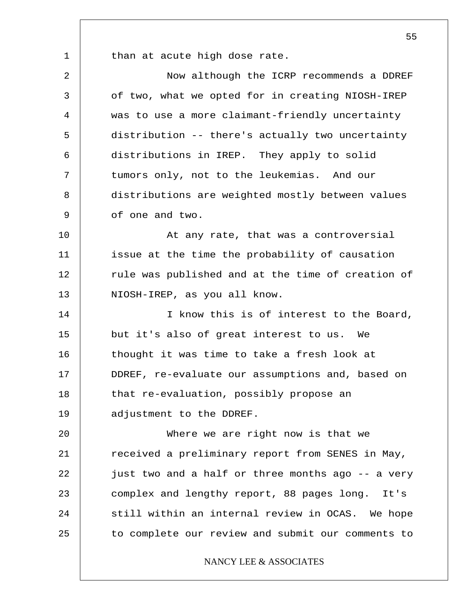1

25

than at acute high dose rate.

2 3 4 5 6 7 8 9 10 11 12 13 14 15 16 17 18 19 20 21 22 23 24 Now although the ICRP recommends a DDREF of two, what we opted for in creating NIOSH-IREP was to use a more claimant-friendly uncertainty distribution -- there's actually two uncertainty distributions in IREP. They apply to solid tumors only, not to the leukemias. And our distributions are weighted mostly between values of one and two. At any rate, that was a controversial issue at the time the probability of causation rule was published and at the time of creation of NIOSH-IREP, as you all know. I know this is of interest to the Board, but it's also of great interest to us. We thought it was time to take a fresh look at DDREF, re-evaluate our assumptions and, based on that re-evaluation, possibly propose an adjustment to the DDREF. Where we are right now is that we received a preliminary report from SENES in May, just two and a half or three months ago -- a very complex and lengthy report, 88 pages long. It's still within an internal review in OCAS. We hope

55

# NANCY LEE & ASSOCIATES

to complete our review and submit our comments to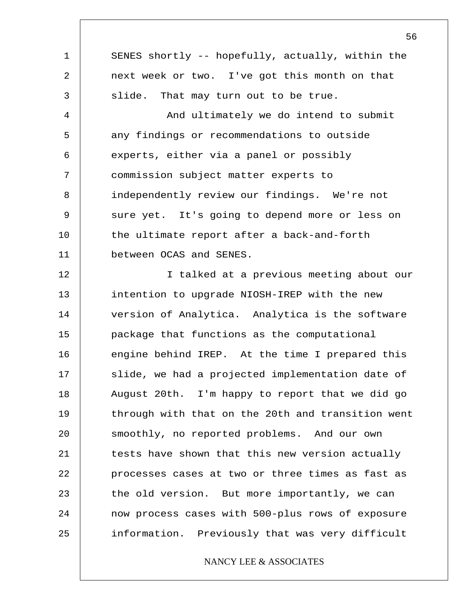1 2 3 4 5 6 7 8 9 10 11 12 13 14 15 16 17 18 19 20 21 22 23 24 25 SENES shortly -- hopefully, actually, within the next week or two. I've got this month on that slide. That may turn out to be true. And ultimately we do intend to submit any findings or recommendations to outside experts, either via a panel or possibly commission subject matter experts to independently review our findings. We're not sure yet. It's going to depend more or less on the ultimate report after a back-and-forth between OCAS and SENES. I talked at a previous meeting about our intention to upgrade NIOSH-IREP with the new version of Analytica. Analytica is the software package that functions as the computational engine behind IREP. At the time I prepared this slide, we had a projected implementation date of August 20th. I'm happy to report that we did go through with that on the 20th and transition went smoothly, no reported problems. And our own tests have shown that this new version actually processes cases at two or three times as fast as the old version. But more importantly, we can now process cases with 500-plus rows of exposure information. Previously that was very difficult

## NANCY LEE & ASSOCIATES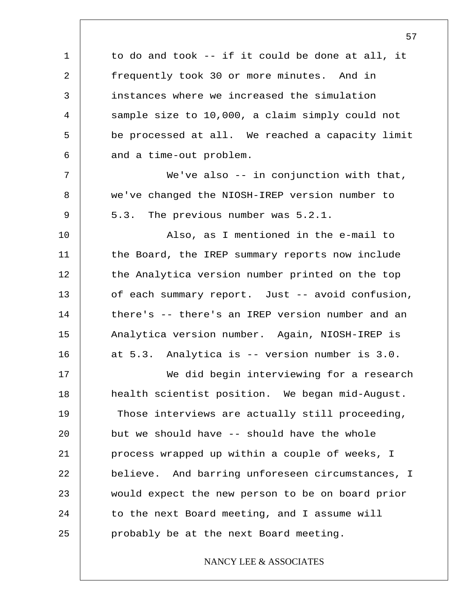1 2 3 4 5 6 7 8 9 10 11 12 13 14 15 16 17 18 19 20 21 22 23 24 25 to do and took -- if it could be done at all, it frequently took 30 or more minutes. And in instances where we increased the simulation sample size to 10,000, a claim simply could not be processed at all. We reached a capacity limit and a time-out problem. We've also -- in conjunction with that, we've changed the NIOSH-IREP version number to 5.3. The previous number was 5.2.1. Also, as I mentioned in the e-mail to the Board, the IREP summary reports now include the Analytica version number printed on the top of each summary report. Just -- avoid confusion, there's -- there's an IREP version number and an Analytica version number. Again, NIOSH-IREP is at 5.3. Analytica is -- version number is 3.0. We did begin interviewing for a research health scientist position. We began mid-August. Those interviews are actually still proceeding, but we should have -- should have the whole process wrapped up within a couple of weeks, I believe. And barring unforeseen circumstances, I would expect the new person to be on board prior to the next Board meeting, and I assume will probably be at the next Board meeting. NANCY LEE & ASSOCIATES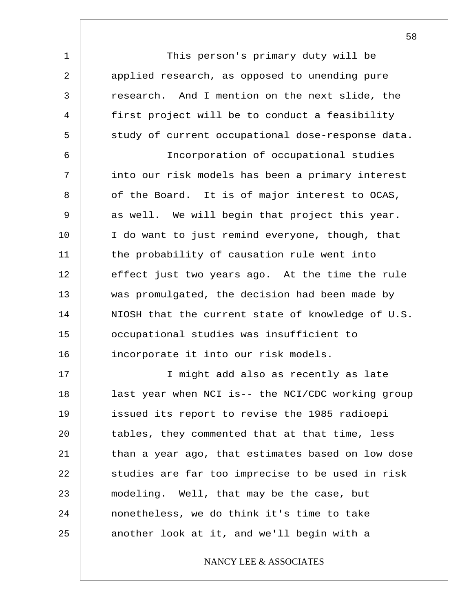1 2 3 4 5 6 7 8 9 10 11 12 13 14 15 16 17 18 19 20 21 22 23 24 25 This person's primary duty will be applied research, as opposed to unending pure research. And I mention on the next slide, the first project will be to conduct a feasibility study of current occupational dose-response data. Incorporation of occupational studies into our risk models has been a primary interest of the Board. It is of major interest to OCAS, as well. We will begin that project this year. I do want to just remind everyone, though, that the probability of causation rule went into effect just two years ago. At the time the rule was promulgated, the decision had been made by NIOSH that the current state of knowledge of U.S. occupational studies was insufficient to incorporate it into our risk models. I might add also as recently as late last year when NCI is-- the NCI/CDC working group issued its report to revise the 1985 radioepi tables, they commented that at that time, less than a year ago, that estimates based on low dose studies are far too imprecise to be used in risk modeling. Well, that may be the case, but nonetheless, we do think it's time to take another look at it, and we'll begin with a

NANCY LEE & ASSOCIATES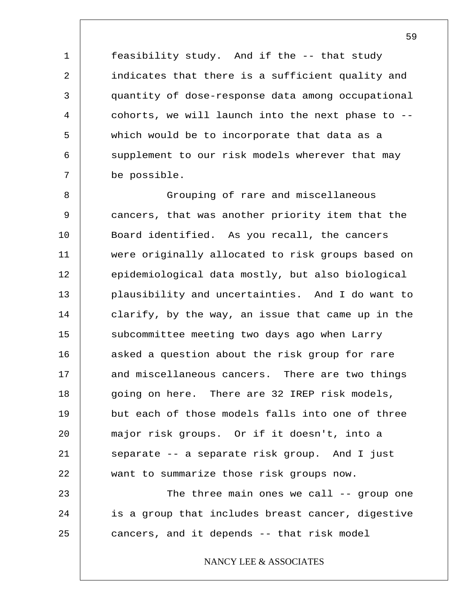feasibility study. And if the -- that study indicates that there is a sufficient quality and quantity of dose-response data among occupational cohorts, we will launch into the next phase to - which would be to incorporate that data as a supplement to our risk models wherever that may be possible.

1

2

3

4

5

6

7

8 9 10 11 12 13 14 15 16 17 18 19 20 21 22 23 Grouping of rare and miscellaneous cancers, that was another priority item that the Board identified. As you recall, the cancers were originally allocated to risk groups based on epidemiological data mostly, but also biological plausibility and uncertainties. And I do want to clarify, by the way, an issue that came up in the subcommittee meeting two days ago when Larry asked a question about the risk group for rare and miscellaneous cancers. There are two things going on here. There are 32 IREP risk models, but each of those models falls into one of three major risk groups. Or if it doesn't, into a separate -- a separate risk group. And I just want to summarize those risk groups now. The three main ones we call -- group one

24 25 is a group that includes breast cancer, digestive cancers, and it depends -- that risk model

NANCY LEE & ASSOCIATES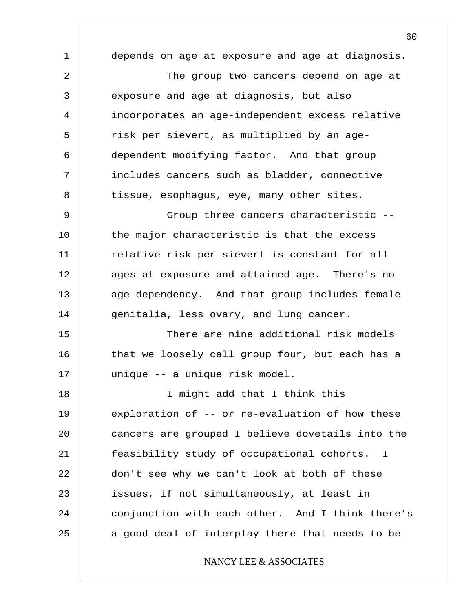1 2 3 4 5 6 7 8 9 10 11 12 13 14 15 16 17 18 19 20 21 22 23 24 25 60 depends on age at exposure and age at diagnosis. The group two cancers depend on age at exposure and age at diagnosis, but also incorporates an age-independent excess relative risk per sievert, as multiplied by an agedependent modifying factor. And that group includes cancers such as bladder, connective tissue, esophagus, eye, many other sites. Group three cancers characteristic - the major characteristic is that the excess relative risk per sievert is constant for all ages at exposure and attained age. There's no age dependency. And that group includes female genitalia, less ovary, and lung cancer. There are nine additional risk models that we loosely call group four, but each has a unique -- a unique risk model. I might add that I think this exploration of -- or re-evaluation of how these cancers are grouped I believe dovetails into the feasibility study of occupational cohorts. I don't see why we can't look at both of these issues, if not simultaneously, at least in conjunction with each other. And I think there's a good deal of interplay there that needs to be NANCY LEE & ASSOCIATES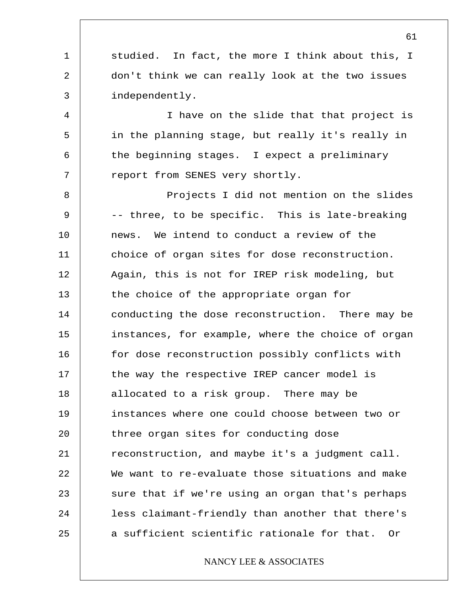1 2 3 4 5 6 7 8 9 10 11 12 13 14 15 16 17 18 19 20 21 22 23 24 25 studied. In fact, the more I think about this, I don't think we can really look at the two issues independently. I have on the slide that that project is in the planning stage, but really it's really in the beginning stages. I expect a preliminary report from SENES very shortly. Projects I did not mention on the slides -- three, to be specific. This is late-breaking news. We intend to conduct a review of the choice of organ sites for dose reconstruction. Again, this is not for IREP risk modeling, but the choice of the appropriate organ for conducting the dose reconstruction. There may be instances, for example, where the choice of organ for dose reconstruction possibly conflicts with the way the respective IREP cancer model is allocated to a risk group. There may be instances where one could choose between two or three organ sites for conducting dose reconstruction, and maybe it's a judgment call. We want to re-evaluate those situations and make sure that if we're using an organ that's perhaps less claimant-friendly than another that there's a sufficient scientific rationale for that. Or NANCY LEE & ASSOCIATES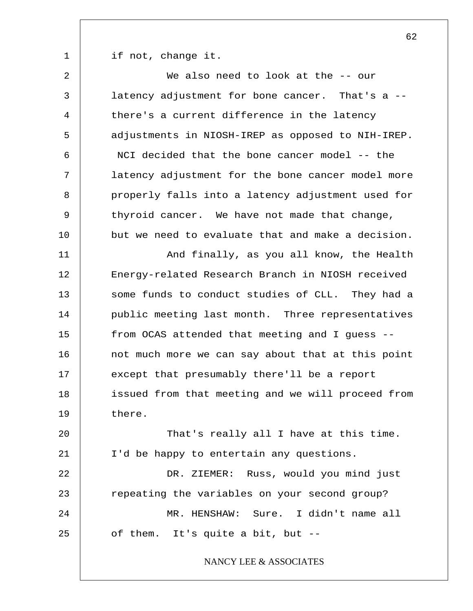1

if not, change it.

2 3 4 5 6 7 8 9 10 11 12 13 14 15 16 17 18 19 20 21 22 23 24 25 We also need to look at the -- our latency adjustment for bone cancer. That's a - there's a current difference in the latency adjustments in NIOSH-IREP as opposed to NIH-IREP. NCI decided that the bone cancer model -- the latency adjustment for the bone cancer model more properly falls into a latency adjustment used for thyroid cancer. We have not made that change, but we need to evaluate that and make a decision. And finally, as you all know, the Health Energy-related Research Branch in NIOSH received some funds to conduct studies of CLL. They had a public meeting last month. Three representatives from OCAS attended that meeting and I guess - not much more we can say about that at this point except that presumably there'll be a report issued from that meeting and we will proceed from there. That's really all I have at this time. I'd be happy to entertain any questions. DR. ZIEMER: Russ, would you mind just repeating the variables on your second group? MR. HENSHAW: Sure. I didn't name all of them. It's quite a bit, but -- NANCY LEE & ASSOCIATES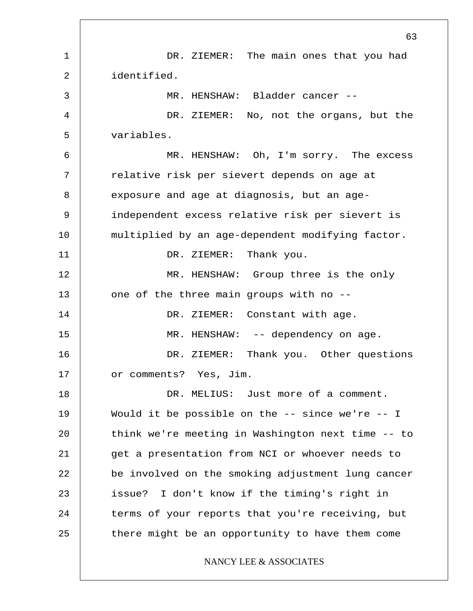1 2 3 4 5 6 7 8 9 10 11 12 13 14 15 16 17 18 19 20 21 22 23 24 25 63 DR. ZIEMER: The main ones that you had identified. MR. HENSHAW: Bladder cancer -- DR. ZIEMER: No, not the organs, but the variables. MR. HENSHAW: Oh, I'm sorry. The excess relative risk per sievert depends on age at exposure and age at diagnosis, but an ageindependent excess relative risk per sievert is multiplied by an age-dependent modifying factor. DR. ZIEMER: Thank you. MR. HENSHAW: Group three is the only one of the three main groups with no -- DR. ZIEMER: Constant with age. MR. HENSHAW: -- dependency on age. DR. ZIEMER: Thank you. Other questions or comments? Yes, Jim. DR. MELIUS: Just more of a comment. Would it be possible on the  $--$  since we're  $--$  I think we're meeting in Washington next time -- to get a presentation from NCI or whoever needs to be involved on the smoking adjustment lung cancer issue? I don't know if the timing's right in terms of your reports that you're receiving, but there might be an opportunity to have them come NANCY LEE & ASSOCIATES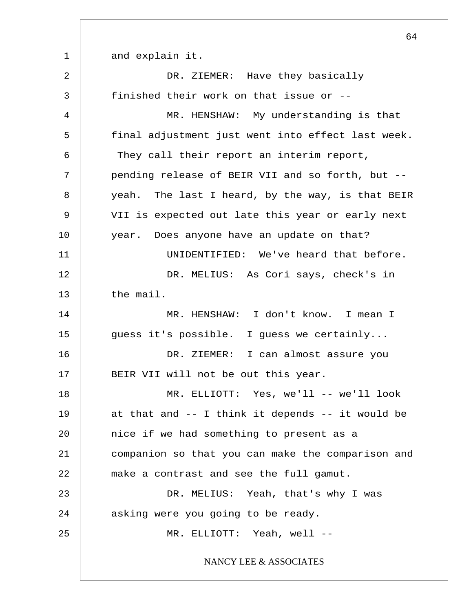1 2 3 4 5 6 7 8 9 10 11 12 13 14 15 16 17 18 19 20 21 22 23 24 25 64 and explain it. DR. ZIEMER: Have they basically finished their work on that issue or -- MR. HENSHAW: My understanding is that final adjustment just went into effect last week. They call their report an interim report, pending release of BEIR VII and so forth, but - yeah. The last I heard, by the way, is that BEIR VII is expected out late this year or early next year. Does anyone have an update on that? UNIDENTIFIED: We've heard that before. DR. MELIUS: As Cori says, check's in the mail. MR. HENSHAW: I don't know. I mean I guess it's possible. I guess we certainly... DR. ZIEMER: I can almost assure you BEIR VII will not be out this year. MR. ELLIOTT: Yes, we'll -- we'll look at that and -- I think it depends -- it would be nice if we had something to present as a companion so that you can make the comparison and make a contrast and see the full gamut. DR. MELIUS: Yeah, that's why I was asking were you going to be ready. MR. ELLIOTT: Yeah, well -- NANCY LEE & ASSOCIATES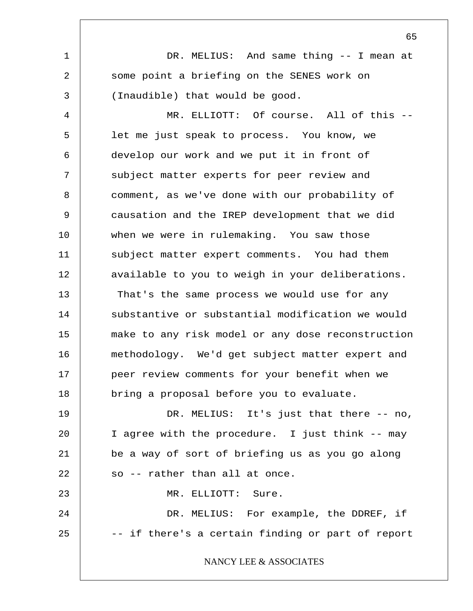1 2 3 4 5 6 7 8 9 10 11 12 13 14 15 16 17 18 19 20 21 22 23 24 25 DR. MELIUS: And same thing -- I mean at some point a briefing on the SENES work on (Inaudible) that would be good. MR. ELLIOTT: Of course. All of this -let me just speak to process. You know, we develop our work and we put it in front of subject matter experts for peer review and comment, as we've done with our probability of causation and the IREP development that we did when we were in rulemaking. You saw those subject matter expert comments. You had them available to you to weigh in your deliberations. That's the same process we would use for any substantive or substantial modification we would make to any risk model or any dose reconstruction methodology. We'd get subject matter expert and peer review comments for your benefit when we bring a proposal before you to evaluate. DR. MELIUS: It's just that there -- no, I agree with the procedure. I just think -- may be a way of sort of briefing us as you go along so -- rather than all at once. MR. ELLIOTT: Sure. DR. MELIUS: For example, the DDREF, if -- if there's a certain finding or part of report NANCY LEE & ASSOCIATES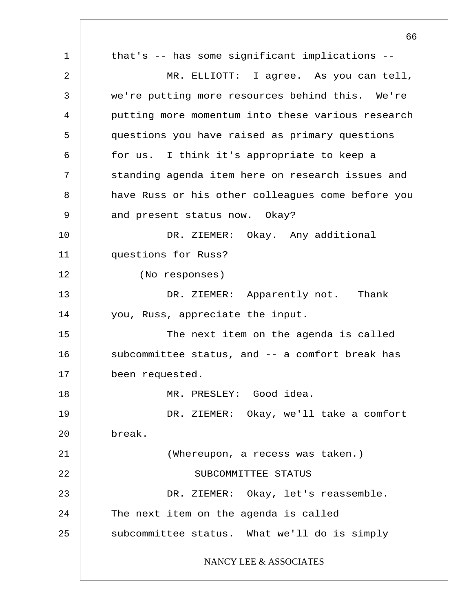1 2 3 4 5 6 7 8 9 10 11 12 13 14 15 16 17 18 19 20 21 22 23 24 25 66 that's -- has some significant implications -- MR. ELLIOTT: I agree. As you can tell, we're putting more resources behind this. We're putting more momentum into these various research questions you have raised as primary questions for us. I think it's appropriate to keep a standing agenda item here on research issues and have Russ or his other colleagues come before you and present status now. Okay? DR. ZIEMER: Okay. Any additional questions for Russ? (No responses) DR. ZIEMER: Apparently not. Thank you, Russ, appreciate the input. The next item on the agenda is called subcommittee status, and -- a comfort break has been requested. MR. PRESLEY: Good idea. DR. ZIEMER: Okay, we'll take a comfort break. (Whereupon, a recess was taken.) SUBCOMMITTEE STATUS DR. ZIEMER: Okay, let's reassemble. The next item on the agenda is called subcommittee status. What we'll do is simply NANCY LEE & ASSOCIATES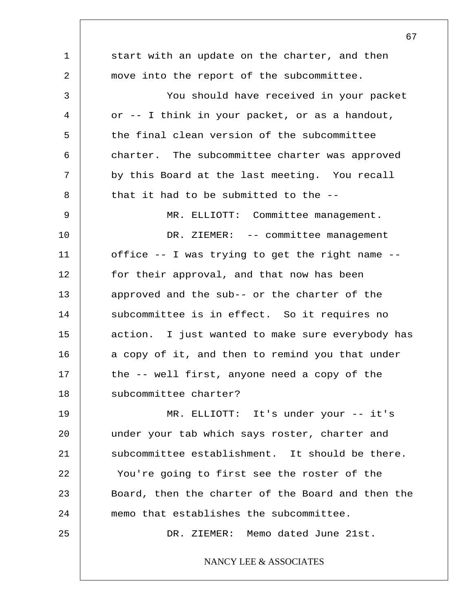1 2 3 4 5 6 7 8 9 10 11 12 13 14 15 16 17 18 19 20 21 22 23 24 25 start with an update on the charter, and then move into the report of the subcommittee. You should have received in your packet or -- I think in your packet, or as a handout, the final clean version of the subcommittee charter. The subcommittee charter was approved by this Board at the last meeting. You recall that it had to be submitted to the -- MR. ELLIOTT: Committee management. DR. ZIEMER: -- committee management office -- I was trying to get the right name - for their approval, and that now has been approved and the sub-- or the charter of the subcommittee is in effect. So it requires no action. I just wanted to make sure everybody has a copy of it, and then to remind you that under the -- well first, anyone need a copy of the subcommittee charter? MR. ELLIOTT: It's under your -- it's under your tab which says roster, charter and subcommittee establishment. It should be there. You're going to first see the roster of the Board, then the charter of the Board and then the memo that establishes the subcommittee. DR. ZIEMER: Memo dated June 21st. NANCY LEE & ASSOCIATES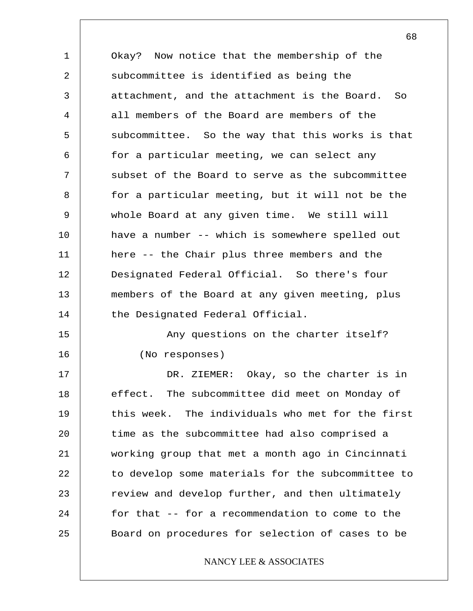1 2 3 4 5 6 7 8 9 10 11 12 13 14 15 16 17 18 19 20 21 22 23 24 25 Okay? Now notice that the membership of the subcommittee is identified as being the attachment, and the attachment is the Board. So all members of the Board are members of the subcommittee. So the way that this works is that for a particular meeting, we can select any subset of the Board to serve as the subcommittee for a particular meeting, but it will not be the whole Board at any given time. We still will have a number -- which is somewhere spelled out here -- the Chair plus three members and the Designated Federal Official. So there's four members of the Board at any given meeting, plus the Designated Federal Official. Any questions on the charter itself? (No responses) DR. ZIEMER: Okay, so the charter is in effect. The subcommittee did meet on Monday of this week. The individuals who met for the first time as the subcommittee had also comprised a working group that met a month ago in Cincinnati to develop some materials for the subcommittee to review and develop further, and then ultimately for that -- for a recommendation to come to the Board on procedures for selection of cases to be NANCY LEE & ASSOCIATES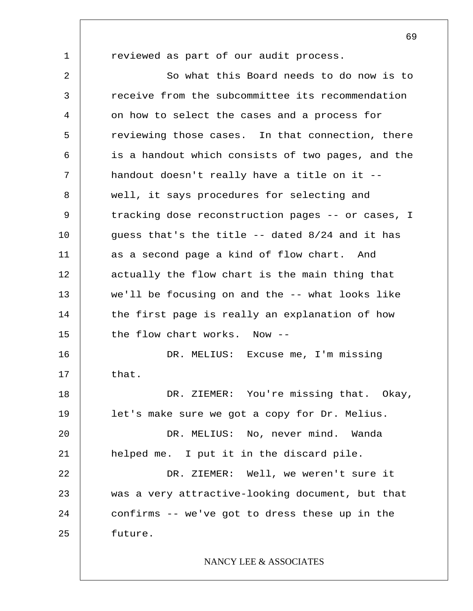1

reviewed as part of our audit process.

2 3 4 5 6 7 8 9 10 11 12 13 14 15 16 17 18 19 20 21 22 23 24 25 So what this Board needs to do now is to receive from the subcommittee its recommendation on how to select the cases and a process for reviewing those cases. In that connection, there is a handout which consists of two pages, and the handout doesn't really have a title on it - well, it says procedures for selecting and tracking dose reconstruction pages -- or cases, I guess that's the title -- dated 8/24 and it has as a second page a kind of flow chart. And actually the flow chart is the main thing that we'll be focusing on and the -- what looks like the first page is really an explanation of how the flow chart works. Now -- DR. MELIUS: Excuse me, I'm missing that. DR. ZIEMER: You're missing that. Okay, let's make sure we got a copy for Dr. Melius. DR. MELIUS: No, never mind. Wanda helped me. I put it in the discard pile. DR. ZIEMER: Well, we weren't sure it was a very attractive-looking document, but that confirms -- we've got to dress these up in the future. NANCY LEE & ASSOCIATES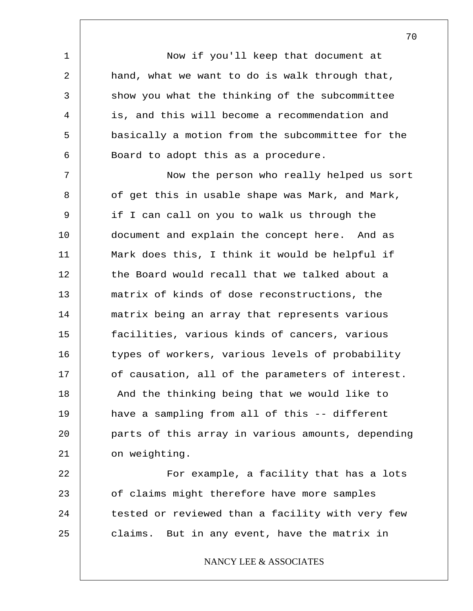Now if you'll keep that document at hand, what we want to do is walk through that, show you what the thinking of the subcommittee is, and this will become a recommendation and basically a motion from the subcommittee for the Board to adopt this as a procedure.

1

2

3

4

5

6

7 8 9 10 11 12 13 14 15 16 17 18 19 20 21 Now the person who really helped us sort of get this in usable shape was Mark, and Mark, if I can call on you to walk us through the document and explain the concept here. And as Mark does this, I think it would be helpful if the Board would recall that we talked about a matrix of kinds of dose reconstructions, the matrix being an array that represents various facilities, various kinds of cancers, various types of workers, various levels of probability of causation, all of the parameters of interest. And the thinking being that we would like to have a sampling from all of this -- different parts of this array in various amounts, depending on weighting.

22 23 24 25 For example, a facility that has a lots of claims might therefore have more samples tested or reviewed than a facility with very few claims. But in any event, have the matrix in

NANCY LEE & ASSOCIATES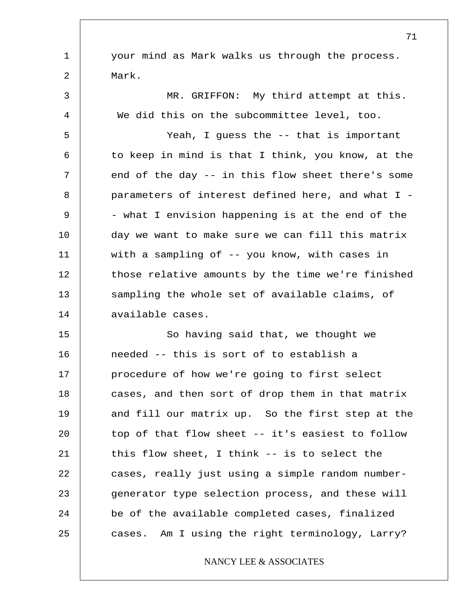your mind as Mark walks us through the process. Mark.

1

2

3 4 5 6 7 8 9 10 11 12 13 14 MR. GRIFFON: My third attempt at this. We did this on the subcommittee level, too. Yeah, I guess the -- that is important to keep in mind is that I think, you know, at the end of the day -- in this flow sheet there's some parameters of interest defined here, and what I - - what I envision happening is at the end of the day we want to make sure we can fill this matrix with a sampling of -- you know, with cases in those relative amounts by the time we're finished sampling the whole set of available claims, of available cases.

15 16 17 18 19 20 21 22 23 24 25 So having said that, we thought we needed -- this is sort of to establish a procedure of how we're going to first select cases, and then sort of drop them in that matrix and fill our matrix up. So the first step at the top of that flow sheet -- it's easiest to follow this flow sheet, I think -- is to select the cases, really just using a simple random numbergenerator type selection process, and these will be of the available completed cases, finalized cases. Am I using the right terminology, Larry?

## NANCY LEE & ASSOCIATES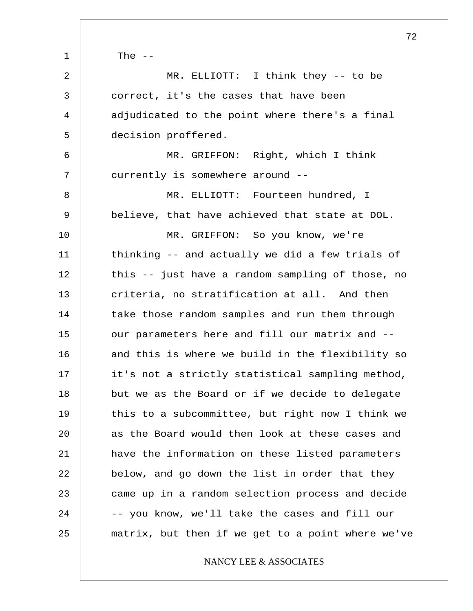1 2 3 4 5 6 7 8 9 10 11 12 13 14 15 16 17 18 19 20 21 22 23 24 25 The  $--$ MR. ELLIOTT: I think they -- to be correct, it's the cases that have been adjudicated to the point where there's a final decision proffered. MR. GRIFFON: Right, which I think currently is somewhere around -- MR. ELLIOTT: Fourteen hundred, I believe, that have achieved that state at DOL. MR. GRIFFON: So you know, we're thinking -- and actually we did a few trials of this -- just have a random sampling of those, no criteria, no stratification at all. And then take those random samples and run them through our parameters here and fill our matrix and - and this is where we build in the flexibility so it's not a strictly statistical sampling method, but we as the Board or if we decide to delegate this to a subcommittee, but right now I think we as the Board would then look at these cases and have the information on these listed parameters below, and go down the list in order that they came up in a random selection process and decide -- you know, we'll take the cases and fill our matrix, but then if we get to a point where we've

NANCY LEE & ASSOCIATES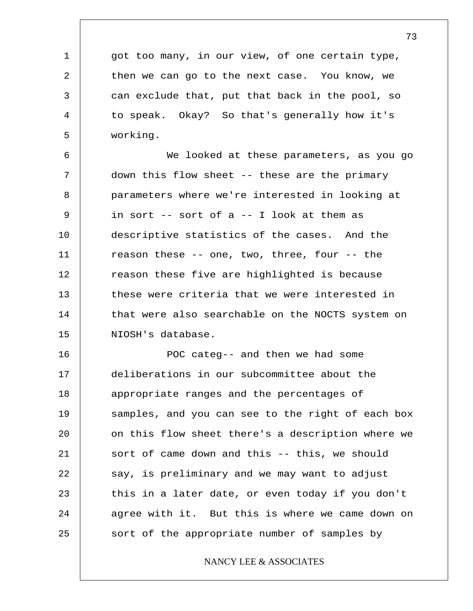got too many, in our view, of one certain type, then we can go to the next case. You know, we can exclude that, put that back in the pool, so to speak. Okay? So that's generally how it's working.

1

2

3

4

5

6 7 8 9 10 11 12 13 14 15 We looked at these parameters, as you go down this flow sheet -- these are the primary parameters where we're interested in looking at in sort -- sort of a -- I look at them as descriptive statistics of the cases. And the reason these -- one, two, three, four -- the reason these five are highlighted is because these were criteria that we were interested in that were also searchable on the NOCTS system on NIOSH's database.

16 17 18 19 20 21 22 23 24 25 POC categ-- and then we had some deliberations in our subcommittee about the appropriate ranges and the percentages of samples, and you can see to the right of each box on this flow sheet there's a description where we sort of came down and this -- this, we should say, is preliminary and we may want to adjust this in a later date, or even today if you don't agree with it. But this is where we came down on sort of the appropriate number of samples by

## NANCY LEE & ASSOCIATES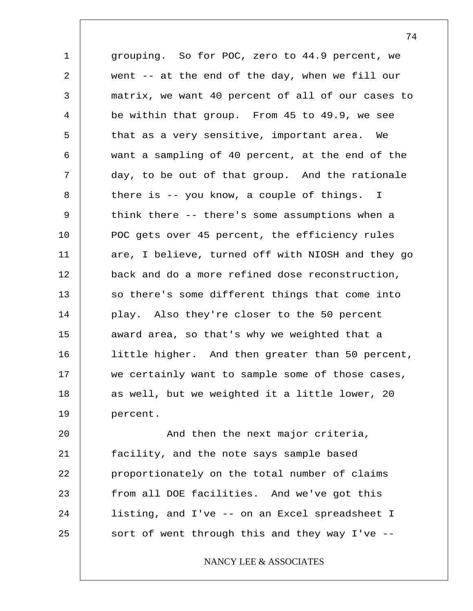1 2 3 4 5 6 7 8 9 10 11 12 13 14 15 16 17 18 19 grouping. So for POC, zero to 44.9 percent, we went -- at the end of the day, when we fill our matrix, we want 40 percent of all of our cases to be within that group. From 45 to 49.9, we see that as a very sensitive, important area. We want a sampling of 40 percent, at the end of the day, to be out of that group. And the rationale there is -- you know, a couple of things. I think there -- there's some assumptions when a POC gets over 45 percent, the efficiency rules are, I believe, turned off with NIOSH and they go back and do a more refined dose reconstruction, so there's some different things that come into play. Also they're closer to the 50 percent award area, so that's why we weighted that a little higher. And then greater than 50 percent, we certainly want to sample some of those cases, as well, but we weighted it a little lower, 20 percent.

20 21 22 23 24 25 And then the next major criteria, facility, and the note says sample based proportionately on the total number of claims from all DOE facilities. And we've got this listing, and I've -- on an Excel spreadsheet I sort of went through this and they way I've --

NANCY LEE & ASSOCIATES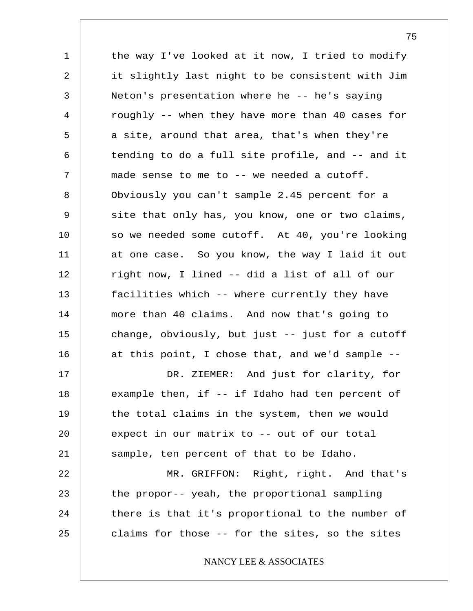1 2 3 4 5 6 7 8 9 10 11 12 13 14 15 16 17 18 19 20 21 22 23 24 25 the way I've looked at it now, I tried to modify it slightly last night to be consistent with Jim Neton's presentation where he -- he's saying roughly -- when they have more than 40 cases for a site, around that area, that's when they're tending to do a full site profile, and -- and it made sense to me to -- we needed a cutoff. Obviously you can't sample 2.45 percent for a site that only has, you know, one or two claims, so we needed some cutoff. At 40, you're looking at one case. So you know, the way I laid it out right now, I lined -- did a list of all of our facilities which -- where currently they have more than 40 claims. And now that's going to change, obviously, but just -- just for a cutoff at this point, I chose that, and we'd sample -- DR. ZIEMER: And just for clarity, for example then, if -- if Idaho had ten percent of the total claims in the system, then we would expect in our matrix to -- out of our total sample, ten percent of that to be Idaho. MR. GRIFFON: Right, right. And that's the propor-- yeah, the proportional sampling there is that it's proportional to the number of claims for those -- for the sites, so the sites NANCY LEE & ASSOCIATES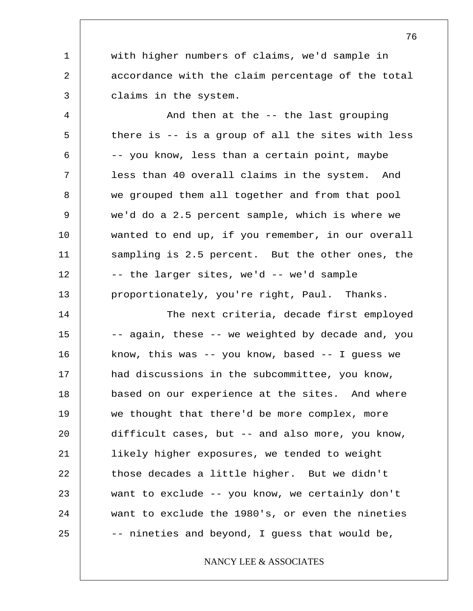with higher numbers of claims, we'd sample in accordance with the claim percentage of the total claims in the system.

1

2

3

4 5 6 7 8 9 10 11 12 13 And then at the -- the last grouping there is -- is a group of all the sites with less -- you know, less than a certain point, maybe less than 40 overall claims in the system. And we grouped them all together and from that pool we'd do a 2.5 percent sample, which is where we wanted to end up, if you remember, in our overall sampling is 2.5 percent. But the other ones, the -- the larger sites, we'd -- we'd sample proportionately, you're right, Paul. Thanks.

14 15 16 17 18 19 20 21 22 23 24 25 The next criteria, decade first employed -- again, these -- we weighted by decade and, you know, this was -- you know, based -- I guess we had discussions in the subcommittee, you know, based on our experience at the sites. And where we thought that there'd be more complex, more difficult cases, but -- and also more, you know, likely higher exposures, we tended to weight those decades a little higher. But we didn't want to exclude -- you know, we certainly don't want to exclude the 1980's, or even the nineties -- nineties and beyond, I guess that would be,

NANCY LEE & ASSOCIATES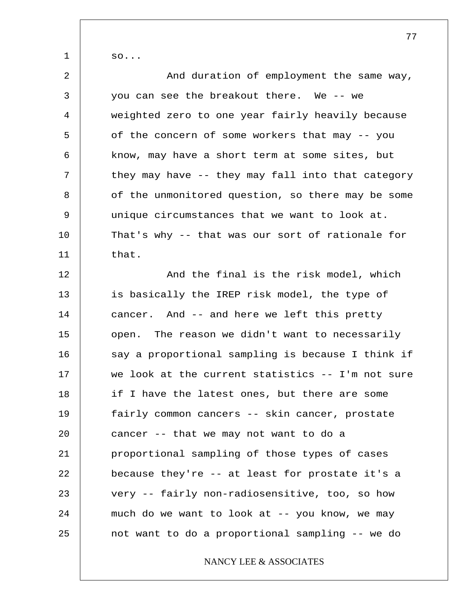so...

1

| $\overline{a}$ | And duration of employment the same way,          |
|----------------|---------------------------------------------------|
| 3              | you can see the breakout there. We -- we          |
| 4              | weighted zero to one year fairly heavily because  |
| 5              | of the concern of some workers that may -- you    |
| 6              | know, may have a short term at some sites, but    |
| 7              | they may have -- they may fall into that category |
| 8              | of the unmonitored question, so there may be some |
| 9              | unique circumstances that we want to look at.     |
| 10             | That's why -- that was our sort of rationale for  |
| 11             | that.                                             |
| 12             | And the final is the risk model, which            |
| 13             | is basically the IREP risk model, the type of     |
| 14             | cancer. And -- and here we left this pretty       |
| 15             | open. The reason we didn't want to necessarily    |
| 16             | say a proportional sampling is because I think if |
| 17             | we look at the current statistics -- I'm not sure |
| 18             | if I have the latest ones, but there are some     |
| 19             | fairly common cancers -- skin cancer, prostate    |
| 20             | cancer -- that we may not want to do a            |
| 21             | proportional sampling of those types of cases     |
| 22             | because they're -- at least for prostate it's a   |
| 23             | very -- fairly non-radiosensitive, too, so how    |
| 24             | much do we want to look at -- you know, we may    |
| 25             | not want to do a proportional sampling -- we do   |
|                | NANCY LEE & ASSOCIATES                            |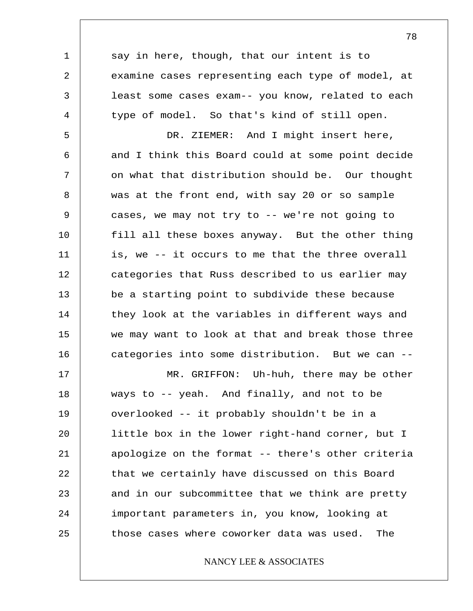say in here, though, that our intent is to examine cases representing each type of model, at least some cases exam-- you know, related to each type of model. So that's kind of still open.

1

2

3

4

5 6 7 8 9 10 11 12 13 14 15 16 DR. ZIEMER: And I might insert here, and I think this Board could at some point decide on what that distribution should be. Our thought was at the front end, with say 20 or so sample cases, we may not try to -- we're not going to fill all these boxes anyway. But the other thing is, we -- it occurs to me that the three overall categories that Russ described to us earlier may be a starting point to subdivide these because they look at the variables in different ways and we may want to look at that and break those three categories into some distribution. But we can --

17 18 19 20 21 22 23 24 25 MR. GRIFFON: Uh-huh, there may be other ways to -- yeah. And finally, and not to be overlooked -- it probably shouldn't be in a little box in the lower right-hand corner, but I apologize on the format -- there's other criteria that we certainly have discussed on this Board and in our subcommittee that we think are pretty important parameters in, you know, looking at those cases where coworker data was used. The

## NANCY LEE & ASSOCIATES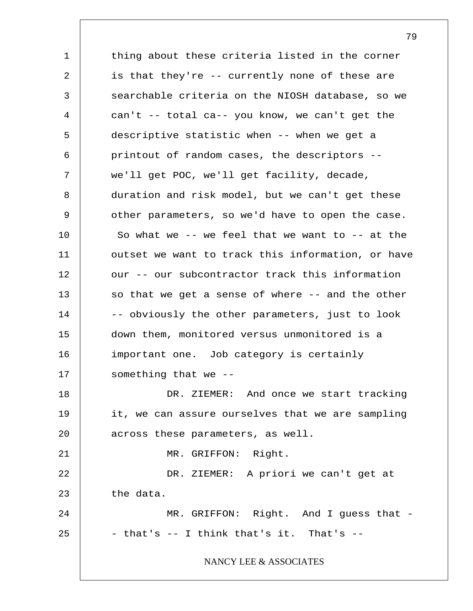1 2 3 4 5 6 7 8 9 10 11 12 13 14 15 16 17 18 19 20 21 22 23 24 25 thing about these criteria listed in the corner is that they're -- currently none of these are searchable criteria on the NIOSH database, so we can't -- total ca-- you know, we can't get the descriptive statistic when -- when we get a printout of random cases, the descriptors - we'll get POC, we'll get facility, decade, duration and risk model, but we can't get these other parameters, so we'd have to open the case. So what we  $--$  we feel that we want to  $--$  at the outset we want to track this information, or have our -- our subcontractor track this information so that we get a sense of where -- and the other -- obviously the other parameters, just to look down them, monitored versus unmonitored is a important one. Job category is certainly something that we -- DR. ZIEMER: And once we start tracking it, we can assure ourselves that we are sampling across these parameters, as well. MR. GRIFFON: Right. DR. ZIEMER: A priori we can't get at the data. MR. GRIFFON: Right. And I guess that -- that's -- I think that's it. That's -- NANCY LEE & ASSOCIATES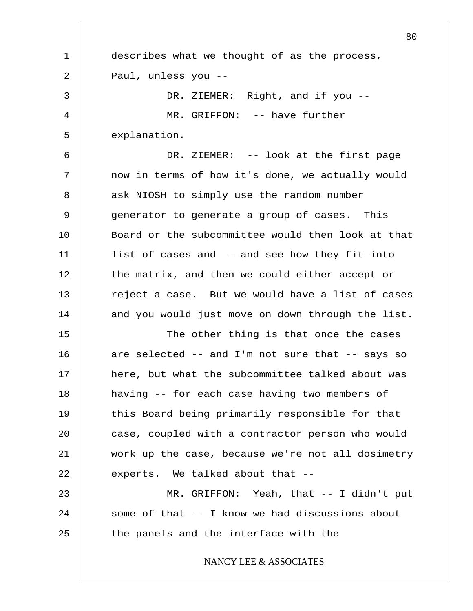1 2 3 4 5 6 7 8 9 10 11 12 13 14 15 16 17 18 19 20 21 22 23 24 25 80 describes what we thought of as the process, Paul, unless you -- DR. ZIEMER: Right, and if you -- MR. GRIFFON: -- have further explanation. DR. ZIEMER: -- look at the first page now in terms of how it's done, we actually would ask NIOSH to simply use the random number generator to generate a group of cases. This Board or the subcommittee would then look at that list of cases and -- and see how they fit into the matrix, and then we could either accept or reject a case. But we would have a list of cases and you would just move on down through the list. The other thing is that once the cases are selected -- and I'm not sure that -- says so here, but what the subcommittee talked about was having -- for each case having two members of this Board being primarily responsible for that case, coupled with a contractor person who would work up the case, because we're not all dosimetry experts. We talked about that -- MR. GRIFFON: Yeah, that -- I didn't put some of that -- I know we had discussions about the panels and the interface with the NANCY LEE & ASSOCIATES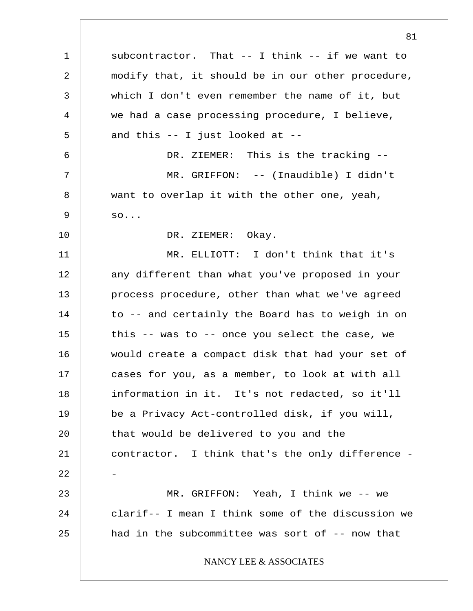1 2 3 4 5 6 7 8 9 10 11 12 13 14 15 16 17 18 19 20 21 22 23 24 25 subcontractor. That -- I think -- if we want to modify that, it should be in our other procedure, which I don't even remember the name of it, but we had a case processing procedure, I believe, and this -- I just looked at -- DR. ZIEMER: This is the tracking -- MR. GRIFFON: -- (Inaudible) I didn't want to overlap it with the other one, yeah, so... DR. ZIEMER: Okay. MR. ELLIOTT: I don't think that it's any different than what you've proposed in your process procedure, other than what we've agreed to -- and certainly the Board has to weigh in on this -- was to -- once you select the case, we would create a compact disk that had your set of cases for you, as a member, to look at with all information in it. It's not redacted, so it'll be a Privacy Act-controlled disk, if you will, that would be delivered to you and the contractor. I think that's the only difference - - MR. GRIFFON: Yeah, I think we -- we clarif-- I mean I think some of the discussion we had in the subcommittee was sort of -- now that NANCY LEE & ASSOCIATES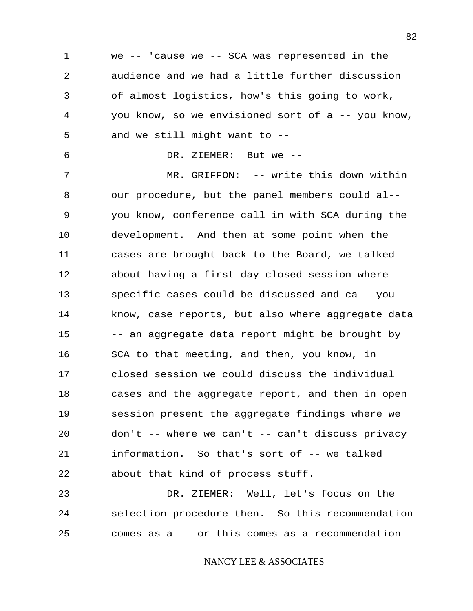1 2 3 4 5 6 7 8 9 10 11 12 13 14 15 16 17 18 19 20 21 22 23 24 25 we  $--$  'cause we  $--$  SCA was represented in the audience and we had a little further discussion of almost logistics, how's this going to work, you know, so we envisioned sort of  $a - -$  you know, and we still might want to -- DR. ZIEMER: But we -- MR. GRIFFON: -- write this down within our procedure, but the panel members could al- you know, conference call in with SCA during the development. And then at some point when the cases are brought back to the Board, we talked about having a first day closed session where specific cases could be discussed and ca-- you know, case reports, but also where aggregate data -- an aggregate data report might be brought by SCA to that meeting, and then, you know, in closed session we could discuss the individual cases and the aggregate report, and then in open session present the aggregate findings where we  $don't$  -- where we can't -- can't discuss privacy information. So that's sort of -- we talked about that kind of process stuff. DR. ZIEMER: Well, let's focus on the selection procedure then. So this recommendation comes as a -- or this comes as a recommendation NANCY LEE & ASSOCIATES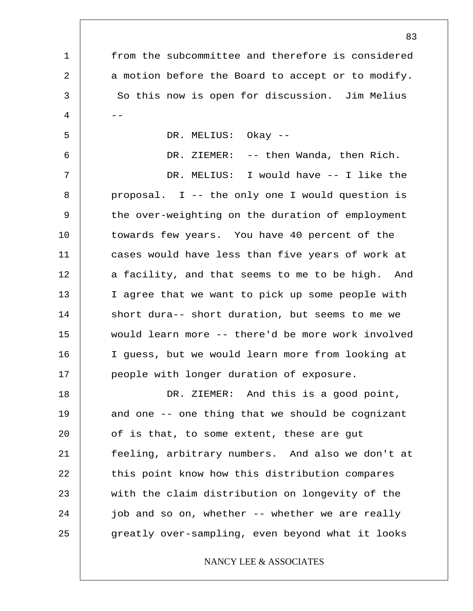1 2 3  $4$  --5 6 7 8 9 10 11 12 13 14 15 16 17 18 19 20 21 22 23 24 25 from the subcommittee and therefore is considered a motion before the Board to accept or to modify. So this now is open for discussion. Jim Melius DR. MELIUS: Okay -- DR. ZIEMER: -- then Wanda, then Rich. DR. MELIUS: I would have -- I like the proposal. I -- the only one I would question is the over-weighting on the duration of employment towards few years. You have 40 percent of the cases would have less than five years of work at a facility, and that seems to me to be high. And I agree that we want to pick up some people with short dura-- short duration, but seems to me we would learn more -- there'd be more work involved I guess, but we would learn more from looking at people with longer duration of exposure. DR. ZIEMER: And this is a good point, and one -- one thing that we should be cognizant of is that, to some extent, these are gut feeling, arbitrary numbers. And also we don't at this point know how this distribution compares with the claim distribution on longevity of the job and so on, whether -- whether we are really greatly over-sampling, even beyond what it looks NANCY LEE & ASSOCIATES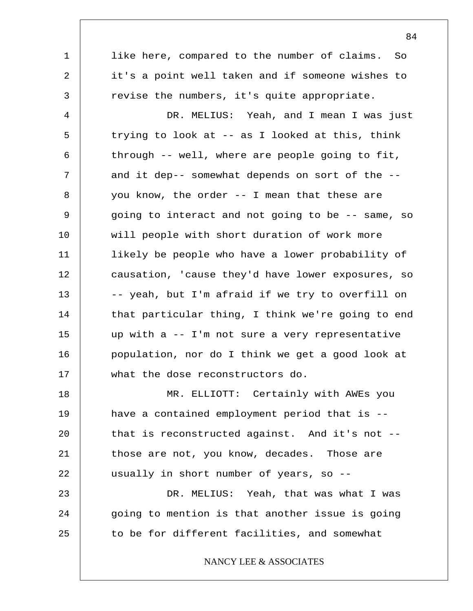1 2 3 4 5 6 7 8 9 10 11 12 13 14 15 16 17 18 19 20 21 22 23 24 25 like here, compared to the number of claims. So it's a point well taken and if someone wishes to revise the numbers, it's quite appropriate. DR. MELIUS: Yeah, and I mean I was just trying to look at -- as I looked at this, think through -- well, where are people going to fit, and it dep-- somewhat depends on sort of the - you know, the order -- I mean that these are going to interact and not going to be -- same, so will people with short duration of work more likely be people who have a lower probability of causation, 'cause they'd have lower exposures, so -- yeah, but I'm afraid if we try to overfill on that particular thing, I think we're going to end up with a -- I'm not sure a very representative population, nor do I think we get a good look at what the dose reconstructors do. MR. ELLIOTT: Certainly with AWEs you have a contained employment period that is - that is reconstructed against. And it's not - those are not, you know, decades. Those are usually in short number of years, so -- DR. MELIUS: Yeah, that was what I was going to mention is that another issue is going to be for different facilities, and somewhat NANCY LEE & ASSOCIATES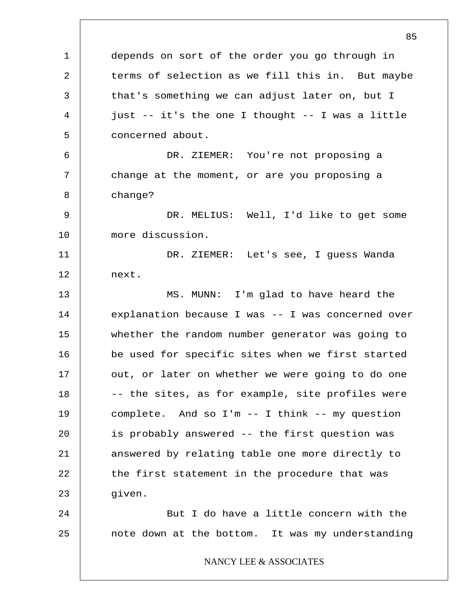1 2 3 4 5 6 7 8 9 10 11 12 13 14 15 16 17 18 19 20 21 22 23 24 25 85 depends on sort of the order you go through in terms of selection as we fill this in. But maybe that's something we can adjust later on, but I just -- it's the one I thought -- I was a little concerned about. DR. ZIEMER: You're not proposing a change at the moment, or are you proposing a change? DR. MELIUS: Well, I'd like to get some more discussion. DR. ZIEMER: Let's see, I guess Wanda next. MS. MUNN: I'm glad to have heard the explanation because I was -- I was concerned over whether the random number generator was going to be used for specific sites when we first started out, or later on whether we were going to do one -- the sites, as for example, site profiles were complete. And so I'm -- I think -- my question is probably answered -- the first question was answered by relating table one more directly to the first statement in the procedure that was given. But I do have a little concern with the note down at the bottom. It was my understanding NANCY LEE & ASSOCIATES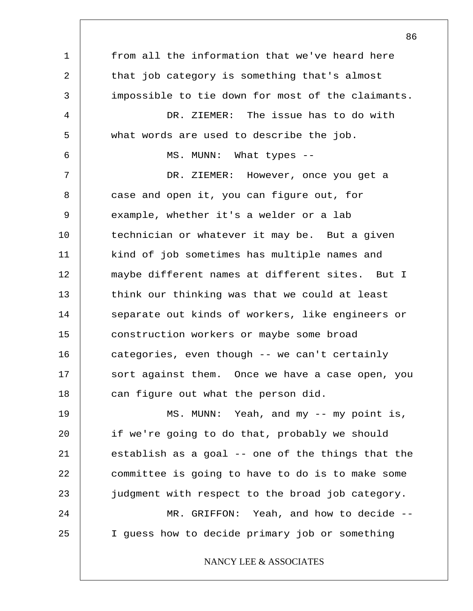1 2 3 4 5 6 7 8 9 10 11 12 13 14 15 16 17 18 19 20 21 22 23 24 25 from all the information that we've heard here that job category is something that's almost impossible to tie down for most of the claimants. DR. ZIEMER: The issue has to do with what words are used to describe the job. MS. MUNN: What types -- DR. ZIEMER: However, once you get a case and open it, you can figure out, for example, whether it's a welder or a lab technician or whatever it may be. But a given kind of job sometimes has multiple names and maybe different names at different sites. But I think our thinking was that we could at least separate out kinds of workers, like engineers or construction workers or maybe some broad categories, even though -- we can't certainly sort against them. Once we have a case open, you can figure out what the person did. MS. MUNN: Yeah, and my -- my point is, if we're going to do that, probably we should establish as a goal -- one of the things that the committee is going to have to do is to make some judgment with respect to the broad job category. MR. GRIFFON: Yeah, and how to decide --I guess how to decide primary job or something NANCY LEE & ASSOCIATES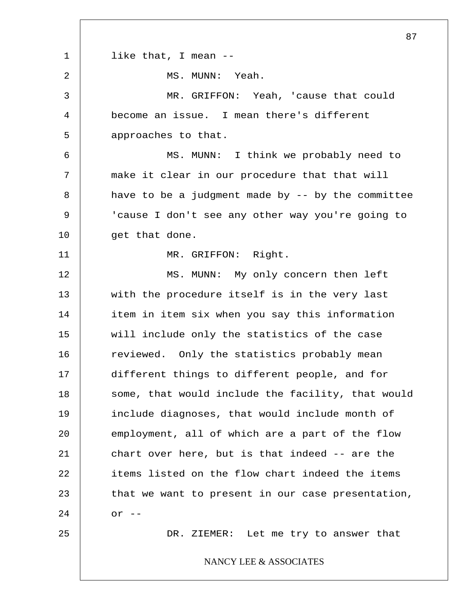1 2 3 4 5 6 7 8 9 10 11 12 13 14 15 16 17 18 19 20 21 22 23 24 25 87 like that, I mean -- MS. MUNN: Yeah. MR. GRIFFON: Yeah, 'cause that could become an issue. I mean there's different approaches to that. MS. MUNN: I think we probably need to make it clear in our procedure that that will have to be a judgment made by  $-$ - by the committee 'cause I don't see any other way you're going to get that done. MR. GRIFFON: Right. MS. MUNN: My only concern then left with the procedure itself is in the very last item in item six when you say this information will include only the statistics of the case reviewed. Only the statistics probably mean different things to different people, and for some, that would include the facility, that would include diagnoses, that would include month of employment, all of which are a part of the flow chart over here, but is that indeed -- are the items listed on the flow chart indeed the items that we want to present in our case presentation, or  $--$ DR. ZIEMER: Let me try to answer that NANCY LEE & ASSOCIATES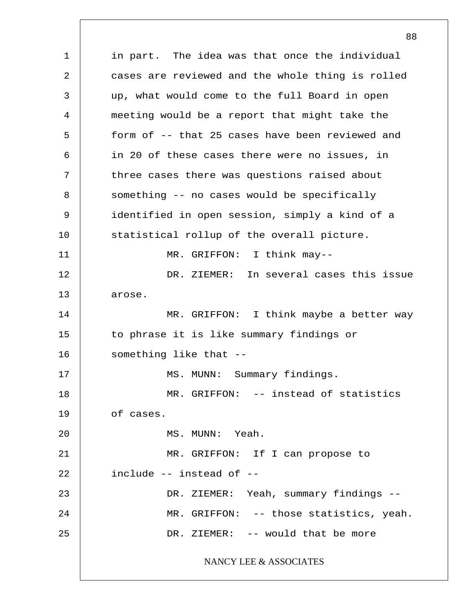1 2 3 4 5 6 7 8 9 10 11 12 13 14 15 16 17 18 19 20 21 22 23 24 25 in part. The idea was that once the individual cases are reviewed and the whole thing is rolled up, what would come to the full Board in open meeting would be a report that might take the form of -- that 25 cases have been reviewed and in 20 of these cases there were no issues, in three cases there was questions raised about something -- no cases would be specifically identified in open session, simply a kind of a statistical rollup of the overall picture. MR. GRIFFON: I think may-- DR. ZIEMER: In several cases this issue arose. MR. GRIFFON: I think maybe a better way to phrase it is like summary findings or something like that -- MS. MUNN: Summary findings. MR. GRIFFON: -- instead of statistics of cases. MS. MUNN: Yeah. MR. GRIFFON: If I can propose to include -- instead of -- DR. ZIEMER: Yeah, summary findings -- MR. GRIFFON: -- those statistics, yeah. DR. ZIEMER: -- would that be more NANCY LEE & ASSOCIATES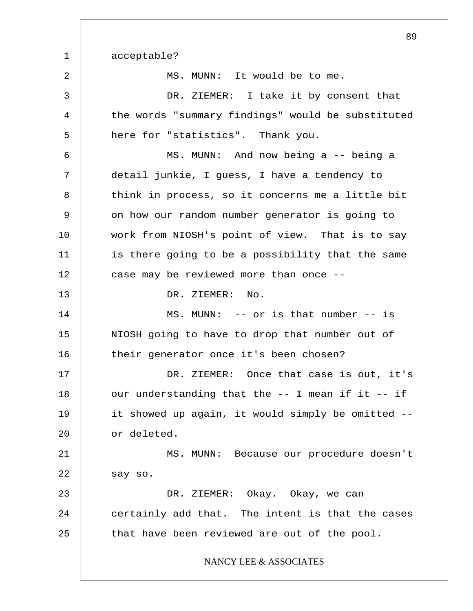1 2 3 4 5 6 7 8 9 10 11 12 13 14 15 16 17 18 19 20 21 22 23 24 25 acceptable? MS. MUNN: It would be to me. DR. ZIEMER: I take it by consent that the words "summary findings" would be substituted here for "statistics". Thank you. MS. MUNN: And now being a -- being a detail junkie, I guess, I have a tendency to think in process, so it concerns me a little bit on how our random number generator is going to work from NIOSH's point of view. That is to say is there going to be a possibility that the same case may be reviewed more than once -- DR. ZIEMER: No. MS. MUNN: -- or is that number -- is NIOSH going to have to drop that number out of their generator once it's been chosen? DR. ZIEMER: Once that case is out, it's our understanding that the -- I mean if it -- if it showed up again, it would simply be omitted - or deleted. MS. MUNN: Because our procedure doesn't say so. DR. ZIEMER: Okay. Okay, we can certainly add that. The intent is that the cases that have been reviewed are out of the pool. NANCY LEE & ASSOCIATES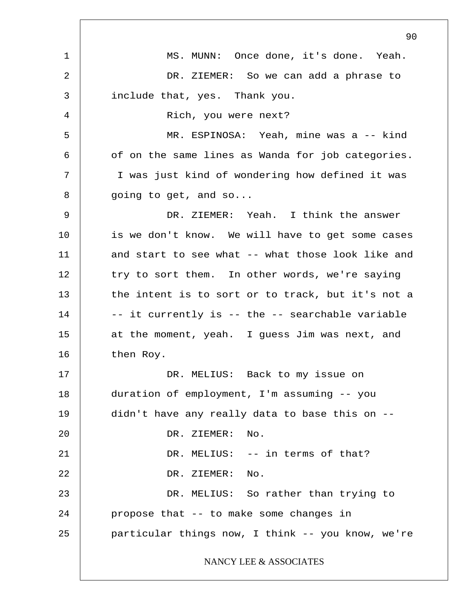1 2 3 4 5 6 7 8 9 10 11 12 13 14 15 16 17 18 19 20 21 22 23 24 25 90 MS. MUNN: Once done, it's done. Yeah. DR. ZIEMER: So we can add a phrase to include that, yes. Thank you. Rich, you were next? MR. ESPINOSA: Yeah, mine was a -- kind of on the same lines as Wanda for job categories. I was just kind of wondering how defined it was going to get, and so... DR. ZIEMER: Yeah. I think the answer is we don't know. We will have to get some cases and start to see what -- what those look like and try to sort them. In other words, we're saying the intent is to sort or to track, but it's not a -- it currently is -- the -- searchable variable at the moment, yeah. I guess Jim was next, and then Roy. DR. MELIUS: Back to my issue on duration of employment, I'm assuming -- you didn't have any really data to base this on -- DR. ZIEMER: No. DR. MELIUS: -- in terms of that? DR. ZIEMER: No. DR. MELIUS: So rather than trying to propose that -- to make some changes in particular things now, I think -- you know, we're NANCY LEE & ASSOCIATES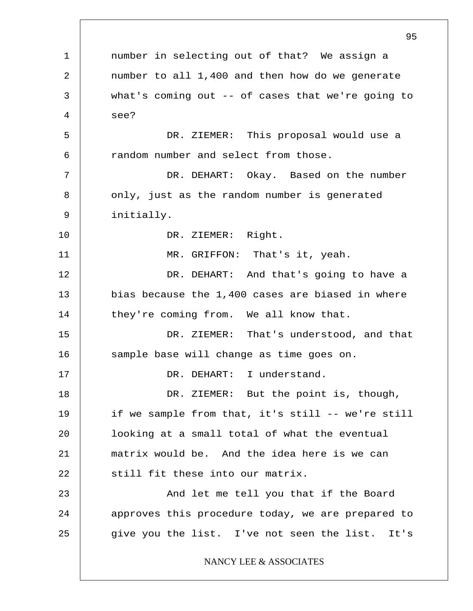1 2 3 4 5 6 7 8 9 10 11 12 13 14 15 16 17 18 19 20 21 22 23 24 25 95 number in selecting out of that? We assign a number to all 1,400 and then how do we generate what's coming out -- of cases that we're going to see? DR. ZIEMER: This proposal would use a random number and select from those. DR. DEHART: Okay. Based on the number only, just as the random number is generated initially. DR. ZIEMER: Right. MR. GRIFFON: That's it, yeah. DR. DEHART: And that's going to have a bias because the 1,400 cases are biased in where they're coming from. We all know that. DR. ZIEMER: That's understood, and that sample base will change as time goes on. DR. DEHART: I understand. DR. ZIEMER: But the point is, though, if we sample from that, it's still -- we're still looking at a small total of what the eventual matrix would be. And the idea here is we can still fit these into our matrix. And let me tell you that if the Board approves this procedure today, we are prepared to give you the list. I've not seen the list. It's NANCY LEE & ASSOCIATES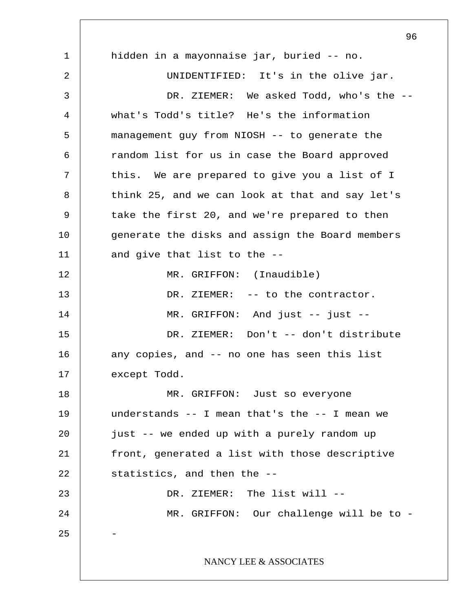1 2 3 4 5 6 7 8 9 10 11 12 13 14 15 16 17 18 19 20 21 22 23 24 25 96 hidden in a mayonnaise jar, buried -- no. UNIDENTIFIED: It's in the olive jar. DR. ZIEMER: We asked Todd, who's the -what's Todd's title? He's the information management guy from NIOSH -- to generate the random list for us in case the Board approved this. We are prepared to give you a list of I think 25, and we can look at that and say let's take the first 20, and we're prepared to then generate the disks and assign the Board members and give that list to the -- MR. GRIFFON: (Inaudible) DR. ZIEMER: -- to the contractor. MR. GRIFFON: And just -- just --DR. ZIEMER: Don't -- don't distribute any copies, and -- no one has seen this list except Todd. MR. GRIFFON: Just so everyone understands -- I mean that's the -- I mean we just -- we ended up with a purely random up front, generated a list with those descriptive statistics, and then the --DR. ZIEMER: The list will --MR. GRIFFON: Our challenge will be to -- NANCY LEE & ASSOCIATES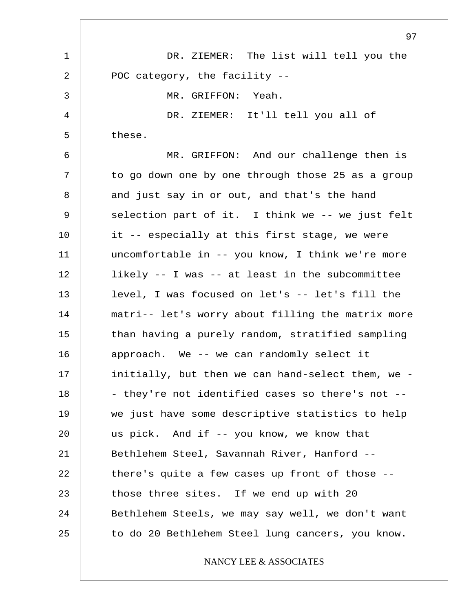1 2 3 4 5 6 7 8 9 10 11 12 13 14 15 16 17 18 19 20 21 22 23 24 25 DR. ZIEMER: The list will tell you the POC category, the facility -- MR. GRIFFON: Yeah. DR. ZIEMER: It'll tell you all of these. MR. GRIFFON: And our challenge then is to go down one by one through those 25 as a group and just say in or out, and that's the hand selection part of it. I think we -- we just felt it -- especially at this first stage, we were uncomfortable in -- you know, I think we're more likely -- I was -- at least in the subcommittee level, I was focused on let's -- let's fill the matri-- let's worry about filling the matrix more than having a purely random, stratified sampling approach. We -- we can randomly select it initially, but then we can hand-select them, we - - they're not identified cases so there's not - we just have some descriptive statistics to help us pick. And if -- you know, we know that Bethlehem Steel, Savannah River, Hanford - there's quite a few cases up front of those - those three sites. If we end up with 20 Bethlehem Steels, we may say well, we don't want to do 20 Bethlehem Steel lung cancers, you know.

NANCY LEE & ASSOCIATES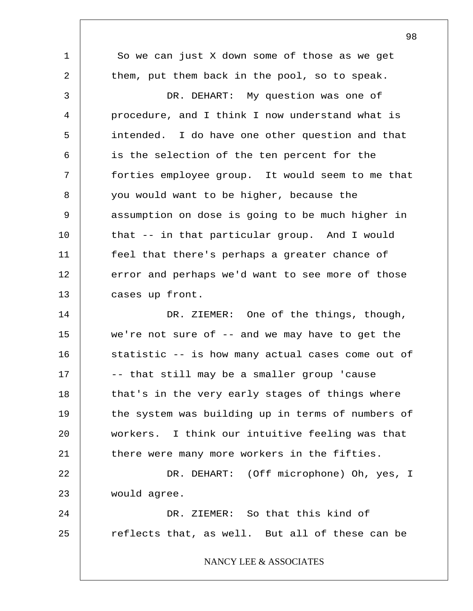1 2 3 4 5 6 7 8 9 10 11 12 13 14 15 16 17 18 19 20 21 22 23 24 25 So we can just X down some of those as we get them, put them back in the pool, so to speak. DR. DEHART: My question was one of procedure, and I think I now understand what is intended. I do have one other question and that is the selection of the ten percent for the forties employee group. It would seem to me that you would want to be higher, because the assumption on dose is going to be much higher in that -- in that particular group. And I would feel that there's perhaps a greater chance of error and perhaps we'd want to see more of those cases up front. DR. ZIEMER: One of the things, though, we're not sure of -- and we may have to get the statistic -- is how many actual cases come out of -- that still may be a smaller group 'cause that's in the very early stages of things where the system was building up in terms of numbers of workers. I think our intuitive feeling was that there were many more workers in the fifties. DR. DEHART: (Off microphone) Oh, yes, I would agree. DR. ZIEMER: So that this kind of reflects that, as well. But all of these can be NANCY LEE & ASSOCIATES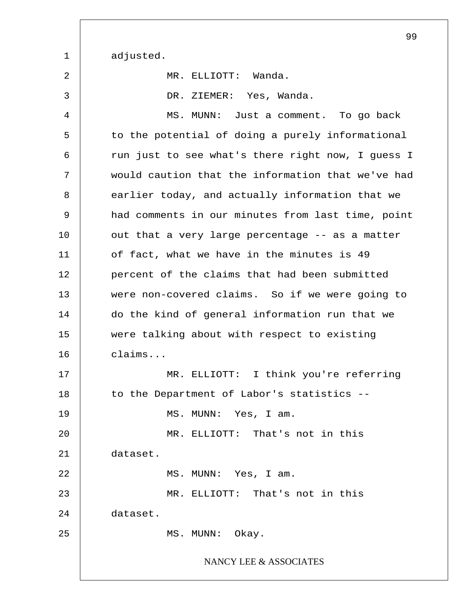1 2 3 4 5 6 7 8 9 10 11 12 13 14 15 16 17 18 19 20 21 22 23 24 25 adjusted. MR. ELLIOTT: Wanda. DR. ZIEMER: Yes, Wanda. MS. MUNN: Just a comment. To go back to the potential of doing a purely informational run just to see what's there right now, I guess I would caution that the information that we've had earlier today, and actually information that we had comments in our minutes from last time, point out that a very large percentage -- as a matter of fact, what we have in the minutes is 49 percent of the claims that had been submitted were non-covered claims. So if we were going to do the kind of general information run that we were talking about with respect to existing claims... MR. ELLIOTT: I think you're referring to the Department of Labor's statistics -- MS. MUNN: Yes, I am. MR. ELLIOTT: That's not in this dataset. MS. MUNN: Yes, I am. MR. ELLIOTT: That's not in this dataset. MS. MUNN: Okay. NANCY LEE & ASSOCIATES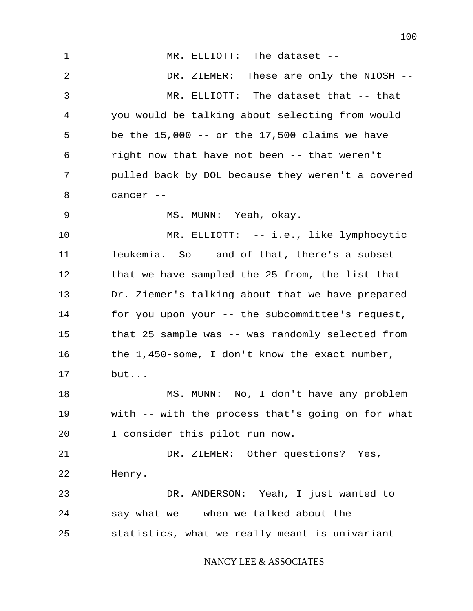1 2 3 4 5 6 7 8 9 10 11 12 13 14 15 16 17 18 19 20 21 22 23 24 25 100 MR. ELLIOTT: The dataset -- DR. ZIEMER: These are only the NIOSH --MR. ELLIOTT: The dataset that -- that you would be talking about selecting from would be the  $15,000$  -- or the  $17,500$  claims we have right now that have not been -- that weren't pulled back by DOL because they weren't a covered cancer -- MS. MUNN: Yeah, okay. MR. ELLIOTT: -- i.e., like lymphocytic leukemia. So -- and of that, there's a subset that we have sampled the 25 from, the list that Dr. Ziemer's talking about that we have prepared for you upon your -- the subcommittee's request, that 25 sample was -- was randomly selected from the 1,450-some, I don't know the exact number, but... MS. MUNN: No, I don't have any problem with -- with the process that's going on for what I consider this pilot run now. DR. ZIEMER: Other questions? Yes, Henry. DR. ANDERSON: Yeah, I just wanted to say what we -- when we talked about the statistics, what we really meant is univariant NANCY LEE & ASSOCIATES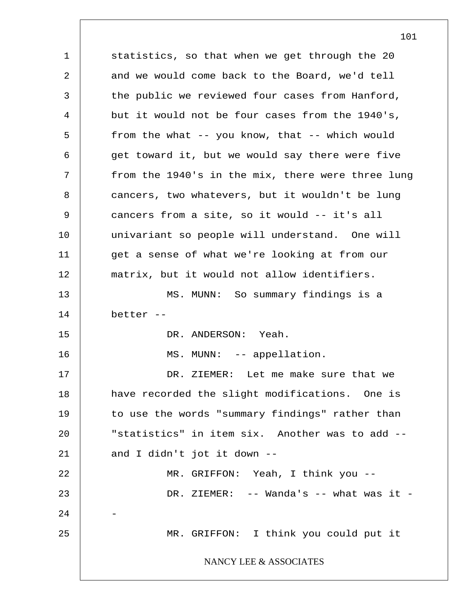1 2 3 4 5 6 7 8 9 10 11 12 13 14 15 16 17 18 19 20 21 22 23 24 25 statistics, so that when we get through the 20 and we would come back to the Board, we'd tell the public we reviewed four cases from Hanford, but it would not be four cases from the 1940's, from the what -- you know, that -- which would get toward it, but we would say there were five from the 1940's in the mix, there were three lung cancers, two whatevers, but it wouldn't be lung cancers from a site, so it would -- it's all univariant so people will understand. One will get a sense of what we're looking at from our matrix, but it would not allow identifiers. MS. MUNN: So summary findings is a better -- DR. ANDERSON: Yeah. MS. MUNN: -- appellation. DR. ZIEMER: Let me make sure that we have recorded the slight modifications. One is to use the words "summary findings" rather than "statistics" in item six. Another was to add - and I didn't jot it down -- MR. GRIFFON: Yeah, I think you -- DR. ZIEMER: -- Wanda's -- what was it -- MR. GRIFFON: I think you could put it NANCY LEE & ASSOCIATES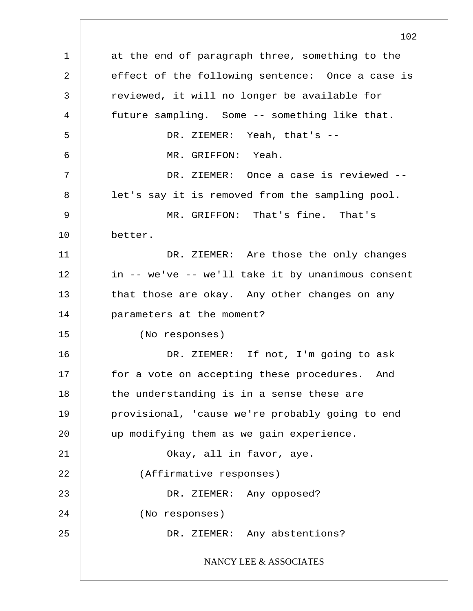1 2 3 4 5 6 7 8 9 10 11 12 13 14 15 16 17 18 19 20 21 22 23 24 25 102 at the end of paragraph three, something to the effect of the following sentence: Once a case is reviewed, it will no longer be available for future sampling. Some -- something like that. DR. ZIEMER: Yeah, that's -- MR. GRIFFON: Yeah. DR. ZIEMER: Once a case is reviewed - let's say it is removed from the sampling pool. MR. GRIFFON: That's fine. That's better. DR. ZIEMER: Are those the only changes in -- we've -- we'll take it by unanimous consent that those are okay. Any other changes on any parameters at the moment? (No responses) DR. ZIEMER: If not, I'm going to ask for a vote on accepting these procedures. And the understanding is in a sense these are provisional, 'cause we're probably going to end up modifying them as we gain experience. Okay, all in favor, aye. (Affirmative responses) DR. ZIEMER: Any opposed? (No responses) DR. ZIEMER: Any abstentions? NANCY LEE & ASSOCIATES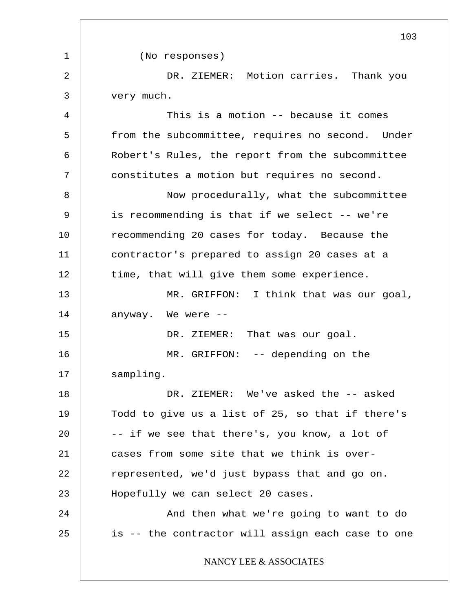1 2 3 4 5 6 7 8 9 10 11 12 13 14 15 16 17 18 19 20 21 22 23 24 25 103 (No responses) DR. ZIEMER: Motion carries. Thank you very much. This is a motion -- because it comes from the subcommittee, requires no second. Under Robert's Rules, the report from the subcommittee constitutes a motion but requires no second. Now procedurally, what the subcommittee is recommending is that if we select -- we're recommending 20 cases for today. Because the contractor's prepared to assign 20 cases at a time, that will give them some experience. MR. GRIFFON: I think that was our goal, anyway. We were  $-$ DR. ZIEMER: That was our goal. MR. GRIFFON: -- depending on the sampling. DR. ZIEMER: We've asked the -- asked Todd to give us a list of 25, so that if there's -- if we see that there's, you know, a lot of cases from some site that we think is overrepresented, we'd just bypass that and go on. Hopefully we can select 20 cases. And then what we're going to want to do is -- the contractor will assign each case to one NANCY LEE & ASSOCIATES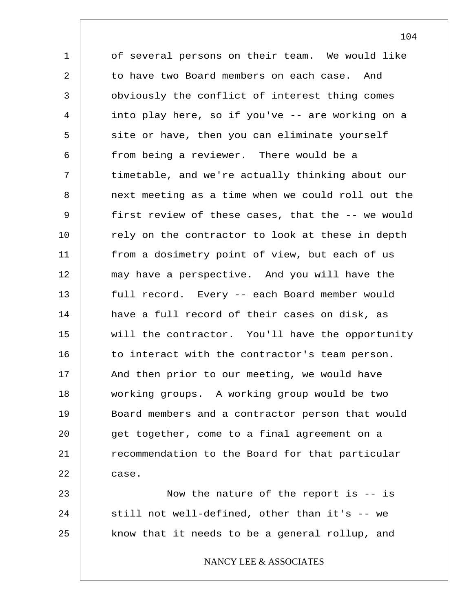1 2 3 4 5 6 7 8 9 10 11 12 13 14 15 16 17 18 19 20 21 22 23 of several persons on their team. We would like to have two Board members on each case. And obviously the conflict of interest thing comes into play here, so if you've -- are working on a site or have, then you can eliminate yourself from being a reviewer. There would be a timetable, and we're actually thinking about our next meeting as a time when we could roll out the first review of these cases, that the -- we would rely on the contractor to look at these in depth from a dosimetry point of view, but each of us may have a perspective. And you will have the full record. Every -- each Board member would have a full record of their cases on disk, as will the contractor. You'll have the opportunity to interact with the contractor's team person. And then prior to our meeting, we would have working groups. A working group would be two Board members and a contractor person that would get together, come to a final agreement on a recommendation to the Board for that particular case. Now the nature of the report is -- is

24 25 still not well-defined, other than it's -- we know that it needs to be a general rollup, and

NANCY LEE & ASSOCIATES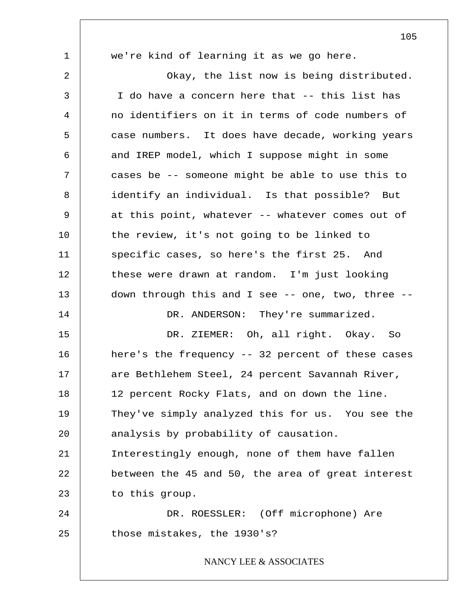1 2 3 4 5 6 7 8 9 10 11 12 13 14 15 16 17 18 19 20 21 22 23 24 25 105 we're kind of learning it as we go here. Okay, the list now is being distributed. I do have a concern here that -- this list has no identifiers on it in terms of code numbers of case numbers. It does have decade, working years and IREP model, which I suppose might in some cases be -- someone might be able to use this to identify an individual. Is that possible? But at this point, whatever -- whatever comes out of the review, it's not going to be linked to specific cases, so here's the first 25. And these were drawn at random. I'm just looking down through this and I see -- one, two, three -- DR. ANDERSON: They're summarized. DR. ZIEMER: Oh, all right. Okay. So here's the frequency -- 32 percent of these cases are Bethlehem Steel, 24 percent Savannah River, 12 percent Rocky Flats, and on down the line. They've simply analyzed this for us. You see the analysis by probability of causation. Interestingly enough, none of them have fallen between the 45 and 50, the area of great interest to this group. DR. ROESSLER: (Off microphone) Are those mistakes, the 1930's? NANCY LEE & ASSOCIATES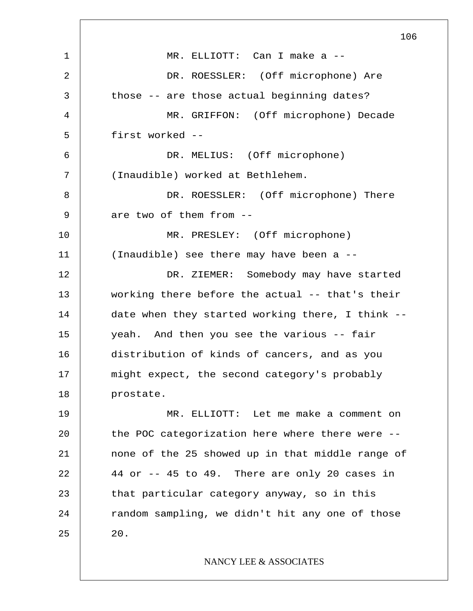1 2 3 4 5 6 7 8 9 10 11 12 13 14 15 16 17 18 19 20 21 22 23 24 25 106 MR. ELLIOTT: Can I make a -- DR. ROESSLER: (Off microphone) Are those -- are those actual beginning dates? MR. GRIFFON: (Off microphone) Decade first worked -- DR. MELIUS: (Off microphone) (Inaudible) worked at Bethlehem. DR. ROESSLER: (Off microphone) There are two of them from -- MR. PRESLEY: (Off microphone) (Inaudible) see there may have been a -- DR. ZIEMER: Somebody may have started working there before the actual -- that's their date when they started working there, I think - yeah. And then you see the various -- fair distribution of kinds of cancers, and as you might expect, the second category's probably prostate. MR. ELLIOTT: Let me make a comment on the POC categorization here where there were - none of the 25 showed up in that middle range of 44 or -- 45 to 49. There are only 20 cases in that particular category anyway, so in this random sampling, we didn't hit any one of those 20. NANCY LEE & ASSOCIATES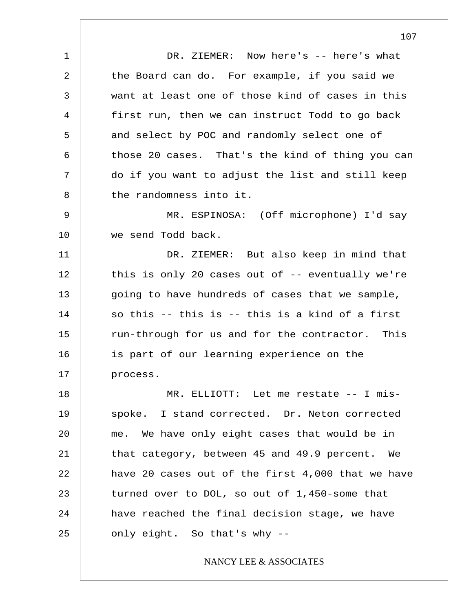1 2 3 4 5 6 7 8 DR. ZIEMER: Now here's -- here's what the Board can do. For example, if you said we want at least one of those kind of cases in this first run, then we can instruct Todd to go back and select by POC and randomly select one of those 20 cases. That's the kind of thing you can do if you want to adjust the list and still keep the randomness into it.

9 10 MR. ESPINOSA: (Off microphone) I'd say we send Todd back.

11 12 13 14 15 16 17 DR. ZIEMER: But also keep in mind that this is only 20 cases out of -- eventually we're going to have hundreds of cases that we sample, so this -- this is -- this is a kind of a first run-through for us and for the contractor. This is part of our learning experience on the process.

18 19 20 21 22 23 24 25 MR. ELLIOTT: Let me restate -- I misspoke. I stand corrected. Dr. Neton corrected me. We have only eight cases that would be in that category, between 45 and 49.9 percent. We have 20 cases out of the first 4,000 that we have turned over to DOL, so out of 1,450-some that have reached the final decision stage, we have only eight. So that's why --

## NANCY LEE & ASSOCIATES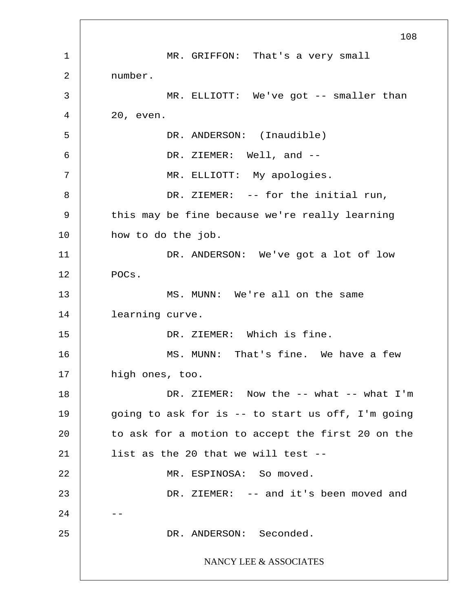1 2 3 4 5 6 7 8 9 10 11 12 13 14 15 16 17 18 19 20 21 22 23  $2.4$ 25 108 MR. GRIFFON: That's a very small number. MR. ELLIOTT: We've got -- smaller than 20, even. DR. ANDERSON: (Inaudible) DR. ZIEMER: Well, and --MR. ELLIOTT: My apologies. DR. ZIEMER: -- for the initial run, this may be fine because we're really learning how to do the job. DR. ANDERSON: We've got a lot of low POCs. MS. MUNN: We're all on the same learning curve. DR. ZIEMER: Which is fine. MS. MUNN: That's fine. We have a few high ones, too. DR. ZIEMER: Now the -- what -- what I'm going to ask for is  $-$  to start us off, I'm going to ask for a motion to accept the first 20 on the list as the 20 that we will test -- MR. ESPINOSA: So moved. DR. ZIEMER: -- and it's been moved and DR. ANDERSON: Seconded. NANCY LEE & ASSOCIATES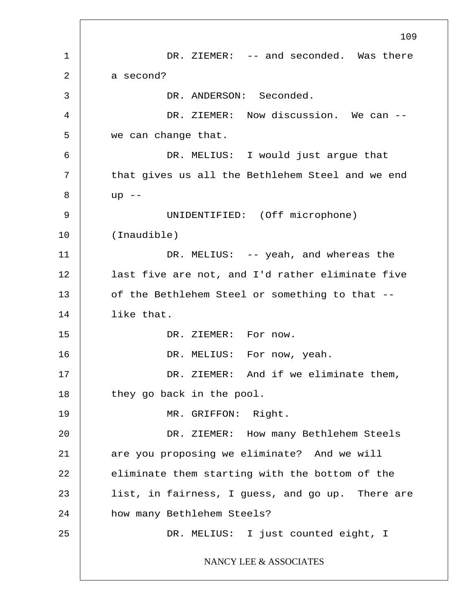1 2 3 4 5 6 7 8 9 10 11 12 13 14 15 16 17 18 19 20 21 22 23 24 25 109 DR. ZIEMER: -- and seconded. Was there a second? DR. ANDERSON: Seconded. DR. ZIEMER: Now discussion. We can -we can change that. DR. MELIUS: I would just argue that that gives us all the Bethlehem Steel and we end  $up$   $--$ UNIDENTIFIED: (Off microphone) (Inaudible) DR. MELIUS: -- yeah, and whereas the last five are not, and I'd rather eliminate five of the Bethlehem Steel or something to that - like that. DR. ZIEMER: For now. DR. MELIUS: For now, yeah. DR. ZIEMER: And if we eliminate them, they go back in the pool. MR. GRIFFON: Right. DR. ZIEMER: How many Bethlehem Steels are you proposing we eliminate? And we will eliminate them starting with the bottom of the list, in fairness, I guess, and go up. There are how many Bethlehem Steels? DR. MELIUS: I just counted eight, I NANCY LEE & ASSOCIATES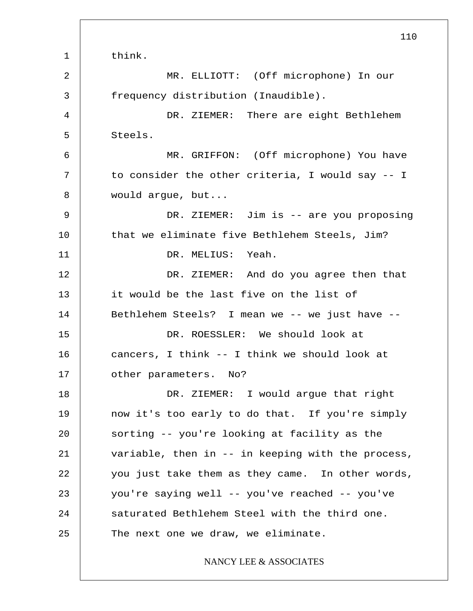1 2 3 4 5 6 7 8 9 10 11 12 13 14 15 16 17 18 19 20 21 22 23 24 25 110 think. MR. ELLIOTT: (Off microphone) In our frequency distribution (Inaudible). DR. ZIEMER: There are eight Bethlehem Steels. MR. GRIFFON: (Off microphone) You have to consider the other criteria, I would say -- I would argue, but... DR. ZIEMER: Jim is -- are you proposing that we eliminate five Bethlehem Steels, Jim? DR. MELIUS: Yeah. DR. ZIEMER: And do you agree then that it would be the last five on the list of Bethlehem Steels? I mean we -- we just have -- DR. ROESSLER: We should look at cancers, I think -- I think we should look at other parameters. No? DR. ZIEMER: I would argue that right now it's too early to do that. If you're simply sorting -- you're looking at facility as the variable, then in -- in keeping with the process, you just take them as they came. In other words, you're saying well -- you've reached -- you've saturated Bethlehem Steel with the third one. The next one we draw, we eliminate. NANCY LEE & ASSOCIATES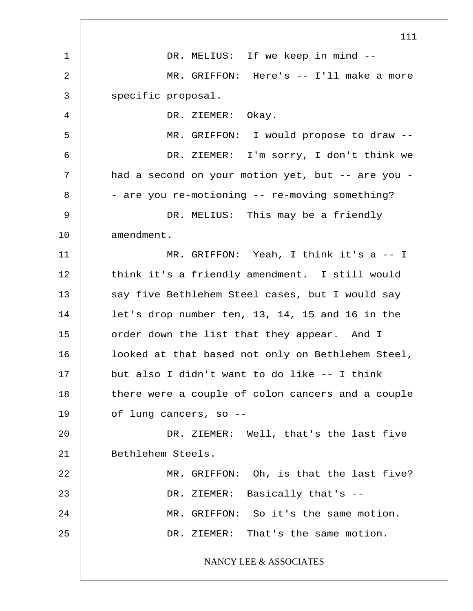1 2 3 4 5 6 7 8 9 10 11 12 13 14 15 16 17 18 19 20 21 22 23 24 25 111 DR. MELIUS: If we keep in mind --MR. GRIFFON: Here's -- I'll make a more specific proposal. DR. ZIEMER: Okay. MR. GRIFFON: I would propose to draw -- DR. ZIEMER: I'm sorry, I don't think we had a second on your motion yet, but -- are you -- are you re-motioning -- re-moving something? DR. MELIUS: This may be a friendly amendment. MR. GRIFFON: Yeah, I think it's a -- I think it's a friendly amendment. I still would say five Bethlehem Steel cases, but I would say let's drop number ten, 13, 14, 15 and 16 in the order down the list that they appear. And I looked at that based not only on Bethlehem Steel, but also I didn't want to do like -- I think there were a couple of colon cancers and a couple of lung cancers, so -- DR. ZIEMER: Well, that's the last five Bethlehem Steels. MR. GRIFFON: Oh, is that the last five? DR. ZIEMER: Basically that's --MR. GRIFFON: So it's the same motion. DR. ZIEMER: That's the same motion. NANCY LEE & ASSOCIATES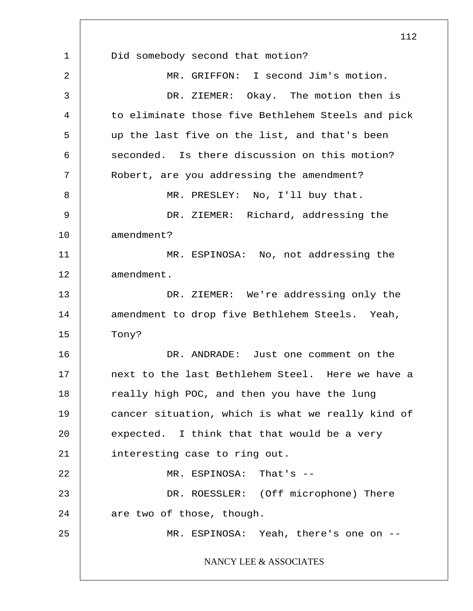1 2 3 4 5 6 7 8 9 10 11 12 13 14 15 16 17 18 19 20 21 22 23 24 25 112 Did somebody second that motion? MR. GRIFFON: I second Jim's motion. DR. ZIEMER: Okay. The motion then is to eliminate those five Bethlehem Steels and pick up the last five on the list, and that's been seconded. Is there discussion on this motion? Robert, are you addressing the amendment? MR. PRESLEY: No, I'll buy that. DR. ZIEMER: Richard, addressing the amendment? MR. ESPINOSA: No, not addressing the amendment. DR. ZIEMER: We're addressing only the amendment to drop five Bethlehem Steels. Yeah, Tony? DR. ANDRADE: Just one comment on the next to the last Bethlehem Steel. Here we have a really high POC, and then you have the lung cancer situation, which is what we really kind of expected. I think that that would be a very interesting case to ring out. MR. ESPINOSA: That's -- DR. ROESSLER: (Off microphone) There are two of those, though. MR. ESPINOSA: Yeah, there's one on --NANCY LEE & ASSOCIATES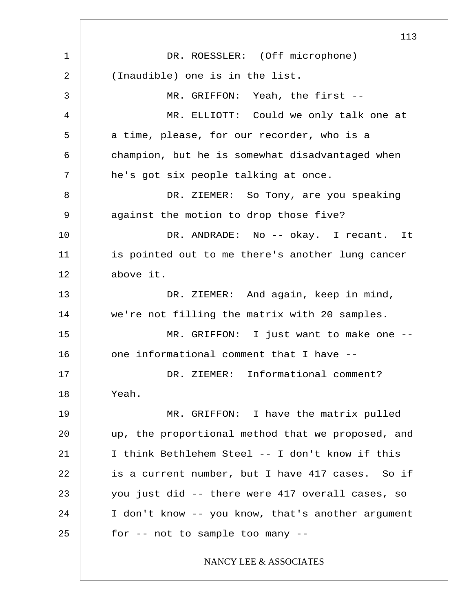1 2 3 4 5 6 7 8 9 10 11 12 13 14 15 16 17 18 19 20 21 22 23 24 25 113 DR. ROESSLER: (Off microphone) (Inaudible) one is in the list. MR. GRIFFON: Yeah, the first -- MR. ELLIOTT: Could we only talk one at a time, please, for our recorder, who is a champion, but he is somewhat disadvantaged when he's got six people talking at once. DR. ZIEMER: So Tony, are you speaking against the motion to drop those five? DR. ANDRADE: No -- okay. I recant. It is pointed out to me there's another lung cancer above it. DR. ZIEMER: And again, keep in mind, we're not filling the matrix with 20 samples. MR. GRIFFON: I just want to make one - one informational comment that I have -- DR. ZIEMER: Informational comment? Yeah. MR. GRIFFON: I have the matrix pulled up, the proportional method that we proposed, and I think Bethlehem Steel -- I don't know if this is a current number, but I have 417 cases. So if you just did -- there were 417 overall cases, so I don't know -- you know, that's another argument for -- not to sample too many -- NANCY LEE & ASSOCIATES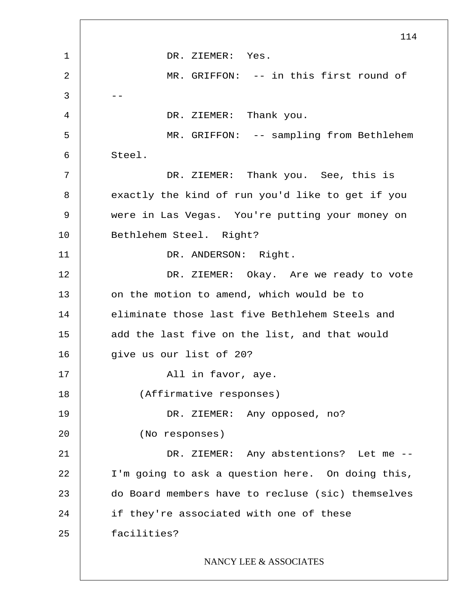1 2  $3 \quad - -$ 4 5 6 7 8 9 10 11 12 13 14 15 16 17 18 19 20 21 22 23 24 25 114 DR. ZIEMER: Yes. MR. GRIFFON: -- in this first round of DR. ZIEMER: Thank you. MR. GRIFFON: -- sampling from Bethlehem Steel. DR. ZIEMER: Thank you. See, this is exactly the kind of run you'd like to get if you were in Las Vegas. You're putting your money on Bethlehem Steel. Right? DR. ANDERSON: Right. DR. ZIEMER: Okay. Are we ready to vote on the motion to amend, which would be to eliminate those last five Bethlehem Steels and add the last five on the list, and that would give us our list of 20? All in favor, aye. (Affirmative responses) DR. ZIEMER: Any opposed, no? (No responses) DR. ZIEMER: Any abstentions? Let me -- I'm going to ask a question here. On doing this, do Board members have to recluse (sic) themselves if they're associated with one of these facilities? NANCY LEE & ASSOCIATES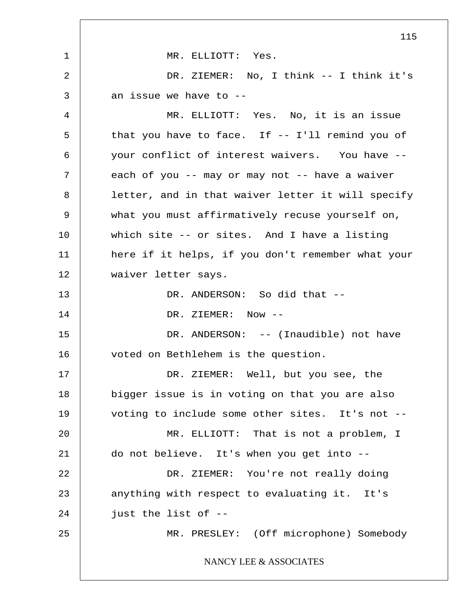1 2 3 4 5 6 7 8 9 10 11 12 13 14 15 16 17 18 19 20 21 22 23 24 25 115 MR. ELLIOTT: Yes. DR. ZIEMER: No, I think -- I think it's an issue we have to -- MR. ELLIOTT: Yes. No, it is an issue that you have to face. If -- I'll remind you of your conflict of interest waivers. You have - each of you -- may or may not -- have a waiver letter, and in that waiver letter it will specify what you must affirmatively recuse yourself on, which site -- or sites. And I have a listing here if it helps, if you don't remember what your waiver letter says. DR. ANDERSON: So did that --DR. ZIEMER: Now -- DR. ANDERSON: -- (Inaudible) not have voted on Bethlehem is the question. DR. ZIEMER: Well, but you see, the bigger issue is in voting on that you are also voting to include some other sites. It's not -- MR. ELLIOTT: That is not a problem, I do not believe. It's when you get into -- DR. ZIEMER: You're not really doing anything with respect to evaluating it. It's just the list of -- MR. PRESLEY: (Off microphone) Somebody NANCY LEE & ASSOCIATES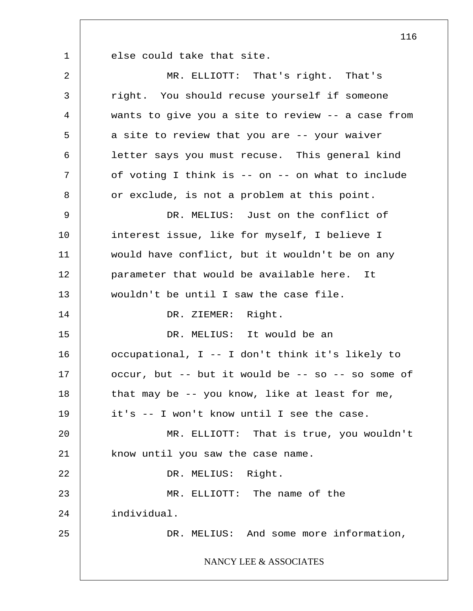else could take that site.

1

2 3 4 5 6 7 8 9 10 11 12 13 14 15 16 17 18 19 20 21 22 23 24 25 MR. ELLIOTT: That's right. That's right. You should recuse yourself if someone wants to give you a site to review -- a case from a site to review that you are -- your waiver letter says you must recuse. This general kind of voting I think is -- on -- on what to include or exclude, is not a problem at this point. DR. MELIUS: Just on the conflict of interest issue, like for myself, I believe I would have conflict, but it wouldn't be on any parameter that would be available here. It wouldn't be until I saw the case file. DR. ZIEMER: Right. DR. MELIUS: It would be an occupational, I -- I don't think it's likely to occur, but  $--$  but it would be  $--$  so  $--$  so some of that may be -- you know, like at least for me, it's -- I won't know until I see the case. MR. ELLIOTT: That is true, you wouldn't know until you saw the case name. DR. MELIUS: Right. MR. ELLIOTT: The name of the individual. DR. MELIUS: And some more information, NANCY LEE & ASSOCIATES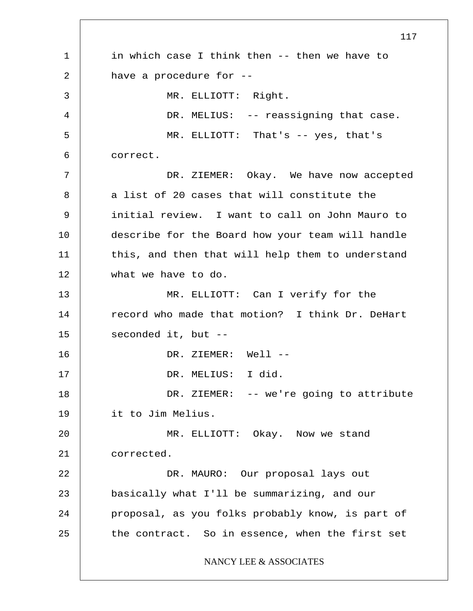1 2 3 4 5 6 7 8 9 10 11 12 13 14 15 16 17 18 19 20 21 22 23 24 25 117 in which case I think then -- then we have to have a procedure for -- MR. ELLIOTT: Right. DR. MELIUS: -- reassigning that case. MR. ELLIOTT: That's -- yes, that's correct. DR. ZIEMER: Okay. We have now accepted a list of 20 cases that will constitute the initial review. I want to call on John Mauro to describe for the Board how your team will handle this, and then that will help them to understand what we have to do. MR. ELLIOTT: Can I verify for the record who made that motion? I think Dr. DeHart seconded it, but -- DR. ZIEMER: Well --DR. MELIUS: I did. DR. ZIEMER: -- we're going to attribute it to Jim Melius. MR. ELLIOTT: Okay. Now we stand corrected. DR. MAURO: Our proposal lays out basically what I'll be summarizing, and our proposal, as you folks probably know, is part of the contract. So in essence, when the first set NANCY LEE & ASSOCIATES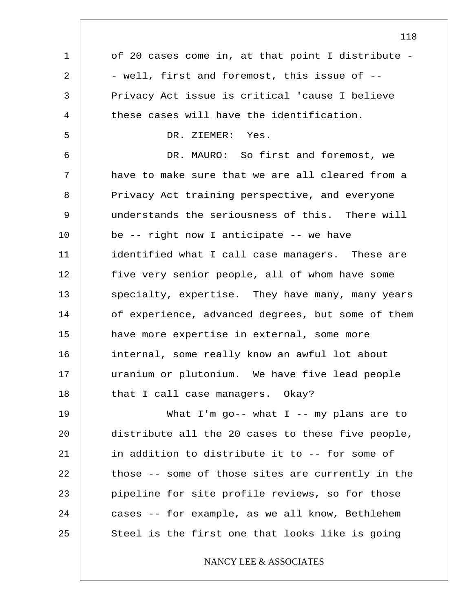1 2 3 4 5 6 7 8 9 10 11 12 13 14 15 16 17 18 19 20 21 22 23 24 25 of 20 cases come in, at that point I distribute - - well, first and foremost, this issue of -- Privacy Act issue is critical 'cause I believe these cases will have the identification. DR. ZIEMER: Yes. DR. MAURO: So first and foremost, we have to make sure that we are all cleared from a Privacy Act training perspective, and everyone understands the seriousness of this. There will be -- right now I anticipate -- we have identified what I call case managers. These are five very senior people, all of whom have some specialty, expertise. They have many, many years of experience, advanced degrees, but some of them have more expertise in external, some more internal, some really know an awful lot about uranium or plutonium. We have five lead people that I call case managers. Okay? What I'm go-- what I -- my plans are to distribute all the 20 cases to these five people, in addition to distribute it to -- for some of those -- some of those sites are currently in the pipeline for site profile reviews, so for those cases -- for example, as we all know, Bethlehem Steel is the first one that looks like is going NANCY LEE & ASSOCIATES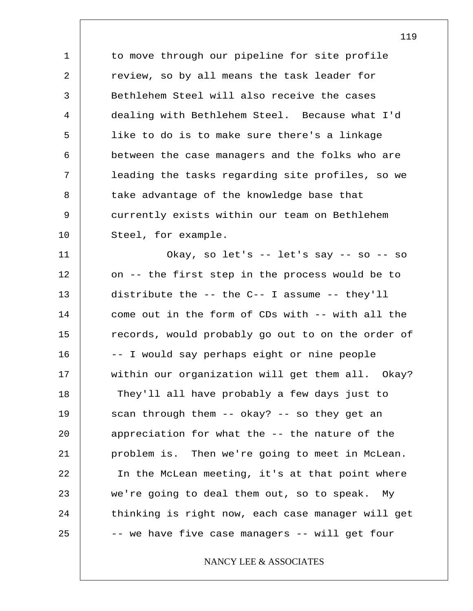1 2 3 4 5 6 7 8 9 10 to move through our pipeline for site profile review, so by all means the task leader for Bethlehem Steel will also receive the cases dealing with Bethlehem Steel. Because what I'd like to do is to make sure there's a linkage between the case managers and the folks who are leading the tasks regarding site profiles, so we take advantage of the knowledge base that currently exists within our team on Bethlehem Steel, for example.

11 12 13 14 15 16 17 18 19 20 21 22 23 24 25 Okay, so let's -- let's say -- so -- so on -- the first step in the process would be to distribute the -- the C-- I assume -- they'll come out in the form of CDs with -- with all the records, would probably go out to on the order of -- I would say perhaps eight or nine people within our organization will get them all. Okay? They'll all have probably a few days just to scan through them -- okay? -- so they get an appreciation for what the -- the nature of the problem is. Then we're going to meet in McLean. In the McLean meeting, it's at that point where we're going to deal them out, so to speak. My thinking is right now, each case manager will get -- we have five case managers -- will get four

## NANCY LEE & ASSOCIATES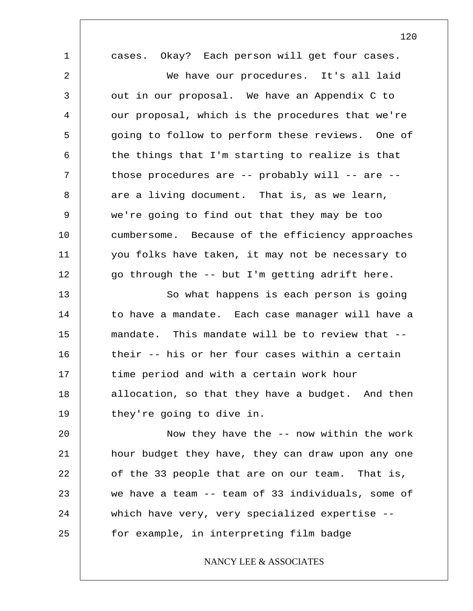1 2 3 4 5 6 7 8 9 10 11 12 13 14 15 16 17 18 19 20 21 22 23 24 25 cases. Okay? Each person will get four cases. We have our procedures. It's all laid out in our proposal. We have an Appendix C to our proposal, which is the procedures that we're going to follow to perform these reviews. One of the things that I'm starting to realize is that those procedures are -- probably will -- are - are a living document. That is, as we learn, we're going to find out that they may be too cumbersome. Because of the efficiency approaches you folks have taken, it may not be necessary to go through the -- but I'm getting adrift here. So what happens is each person is going to have a mandate. Each case manager will have a mandate. This mandate will be to review that - their -- his or her four cases within a certain time period and with a certain work hour allocation, so that they have a budget. And then they're going to dive in. Now they have the -- now within the work hour budget they have, they can draw upon any one of the 33 people that are on our team. That is, we have a team -- team of 33 individuals, some of which have very, very specialized expertise - for example, in interpreting film badge NANCY LEE & ASSOCIATES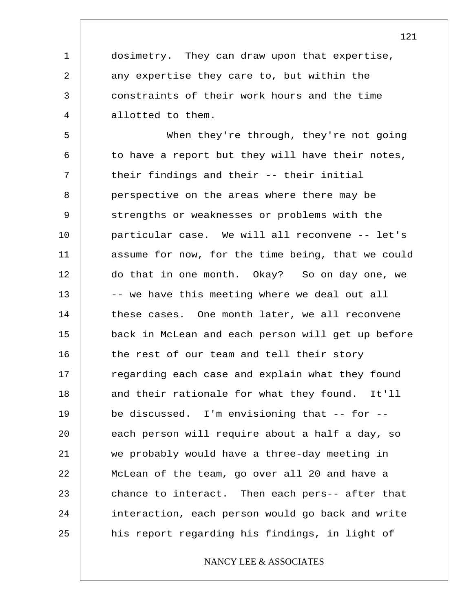dosimetry. They can draw upon that expertise, any expertise they care to, but within the constraints of their work hours and the time allotted to them.

1

2

3

4

5 6 7 8 9 10 11 12 13 14 15 16 17 18 19 20 21 22 23 24 25 When they're through, they're not going to have a report but they will have their notes, their findings and their -- their initial perspective on the areas where there may be strengths or weaknesses or problems with the particular case. We will all reconvene -- let's assume for now, for the time being, that we could do that in one month. Okay? So on day one, we -- we have this meeting where we deal out all these cases. One month later, we all reconvene back in McLean and each person will get up before the rest of our team and tell their story regarding each case and explain what they found and their rationale for what they found. It'll be discussed. I'm envisioning that -- for - each person will require about a half a day, so we probably would have a three-day meeting in McLean of the team, go over all 20 and have a chance to interact. Then each pers-- after that interaction, each person would go back and write his report regarding his findings, in light of

NANCY LEE & ASSOCIATES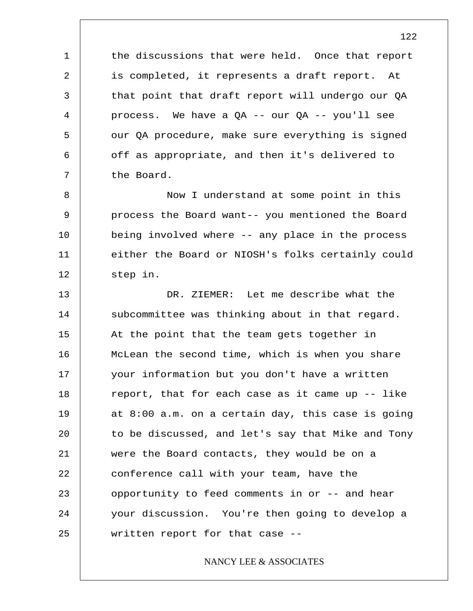the discussions that were held. Once that report is completed, it represents a draft report. At that point that draft report will undergo our QA process. We have a QA -- our QA -- you'll see our QA procedure, make sure everything is signed off as appropriate, and then it's delivered to the Board.

1

2

3

4

5

6

7

8 9 10 11 12 Now I understand at some point in this process the Board want-- you mentioned the Board being involved where -- any place in the process either the Board or NIOSH's folks certainly could step in.

13 14 15 16 17 18 19 20 21 22 23 24 25 DR. ZIEMER: Let me describe what the subcommittee was thinking about in that regard. At the point that the team gets together in McLean the second time, which is when you share your information but you don't have a written report, that for each case as it came up -- like at 8:00 a.m. on a certain day, this case is going to be discussed, and let's say that Mike and Tony were the Board contacts, they would be on a conference call with your team, have the opportunity to feed comments in or -- and hear your discussion. You're then going to develop a written report for that case --

#### NANCY LEE & ASSOCIATES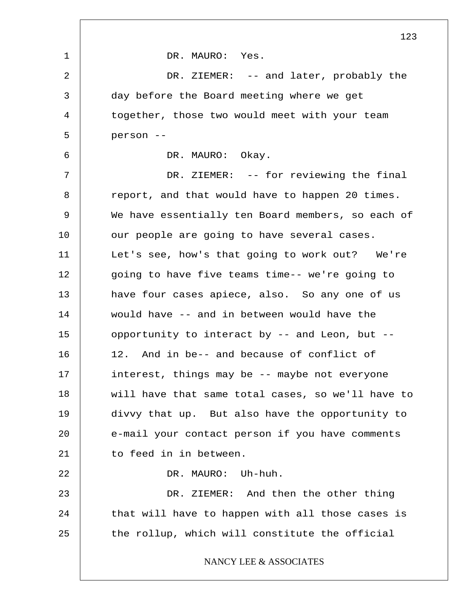1 2 3 4 5 6 7 8 9 10 11 12 13 14 15 16 17 18 19 20 21 22 23 24 25 123 DR. MAURO: Yes. DR. ZIEMER: -- and later, probably the day before the Board meeting where we get together, those two would meet with your team person -- DR. MAURO: Okay. DR. ZIEMER: -- for reviewing the final report, and that would have to happen 20 times. We have essentially ten Board members, so each of our people are going to have several cases. Let's see, how's that going to work out? We're going to have five teams time-- we're going to have four cases apiece, also. So any one of us would have -- and in between would have the opportunity to interact by -- and Leon, but -- 12. And in be-- and because of conflict of interest, things may be -- maybe not everyone will have that same total cases, so we'll have to divvy that up. But also have the opportunity to e-mail your contact person if you have comments to feed in in between. DR. MAURO: Uh-huh. DR. ZIEMER: And then the other thing that will have to happen with all those cases is the rollup, which will constitute the official NANCY LEE & ASSOCIATES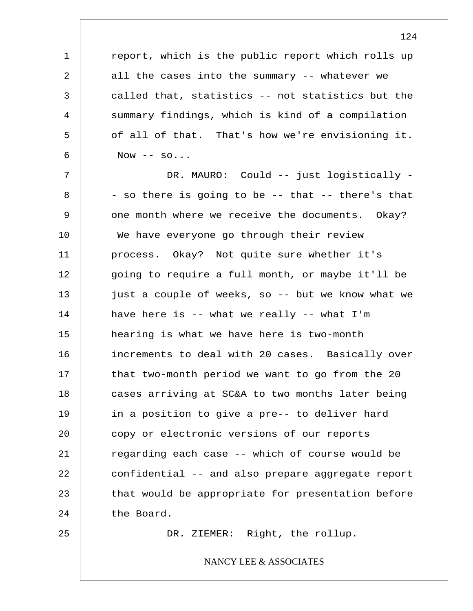report, which is the public report which rolls up all the cases into the summary -- whatever we called that, statistics -- not statistics but the summary findings, which is kind of a compilation of all of that. That's how we're envisioning it. Now  $--$  so...

7 8 9 10 11 12 13 14 15 16 17 18 19 20 21 22 23 24 DR. MAURO: Could -- just logistically - - so there is going to be -- that -- there's that one month where we receive the documents. Okay? We have everyone go through their review process. Okay? Not quite sure whether it's going to require a full month, or maybe it'll be just a couple of weeks, so -- but we know what we have here is  $-$ - what we really  $-$ - what I'm hearing is what we have here is two-month increments to deal with 20 cases. Basically over that two-month period we want to go from the 20 cases arriving at SC&A to two months later being in a position to give a pre-- to deliver hard copy or electronic versions of our reports regarding each case -- which of course would be confidential -- and also prepare aggregate report that would be appropriate for presentation before the Board.

25

1

2

3

4

5

6

DR. ZIEMER: Right, the rollup.

## NANCY LEE & ASSOCIATES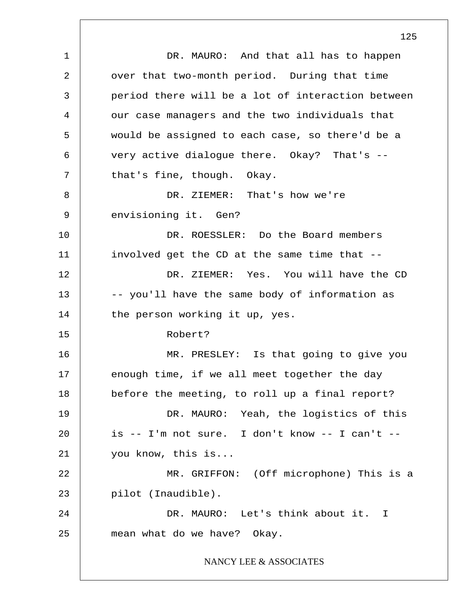1 2 3 4 5 6 7 8 9 10 11 12 13 14 15 16 17 18 19 20 21 22 23 24 25 DR. MAURO: And that all has to happen over that two-month period. During that time period there will be a lot of interaction between our case managers and the two individuals that would be assigned to each case, so there'd be a very active dialogue there. Okay? That's - that's fine, though. Okay. DR. ZIEMER: That's how we're envisioning it. Gen? DR. ROESSLER: Do the Board members involved get the CD at the same time that -- DR. ZIEMER: Yes. You will have the CD -- you'll have the same body of information as the person working it up, yes. Robert? MR. PRESLEY: Is that going to give you enough time, if we all meet together the day before the meeting, to roll up a final report? DR. MAURO: Yeah, the logistics of this is  $--$  I'm not sure. I don't know  $--$  I can't  $-$ you know, this is... MR. GRIFFON: (Off microphone) This is a pilot (Inaudible). DR. MAURO: Let's think about it. I mean what do we have? Okay. NANCY LEE & ASSOCIATES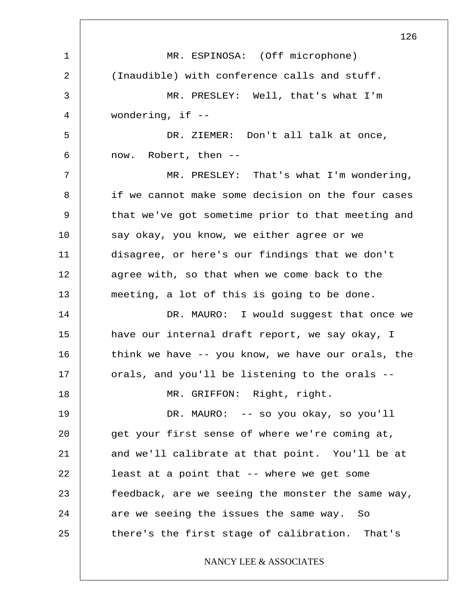1 2 3 4 5 6 7 8 9 10 11 12 13 14 15 16 17 18 19 20 21 22 23 24 25 126 MR. ESPINOSA: (Off microphone) (Inaudible) with conference calls and stuff. MR. PRESLEY: Well, that's what I'm wondering, if -- DR. ZIEMER: Don't all talk at once, now. Robert, then -- MR. PRESLEY: That's what I'm wondering, if we cannot make some decision on the four cases that we've got sometime prior to that meeting and say okay, you know, we either agree or we disagree, or here's our findings that we don't agree with, so that when we come back to the meeting, a lot of this is going to be done. DR. MAURO: I would suggest that once we have our internal draft report, we say okay, I think we have -- you know, we have our orals, the orals, and you'll be listening to the orals -- MR. GRIFFON: Right, right. DR. MAURO: -- so you okay, so you'll get your first sense of where we're coming at, and we'll calibrate at that point. You'll be at least at a point that -- where we get some feedback, are we seeing the monster the same way, are we seeing the issues the same way. So there's the first stage of calibration. That's NANCY LEE & ASSOCIATES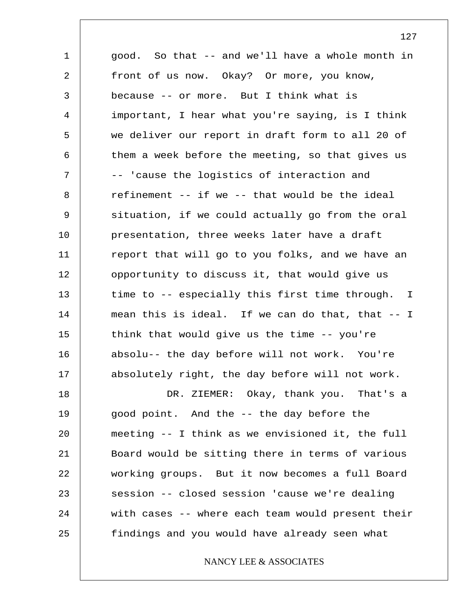1 2 3 4 5 6 7 8 9 10 11 12 13 14 15 16 17 18 19 20 21 22 23 24 25 good. So that -- and we'll have a whole month in front of us now. Okay? Or more, you know, because -- or more. But I think what is important, I hear what you're saying, is I think we deliver our report in draft form to all 20 of them a week before the meeting, so that gives us -- 'cause the logistics of interaction and refinement -- if we -- that would be the ideal situation, if we could actually go from the oral presentation, three weeks later have a draft report that will go to you folks, and we have an opportunity to discuss it, that would give us time to -- especially this first time through. I mean this is ideal. If we can do that, that -- I think that would give us the time -- you're absolu-- the day before will not work. You're absolutely right, the day before will not work. DR. ZIEMER: Okay, thank you. That's a good point. And the -- the day before the meeting -- I think as we envisioned it, the full Board would be sitting there in terms of various working groups. But it now becomes a full Board session -- closed session 'cause we're dealing with cases -- where each team would present their findings and you would have already seen what

## NANCY LEE & ASSOCIATES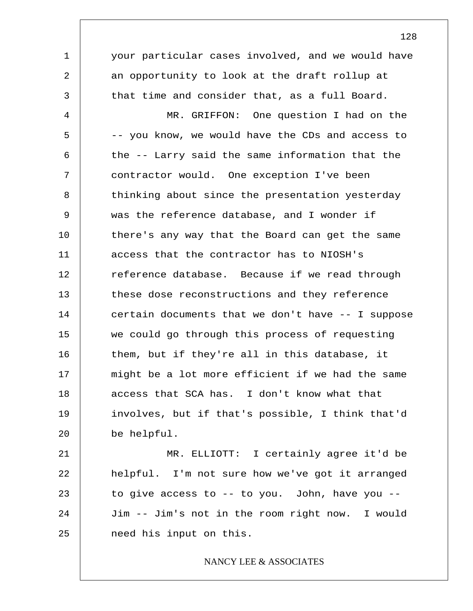1 2 3 4 5 6 7 8 9 10 11 12 13 14 15 16 17 18 19 20 your particular cases involved, and we would have an opportunity to look at the draft rollup at that time and consider that, as a full Board. MR. GRIFFON: One question I had on the -- you know, we would have the CDs and access to the -- Larry said the same information that the contractor would. One exception I've been thinking about since the presentation yesterday was the reference database, and I wonder if there's any way that the Board can get the same access that the contractor has to NIOSH's reference database. Because if we read through these dose reconstructions and they reference certain documents that we don't have  $- -$  I suppose we could go through this process of requesting them, but if they're all in this database, it might be a lot more efficient if we had the same access that SCA has. I don't know what that involves, but if that's possible, I think that'd be helpful.

21 22 23 24 25 MR. ELLIOTT: I certainly agree it'd be helpful. I'm not sure how we've got it arranged to give access to -- to you. John, have you -- Jim -- Jim's not in the room right now. I would need his input on this.

## NANCY LEE & ASSOCIATES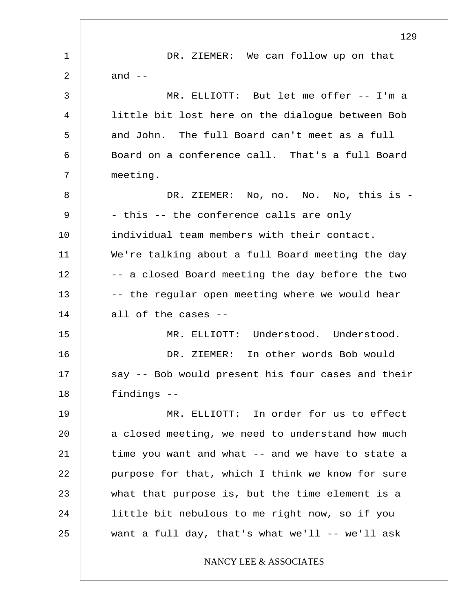1 2 3 4 5 6 7 8 9 10 11 12 13 14 15 16 17 18 19 20 21 22 23 24 25 129 DR. ZIEMER: We can follow up on that and  $--$ MR. ELLIOTT: But let me offer -- I'm a little bit lost here on the dialogue between Bob and John. The full Board can't meet as a full Board on a conference call. That's a full Board meeting. DR. ZIEMER: No, no. No. No, this is -- this -- the conference calls are only individual team members with their contact. We're talking about a full Board meeting the day -- a closed Board meeting the day before the two -- the regular open meeting where we would hear all of the cases -- MR. ELLIOTT: Understood. Understood. DR. ZIEMER: In other words Bob would say -- Bob would present his four cases and their findings -- MR. ELLIOTT: In order for us to effect a closed meeting, we need to understand how much time you want and what -- and we have to state a purpose for that, which I think we know for sure what that purpose is, but the time element is a little bit nebulous to me right now, so if you want a full day, that's what we'll  $--$  we'll ask NANCY LEE & ASSOCIATES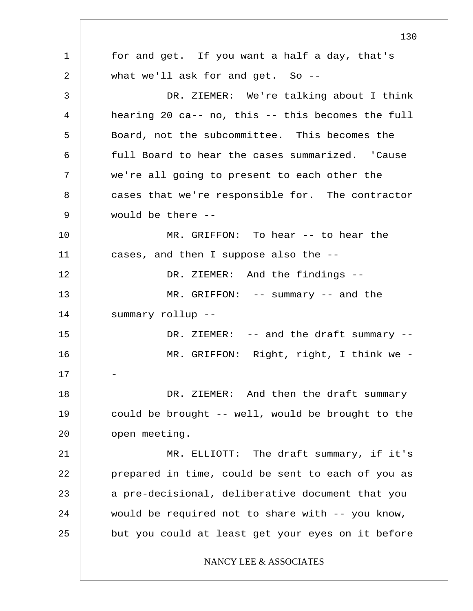1 2 3 4 5 6 7 8 9 10 11 12 13 14 15 16 17 18 19 20 21 22 23 24 25 130 for and get. If you want a half a day, that's what we'll ask for and get. So --DR. ZIEMER: We're talking about I think hearing 20 ca-- no, this -- this becomes the full Board, not the subcommittee. This becomes the full Board to hear the cases summarized. 'Cause we're all going to present to each other the cases that we're responsible for. The contractor would be there -- MR. GRIFFON: To hear -- to hear the cases, and then I suppose also the -- DR. ZIEMER: And the findings -- MR. GRIFFON: -- summary -- and the summary rollup -- DR. ZIEMER: -- and the draft summary --MR. GRIFFON: Right, right, I think we - - DR. ZIEMER: And then the draft summary could be brought -- well, would be brought to the open meeting. MR. ELLIOTT: The draft summary, if it's prepared in time, could be sent to each of you as a pre-decisional, deliberative document that you would be required not to share with -- you know, but you could at least get your eyes on it before NANCY LEE & ASSOCIATES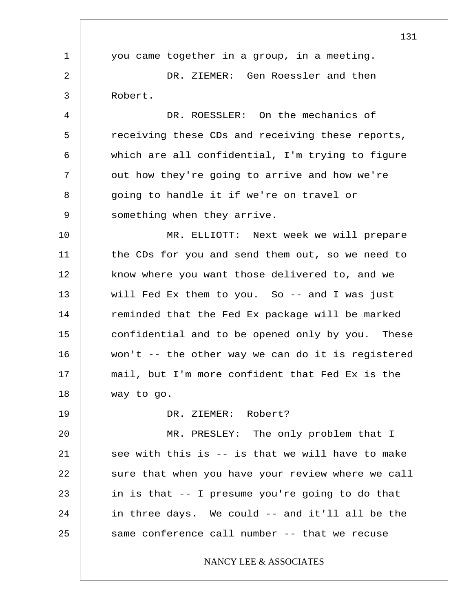1 2 3 4 5 6 7 8 9 10 11 12 13 14 15 16 17 18 19 20 21 22 23 24 25 131 you came together in a group, in a meeting. DR. ZIEMER: Gen Roessler and then Robert. DR. ROESSLER: On the mechanics of receiving these CDs and receiving these reports, which are all confidential, I'm trying to figure out how they're going to arrive and how we're going to handle it if we're on travel or something when they arrive. MR. ELLIOTT: Next week we will prepare the CDs for you and send them out, so we need to know where you want those delivered to, and we will Fed Ex them to you. So -- and I was just reminded that the Fed Ex package will be marked confidential and to be opened only by you. These won't -- the other way we can do it is registered mail, but I'm more confident that Fed Ex is the way to go. DR. ZIEMER: Robert? MR. PRESLEY: The only problem that I see with this is -- is that we will have to make sure that when you have your review where we call in is that -- I presume you're going to do that in three days. We could -- and it'll all be the same conference call number -- that we recuse NANCY LEE & ASSOCIATES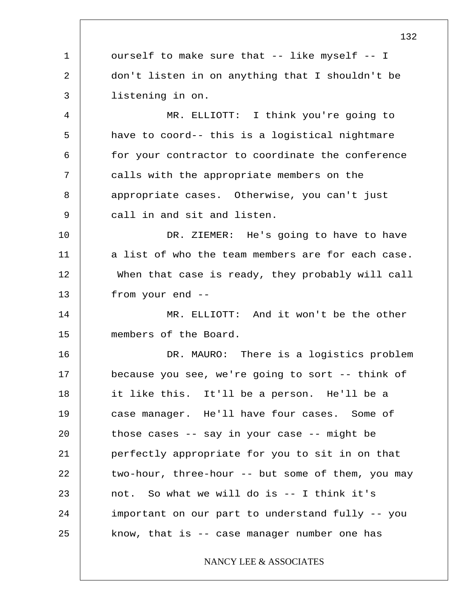1 2 3 4 5 6 7 8 9 10 11 12 13 14 15 16 17 18 19 20 21 22 23 24 25 132 ourself to make sure that -- like myself -- I don't listen in on anything that I shouldn't be listening in on. MR. ELLIOTT: I think you're going to have to coord-- this is a logistical nightmare for your contractor to coordinate the conference calls with the appropriate members on the appropriate cases. Otherwise, you can't just call in and sit and listen. DR. ZIEMER: He's going to have to have a list of who the team members are for each case. When that case is ready, they probably will call from your end -- MR. ELLIOTT: And it won't be the other members of the Board. DR. MAURO: There is a logistics problem because you see, we're going to sort -- think of it like this. It'll be a person. He'll be a case manager. He'll have four cases. Some of those cases -- say in your case -- might be perfectly appropriate for you to sit in on that two-hour, three-hour -- but some of them, you may not. So what we will do is -- I think it's important on our part to understand fully -- you know, that is -- case manager number one has NANCY LEE & ASSOCIATES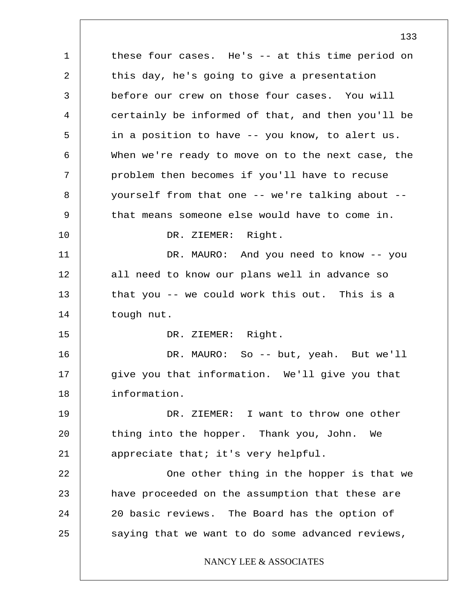1 2 3 4 5 6 7 8 9 10 11 12 13 14 15 16 17 18 19 20 21 22 23 24 25 these four cases. He's -- at this time period on this day, he's going to give a presentation before our crew on those four cases. You will certainly be informed of that, and then you'll be in a position to have -- you know, to alert us. When we're ready to move on to the next case, the problem then becomes if you'll have to recuse yourself from that one -- we're talking about - that means someone else would have to come in. DR. ZIEMER: Right. DR. MAURO: And you need to know -- you all need to know our plans well in advance so that you -- we could work this out. This is a tough nut. DR. ZIEMER: Right. DR. MAURO: So -- but, yeah. But we'll give you that information. We'll give you that information. DR. ZIEMER: I want to throw one other thing into the hopper. Thank you, John. We appreciate that; it's very helpful. One other thing in the hopper is that we have proceeded on the assumption that these are 20 basic reviews. The Board has the option of saying that we want to do some advanced reviews, NANCY LEE & ASSOCIATES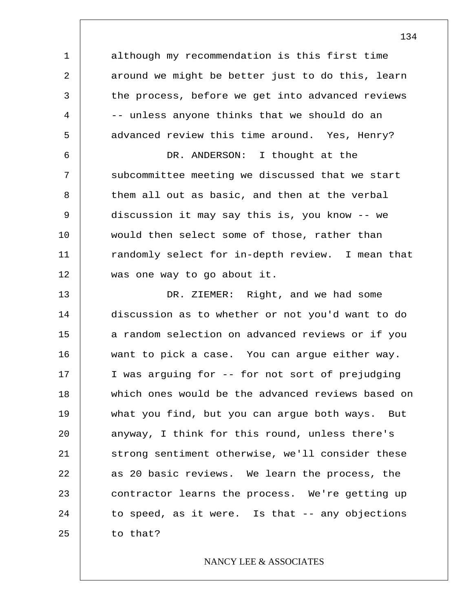although my recommendation is this first time around we might be better just to do this, learn the process, before we get into advanced reviews -- unless anyone thinks that we should do an advanced review this time around. Yes, Henry?

1

2

3

4

5

6 7 8 9 10 11 12 DR. ANDERSON: I thought at the subcommittee meeting we discussed that we start them all out as basic, and then at the verbal discussion it may say this is, you know -- we would then select some of those, rather than randomly select for in-depth review. I mean that was one way to go about it.

13 14 15 16 17 18 19 20 21 22 23 24 25 DR. ZIEMER: Right, and we had some discussion as to whether or not you'd want to do a random selection on advanced reviews or if you want to pick a case. You can argue either way. I was arguing for -- for not sort of prejudging which ones would be the advanced reviews based on what you find, but you can argue both ways. But anyway, I think for this round, unless there's strong sentiment otherwise, we'll consider these as 20 basic reviews. We learn the process, the contractor learns the process. We're getting up to speed, as it were. Is that -- any objections to that?

#### NANCY LEE & ASSOCIATES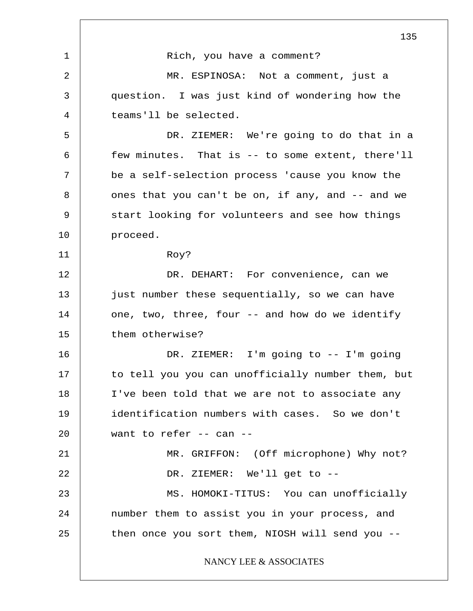1 2 3 4 5 6 7 8 9 10 11 12 13 14 15 16 17 18 19 20 21 22 23 24 25 135 Rich, you have a comment? MR. ESPINOSA: Not a comment, just a question. I was just kind of wondering how the teams'll be selected. DR. ZIEMER: We're going to do that in a few minutes. That is -- to some extent, there'll be a self-selection process 'cause you know the ones that you can't be on, if any, and -- and we start looking for volunteers and see how things proceed. Roy? DR. DEHART: For convenience, can we just number these sequentially, so we can have one, two, three, four -- and how do we identify them otherwise? DR. ZIEMER: I'm going to -- I'm going to tell you you can unofficially number them, but I've been told that we are not to associate any identification numbers with cases. So we don't want to refer -- can -- MR. GRIFFON: (Off microphone) Why not? DR. ZIEMER: We'll get to -- MS. HOMOKI-TITUS: You can unofficially number them to assist you in your process, and then once you sort them, NIOSH will send you -- NANCY LEE & ASSOCIATES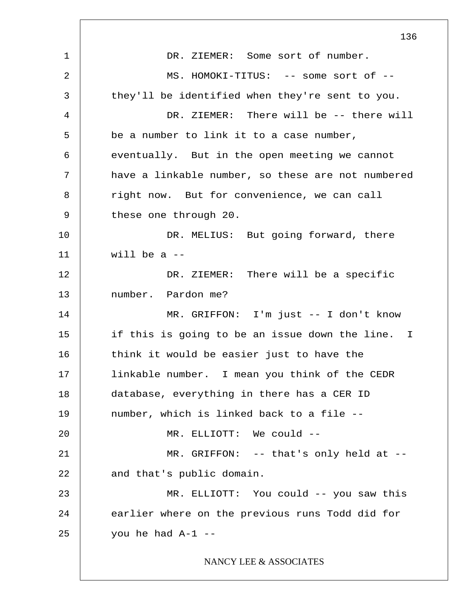1 2 3 4 5 6 7 8 9 10 11 12 13 14 15 16 17 18 19 20 21 22 23 24 25 136 DR. ZIEMER: Some sort of number. MS. HOMOKI-TITUS: -- some sort of -they'll be identified when they're sent to you. DR. ZIEMER: There will be -- there will be a number to link it to a case number, eventually. But in the open meeting we cannot have a linkable number, so these are not numbered right now. But for convenience, we can call these one through 20. DR. MELIUS: But going forward, there will be a  $-$ DR. ZIEMER: There will be a specific number. Pardon me? MR. GRIFFON: I'm just -- I don't know if this is going to be an issue down the line. I think it would be easier just to have the linkable number. I mean you think of the CEDR database, everything in there has a CER ID number, which is linked back to a file -- MR. ELLIOTT: We could -- MR. GRIFFON: -- that's only held at -and that's public domain. MR. ELLIOTT: You could -- you saw this earlier where on the previous runs Todd did for you he had  $A-1$  --NANCY LEE & ASSOCIATES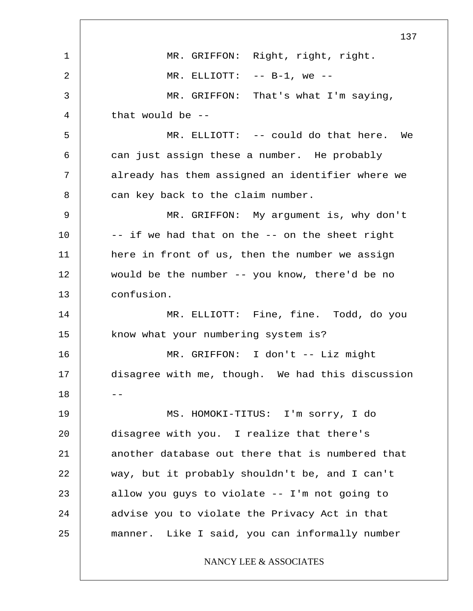1 2 3 4 5 6 7 8 9 10 11 12 13 14 15 16 17  $18$   $-$ 19 20 21 22 23 24 25 137 MR. GRIFFON: Right, right, right.  $MR.$  ELLIOTT:  $--$  B-1, we  $--$ MR. GRIFFON: That's what I'm saying, that would be -- MR. ELLIOTT: -- could do that here. We can just assign these a number. He probably already has them assigned an identifier where we can key back to the claim number. MR. GRIFFON: My argument is, why don't -- if we had that on the -- on the sheet right here in front of us, then the number we assign would be the number -- you know, there'd be no confusion. MR. ELLIOTT: Fine, fine. Todd, do you know what your numbering system is? MR. GRIFFON: I don't -- Liz might disagree with me, though. We had this discussion MS. HOMOKI-TITUS: I'm sorry, I do disagree with you. I realize that there's another database out there that is numbered that way, but it probably shouldn't be, and I can't allow you guys to violate -- I'm not going to advise you to violate the Privacy Act in that manner. Like I said, you can informally number NANCY LEE & ASSOCIATES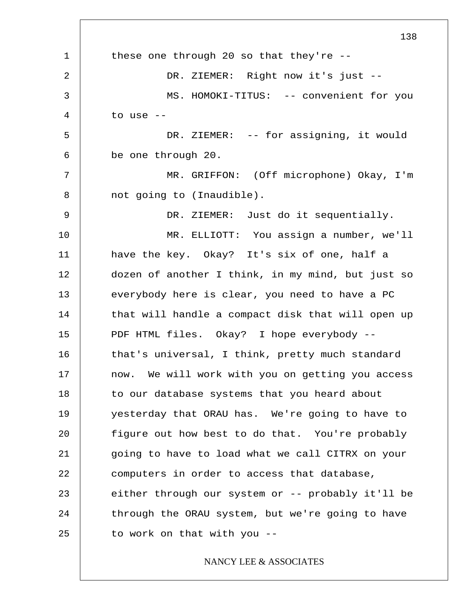1 2 3 4 5 6 7 8 9 10 11 12 13 14 15 16 17 18 19 20 21 22 23 24 25 138 these one through 20 so that they're -- DR. ZIEMER: Right now it's just -- MS. HOMOKI-TITUS: -- convenient for you to use -- DR. ZIEMER: -- for assigning, it would be one through 20. MR. GRIFFON: (Off microphone) Okay, I'm not going to (Inaudible). DR. ZIEMER: Just do it sequentially. MR. ELLIOTT: You assign a number, we'll have the key. Okay? It's six of one, half a dozen of another I think, in my mind, but just so everybody here is clear, you need to have a PC that will handle a compact disk that will open up PDF HTML files. Okay? I hope everybody - that's universal, I think, pretty much standard now. We will work with you on getting you access to our database systems that you heard about yesterday that ORAU has. We're going to have to figure out how best to do that. You're probably going to have to load what we call CITRX on your computers in order to access that database, either through our system or -- probably it'll be through the ORAU system, but we're going to have to work on that with you --

# NANCY LEE & ASSOCIATES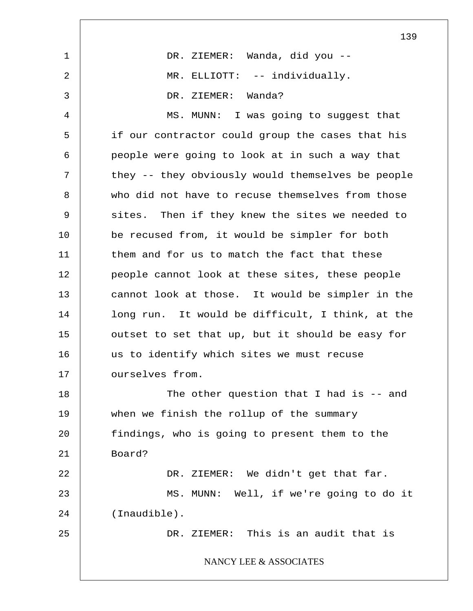|                | 139                                               |
|----------------|---------------------------------------------------|
| $\mathbf 1$    | DR. ZIEMER: Wanda, did you --                     |
| $\overline{2}$ | MR. ELLIOTT: -- individually.                     |
| 3              | DR. ZIEMER: Wanda?                                |
| 4              | MS. MUNN: I was going to suggest that             |
| 5              | if our contractor could group the cases that his  |
| 6              | people were going to look at in such a way that   |
| 7              | they -- they obviously would themselves be people |
| 8              | who did not have to recuse themselves from those  |
| 9              | sites. Then if they knew the sites we needed to   |
| 10             | be recused from, it would be simpler for both     |
| 11             | them and for us to match the fact that these      |
| 12             | people cannot look at these sites, these people   |
| 13             | cannot look at those. It would be simpler in the  |
| 14             | long run. It would be difficult, I think, at the  |
| 15             | outset to set that up, but it should be easy for  |
| 16             | us to identify which sites we must recuse         |
| 17             | ourselves from.                                   |
| 18             | The other question that I had is $-$ and          |
| 19             | when we finish the rollup of the summary          |
| 20             | findings, who is going to present them to the     |
| 21             | Board?                                            |
| 22             | DR. ZIEMER: We didn't get that far.               |
| 23             | MS. MUNN: Well, if we're going to do it           |
| 24             | $(Inaudible)$ .                                   |
| 25             | DR. ZIEMER: This is an audit that is              |
|                | NANCY LEE & ASSOCIATES                            |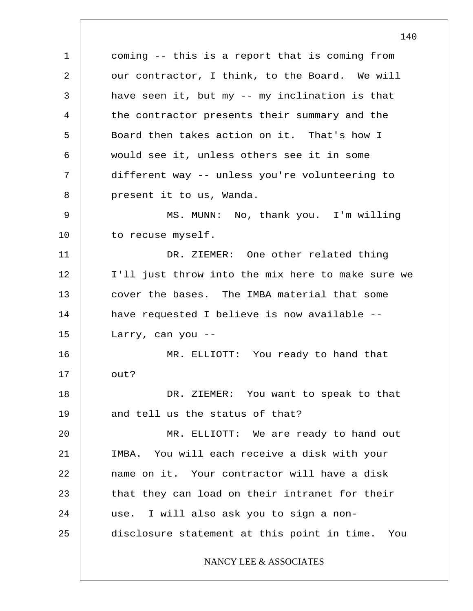1 2 3 4 5 6 7 8 9 10 11 12 13 14 15 16 17 18 19 20 21 22 23 24 25 coming -- this is a report that is coming from our contractor, I think, to the Board. We will have seen it, but my -- my inclination is that the contractor presents their summary and the Board then takes action on it. That's how I would see it, unless others see it in some different way -- unless you're volunteering to present it to us, Wanda. MS. MUNN: No, thank you. I'm willing to recuse myself. DR. ZIEMER: One other related thing I'll just throw into the mix here to make sure we cover the bases. The IMBA material that some have requested I believe is now available -- Larry, can you -- MR. ELLIOTT: You ready to hand that out? DR. ZIEMER: You want to speak to that and tell us the status of that? MR. ELLIOTT: We are ready to hand out IMBA. You will each receive a disk with your name on it. Your contractor will have a disk that they can load on their intranet for their use. I will also ask you to sign a nondisclosure statement at this point in time. You NANCY LEE & ASSOCIATES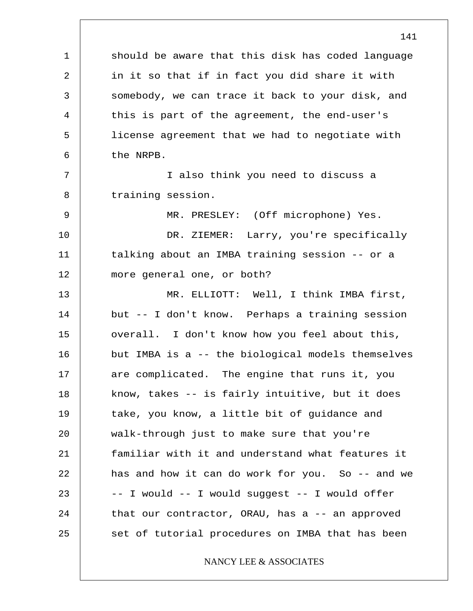1 2 3 4 5 6 7 8 9 10 11 12 13 14 15 16 17 18 19 20 21 22 23 24 25 should be aware that this disk has coded language in it so that if in fact you did share it with somebody, we can trace it back to your disk, and this is part of the agreement, the end-user's license agreement that we had to negotiate with the NRPB. I also think you need to discuss a training session. MR. PRESLEY: (Off microphone) Yes. DR. ZIEMER: Larry, you're specifically talking about an IMBA training session -- or a more general one, or both? MR. ELLIOTT: Well, I think IMBA first, but -- I don't know. Perhaps a training session overall. I don't know how you feel about this, but IMBA is a -- the biological models themselves are complicated. The engine that runs it, you know, takes -- is fairly intuitive, but it does take, you know, a little bit of guidance and walk-through just to make sure that you're familiar with it and understand what features it has and how it can do work for you. So -- and we -- I would -- I would suggest -- I would offer that our contractor, ORAU, has a  $-$  an approved set of tutorial procedures on IMBA that has been NANCY LEE & ASSOCIATES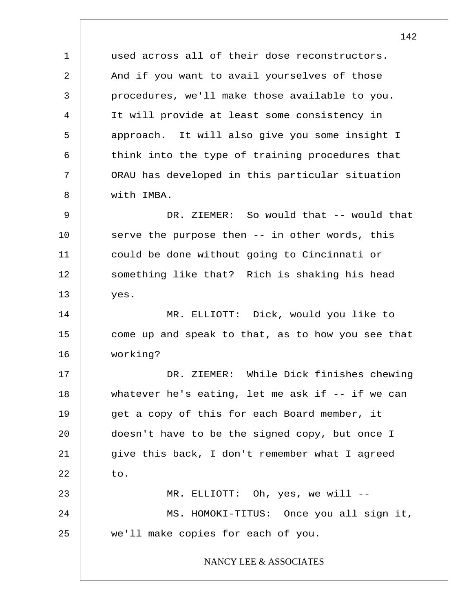1 4 7 10 11 used across all of their dose reconstructors. And if you want to avail yourselves of those procedures, we'll make those available to you. It will provide at least some consistency in approach. It will also give you some insight I think into the type of training procedures that ORAU has developed in this particular situation with IMBA. DR. ZIEMER: So would that -- would that serve the purpose then -- in other words, this could be done without going to Cincinnati or

something like that? Rich is shaking his head yes.

14 15 16 MR. ELLIOTT: Dick, would you like to come up and speak to that, as to how you see that working?

17 18 19 20 21 22 23 24 DR. ZIEMER: While Dick finishes chewing whatever he's eating, let me ask if  $-$ - if we can get a copy of this for each Board member, it doesn't have to be the signed copy, but once I give this back, I don't remember what I agreed to. MR. ELLIOTT: Oh, yes, we will --MS. HOMOKI-TITUS: Once you all sign it,

we'll make copies for each of you.

25

2

3

5

6

8

9

12

13

#### NANCY LEE & ASSOCIATES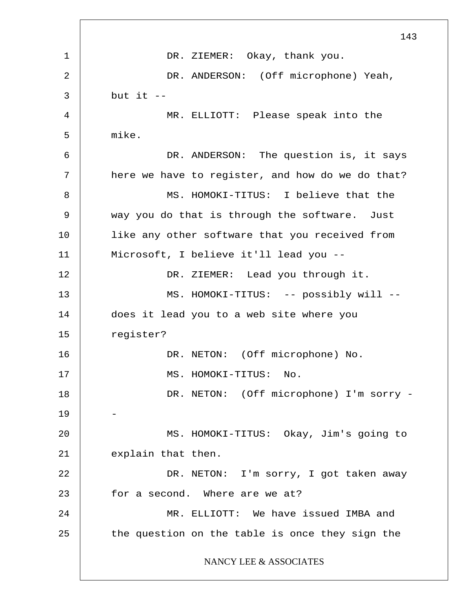1 2 3 4 5 6 7 8 9 10 11 12 13 14 15 16 17 18 19 20 21 22 23 24 25 143 DR. ZIEMER: Okay, thank you. DR. ANDERSON: (Off microphone) Yeah, but it  $-$ MR. ELLIOTT: Please speak into the mike. DR. ANDERSON: The question is, it says here we have to register, and how do we do that? MS. HOMOKI-TITUS: I believe that the way you do that is through the software. Just like any other software that you received from Microsoft, I believe it'll lead you -- DR. ZIEMER: Lead you through it. MS. HOMOKI-TITUS: -- possibly will -does it lead you to a web site where you register? DR. NETON: (Off microphone) No. MS. HOMOKI-TITUS: No. DR. NETON: (Off microphone) I'm sorry - - MS. HOMOKI-TITUS: Okay, Jim's going to explain that then. DR. NETON: I'm sorry, I got taken away for a second. Where are we at? MR. ELLIOTT: We have issued IMBA and the question on the table is once they sign the NANCY LEE & ASSOCIATES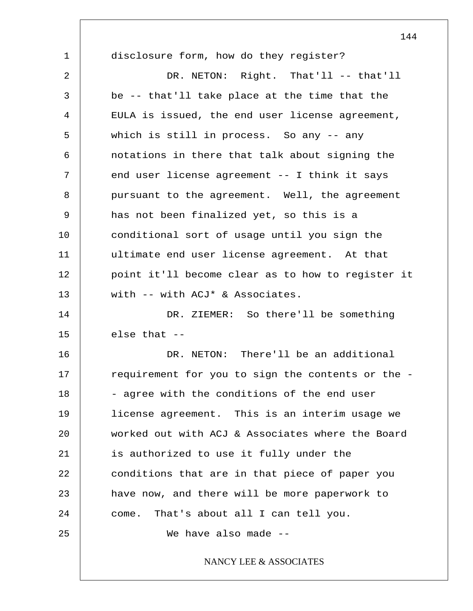1 2 3 4 5 6 7 8 9 10 11 12 13 14 15 16 17 18 19 20 21 22 23 24 25 disclosure form, how do they register? DR. NETON: Right. That'll -- that'll be -- that'll take place at the time that the EULA is issued, the end user license agreement, which is still in process. So any -- any notations in there that talk about signing the end user license agreement -- I think it says pursuant to the agreement. Well, the agreement has not been finalized yet, so this is a conditional sort of usage until you sign the ultimate end user license agreement. At that point it'll become clear as to how to register it with -- with ACJ\* & Associates. DR. ZIEMER: So there'll be something else that -- DR. NETON: There'll be an additional requirement for you to sign the contents or the - - agree with the conditions of the end user license agreement. This is an interim usage we worked out with ACJ & Associates where the Board is authorized to use it fully under the conditions that are in that piece of paper you have now, and there will be more paperwork to come. That's about all I can tell you. We have also made --NANCY LEE & ASSOCIATES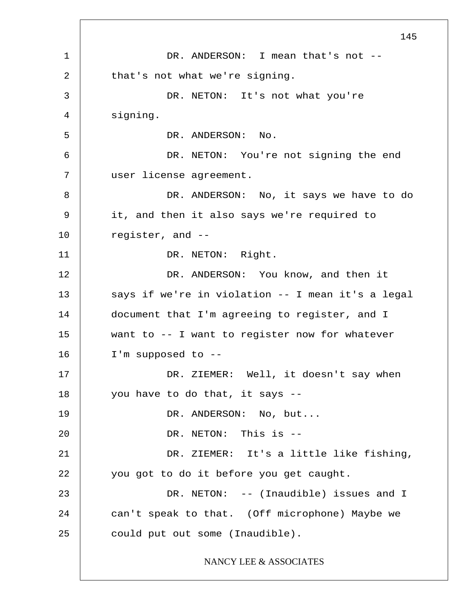1 2 3 4 5 6 7 8 9 10 11 12 13 14 15 16 17 18 19 20 21 22 23 24 25 145 DR. ANDERSON: I mean that's not -that's not what we're signing. DR. NETON: It's not what you're signing. DR. ANDERSON: No. DR. NETON: You're not signing the end user license agreement. DR. ANDERSON: No, it says we have to do it, and then it also says we're required to register, and -- DR. NETON: Right. DR. ANDERSON: You know, and then it says if we're in violation -- I mean it's a legal document that I'm agreeing to register, and I want to -- I want to register now for whatever I'm supposed to -- DR. ZIEMER: Well, it doesn't say when you have to do that, it says -- DR. ANDERSON: No, but... DR. NETON: This is -- DR. ZIEMER: It's a little like fishing, you got to do it before you get caught. DR. NETON: -- (Inaudible) issues and I can't speak to that. (Off microphone) Maybe we could put out some (Inaudible). NANCY LEE & ASSOCIATES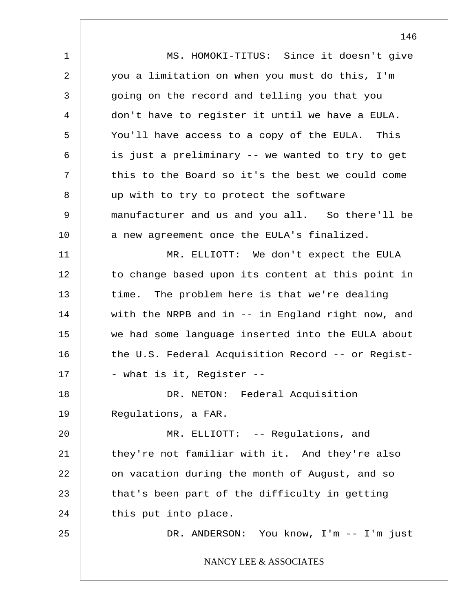1 2 3 4 5 6 7 8 9 10 11 12 13 14 15 16 17 18 19 20 21 22 23 24 25 MS. HOMOKI-TITUS: Since it doesn't give you a limitation on when you must do this, I'm going on the record and telling you that you don't have to register it until we have a EULA. You'll have access to a copy of the EULA. This is just a preliminary -- we wanted to try to get this to the Board so it's the best we could come up with to try to protect the software manufacturer and us and you all. So there'll be a new agreement once the EULA's finalized. MR. ELLIOTT: We don't expect the EULA to change based upon its content at this point in time. The problem here is that we're dealing with the NRPB and in -- in England right now, and we had some language inserted into the EULA about the U.S. Federal Acquisition Record -- or Regist- - what is it, Register -- DR. NETON: Federal Acquisition Regulations, a FAR. MR. ELLIOTT: -- Regulations, and they're not familiar with it. And they're also on vacation during the month of August, and so that's been part of the difficulty in getting this put into place. DR. ANDERSON: You know, I'm -- I'm just NANCY LEE & ASSOCIATES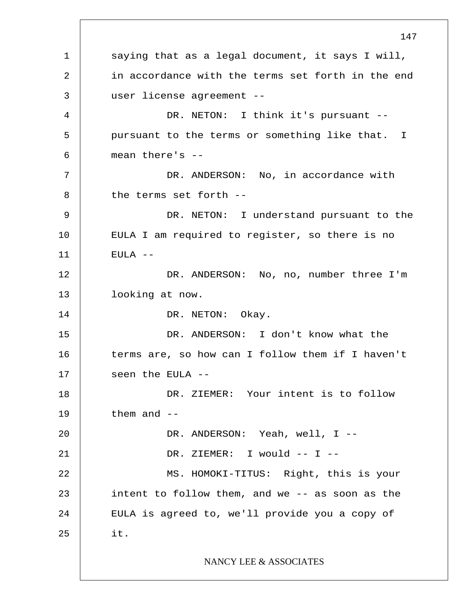1 2 3 4 5 6 7 8 9 10 11 12 13 14 15 16 17 18 19 20 21 22 23 24 25 147 I saying that as a legal document, it says I will, in accordance with the terms set forth in the end user license agreement -- DR. NETON: I think it's pursuant -pursuant to the terms or something like that. mean there's -- DR. ANDERSON: No, in accordance with the terms set forth -- DR. NETON: I understand pursuant to the EULA I am required to register, so there is no EULA -- DR. ANDERSON: No, no, number three I'm looking at now. DR. NETON: Okay. DR. ANDERSON: I don't know what the terms are, so how can I follow them if I haven't seen the EULA -- DR. ZIEMER: Your intent is to follow them and -- DR. ANDERSON: Yeah, well, I -- DR. ZIEMER: I would -- I -- MS. HOMOKI-TITUS: Right, this is your intent to follow them, and we -- as soon as the EULA is agreed to, we'll provide you a copy of it. NANCY LEE & ASSOCIATES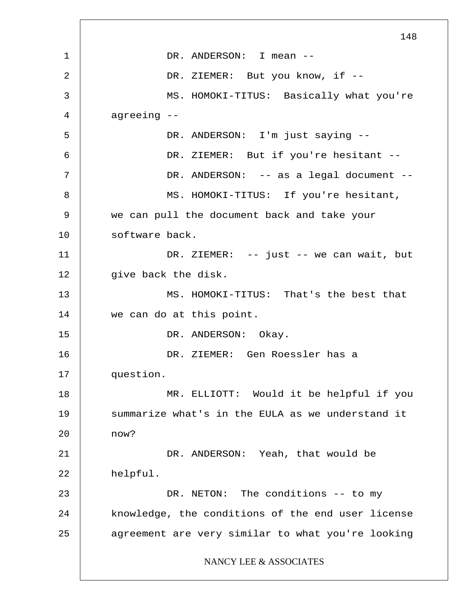1 2 3 4 5 6 7 8 9 10 11 12 13 14 15 16 17 18 19 20 21 22 23 24 25 148 DR. ANDERSON: I mean --DR. ZIEMER: But you know, if --MS. HOMOKI-TITUS: Basically what you're agreeing -- DR. ANDERSON: I'm just saying -- DR. ZIEMER: But if you're hesitant --DR. ANDERSON: -- as a legal document --MS. HOMOKI-TITUS: If you're hesitant, we can pull the document back and take your software back. DR. ZIEMER: -- just -- we can wait, but give back the disk. MS. HOMOKI-TITUS: That's the best that we can do at this point. DR. ANDERSON: Okay. DR. ZIEMER: Gen Roessler has a question. MR. ELLIOTT: Would it be helpful if you summarize what's in the EULA as we understand it now? DR. ANDERSON: Yeah, that would be helpful. DR. NETON: The conditions -- to my knowledge, the conditions of the end user license agreement are very similar to what you're looking NANCY LEE & ASSOCIATES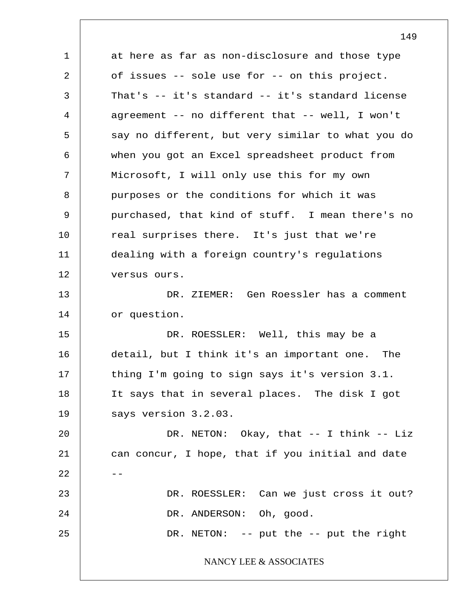1 2 3 4 5 6 7 8 9 10 11 12 13 14 15 16 17 18 19 20 21  $22$   $-$ 23 24 25 at here as far as non-disclosure and those type of issues -- sole use for -- on this project. That's -- it's standard -- it's standard license agreement -- no different that -- well, I won't say no different, but very similar to what you do when you got an Excel spreadsheet product from Microsoft, I will only use this for my own purposes or the conditions for which it was purchased, that kind of stuff. I mean there's no real surprises there. It's just that we're dealing with a foreign country's regulations versus ours. DR. ZIEMER: Gen Roessler has a comment or question. DR. ROESSLER: Well, this may be a detail, but I think it's an important one. The thing I'm going to sign says it's version 3.1. It says that in several places. The disk I got says version 3.2.03. DR. NETON: Okay, that -- I think -- Liz can concur, I hope, that if you initial and date DR. ROESSLER: Can we just cross it out? DR. ANDERSON: Oh, good. DR. NETON: -- put the -- put the right NANCY LEE & ASSOCIATES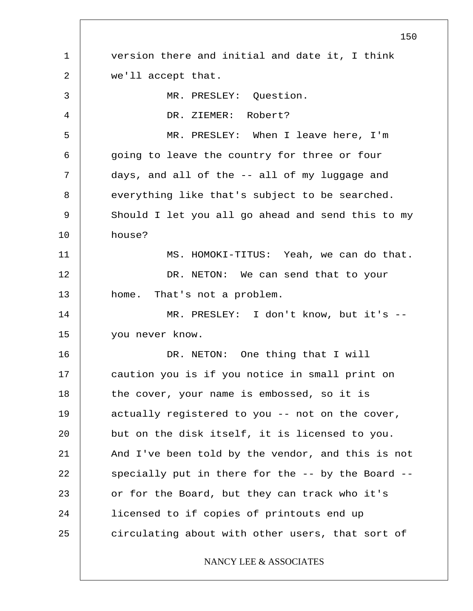1 2 3 4 5 6 7 8 9 10 11 12 13 14 15 16 17 18 19 20 21 22 23 24 25 150 version there and initial and date it, I think we'll accept that. MR. PRESLEY: Question. DR. ZIEMER: Robert? MR. PRESLEY: When I leave here, I'm going to leave the country for three or four days, and all of the -- all of my luggage and everything like that's subject to be searched. Should I let you all go ahead and send this to my house? MS. HOMOKI-TITUS: Yeah, we can do that. DR. NETON: We can send that to your home. That's not a problem. MR. PRESLEY: I don't know, but it's - you never know. DR. NETON: One thing that I will caution you is if you notice in small print on the cover, your name is embossed, so it is actually registered to you -- not on the cover, but on the disk itself, it is licensed to you. And I've been told by the vendor, and this is not specially put in there for the -- by the Board - or for the Board, but they can track who it's licensed to if copies of printouts end up circulating about with other users, that sort of NANCY LEE & ASSOCIATES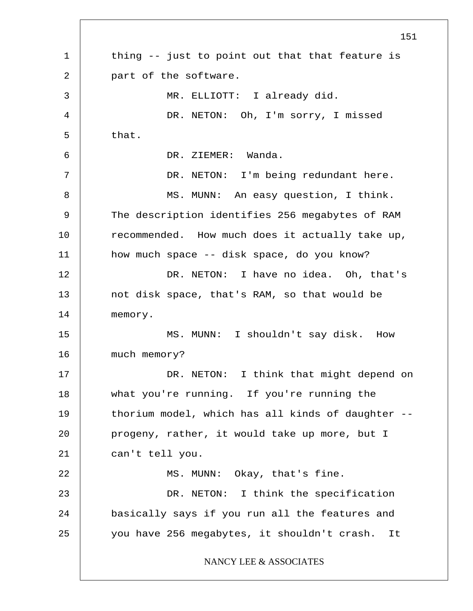1 2 3 4 5 6 7 8 9 10 11 12 13 14 15 16 17 18 19 20 21 22 23 24 25 151 thing -- just to point out that that feature is part of the software. MR. ELLIOTT: I already did. DR. NETON: Oh, I'm sorry, I missed that. DR. ZIEMER: Wanda. DR. NETON: I'm being redundant here. MS. MUNN: An easy question, I think. The description identifies 256 megabytes of RAM recommended. How much does it actually take up, how much space -- disk space, do you know? DR. NETON: I have no idea. Oh, that's not disk space, that's RAM, so that would be memory. MS. MUNN: I shouldn't say disk. How much memory? DR. NETON: I think that might depend on what you're running. If you're running the thorium model, which has all kinds of daughter - progeny, rather, it would take up more, but I can't tell you. MS. MUNN: Okay, that's fine. DR. NETON: I think the specification basically says if you run all the features and you have 256 megabytes, it shouldn't crash. It NANCY LEE & ASSOCIATES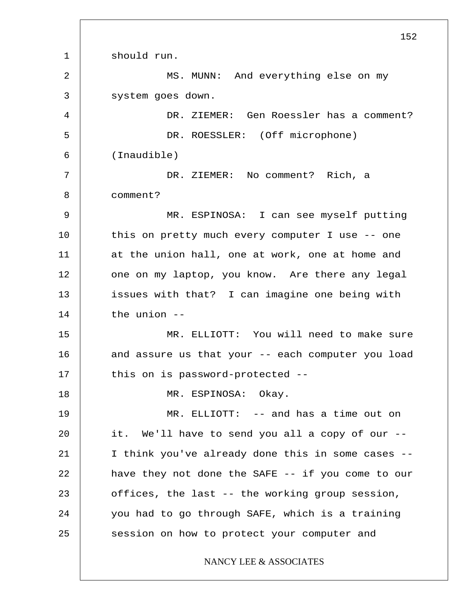1 2 3 4 5 6 7 8 9 10 11 12 13 14 15 16 17 18 19 20 21 22 23 24 25 152 should run. MS. MUNN: And everything else on my system goes down. DR. ZIEMER: Gen Roessler has a comment? DR. ROESSLER: (Off microphone) (Inaudible) DR. ZIEMER: No comment? Rich, a comment? MR. ESPINOSA: I can see myself putting this on pretty much every computer I use -- one at the union hall, one at work, one at home and one on my laptop, you know. Are there any legal issues with that? I can imagine one being with the union -- MR. ELLIOTT: You will need to make sure and assure us that your -- each computer you load this on is password-protected -- MR. ESPINOSA: Okay. MR. ELLIOTT: -- and has a time out on it. We'll have to send you all a copy of our -- I think you've already done this in some cases - have they not done the SAFE -- if you come to our offices, the last -- the working group session, you had to go through SAFE, which is a training session on how to protect your computer and NANCY LEE & ASSOCIATES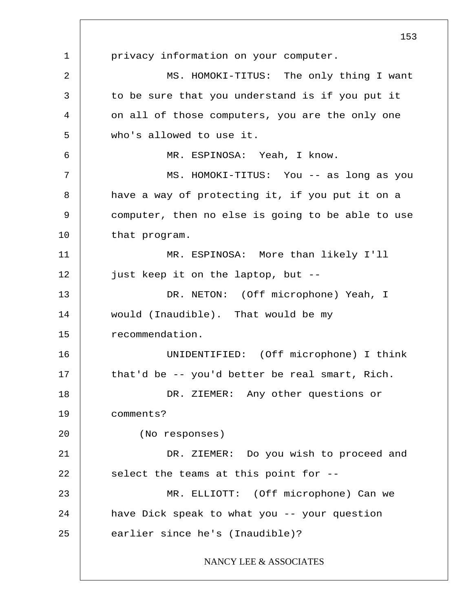1 2 3 4 5 6 7 8 9 10 11 12 13 14 15 16 17 18 19 20 21 22 23 24 25 153 privacy information on your computer. MS. HOMOKI-TITUS: The only thing I want to be sure that you understand is if you put it on all of those computers, you are the only one who's allowed to use it. MR. ESPINOSA: Yeah, I know. MS. HOMOKI-TITUS: You -- as long as you have a way of protecting it, if you put it on a computer, then no else is going to be able to use that program. MR. ESPINOSA: More than likely I'll just keep it on the laptop, but -- DR. NETON: (Off microphone) Yeah, I would (Inaudible). That would be my recommendation. UNIDENTIFIED: (Off microphone) I think that'd be -- you'd better be real smart, Rich. DR. ZIEMER: Any other questions or comments? (No responses) DR. ZIEMER: Do you wish to proceed and select the teams at this point for -- MR. ELLIOTT: (Off microphone) Can we have Dick speak to what you -- your question earlier since he's (Inaudible)? NANCY LEE & ASSOCIATES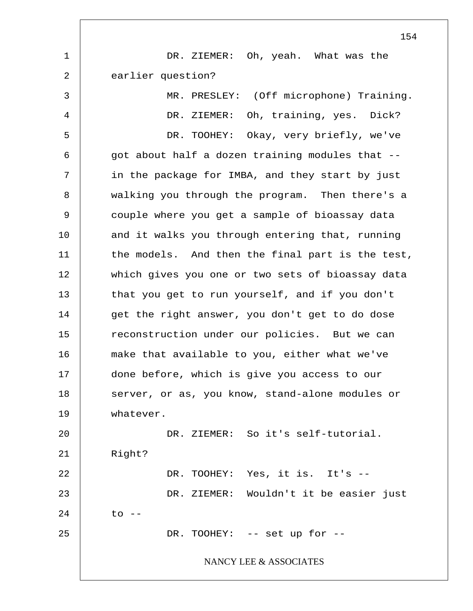|                | 154                                              |
|----------------|--------------------------------------------------|
| $\mathbf 1$    | Oh, yeah. What was the<br>DR. ZIEMER:            |
| $\overline{2}$ | earlier question?                                |
| 3              | MR. PRESLEY: (Off microphone) Training.          |
| 4              | Oh, training, yes. Dick?<br>DR. ZIEMER:          |
| 5              | DR. TOOHEY: Okay, very briefly, we've            |
| 6              | got about half a dozen training modules that --  |
| 7              | in the package for IMBA, and they start by just  |
| 8              | walking you through the program. Then there's a  |
| 9              | couple where you get a sample of bioassay data   |
| 10             | and it walks you through entering that, running  |
| 11             | the models. And then the final part is the test, |
| 12             | which gives you one or two sets of bioassay data |
| 13             | that you get to run yourself, and if you don't   |
| 14             | get the right answer, you don't get to do dose   |
| 15             | reconstruction under our policies. But we can    |
| 16             | make that available to you, either what we've    |
| 17             | done before, which is give you access to our     |
| 18             | server, or as, you know, stand-alone modules or  |
| 19             | whatever.                                        |
| 20             | DR. ZIEMER: So it's self-tutorial.               |
| 21             | Right?                                           |
| 22             | DR. TOOHEY: Yes, it is. It's --                  |
| 23             | DR. ZIEMER: Wouldn't it be easier just           |
| 24             | $\circ$ $\circ$ $\circ$ $\circ$                  |
| 25             | DR. TOOHEY: -- set up for --                     |
|                | NANCY LEE & ASSOCIATES                           |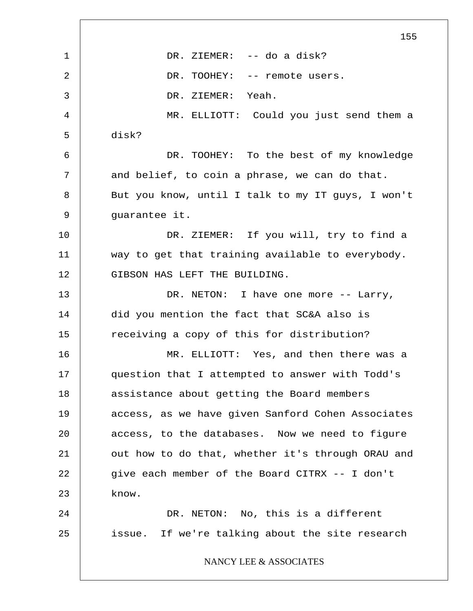1 2 3 4 5 6 7 8 9 10 11 12 13 14 15 16 17 18 19 20 21 22 23 24 25 155 DR. ZIEMER: -- do a disk? DR. TOOHEY: -- remote users. DR. ZIEMER: Yeah. MR. ELLIOTT: Could you just send them a disk? DR. TOOHEY: To the best of my knowledge and belief, to coin a phrase, we can do that. But you know, until I talk to my IT guys, I won't guarantee it. DR. ZIEMER: If you will, try to find a way to get that training available to everybody. GIBSON HAS LEFT THE BUILDING. DR. NETON: I have one more -- Larry, did you mention the fact that SC&A also is receiving a copy of this for distribution? MR. ELLIOTT: Yes, and then there was a question that I attempted to answer with Todd's assistance about getting the Board members access, as we have given Sanford Cohen Associates access, to the databases. Now we need to figure out how to do that, whether it's through ORAU and give each member of the Board CITRX -- I don't know. DR. NETON: No, this is a different issue. If we're talking about the site research NANCY LEE & ASSOCIATES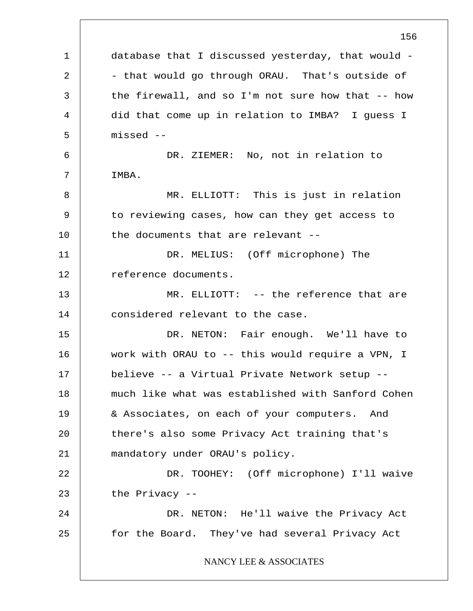1 2 3 4 5 6 7 8 9 10 11 12 13 14 15 16 17 18 19 20 21 22 23 24 25 156 database that I discussed yesterday, that would - - that would go through ORAU. That's outside of the firewall, and so I'm not sure how that -- how did that come up in relation to IMBA? I guess I missed -- DR. ZIEMER: No, not in relation to IMBA. MR. ELLIOTT: This is just in relation to reviewing cases, how can they get access to the documents that are relevant -- DR. MELIUS: (Off microphone) The reference documents. MR. ELLIOTT: -- the reference that are considered relevant to the case. DR. NETON: Fair enough. We'll have to work with ORAU to -- this would require a VPN, I believe -- a Virtual Private Network setup - much like what was established with Sanford Cohen & Associates, on each of your computers. And there's also some Privacy Act training that's mandatory under ORAU's policy. DR. TOOHEY: (Off microphone) I'll waive the Privacy -- DR. NETON: He'll waive the Privacy Act for the Board. They've had several Privacy Act NANCY LEE & ASSOCIATES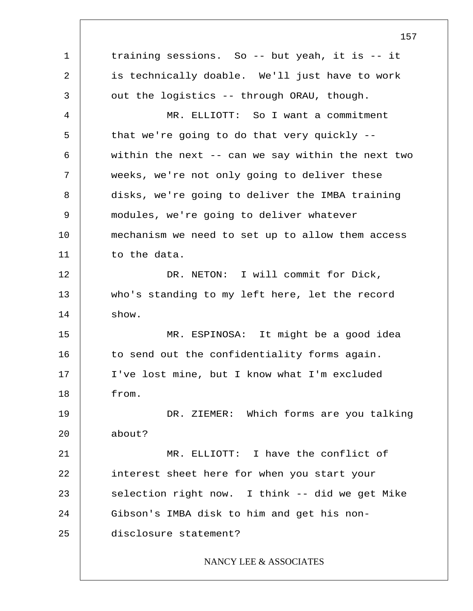1 2 3 4 5 6 7 8 9 10 11 12 13 14 15 16 17 18 19 20 21 22 23 24 25 training sessions. So -- but yeah, it is -- it is technically doable. We'll just have to work out the logistics -- through ORAU, though. MR. ELLIOTT: So I want a commitment that we're going to do that very quickly - within the next -- can we say within the next two weeks, we're not only going to deliver these disks, we're going to deliver the IMBA training modules, we're going to deliver whatever mechanism we need to set up to allow them access to the data. DR. NETON: I will commit for Dick, who's standing to my left here, let the record show. MR. ESPINOSA: It might be a good idea to send out the confidentiality forms again. I've lost mine, but I know what I'm excluded from. DR. ZIEMER: Which forms are you talking about? MR. ELLIOTT: I have the conflict of interest sheet here for when you start your selection right now. I think -- did we get Mike Gibson's IMBA disk to him and get his nondisclosure statement? NANCY LEE & ASSOCIATES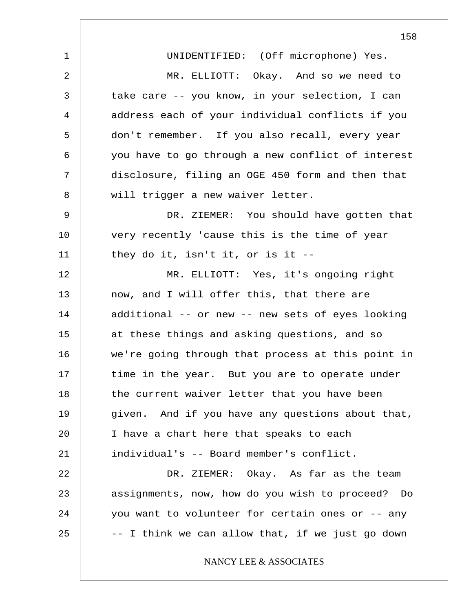1 2 3 4 5 6 7 8 9 10 11 12 13 14 15 16 17 18 19 20 21 22 23 24 25 158 UNIDENTIFIED: (Off microphone) Yes. MR. ELLIOTT: Okay. And so we need to take care -- you know, in your selection, I can address each of your individual conflicts if you don't remember. If you also recall, every year you have to go through a new conflict of interest disclosure, filing an OGE 450 form and then that will trigger a new waiver letter. DR. ZIEMER: You should have gotten that very recently 'cause this is the time of year they do it, isn't it, or is it -- MR. ELLIOTT: Yes, it's ongoing right now, and I will offer this, that there are additional -- or new -- new sets of eyes looking at these things and asking questions, and so we're going through that process at this point in time in the year. But you are to operate under the current waiver letter that you have been given. And if you have any questions about that, I have a chart here that speaks to each individual's -- Board member's conflict. DR. ZIEMER: Okay. As far as the team assignments, now, how do you wish to proceed? Do you want to volunteer for certain ones or -- any -- I think we can allow that, if we just go down NANCY LEE & ASSOCIATES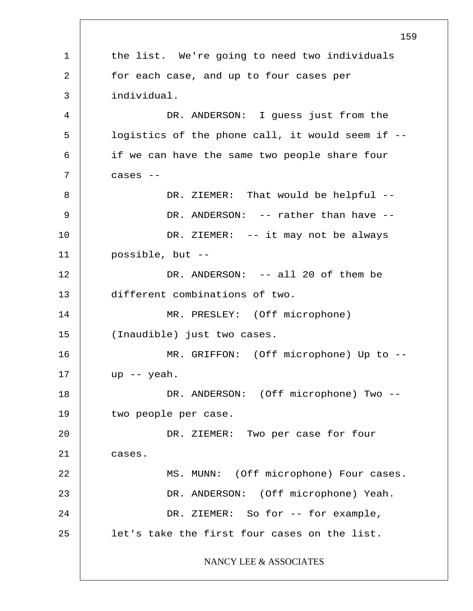1 2 3 4 5 6 7 8 9 10 11 12 13 14 15 16 17 18 19 20 21 22 23 24 25 159 the list. We're going to need two individuals for each case, and up to four cases per individual. DR. ANDERSON: I quess just from the logistics of the phone call, it would seem if - if we can have the same two people share four cases -- DR. ZIEMER: That would be helpful --DR. ANDERSON: -- rather than have --DR. ZIEMER: -- it may not be always possible, but -- DR. ANDERSON: -- all 20 of them be different combinations of two. MR. PRESLEY: (Off microphone) (Inaudible) just two cases. MR. GRIFFON: (Off microphone) Up to - up -- yeah. DR. ANDERSON: (Off microphone) Two -two people per case. DR. ZIEMER: Two per case for four cases. MS. MUNN: (Off microphone) Four cases. DR. ANDERSON: (Off microphone) Yeah. DR. ZIEMER: So for -- for example, let's take the first four cases on the list. NANCY LEE & ASSOCIATES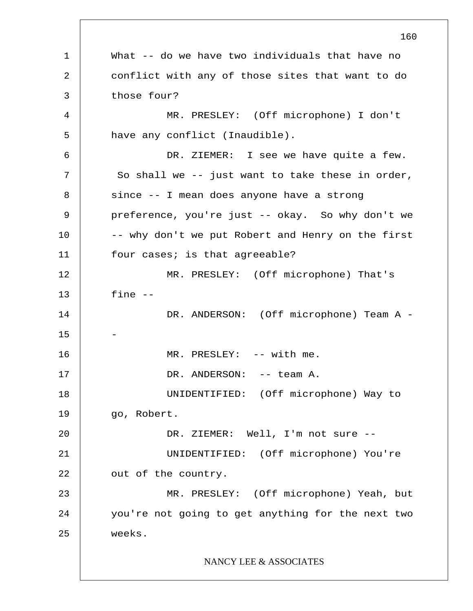1 2 3 4 5 6 7 8 9 10 11 12 13 14 15 16 17 18 19 20 21 22 23 24 25 160 What -- do we have two individuals that have no conflict with any of those sites that want to do those four? MR. PRESLEY: (Off microphone) I don't have any conflict (Inaudible). DR. ZIEMER: I see we have quite a few. So shall we -- just want to take these in order, since -- I mean does anyone have a strong preference, you're just -- okay. So why don't we -- why don't we put Robert and Henry on the first four cases; is that agreeable? MR. PRESLEY: (Off microphone) That's fine -- DR. ANDERSON: (Off microphone) Team A -- MR. PRESLEY: -- with me. DR. ANDERSON: -- team A. UNIDENTIFIED: (Off microphone) Way to go, Robert. DR. ZIEMER: Well, I'm not sure -- UNIDENTIFIED: (Off microphone) You're out of the country. MR. PRESLEY: (Off microphone) Yeah, but you're not going to get anything for the next two weeks. NANCY LEE & ASSOCIATES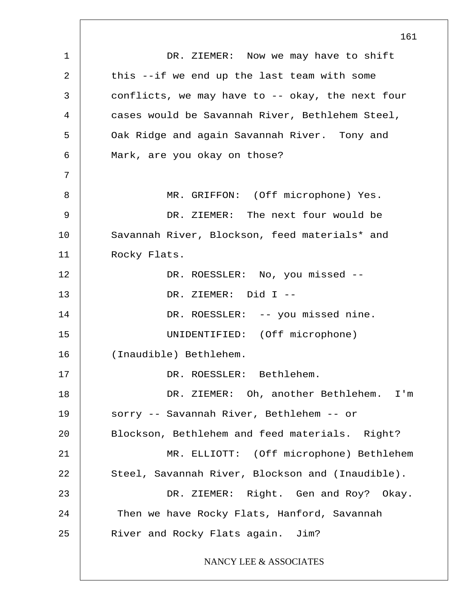1 2 3 4 5 6 7 8 9 10 11 12 13 14 15 16 17 18 19 20 21 22 23 24 25 DR. ZIEMER: Now we may have to shift this --if we end up the last team with some conflicts, we may have to -- okay, the next four cases would be Savannah River, Bethlehem Steel, Oak Ridge and again Savannah River. Tony and Mark, are you okay on those? MR. GRIFFON: (Off microphone) Yes. DR. ZIEMER: The next four would be Savannah River, Blockson, feed materials\* and Rocky Flats. DR. ROESSLER: No, you missed -- DR. ZIEMER: Did I -- DR. ROESSLER: -- you missed nine. UNIDENTIFIED: (Off microphone) (Inaudible) Bethlehem. DR. ROESSLER: Bethlehem. DR. ZIEMER: Oh, another Bethlehem. I'm sorry -- Savannah River, Bethlehem -- or Blockson, Bethlehem and feed materials. Right? MR. ELLIOTT: (Off microphone) Bethlehem Steel, Savannah River, Blockson and (Inaudible). DR. ZIEMER: Right. Gen and Roy? Okay. Then we have Rocky Flats, Hanford, Savannah River and Rocky Flats again. Jim? NANCY LEE & ASSOCIATES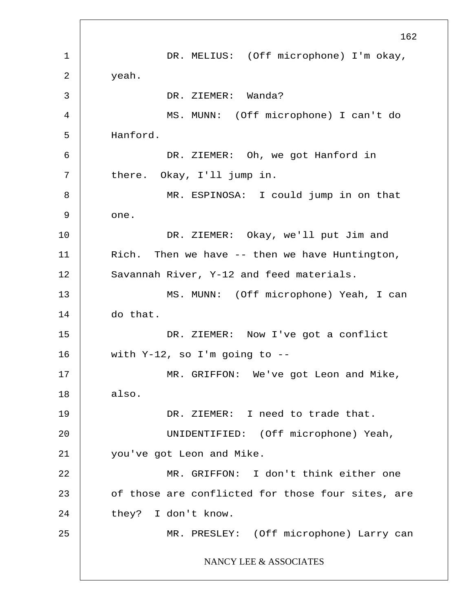1 2 3 4 5 6 7 8 9 10 11 12 13 14 15 16 17 18 19 20 21 22 23 24 25 162 DR. MELIUS: (Off microphone) I'm okay, yeah. DR. ZIEMER: Wanda? MS. MUNN: (Off microphone) I can't do Hanford. DR. ZIEMER: Oh, we got Hanford in there. Okay, I'll jump in. MR. ESPINOSA: I could jump in on that one. DR. ZIEMER: Okay, we'll put Jim and Rich. Then we have -- then we have Huntington, Savannah River, Y-12 and feed materials. MS. MUNN: (Off microphone) Yeah, I can do that. DR. ZIEMER: Now I've got a conflict with Y-12, so I'm going to -- MR. GRIFFON: We've got Leon and Mike, also. DR. ZIEMER: I need to trade that. UNIDENTIFIED: (Off microphone) Yeah, you've got Leon and Mike. MR. GRIFFON: I don't think either one of those are conflicted for those four sites, are they? I don't know. MR. PRESLEY: (Off microphone) Larry can NANCY LEE & ASSOCIATES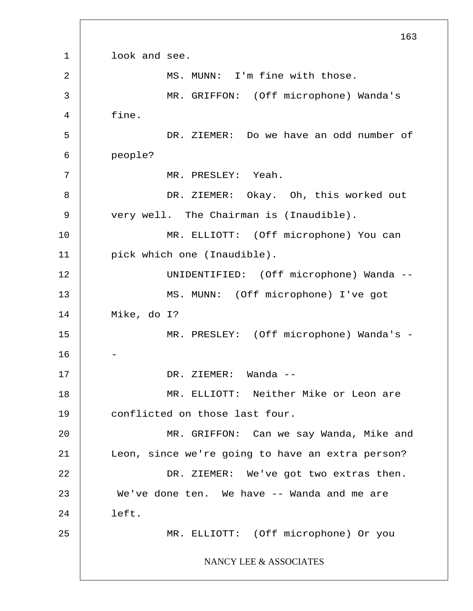1 2 3 4 5 6 7 8 9 10 11 12 13 14 15 16 17 18 19 20 21 22 23 24 25 163 look and see. MS. MUNN: I'm fine with those. MR. GRIFFON: (Off microphone) Wanda's fine. DR. ZIEMER: Do we have an odd number of people? MR. PRESLEY: Yeah. DR. ZIEMER: Okay. Oh, this worked out very well. The Chairman is (Inaudible). MR. ELLIOTT: (Off microphone) You can pick which one (Inaudible). UNIDENTIFIED: (Off microphone) Wanda -- MS. MUNN: (Off microphone) I've got Mike, do I? MR. PRESLEY: (Off microphone) Wanda's -- DR. ZIEMER: Wanda -- MR. ELLIOTT: Neither Mike or Leon are conflicted on those last four. MR. GRIFFON: Can we say Wanda, Mike and Leon, since we're going to have an extra person? DR. ZIEMER: We've got two extras then. We've done ten. We have -- Wanda and me are left. MR. ELLIOTT: (Off microphone) Or you NANCY LEE & ASSOCIATES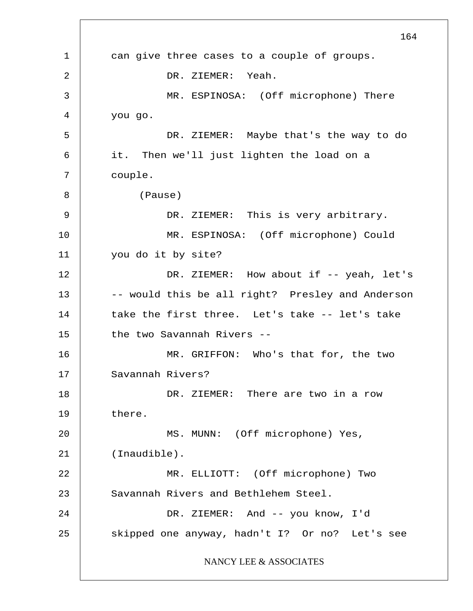1 2 3 4 5 6 7 8 9 10 11 12 13 14 15 16 17 18 19 20 21 22 23 24 25 164 can give three cases to a couple of groups. DR. ZIEMER: Yeah. MR. ESPINOSA: (Off microphone) There you go. DR. ZIEMER: Maybe that's the way to do it. Then we'll just lighten the load on a couple. (Pause) DR. ZIEMER: This is very arbitrary. MR. ESPINOSA: (Off microphone) Could you do it by site? DR. ZIEMER: How about if -- yeah, let's -- would this be all right? Presley and Anderson take the first three. Let's take -- let's take the two Savannah Rivers -- MR. GRIFFON: Who's that for, the two Savannah Rivers? DR. ZIEMER: There are two in a row there. MS. MUNN: (Off microphone) Yes, (Inaudible). MR. ELLIOTT: (Off microphone) Two Savannah Rivers and Bethlehem Steel. DR. ZIEMER: And -- you know, I'd skipped one anyway, hadn't I? Or no? Let's see NANCY LEE & ASSOCIATES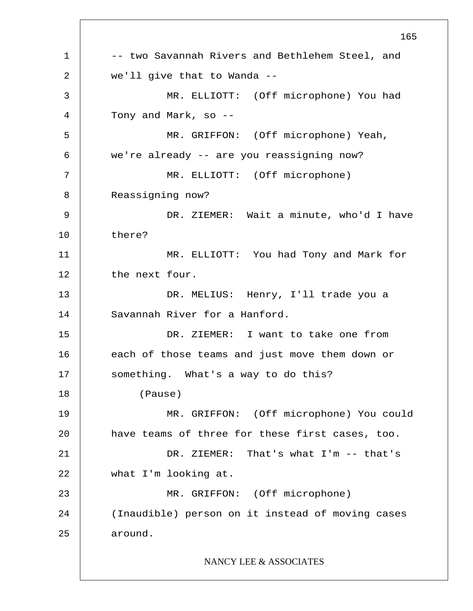1 2 3 4 5 6 7 8 9 10 11 12 13 14 15 16 17 18 19 20 21 22 23 24 25 165 -- two Savannah Rivers and Bethlehem Steel, and we'll give that to Wanda -- MR. ELLIOTT: (Off microphone) You had Tony and Mark, so -- MR. GRIFFON: (Off microphone) Yeah, we're already -- are you reassigning now? MR. ELLIOTT: (Off microphone) Reassigning now? DR. ZIEMER: Wait a minute, who'd I have there? MR. ELLIOTT: You had Tony and Mark for the next four. DR. MELIUS: Henry, I'll trade you a Savannah River for a Hanford. DR. ZIEMER: I want to take one from each of those teams and just move them down or something. What's a way to do this? (Pause) MR. GRIFFON: (Off microphone) You could have teams of three for these first cases, too. DR. ZIEMER: That's what I'm -- that's what I'm looking at. MR. GRIFFON: (Off microphone) (Inaudible) person on it instead of moving cases around. NANCY LEE & ASSOCIATES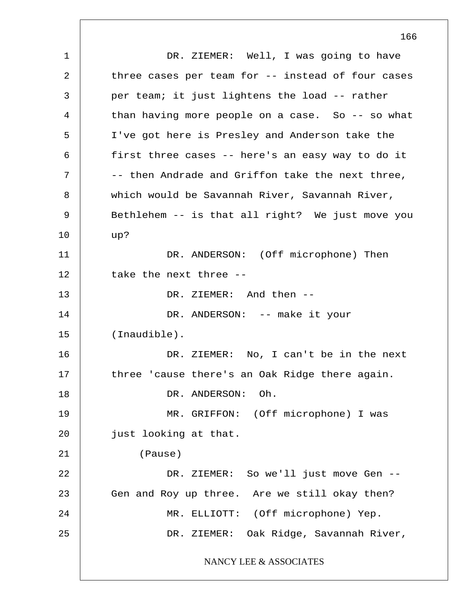1 2 3 4 5 6 7 8 9 10 11 12 13 14 15 16 17 18 19 20 21 22 23 24 25 DR. ZIEMER: Well, I was going to have three cases per team for -- instead of four cases per team; it just lightens the load -- rather than having more people on a case. So -- so what I've got here is Presley and Anderson take the first three cases -- here's an easy way to do it -- then Andrade and Griffon take the next three, which would be Savannah River, Savannah River, Bethlehem -- is that all right? We just move you up? DR. ANDERSON: (Off microphone) Then take the next three -- DR. ZIEMER: And then -- DR. ANDERSON: -- make it your (Inaudible). DR. ZIEMER: No, I can't be in the next three 'cause there's an Oak Ridge there again. DR. ANDERSON: Oh. MR. GRIFFON: (Off microphone) I was just looking at that. (Pause) DR. ZIEMER: So we'll just move Gen --Gen and Roy up three. Are we still okay then? MR. ELLIOTT: (Off microphone) Yep. DR. ZIEMER: Oak Ridge, Savannah River, NANCY LEE & ASSOCIATES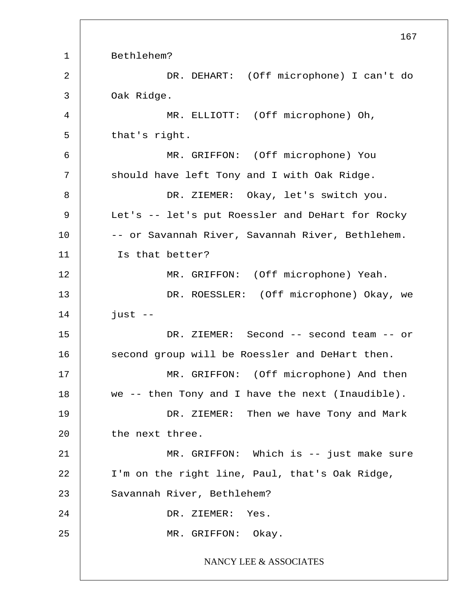1 2 3 4 5 6 7 8 9 10 11 12 13 14 15 16 17 18 19 20 21 22 23 24 25 167 Bethlehem? DR. DEHART: (Off microphone) I can't do Oak Ridge. MR. ELLIOTT: (Off microphone) Oh, that's right. MR. GRIFFON: (Off microphone) You should have left Tony and I with Oak Ridge. DR. ZIEMER: Okay, let's switch you. Let's -- let's put Roessler and DeHart for Rocky -- or Savannah River, Savannah River, Bethlehem. Is that better? MR. GRIFFON: (Off microphone) Yeah. DR. ROESSLER: (Off microphone) Okay, we  $just$   $--$ DR. ZIEMER: Second -- second team -- or second group will be Roessler and DeHart then. MR. GRIFFON: (Off microphone) And then we -- then Tony and I have the next (Inaudible). DR. ZIEMER: Then we have Tony and Mark the next three. MR. GRIFFON: Which is -- just make sure I'm on the right line, Paul, that's Oak Ridge, Savannah River, Bethlehem? DR. ZIEMER: Yes. MR. GRIFFON: Okay. NANCY LEE & ASSOCIATES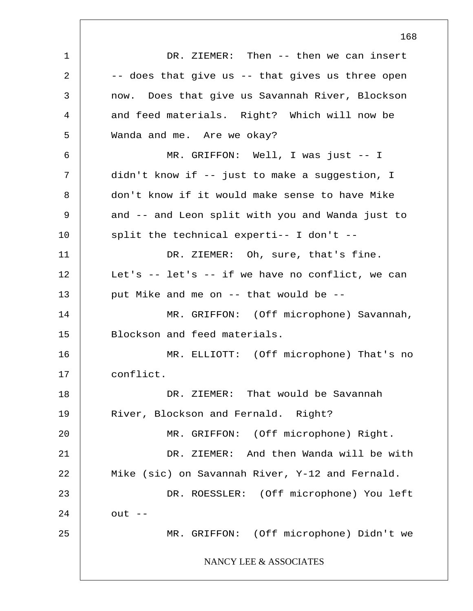1 2 3 4 5 6 7 8 9 10 11 12 13 14 15 16 17 18 19 20 21 22 23 24 25 DR. ZIEMER: Then -- then we can insert -- does that give us -- that gives us three open now. Does that give us Savannah River, Blockson and feed materials. Right? Which will now be Wanda and me. Are we okay? MR. GRIFFON: Well, I was just -- I didn't know if -- just to make a suggestion, I don't know if it would make sense to have Mike and -- and Leon split with you and Wanda just to split the technical experti-- I don't -- DR. ZIEMER: Oh, sure, that's fine. Let's  $--$  let's  $--$  if we have no conflict, we can put Mike and me on -- that would be -- MR. GRIFFON: (Off microphone) Savannah, Blockson and feed materials. MR. ELLIOTT: (Off microphone) That's no conflict. DR. ZIEMER: That would be Savannah River, Blockson and Fernald. Right? MR. GRIFFON: (Off microphone) Right. DR. ZIEMER: And then Wanda will be with Mike (sic) on Savannah River, Y-12 and Fernald. DR. ROESSLER: (Off microphone) You left  $out$   $--$ MR. GRIFFON: (Off microphone) Didn't we NANCY LEE & ASSOCIATES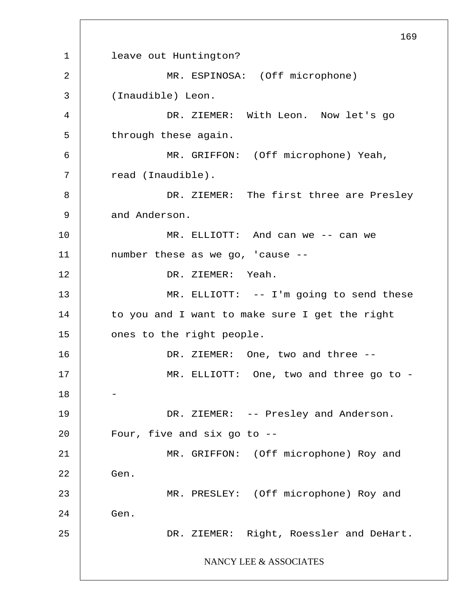1 2 3 4 5 6 7 8 9 10 11 12 13 14 15 16 17 18 19 20 21 22 23 24 25 169 leave out Huntington? MR. ESPINOSA: (Off microphone) (Inaudible) Leon. DR. ZIEMER: With Leon. Now let's go through these again. MR. GRIFFON: (Off microphone) Yeah, read (Inaudible). DR. ZIEMER: The first three are Presley and Anderson. MR. ELLIOTT: And can we -- can we number these as we go, 'cause -- DR. ZIEMER: Yeah. MR. ELLIOTT: -- I'm going to send these to you and I want to make sure I get the right ones to the right people. DR. ZIEMER: One, two and three -- MR. ELLIOTT: One, two and three go to - - DR. ZIEMER: -- Presley and Anderson. Four, five and six go to -- MR. GRIFFON: (Off microphone) Roy and Gen. MR. PRESLEY: (Off microphone) Roy and Gen. DR. ZIEMER: Right, Roessler and DeHart. NANCY LEE & ASSOCIATES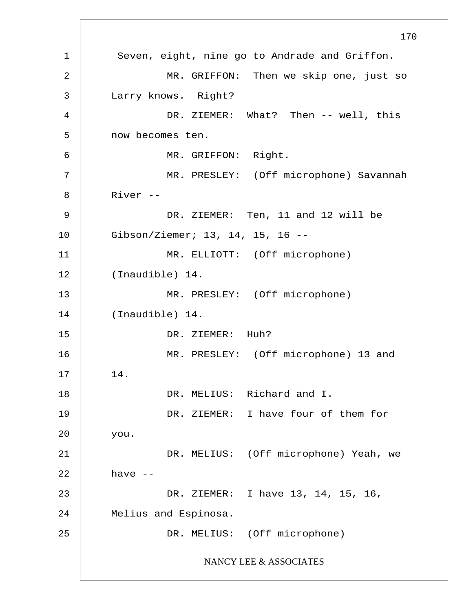1 2 3 4 5 6 7 8 9 10 11 12 13 14 15 16 17 18 19 20 21 22 23 24 25 170 Seven, eight, nine go to Andrade and Griffon. MR. GRIFFON: Then we skip one, just so Larry knows. Right? DR. ZIEMER: What? Then -- well, this now becomes ten. MR. GRIFFON: Right. MR. PRESLEY: (Off microphone) Savannah River -- DR. ZIEMER: Ten, 11 and 12 will be Gibson/Ziemer; 13, 14, 15, 16 -- MR. ELLIOTT: (Off microphone) (Inaudible) 14. MR. PRESLEY: (Off microphone) (Inaudible) 14. DR. ZIEMER: Huh? MR. PRESLEY: (Off microphone) 13 and 14. DR. MELIUS: Richard and I. DR. ZIEMER: I have four of them for you. DR. MELIUS: (Off microphone) Yeah, we have -- DR. ZIEMER: I have 13, 14, 15, 16, Melius and Espinosa. DR. MELIUS: (Off microphone) NANCY LEE & ASSOCIATES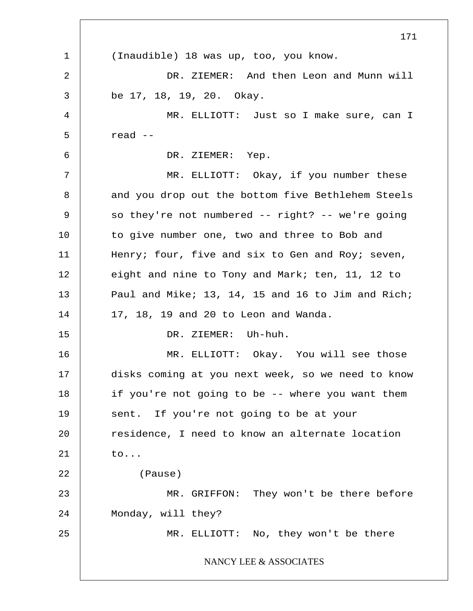1 2 3 4 5 6 7 8 9 10 11 12 13 14 15 16 17 18 19 20 21 22 23 24 25 171 (Inaudible) 18 was up, too, you know. DR. ZIEMER: And then Leon and Munn will be 17, 18, 19, 20. Okay. MR. ELLIOTT: Just so I make sure, can I read -- DR. ZIEMER: Yep. MR. ELLIOTT: Okay, if you number these and you drop out the bottom five Bethlehem Steels so they're not numbered -- right? -- we're going to give number one, two and three to Bob and Henry; four, five and six to Gen and Roy; seven, eight and nine to Tony and Mark; ten, 11, 12 to Paul and Mike; 13, 14, 15 and 16 to Jim and Rich; 17, 18, 19 and 20 to Leon and Wanda. DR. ZIEMER: Uh-huh. MR. ELLIOTT: Okay. You will see those disks coming at you next week, so we need to know if you're not going to be -- where you want them sent. If you're not going to be at your residence, I need to know an alternate location to... (Pause) MR. GRIFFON: They won't be there before Monday, will they? MR. ELLIOTT: No, they won't be there NANCY LEE & ASSOCIATES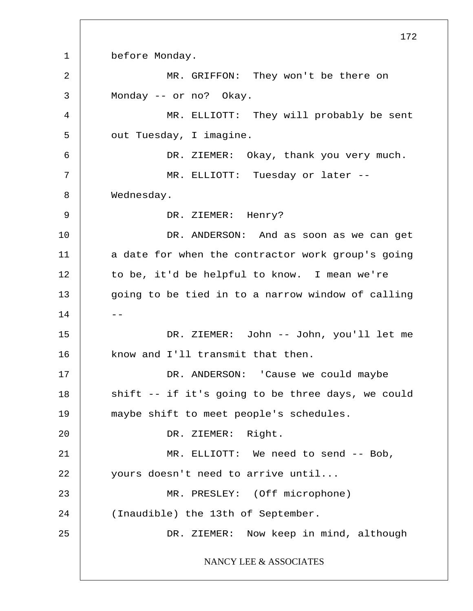1 2 3 4 5 6 7 8 9 10 11 12 13  $14$  --15 16 17 18 19 20 21 22 23 24 25 before Monday. MR. GRIFFON: They won't be there on Monday -- or no? Okay. MR. ELLIOTT: They will probably be sent out Tuesday, I imagine. DR. ZIEMER: Okay, thank you very much. MR. ELLIOTT: Tuesday or later -- Wednesday. DR. ZIEMER: Henry? DR. ANDERSON: And as soon as we can get a date for when the contractor work group's going to be, it'd be helpful to know. I mean we're going to be tied in to a narrow window of calling DR. ZIEMER: John -- John, you'll let me know and I'll transmit that then. DR. ANDERSON: 'Cause we could maybe shift -- if it's going to be three days, we could maybe shift to meet people's schedules. DR. ZIEMER: Right. MR. ELLIOTT: We need to send -- Bob, yours doesn't need to arrive until... MR. PRESLEY: (Off microphone) (Inaudible) the 13th of September. DR. ZIEMER: Now keep in mind, although NANCY LEE & ASSOCIATES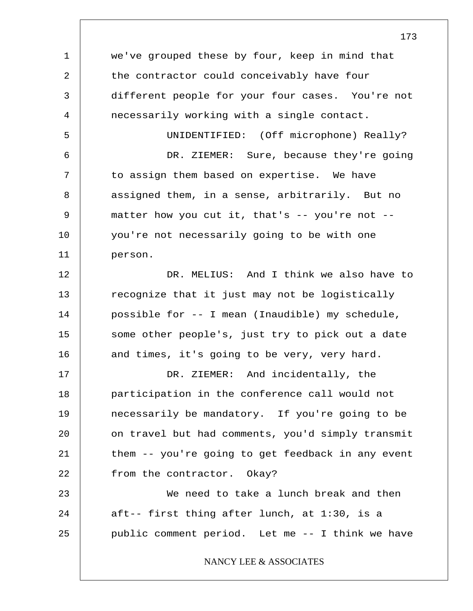1 2 3 4 5 6 7 8 9 10 11 12 13 14 15 16 17 18 19 20 21 22 23 24 25 we've grouped these by four, keep in mind that the contractor could conceivably have four different people for your four cases. You're not necessarily working with a single contact. UNIDENTIFIED: (Off microphone) Really? DR. ZIEMER: Sure, because they're going to assign them based on expertise. We have assigned them, in a sense, arbitrarily. But no matter how you cut it, that's  $-$ - you're not  $-$ you're not necessarily going to be with one person. DR. MELIUS: And I think we also have to recognize that it just may not be logistically possible for -- I mean (Inaudible) my schedule, some other people's, just try to pick out a date and times, it's going to be very, very hard. DR. ZIEMER: And incidentally, the participation in the conference call would not necessarily be mandatory. If you're going to be on travel but had comments, you'd simply transmit them -- you're going to get feedback in any event from the contractor. Okay? We need to take a lunch break and then aft-- first thing after lunch, at 1:30, is a public comment period. Let me -- I think we have NANCY LEE & ASSOCIATES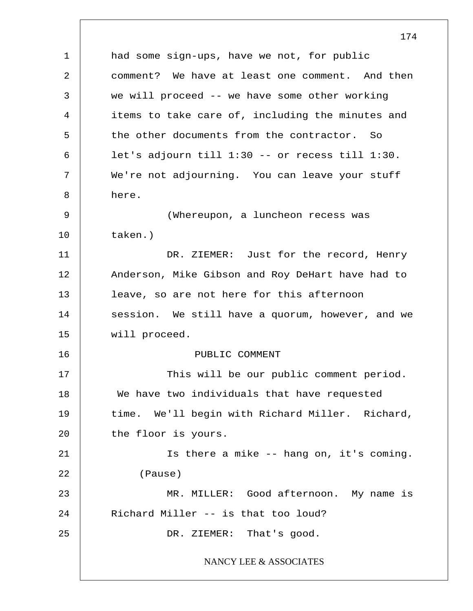1 2 3 4 5 6 7 8 9 10 11 12 13 14 15 16 17 18 19 20 21 22 23 24 25 174 had some sign-ups, have we not, for public comment? We have at least one comment. And then we will proceed -- we have some other working items to take care of, including the minutes and the other documents from the contractor. So let's adjourn till 1:30 -- or recess till 1:30. We're not adjourning. You can leave your stuff here. (Whereupon, a luncheon recess was taken.) DR. ZIEMER: Just for the record, Henry Anderson, Mike Gibson and Roy DeHart have had to leave, so are not here for this afternoon session. We still have a quorum, however, and we will proceed. PUBLIC COMMENT This will be our public comment period. We have two individuals that have requested time. We'll begin with Richard Miller. Richard, the floor is yours. Is there a mike -- hang on, it's coming. (Pause) MR. MILLER: Good afternoon. My name is Richard Miller -- is that too loud? DR. ZIEMER: That's good. NANCY LEE & ASSOCIATES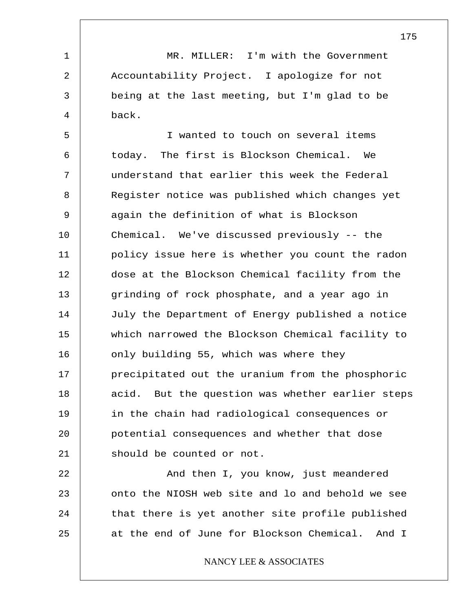MR. MILLER: I'm with the Government Accountability Project. I apologize for not being at the last meeting, but I'm glad to be back.

1

2

3

4

5 6 7 8 9 10 11 12 13 14 15 16 17 18 19 20 21 I wanted to touch on several items today. The first is Blockson Chemical. We understand that earlier this week the Federal Register notice was published which changes yet again the definition of what is Blockson Chemical. We've discussed previously -- the policy issue here is whether you count the radon dose at the Blockson Chemical facility from the grinding of rock phosphate, and a year ago in July the Department of Energy published a notice which narrowed the Blockson Chemical facility to only building 55, which was where they precipitated out the uranium from the phosphoric acid. But the question was whether earlier steps in the chain had radiological consequences or potential consequences and whether that dose should be counted or not.

22 23 24 25 And then I, you know, just meandered onto the NIOSH web site and lo and behold we see that there is yet another site profile published at the end of June for Blockson Chemical. And I

NANCY LEE & ASSOCIATES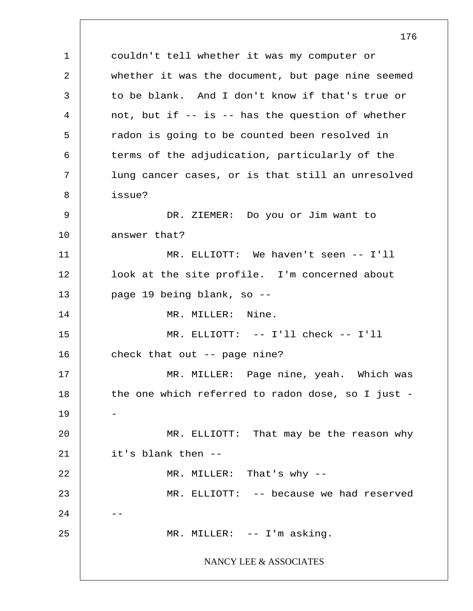1 2 3 4 5 6 7 8 9 10 11 12 13 14 15 16 17 18 19 20 21 22 23 24 25 176 couldn't tell whether it was my computer or whether it was the document, but page nine seemed to be blank. And I don't know if that's true or not, but if -- is -- has the question of whether radon is going to be counted been resolved in terms of the adjudication, particularly of the lung cancer cases, or is that still an unresolved issue? DR. ZIEMER: Do you or Jim want to answer that? MR. ELLIOTT: We haven't seen -- I'll look at the site profile. I'm concerned about page 19 being blank, so -- MR. MILLER: Nine. MR. ELLIOTT: -- I'll check -- I'll check that out -- page nine? MR. MILLER: Page nine, yeah. Which was the one which referred to radon dose, so I just - - MR. ELLIOTT: That may be the reason why it's blank then -- MR. MILLER: That's why -- MR. ELLIOTT: -- because we had reserved -- MR. MILLER: -- I'm asking. NANCY LEE & ASSOCIATES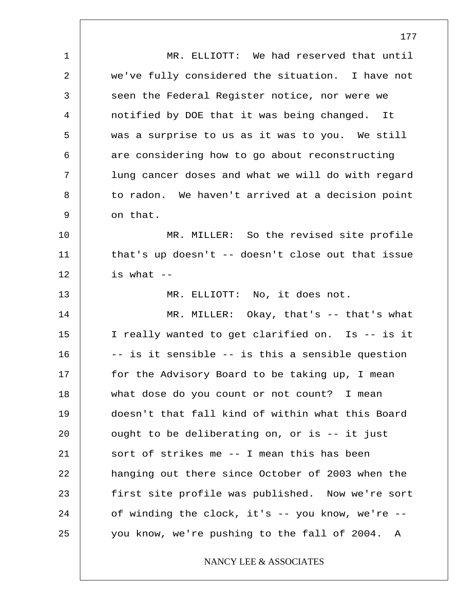1 2 3 4 5 6 7 8 9 10 11 12 13 14 15 16 17 18 19 20 21 22 23 24 25 MR. ELLIOTT: We had reserved that until we've fully considered the situation. I have not seen the Federal Register notice, nor were we notified by DOE that it was being changed. It was a surprise to us as it was to you. We still are considering how to go about reconstructing lung cancer doses and what we will do with regard to radon. We haven't arrived at a decision point on that. MR. MILLER: So the revised site profile that's up doesn't -- doesn't close out that issue is what  $--$ MR. ELLIOTT: No, it does not. MR. MILLER: Okay, that's -- that's what I really wanted to get clarified on. Is -- is it -- is it sensible -- is this a sensible question for the Advisory Board to be taking up, I mean what dose do you count or not count? I mean doesn't that fall kind of within what this Board ought to be deliberating on, or is -- it just sort of strikes me -- I mean this has been hanging out there since October of 2003 when the first site profile was published. Now we're sort of winding the clock, it's -- you know, we're - you know, we're pushing to the fall of 2004. A NANCY LEE & ASSOCIATES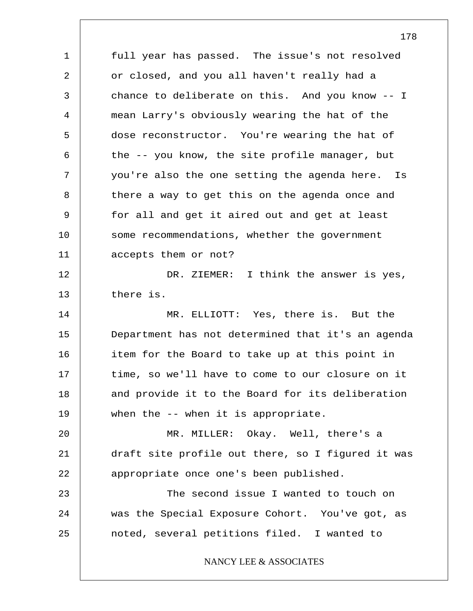1 2 3 4 5 6 7 8 9 10 11 12 13 14 15 16 17 18 19 20 21 22 23 24 25 full year has passed. The issue's not resolved or closed, and you all haven't really had a chance to deliberate on this. And you know -- I mean Larry's obviously wearing the hat of the dose reconstructor. You're wearing the hat of the -- you know, the site profile manager, but you're also the one setting the agenda here. Is there a way to get this on the agenda once and for all and get it aired out and get at least some recommendations, whether the government accepts them or not? DR. ZIEMER: I think the answer is yes, there is. MR. ELLIOTT: Yes, there is. But the Department has not determined that it's an agenda item for the Board to take up at this point in time, so we'll have to come to our closure on it and provide it to the Board for its deliberation when the -- when it is appropriate. MR. MILLER: Okay. Well, there's a draft site profile out there, so I figured it was appropriate once one's been published. The second issue I wanted to touch on was the Special Exposure Cohort. You've got, as noted, several petitions filed. I wanted to NANCY LEE & ASSOCIATES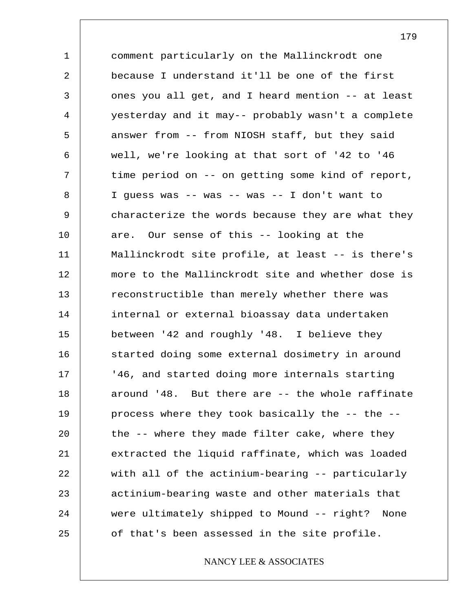1 2 3 4 5 6 7 8 9 10 11 12 13 14 15 16 17 18 19 20 21 22 23 24 25 comment particularly on the Mallinckrodt one because I understand it'll be one of the first ones you all get, and I heard mention -- at least yesterday and it may-- probably wasn't a complete answer from -- from NIOSH staff, but they said well, we're looking at that sort of '42 to '46 time period on -- on getting some kind of report, I guess was -- was -- was -- I don't want to characterize the words because they are what they are. Our sense of this -- looking at the Mallinckrodt site profile, at least -- is there's more to the Mallinckrodt site and whether dose is reconstructible than merely whether there was internal or external bioassay data undertaken between '42 and roughly '48. I believe they started doing some external dosimetry in around '46, and started doing more internals starting around '48. But there are -- the whole raffinate process where they took basically the -- the - the -- where they made filter cake, where they extracted the liquid raffinate, which was loaded with all of the actinium-bearing -- particularly actinium-bearing waste and other materials that were ultimately shipped to Mound -- right? None of that's been assessed in the site profile.

## NANCY LEE & ASSOCIATES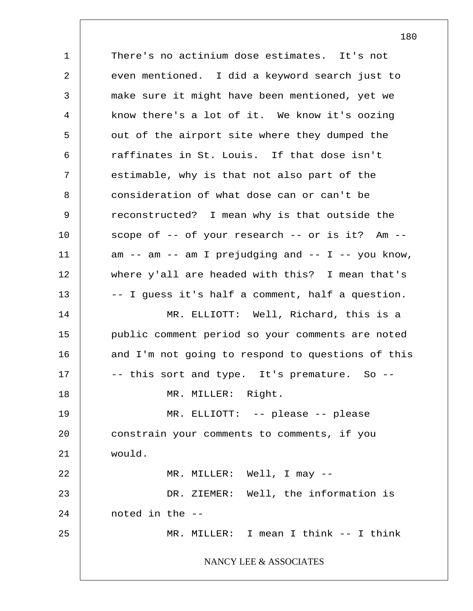1 2 3 4 5 6 7 8 9 10 11 12 13 14 15 16 17 18 19 20 21 22 23 24 25 There's no actinium dose estimates. It's not even mentioned. I did a keyword search just to make sure it might have been mentioned, yet we know there's a lot of it. We know it's oozing out of the airport site where they dumped the raffinates in St. Louis. If that dose isn't estimable, why is that not also part of the consideration of what dose can or can't be reconstructed? I mean why is that outside the scope of -- of your research -- or is it? Am -  $am$  --  $am$  --  $am$  I prejudging and -- I -- you know, where y'all are headed with this? I mean that's -- I guess it's half a comment, half a question. MR. ELLIOTT: Well, Richard, this is a public comment period so your comments are noted and I'm not going to respond to questions of this -- this sort and type. It's premature. So --MR. MILLER: Right. MR. ELLIOTT: -- please -- please constrain your comments to comments, if you would. MR. MILLER: Well, I may -- DR. ZIEMER: Well, the information is noted in the -- MR. MILLER: I mean I think -- I think NANCY LEE & ASSOCIATES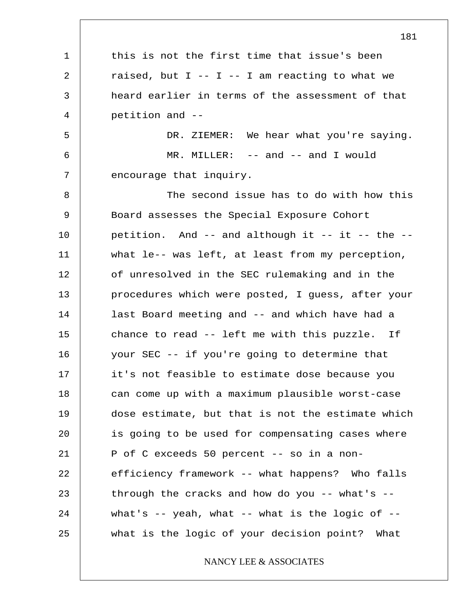1 2 3 4 5 6 7 8 9 10 11 12 13 14 15 16 17 18 19 20 21 22 23 24 25 181 this is not the first time that issue's been raised, but  $I$  --  $I$  -- I am reacting to what we heard earlier in terms of the assessment of that petition and -- DR. ZIEMER: We hear what you're saying. MR. MILLER: -- and -- and I would encourage that inquiry. The second issue has to do with how this Board assesses the Special Exposure Cohort petition. And -- and although it -- it -- the - what le-- was left, at least from my perception, of unresolved in the SEC rulemaking and in the procedures which were posted, I guess, after your last Board meeting and -- and which have had a chance to read -- left me with this puzzle. If your SEC -- if you're going to determine that it's not feasible to estimate dose because you can come up with a maximum plausible worst-case dose estimate, but that is not the estimate which is going to be used for compensating cases where P of C exceeds 50 percent -- so in a nonefficiency framework -- what happens? Who falls through the cracks and how do you  $--$  what's  $-$ what's  $-$  yeah, what  $-$ - what is the logic of  $-$ what is the logic of your decision point? What NANCY LEE & ASSOCIATES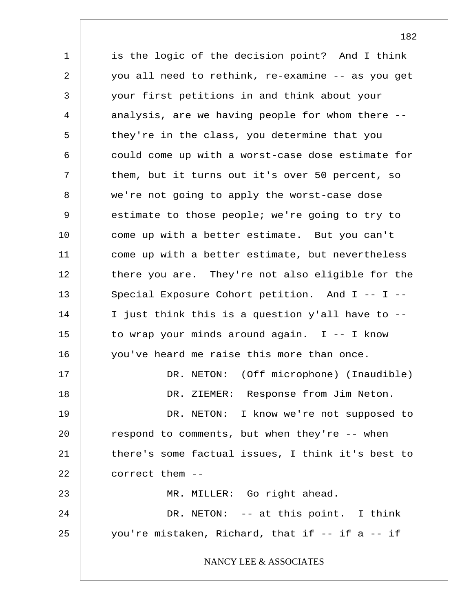1 2 3 4 5 6 7 8 9 10 11 12 13 14 15 16 17 18 19 20 21 22 23 24 25 is the logic of the decision point? And I think you all need to rethink, re-examine -- as you get your first petitions in and think about your analysis, are we having people for whom there - they're in the class, you determine that you could come up with a worst-case dose estimate for them, but it turns out it's over 50 percent, so we're not going to apply the worst-case dose estimate to those people; we're going to try to come up with a better estimate. But you can't come up with a better estimate, but nevertheless there you are. They're not also eligible for the Special Exposure Cohort petition. And I -- I -- I just think this is a question y'all have to - to wrap your minds around again. I -- I know you've heard me raise this more than once. DR. NETON: (Off microphone) (Inaudible) DR. ZIEMER: Response from Jim Neton. DR. NETON: I know we're not supposed to respond to comments, but when they're -- when there's some factual issues, I think it's best to correct them -- MR. MILLER: Go right ahead. DR. NETON: -- at this point. I think you're mistaken, Richard, that if -- if a -- if NANCY LEE & ASSOCIATES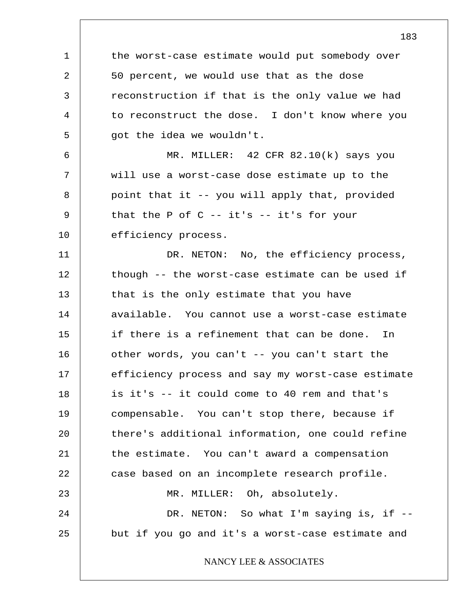1 2 3 4 5 6 7 8 9 10 11 12 13 14 15 16 17 18 19 20 21 22 23 24 25 the worst-case estimate would put somebody over 50 percent, we would use that as the dose reconstruction if that is the only value we had to reconstruct the dose. I don't know where you got the idea we wouldn't. MR. MILLER: 42 CFR 82.10(k) says you will use a worst-case dose estimate up to the point that it -- you will apply that, provided that the P of  $C$  -- it's -- it's for your efficiency process. DR. NETON: No, the efficiency process, though -- the worst-case estimate can be used if that is the only estimate that you have available. You cannot use a worst-case estimate if there is a refinement that can be done. In other words, you can't -- you can't start the efficiency process and say my worst-case estimate is it's -- it could come to 40 rem and that's compensable. You can't stop there, because if there's additional information, one could refine the estimate. You can't award a compensation case based on an incomplete research profile. MR. MILLER: Oh, absolutely. DR. NETON: So what I'm saying is, if -but if you go and it's a worst-case estimate and NANCY LEE & ASSOCIATES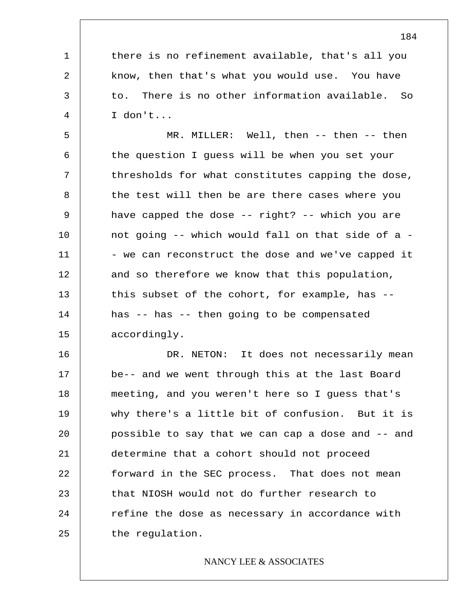there is no refinement available, that's all you know, then that's what you would use. You have to. There is no other information available. So I don't...

1

2

3

4

5 6 7 8 9 10 11 12 13 14 15 MR. MILLER: Well, then -- then -- then the question I guess will be when you set your thresholds for what constitutes capping the dose, the test will then be are there cases where you have capped the dose -- right? -- which you are not going -- which would fall on that side of a - - we can reconstruct the dose and we've capped it and so therefore we know that this population, this subset of the cohort, for example, has - has -- has -- then going to be compensated accordingly.

16 17 18 19 20 21 22 23 24 25 DR. NETON: It does not necessarily mean be-- and we went through this at the last Board meeting, and you weren't here so I guess that's why there's a little bit of confusion. But it is possible to say that we can cap a dose and -- and determine that a cohort should not proceed forward in the SEC process. That does not mean that NIOSH would not do further research to refine the dose as necessary in accordance with the regulation.

# NANCY LEE & ASSOCIATES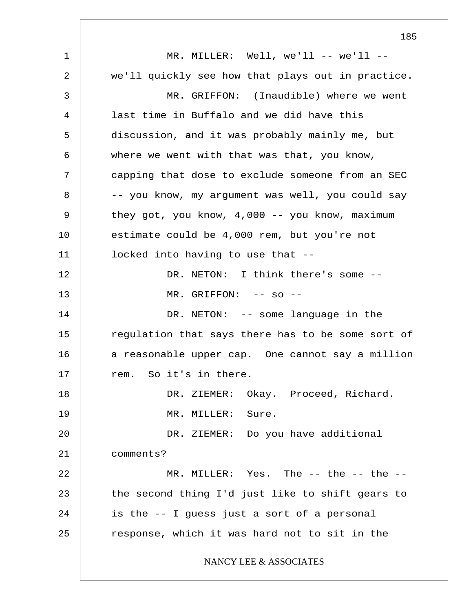1 2 3 4 5 6 7 8 9 10 11 12 13 14 15 16 17 18 19 20 21 22 23 24 25 185 MR. MILLER: Well, we'll  $--$  we'll  $-$ we'll quickly see how that plays out in practice. MR. GRIFFON: (Inaudible) where we went last time in Buffalo and we did have this discussion, and it was probably mainly me, but where we went with that was that, you know, capping that dose to exclude someone from an SEC -- you know, my argument was well, you could say they got, you know, 4,000 -- you know, maximum estimate could be 4,000 rem, but you're not locked into having to use that -- DR. NETON: I think there's some --MR. GRIFFON: -- so --DR. NETON: -- some language in the regulation that says there has to be some sort of a reasonable upper cap. One cannot say a million rem. So it's in there. DR. ZIEMER: Okay. Proceed, Richard. MR. MILLER: Sure. DR. ZIEMER: Do you have additional comments? MR. MILLER: Yes. The -- the -- the -the second thing I'd just like to shift gears to is the -- I guess just a sort of a personal response, which it was hard not to sit in the NANCY LEE & ASSOCIATES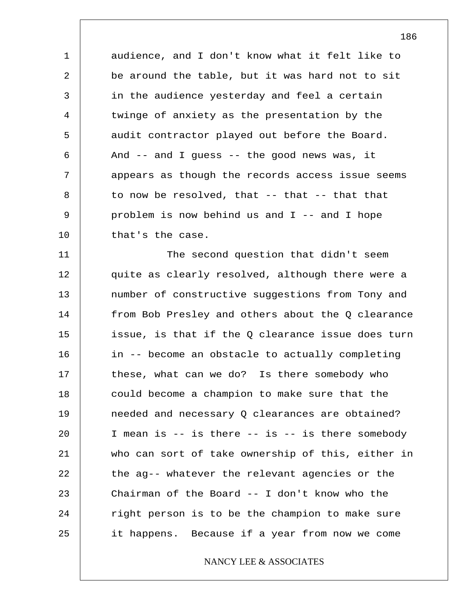1 2 3 4 5 6 7 8 9 10 audience, and I don't know what it felt like to be around the table, but it was hard not to sit in the audience yesterday and feel a certain twinge of anxiety as the presentation by the audit contractor played out before the Board. And -- and I guess -- the good news was, it appears as though the records access issue seems to now be resolved, that -- that -- that that problem is now behind us and I -- and I hope that's the case.

11 12 13 14 15 16 17 18 19 20 21 22 23 24 25 The second question that didn't seem quite as clearly resolved, although there were a number of constructive suggestions from Tony and from Bob Presley and others about the Q clearance issue, is that if the Q clearance issue does turn in -- become an obstacle to actually completing these, what can we do? Is there somebody who could become a champion to make sure that the needed and necessary Q clearances are obtained? I mean is -- is there -- is -- is there somebody who can sort of take ownership of this, either in the ag-- whatever the relevant agencies or the Chairman of the Board -- I don't know who the right person is to be the champion to make sure it happens. Because if a year from now we come

# NANCY LEE & ASSOCIATES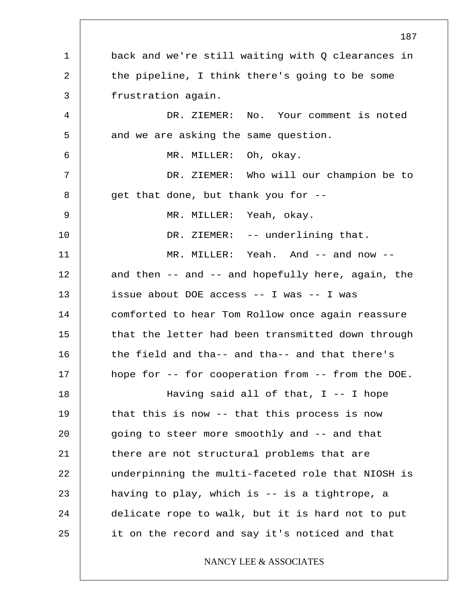1 2 3 4 5 6 7 8 9 10 11 12 13 14 15 16 17 18 19 20 21 22 23 24 25 187 back and we're still waiting with Q clearances in the pipeline, I think there's going to be some frustration again. DR. ZIEMER: No. Your comment is noted and we are asking the same question. MR. MILLER: Oh, okay. DR. ZIEMER: Who will our champion be to get that done, but thank you for -- MR. MILLER: Yeah, okay. DR. ZIEMER: -- underlining that. MR. MILLER: Yeah. And -- and now -and then  $--$  and  $--$  and hopefully here, again, the issue about DOE access -- I was -- I was comforted to hear Tom Rollow once again reassure that the letter had been transmitted down through the field and tha-- and tha-- and that there's hope for -- for cooperation from -- from the DOE. Having said all of that,  $I$  -- I hope that this is now -- that this process is now going to steer more smoothly and -- and that there are not structural problems that are underpinning the multi-faceted role that NIOSH is having to play, which is -- is a tightrope, a delicate rope to walk, but it is hard not to put it on the record and say it's noticed and that NANCY LEE & ASSOCIATES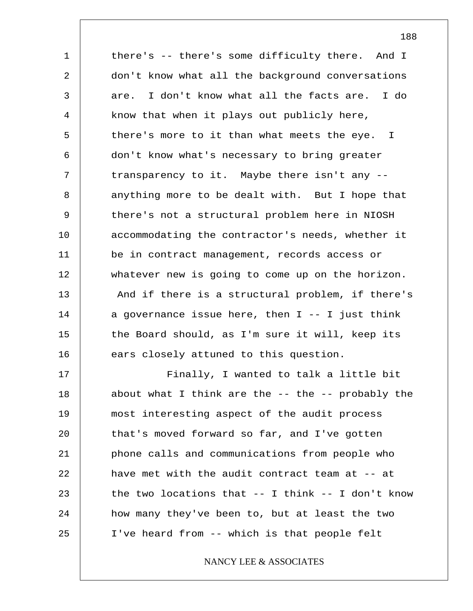1 2 3 4 5 6 7 8 9 10 11 12 13 14 15 16 17 18 19 20 21 22 23 24 25 there's -- there's some difficulty there. And I don't know what all the background conversations are. I don't know what all the facts are. I do know that when it plays out publicly here, there's more to it than what meets the eye. I don't know what's necessary to bring greater transparency to it. Maybe there isn't any - anything more to be dealt with. But I hope that there's not a structural problem here in NIOSH accommodating the contractor's needs, whether it be in contract management, records access or whatever new is going to come up on the horizon. And if there is a structural problem, if there's a governance issue here, then  $I$  --  $I$  just think the Board should, as I'm sure it will, keep its ears closely attuned to this question. Finally, I wanted to talk a little bit about what I think are the  $-$ - the  $-$ - probably the most interesting aspect of the audit process that's moved forward so far, and I've gotten phone calls and communications from people who have met with the audit contract team at -- at the two locations that -- I think -- I don't know how many they've been to, but at least the two I've heard from -- which is that people felt

NANCY LEE & ASSOCIATES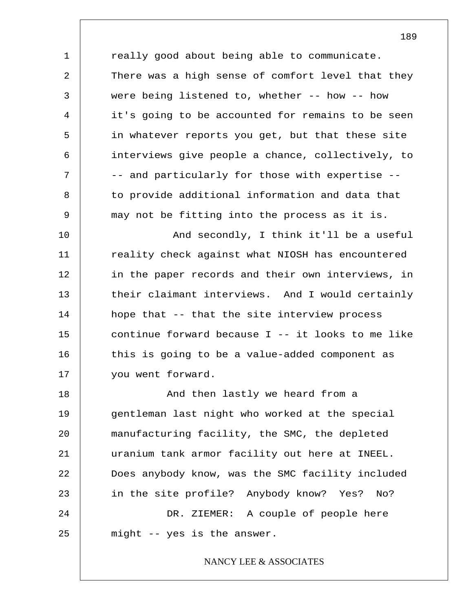1 2 3 4 5 6 7 8 9 really good about being able to communicate. There was a high sense of comfort level that they were being listened to, whether -- how -- how it's going to be accounted for remains to be seen in whatever reports you get, but that these site interviews give people a chance, collectively, to -- and particularly for those with expertise - to provide additional information and data that may not be fitting into the process as it is.

10 11 12 13 14 15 16 17 And secondly, I think it'll be a useful reality check against what NIOSH has encountered in the paper records and their own interviews, in their claimant interviews. And I would certainly hope that -- that the site interview process continue forward because I -- it looks to me like this is going to be a value-added component as you went forward.

18 19 20 21 22 23 24 25 And then lastly we heard from a gentleman last night who worked at the special manufacturing facility, the SMC, the depleted uranium tank armor facility out here at INEEL. Does anybody know, was the SMC facility included in the site profile? Anybody know? Yes? No? DR. ZIEMER: A couple of people here might -- yes is the answer.

## NANCY LEE & ASSOCIATES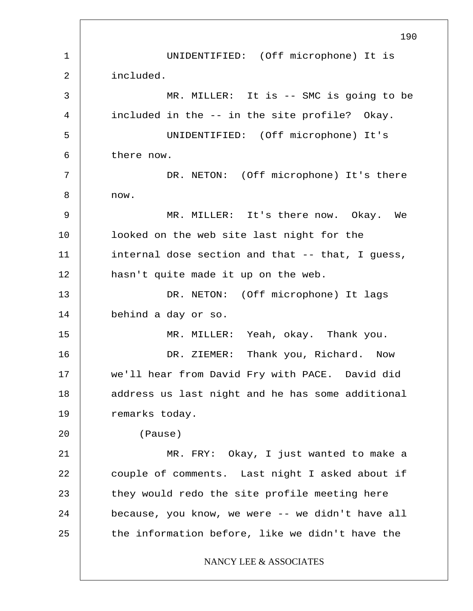1 2 3 4 5 6 7 8 9 10 11 12 13 14 15 16 17 18 19 20 21 22 23 24 25 190 UNIDENTIFIED: (Off microphone) It is included. MR. MILLER: It is -- SMC is going to be included in the -- in the site profile? Okay. UNIDENTIFIED: (Off microphone) It's there now. DR. NETON: (Off microphone) It's there now. MR. MILLER: It's there now. Okay. We looked on the web site last night for the internal dose section and that -- that, I guess, hasn't quite made it up on the web. DR. NETON: (Off microphone) It lags behind a day or so. MR. MILLER: Yeah, okay. Thank you. DR. ZIEMER: Thank you, Richard. Now we'll hear from David Fry with PACE. David did address us last night and he has some additional remarks today. (Pause) MR. FRY: Okay, I just wanted to make a couple of comments. Last night I asked about if they would redo the site profile meeting here because, you know, we were -- we didn't have all the information before, like we didn't have the NANCY LEE & ASSOCIATES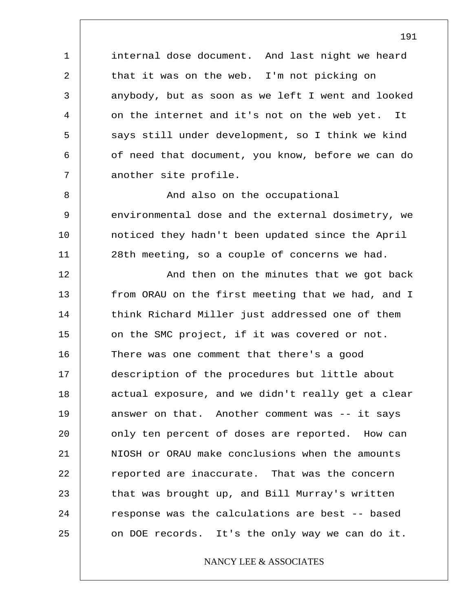internal dose document. And last night we heard that it was on the web. I'm not picking on anybody, but as soon as we left I went and looked on the internet and it's not on the web yet. It says still under development, so I think we kind of need that document, you know, before we can do another site profile.

1

2

3

4

5

6

7

8 9 10 11 And also on the occupational environmental dose and the external dosimetry, we noticed they hadn't been updated since the April 28th meeting, so a couple of concerns we had.

12 13 14 15 16 17 18 19 20 21 22 23 24 25 And then on the minutes that we got back from ORAU on the first meeting that we had, and I think Richard Miller just addressed one of them on the SMC project, if it was covered or not. There was one comment that there's a good description of the procedures but little about actual exposure, and we didn't really get a clear answer on that. Another comment was -- it says only ten percent of doses are reported. How can NIOSH or ORAU make conclusions when the amounts reported are inaccurate. That was the concern that was brought up, and Bill Murray's written response was the calculations are best -- based on DOE records. It's the only way we can do it.

# NANCY LEE & ASSOCIATES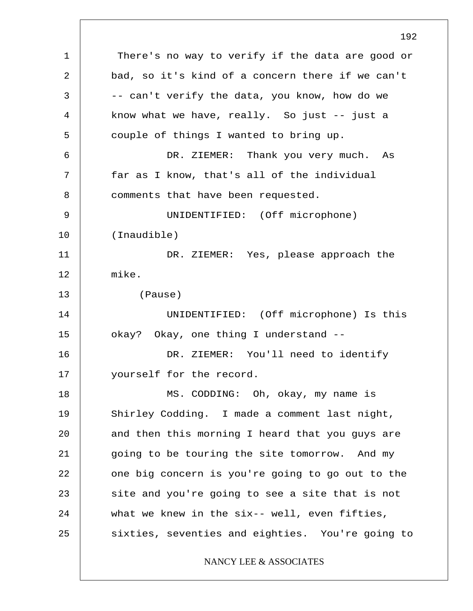1 2 3 4 5 6 7 8 9 10 11 12 13 14 15 16 17 18 19 20 21 22 23 24 25 192 There's no way to verify if the data are good or bad, so it's kind of a concern there if we can't -- can't verify the data, you know, how do we know what we have, really. So just  $-$  just a couple of things I wanted to bring up. DR. ZIEMER: Thank you very much. As far as I know, that's all of the individual comments that have been requested. UNIDENTIFIED: (Off microphone) (Inaudible) DR. ZIEMER: Yes, please approach the mike. (Pause) UNIDENTIFIED: (Off microphone) Is this okay? Okay, one thing I understand -- DR. ZIEMER: You'll need to identify yourself for the record. MS. CODDING: Oh, okay, my name is Shirley Codding. I made a comment last night, and then this morning I heard that you guys are going to be touring the site tomorrow. And my one big concern is you're going to go out to the site and you're going to see a site that is not what we knew in the six-- well, even fifties, sixties, seventies and eighties. You're going to NANCY LEE & ASSOCIATES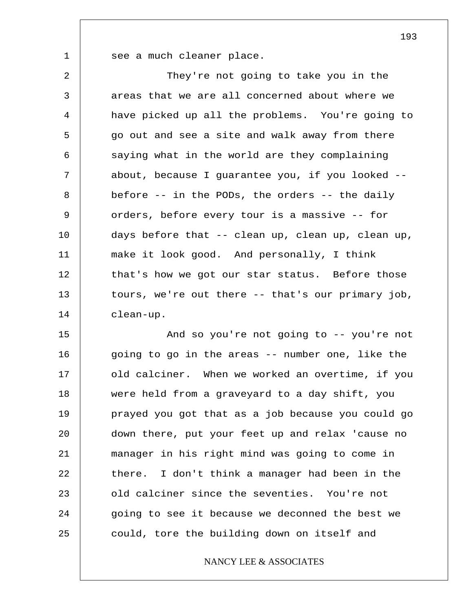1

see a much cleaner place.

2 3 4 5 6 7 8 9 10 11 12 13 14 They're not going to take you in the areas that we are all concerned about where we have picked up all the problems. You're going to go out and see a site and walk away from there saying what in the world are they complaining about, because I guarantee you, if you looked - before -- in the PODs, the orders -- the daily orders, before every tour is a massive -- for days before that -- clean up, clean up, clean up, make it look good. And personally, I think that's how we got our star status. Before those tours, we're out there -- that's our primary job, clean-up.

15 16 17 18 19 20 21 22 23 24 25 And so you're not going to -- you're not going to go in the areas -- number one, like the old calciner. When we worked an overtime, if you were held from a graveyard to a day shift, you prayed you got that as a job because you could go down there, put your feet up and relax 'cause no manager in his right mind was going to come in there. I don't think a manager had been in the old calciner since the seventies. You're not going to see it because we deconned the best we could, tore the building down on itself and

# NANCY LEE & ASSOCIATES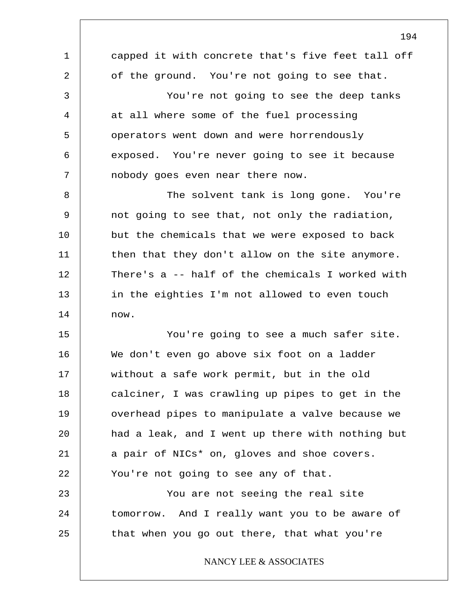1 2 3 4 5 6 7 8 9 10 11 12 13 14 15 16 17 18 19 20 21 22 23 24 25 194 capped it with concrete that's five feet tall off of the ground. You're not going to see that. You're not going to see the deep tanks at all where some of the fuel processing operators went down and were horrendously exposed. You're never going to see it because nobody goes even near there now. The solvent tank is long gone. You're not going to see that, not only the radiation, but the chemicals that we were exposed to back then that they don't allow on the site anymore. There's a -- half of the chemicals I worked with in the eighties I'm not allowed to even touch now. You're going to see a much safer site. We don't even go above six foot on a ladder without a safe work permit, but in the old calciner, I was crawling up pipes to get in the overhead pipes to manipulate a valve because we had a leak, and I went up there with nothing but a pair of NICs\* on, gloves and shoe covers. You're not going to see any of that. You are not seeing the real site tomorrow. And I really want you to be aware of that when you go out there, that what you're NANCY LEE & ASSOCIATES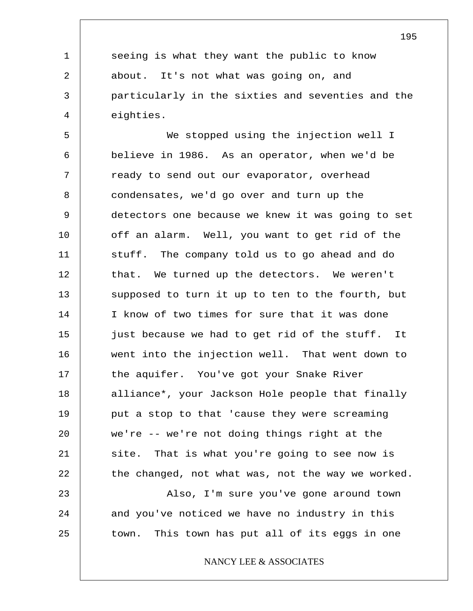seeing is what they want the public to know about. It's not what was going on, and particularly in the sixties and seventies and the eighties.

1

2

3

4

5 6 7 8 9 10 11 12 13 14 15 16 17 18 19 20 21 22 23 24 25 We stopped using the injection well I believe in 1986. As an operator, when we'd be ready to send out our evaporator, overhead condensates, we'd go over and turn up the detectors one because we knew it was going to set off an alarm. Well, you want to get rid of the stuff. The company told us to go ahead and do that. We turned up the detectors. We weren't supposed to turn it up to ten to the fourth, but I know of two times for sure that it was done just because we had to get rid of the stuff. It went into the injection well. That went down to the aquifer. You've got your Snake River alliance\*, your Jackson Hole people that finally put a stop to that 'cause they were screaming we're -- we're not doing things right at the site. That is what you're going to see now is the changed, not what was, not the way we worked. Also, I'm sure you've gone around town and you've noticed we have no industry in this town. This town has put all of its eggs in one

NANCY LEE & ASSOCIATES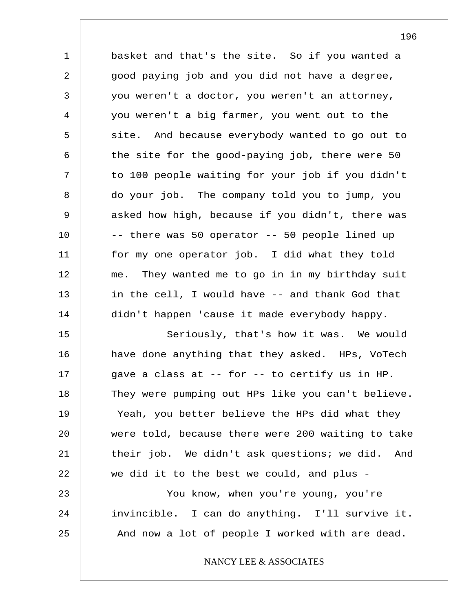1 2 3 4 5 6 7 8 9 10 11 12 13 14 15 16 17 18 19 20 21 22 23 basket and that's the site. So if you wanted a good paying job and you did not have a degree, you weren't a doctor, you weren't an attorney, you weren't a big farmer, you went out to the site. And because everybody wanted to go out to the site for the good-paying job, there were 50 to 100 people waiting for your job if you didn't do your job. The company told you to jump, you asked how high, because if you didn't, there was -- there was 50 operator -- 50 people lined up for my one operator job. I did what they told me. They wanted me to go in in my birthday suit in the cell, I would have -- and thank God that didn't happen 'cause it made everybody happy. Seriously, that's how it was. We would have done anything that they asked. HPs, VoTech gave a class at -- for -- to certify us in HP. They were pumping out HPs like you can't believe. Yeah, you better believe the HPs did what they were told, because there were 200 waiting to take their job. We didn't ask questions; we did. And we did it to the best we could, and plus - You know, when you're young, you're

invincible. I can do anything. I'll survive it. And now a lot of people I worked with are dead.

24

25

NANCY LEE & ASSOCIATES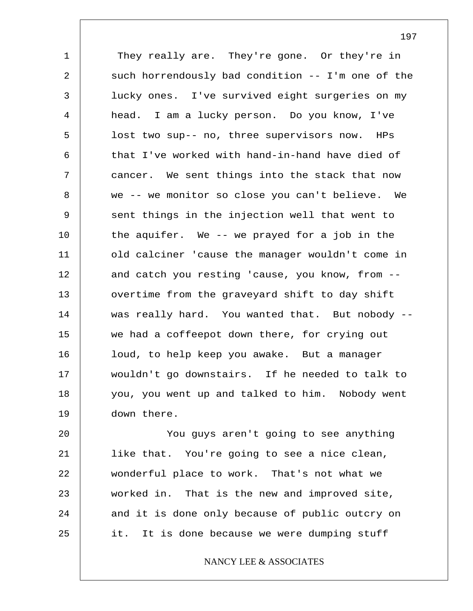1 2 3 4 5 6 7 8 9 10 11 12 13 14 15 16 17 18 19 They really are. They're gone. Or they're in such horrendously bad condition -- I'm one of the lucky ones. I've survived eight surgeries on my head. I am a lucky person. Do you know, I've lost two sup-- no, three supervisors now. HPs that I've worked with hand-in-hand have died of cancer. We sent things into the stack that now we -- we monitor so close you can't believe. We sent things in the injection well that went to the aquifer. We -- we prayed for a job in the old calciner 'cause the manager wouldn't come in and catch you resting 'cause, you know, from - overtime from the graveyard shift to day shift was really hard. You wanted that. But nobody - we had a coffeepot down there, for crying out loud, to help keep you awake. But a manager wouldn't go downstairs. If he needed to talk to you, you went up and talked to him. Nobody went down there.

20 21 22 23 24 25 You guys aren't going to see anything like that. You're going to see a nice clean, wonderful place to work. That's not what we worked in. That is the new and improved site, and it is done only because of public outcry on it. It is done because we were dumping stuff

NANCY LEE & ASSOCIATES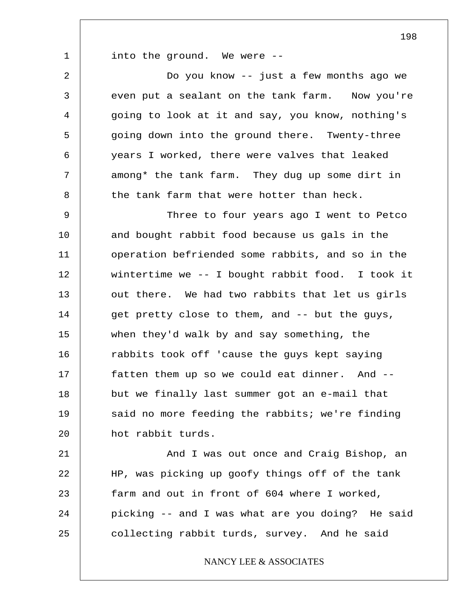1

into the ground. We were --

2 3 4 5 6 7 8 Do you know -- just a few months ago we even put a sealant on the tank farm. Now you're going to look at it and say, you know, nothing's going down into the ground there. Twenty-three years I worked, there were valves that leaked among\* the tank farm. They dug up some dirt in the tank farm that were hotter than heck.

9 10 11 12 13 14 15 16 17 18 19 20 Three to four years ago I went to Petco and bought rabbit food because us gals in the operation befriended some rabbits, and so in the wintertime we -- I bought rabbit food. I took it out there. We had two rabbits that let us girls get pretty close to them, and -- but the guys, when they'd walk by and say something, the rabbits took off 'cause the guys kept saying fatten them up so we could eat dinner. And - but we finally last summer got an e-mail that said no more feeding the rabbits; we're finding hot rabbit turds.

21 22 23 24 25 And I was out once and Craig Bishop, an HP, was picking up goofy things off of the tank farm and out in front of 604 where I worked, picking -- and I was what are you doing? He said collecting rabbit turds, survey. And he said

NANCY LEE & ASSOCIATES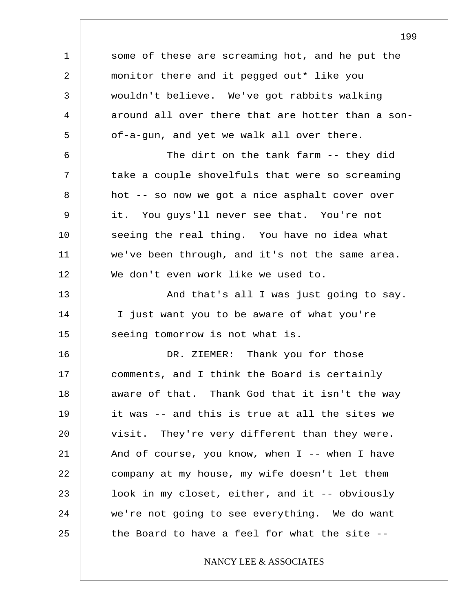1 2 3 4 5 6 7 8 9 10 11 12 13 14 15 16 17 18 19 20 21 22 23 24 25 some of these are screaming hot, and he put the monitor there and it pegged out\* like you wouldn't believe. We've got rabbits walking around all over there that are hotter than a sonof-a-gun, and yet we walk all over there. The dirt on the tank farm -- they did take a couple shovelfuls that were so screaming hot -- so now we got a nice asphalt cover over it. You guys'll never see that. You're not seeing the real thing. You have no idea what we've been through, and it's not the same area. We don't even work like we used to. And that's all I was just going to say. I just want you to be aware of what you're seeing tomorrow is not what is. DR. ZIEMER: Thank you for those comments, and I think the Board is certainly aware of that. Thank God that it isn't the way it was -- and this is true at all the sites we visit. They're very different than they were. And of course, you know, when I -- when I have company at my house, my wife doesn't let them look in my closet, either, and it -- obviously we're not going to see everything. We do want the Board to have a feel for what the site -- NANCY LEE & ASSOCIATES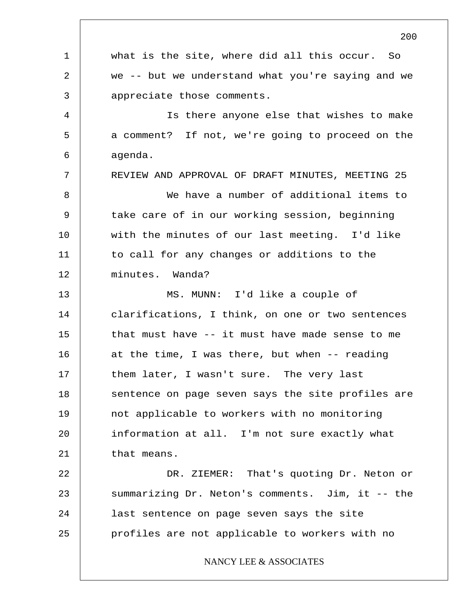1 2 3 4 5 6 7 8 9 10 11 12 13 14 15 16 17 18 19 20 21 22 23 24 25 what is the site, where did all this occur. So we -- but we understand what you're saying and we appreciate those comments. Is there anyone else that wishes to make a comment? If not, we're going to proceed on the agenda. REVIEW AND APPROVAL OF DRAFT MINUTES, MEETING 25 We have a number of additional items to take care of in our working session, beginning with the minutes of our last meeting. I'd like to call for any changes or additions to the minutes. Wanda? MS. MUNN: I'd like a couple of clarifications, I think, on one or two sentences that must have -- it must have made sense to me at the time, I was there, but when -- reading them later, I wasn't sure. The very last sentence on page seven says the site profiles are not applicable to workers with no monitoring information at all. I'm not sure exactly what that means. DR. ZIEMER: That's quoting Dr. Neton or summarizing Dr. Neton's comments. Jim, it -- the last sentence on page seven says the site profiles are not applicable to workers with no NANCY LEE & ASSOCIATES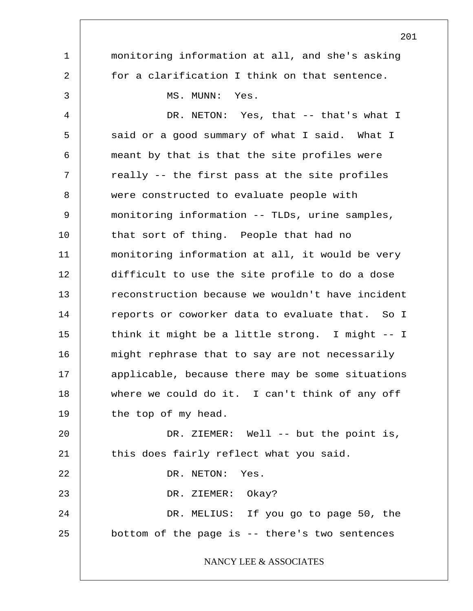1 2 3 4 5 6 7 8 9 10 11 12 13 14 15 16 17 18 19 20 21 22 23 24 25 monitoring information at all, and she's asking for a clarification I think on that sentence. MS. MUNN: Yes. DR. NETON: Yes, that -- that's what I said or a good summary of what I said. What I meant by that is that the site profiles were really -- the first pass at the site profiles were constructed to evaluate people with monitoring information -- TLDs, urine samples, that sort of thing. People that had no monitoring information at all, it would be very difficult to use the site profile to do a dose reconstruction because we wouldn't have incident reports or coworker data to evaluate that. So I think it might be a little strong. I might -- I might rephrase that to say are not necessarily applicable, because there may be some situations where we could do it. I can't think of any off the top of my head. DR. ZIEMER: Well -- but the point is, this does fairly reflect what you said. DR. NETON: Yes. DR. ZIEMER: Okay? DR. MELIUS: If you go to page 50, the bottom of the page is -- there's two sentences NANCY LEE & ASSOCIATES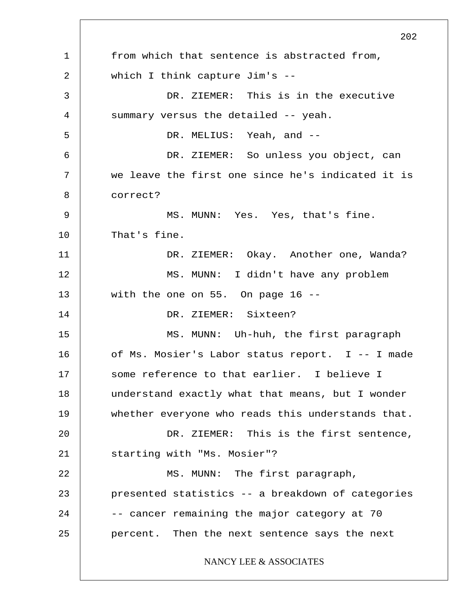1 2 3 4 5 6 7 8 9 10 11 12 13 14 15 16 17 18 19 20 21 22 23 24 25 202 from which that sentence is abstracted from, which I think capture Jim's -- DR. ZIEMER: This is in the executive summary versus the detailed -- yeah. DR. MELIUS: Yeah, and --DR. ZIEMER: So unless you object, can we leave the first one since he's indicated it is correct? MS. MUNN: Yes. Yes, that's fine. That's fine. DR. ZIEMER: Okay. Another one, Wanda? MS. MUNN: I didn't have any problem with the one on 55. On page 16 -- DR. ZIEMER: Sixteen? MS. MUNN: Uh-huh, the first paragraph of Ms. Mosier's Labor status report. I -- I made some reference to that earlier. I believe I understand exactly what that means, but I wonder whether everyone who reads this understands that. DR. ZIEMER: This is the first sentence, starting with "Ms. Mosier"? MS. MUNN: The first paragraph, presented statistics -- a breakdown of categories -- cancer remaining the major category at 70 percent. Then the next sentence says the next NANCY LEE & ASSOCIATES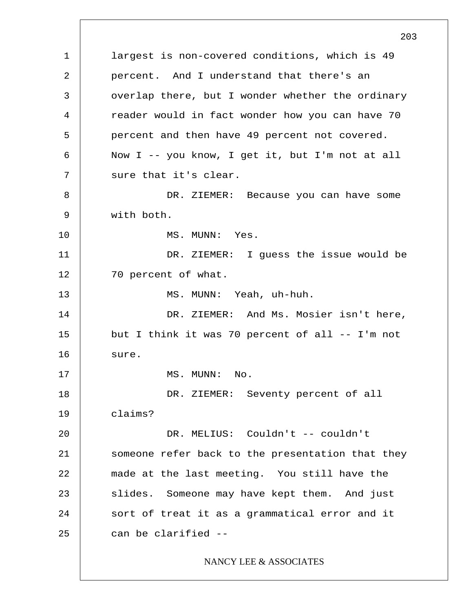1 2 3 4 5 6 7 8 9 10 11 12 13 14 15 16 17 18 19 20 21 22 23 24 25 203 largest is non-covered conditions, which is 49 percent. And I understand that there's an overlap there, but I wonder whether the ordinary reader would in fact wonder how you can have 70 percent and then have 49 percent not covered. Now I -- you know, I get it, but I'm not at all sure that it's clear. DR. ZIEMER: Because you can have some with both. MS. MUNN: Yes. DR. ZIEMER: I guess the issue would be 70 percent of what. MS. MUNN: Yeah, uh-huh. DR. ZIEMER: And Ms. Mosier isn't here, but I think it was 70 percent of all -- I'm not sure. MS. MUNN: No. DR. ZIEMER: Seventy percent of all claims? DR. MELIUS: Couldn't -- couldn't someone refer back to the presentation that they made at the last meeting. You still have the slides. Someone may have kept them. And just sort of treat it as a grammatical error and it can be clarified -- NANCY LEE & ASSOCIATES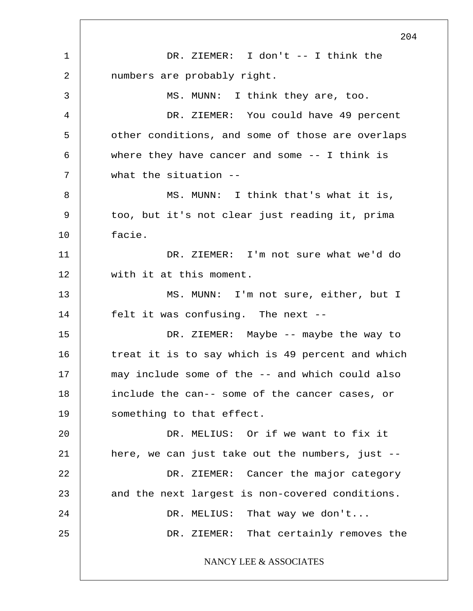1 2 3 4 5 6 7 8 9 10 11 12 13 14 15 16 17 18 19 20 21 22 23 24 25 204 DR. ZIEMER: I don't -- I think the numbers are probably right. MS. MUNN: I think they are, too. DR. ZIEMER: You could have 49 percent other conditions, and some of those are overlaps where they have cancer and some -- I think is what the situation -- MS. MUNN: I think that's what it is, too, but it's not clear just reading it, prima facie. DR. ZIEMER: I'm not sure what we'd do with it at this moment. MS. MUNN: I'm not sure, either, but I felt it was confusing. The next -- DR. ZIEMER: Maybe -- maybe the way to treat it is to say which is 49 percent and which may include some of the -- and which could also include the can-- some of the cancer cases, or something to that effect. DR. MELIUS: Or if we want to fix it here, we can just take out the numbers, just -- DR. ZIEMER: Cancer the major category and the next largest is non-covered conditions. DR. MELIUS: That way we don't... DR. ZIEMER: That certainly removes the NANCY LEE & ASSOCIATES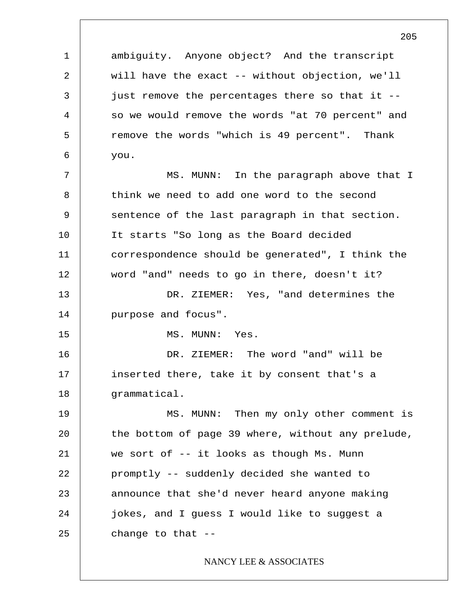1 2 3 4 5 6 7 8 9 10 11 12 13 14 15 16 17 18 19 20 21 22 23 24 25 205 ambiguity. Anyone object? And the transcript will have the exact -- without objection, we'll just remove the percentages there so that it - so we would remove the words "at 70 percent" and remove the words "which is 49 percent". Thank you. MS. MUNN: In the paragraph above that I think we need to add one word to the second sentence of the last paragraph in that section. It starts "So long as the Board decided correspondence should be generated", I think the word "and" needs to go in there, doesn't it? DR. ZIEMER: Yes, "and determines the purpose and focus". MS. MUNN: Yes. DR. ZIEMER: The word "and" will be inserted there, take it by consent that's a grammatical. MS. MUNN: Then my only other comment is the bottom of page 39 where, without any prelude, we sort of -- it looks as though Ms. Munn promptly -- suddenly decided she wanted to announce that she'd never heard anyone making jokes, and I guess I would like to suggest a change to that -- NANCY LEE & ASSOCIATES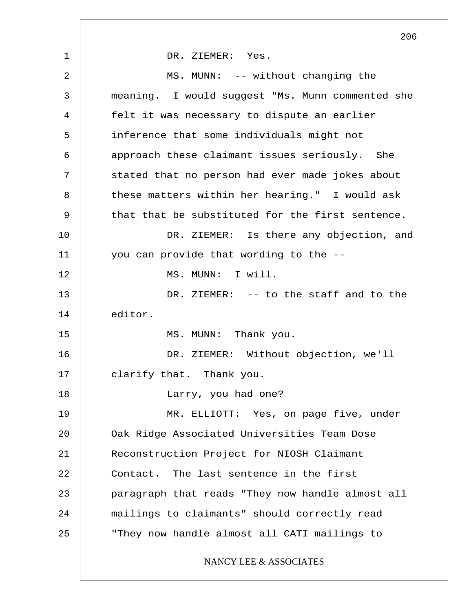1 2 3 4 5 6 7 8 9 10 11 12 13 14 15 16 17 18 19 20 21 22 23 24 25 206 DR. ZIEMER: Yes. MS. MUNN: -- without changing the meaning. I would suggest "Ms. Munn commented she felt it was necessary to dispute an earlier inference that some individuals might not approach these claimant issues seriously. She stated that no person had ever made jokes about these matters within her hearing." I would ask that that be substituted for the first sentence. DR. ZIEMER: Is there any objection, and you can provide that wording to the -- MS. MUNN: I will. DR. ZIEMER: -- to the staff and to the editor. MS. MUNN: Thank you. DR. ZIEMER: Without objection, we'll clarify that. Thank you. Larry, you had one? MR. ELLIOTT: Yes, on page five, under Oak Ridge Associated Universities Team Dose Reconstruction Project for NIOSH Claimant Contact. The last sentence in the first paragraph that reads "They now handle almost all mailings to claimants" should correctly read "They now handle almost all CATI mailings to NANCY LEE & ASSOCIATES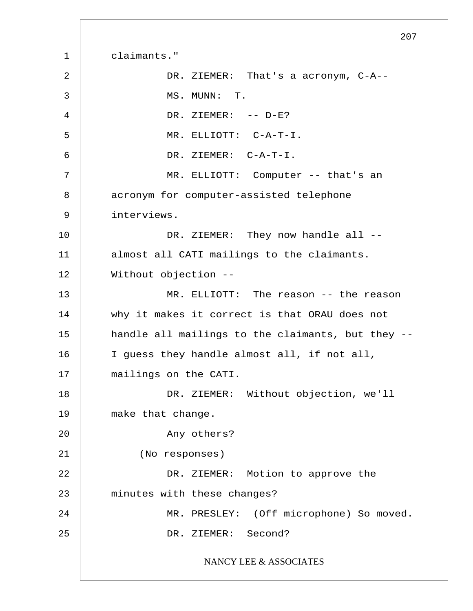1 2 3 4 5 6 7 8 9 10 11 12 13 14 15 16 17 18 19 20 21 22 23 24 25 207 claimants." DR. ZIEMER: That's a acronym, C-A-- MS. MUNN: T. DR. ZIEMER: -- D-E? MR. ELLIOTT: C-A-T-I. DR. ZIEMER: C-A-T-I. MR. ELLIOTT: Computer -- that's an acronym for computer-assisted telephone interviews. DR. ZIEMER: They now handle all -almost all CATI mailings to the claimants. Without objection -- MR. ELLIOTT: The reason -- the reason why it makes it correct is that ORAU does not handle all mailings to the claimants, but they -- I guess they handle almost all, if not all, mailings on the CATI. DR. ZIEMER: Without objection, we'll make that change. Any others? (No responses) DR. ZIEMER: Motion to approve the minutes with these changes? MR. PRESLEY: (Off microphone) So moved. DR. ZIEMER: Second? NANCY LEE & ASSOCIATES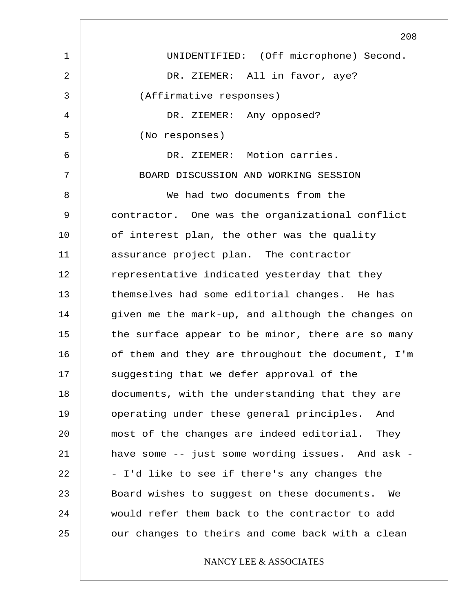1 2 3 4 5 6 7 8 9 10 11 12 13 14 15 16 17 18 19 20 21 22 23 24 25 208 UNIDENTIFIED: (Off microphone) Second. DR. ZIEMER: All in favor, aye? (Affirmative responses) DR. ZIEMER: Any opposed? (No responses) DR. ZIEMER: Motion carries. BOARD DISCUSSION AND WORKING SESSION We had two documents from the contractor. One was the organizational conflict of interest plan, the other was the quality assurance project plan. The contractor representative indicated yesterday that they themselves had some editorial changes. He has given me the mark-up, and although the changes on the surface appear to be minor, there are so many of them and they are throughout the document, I'm suggesting that we defer approval of the documents, with the understanding that they are operating under these general principles. And most of the changes are indeed editorial. They have some -- just some wording issues. And ask - - I'd like to see if there's any changes the Board wishes to suggest on these documents. We would refer them back to the contractor to add our changes to theirs and come back with a clean NANCY LEE & ASSOCIATES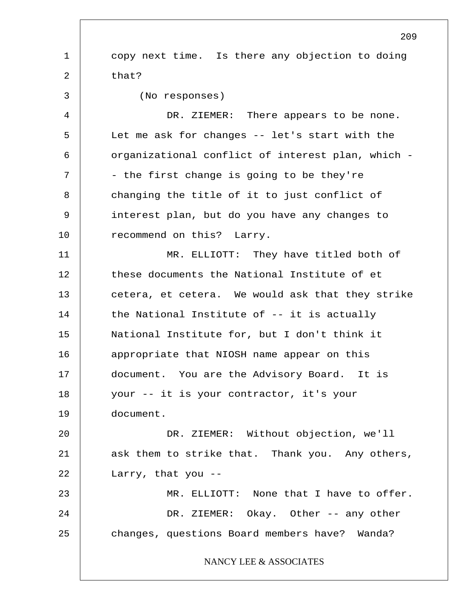1 2 3 4 5 6 7 8 9 10 11 12 13 14 15 16 17 18 19 20 21 22 23 24 25 209 copy next time. Is there any objection to doing that? (No responses) DR. ZIEMER: There appears to be none. Let me ask for changes -- let's start with the organizational conflict of interest plan, which - - the first change is going to be they're changing the title of it to just conflict of interest plan, but do you have any changes to recommend on this? Larry. MR. ELLIOTT: They have titled both of these documents the National Institute of et cetera, et cetera. We would ask that they strike the National Institute of -- it is actually National Institute for, but I don't think it appropriate that NIOSH name appear on this document. You are the Advisory Board. It is your -- it is your contractor, it's your document. DR. ZIEMER: Without objection, we'll ask them to strike that. Thank you. Any others, Larry, that you -- MR. ELLIOTT: None that I have to offer. DR. ZIEMER: Okay. Other -- any other changes, questions Board members have? Wanda? NANCY LEE & ASSOCIATES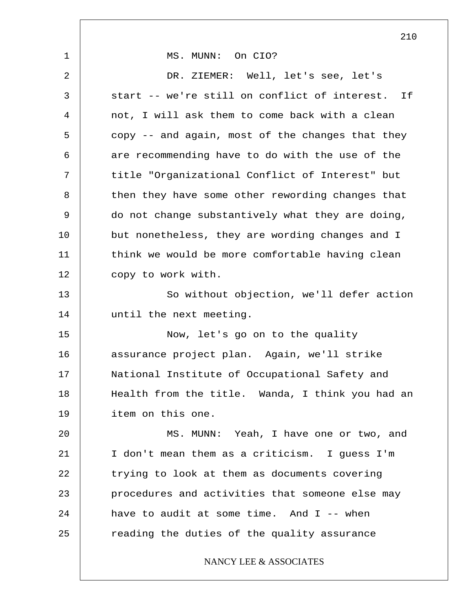1 2 3 4 5 6 7 8 9 10 11 12 13 14 15 16 17 18 19 20 21 22 23 24 25 MS. MUNN: On CIO? DR. ZIEMER: Well, let's see, let's start -- we're still on conflict of interest. If not, I will ask them to come back with a clean copy -- and again, most of the changes that they are recommending have to do with the use of the title "Organizational Conflict of Interest" but then they have some other rewording changes that do not change substantively what they are doing, but nonetheless, they are wording changes and I think we would be more comfortable having clean copy to work with. So without objection, we'll defer action until the next meeting. Now, let's go on to the quality assurance project plan. Again, we'll strike National Institute of Occupational Safety and Health from the title. Wanda, I think you had an item on this one. MS. MUNN: Yeah, I have one or two, and I don't mean them as a criticism. I guess I'm trying to look at them as documents covering procedures and activities that someone else may have to audit at some time. And  $I$  -- when reading the duties of the quality assurance NANCY LEE & ASSOCIATES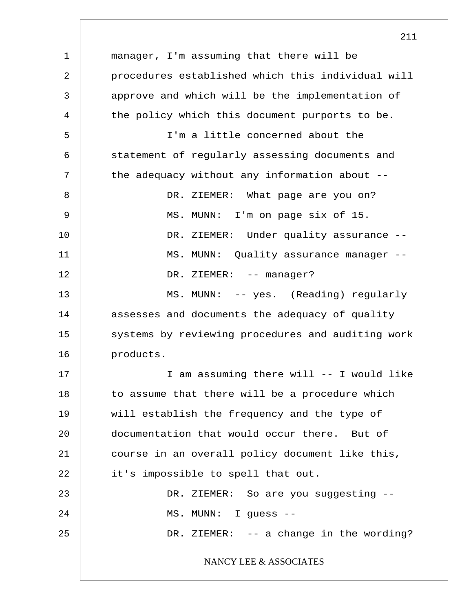1 2 3 4 5 6 7 8 9 10 11 12 13 14 15 16 17 18 19 20 21 22 23 24 25 manager, I'm assuming that there will be procedures established which this individual will approve and which will be the implementation of the policy which this document purports to be. I'm a little concerned about the statement of regularly assessing documents and the adequacy without any information about -- DR. ZIEMER: What page are you on? MS. MUNN: I'm on page six of 15. DR. ZIEMER: Under quality assurance --MS. MUNN: Quality assurance manager -- DR. ZIEMER: -- manager? MS. MUNN: -- yes. (Reading) regularly assesses and documents the adequacy of quality systems by reviewing procedures and auditing work products. I am assuming there will -- I would like to assume that there will be a procedure which will establish the frequency and the type of documentation that would occur there. But of course in an overall policy document like this, it's impossible to spell that out. DR. ZIEMER: So are you suggesting --MS. MUNN: I guess -- DR. ZIEMER: -- a change in the wording? NANCY LEE & ASSOCIATES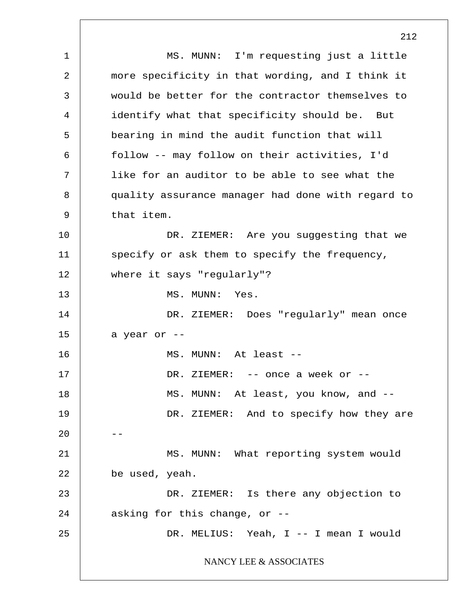1 2 3 4 5 6 7 8 9 10 11 12 13 14 15 16 17 18 19  $20$ 21 22 23 24 25 MS. MUNN: I'm requesting just a little more specificity in that wording, and I think it would be better for the contractor themselves to identify what that specificity should be. But bearing in mind the audit function that will follow -- may follow on their activities, I'd like for an auditor to be able to see what the quality assurance manager had done with regard to that item. DR. ZIEMER: Are you suggesting that we specify or ask them to specify the frequency, where it says "regularly"? MS. MUNN: Yes. DR. ZIEMER: Does "regularly" mean once a year or -- MS. MUNN: At least -- DR. ZIEMER: -- once a week or -- MS. MUNN: At least, you know, and -- DR. ZIEMER: And to specify how they are MS. MUNN: What reporting system would be used, yeah. DR. ZIEMER: Is there any objection to asking for this change, or -- DR. MELIUS: Yeah, I -- I mean I would NANCY LEE & ASSOCIATES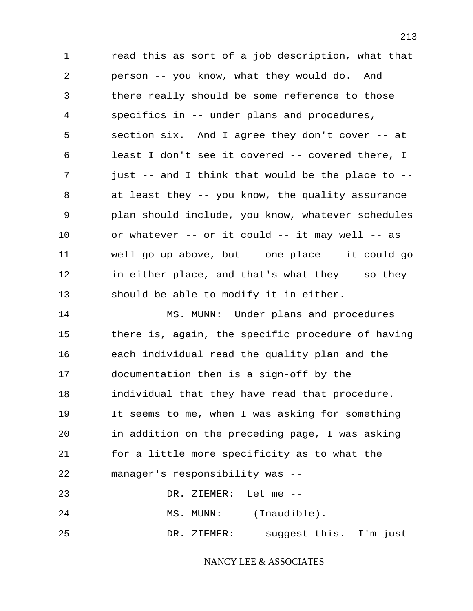1 2 3 4 5 6 7 8 9 10 11 12 13 14 15 16 17 18 19 20 21 22 23 24 25 read this as sort of a job description, what that person -- you know, what they would do. And there really should be some reference to those specifics in -- under plans and procedures, section six. And I agree they don't cover -- at least I don't see it covered -- covered there, I just -- and I think that would be the place to - at least they -- you know, the quality assurance plan should include, you know, whatever schedules or whatever -- or it could -- it may well -- as well go up above, but -- one place -- it could go in either place, and that's what they -- so they should be able to modify it in either. MS. MUNN: Under plans and procedures there is, again, the specific procedure of having each individual read the quality plan and the documentation then is a sign-off by the individual that they have read that procedure. It seems to me, when I was asking for something in addition on the preceding page, I was asking for a little more specificity as to what the manager's responsibility was -- DR. ZIEMER: Let me -- MS. MUNN: -- (Inaudible). DR. ZIEMER: -- suggest this. I'm just NANCY LEE & ASSOCIATES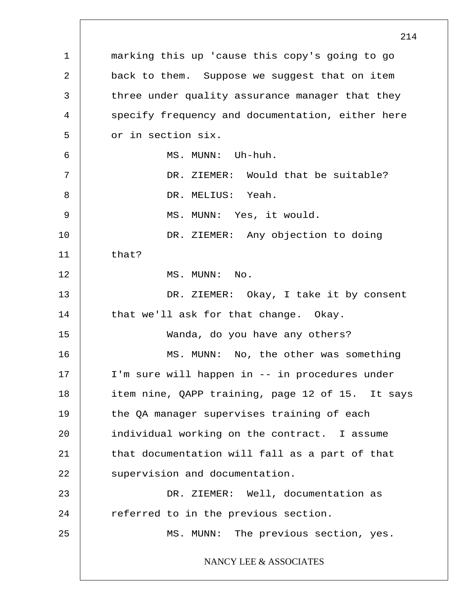1 2 3 4 5 6 7 8 9 10 11 12 13 14 15 16 17 18 19 20 21 22 23 24 25 214 marking this up 'cause this copy's going to go back to them. Suppose we suggest that on item three under quality assurance manager that they specify frequency and documentation, either here or in section six. MS. MUNN: Uh-huh. DR. ZIEMER: Would that be suitable? DR. MELIUS: Yeah. MS. MUNN: Yes, it would. DR. ZIEMER: Any objection to doing that? MS. MUNN: No. DR. ZIEMER: Okay, I take it by consent that we'll ask for that change. Okay. Wanda, do you have any others? MS. MUNN: No, the other was something I'm sure will happen in -- in procedures under item nine, QAPP training, page 12 of 15. It says the QA manager supervises training of each individual working on the contract. I assume that documentation will fall as a part of that supervision and documentation. DR. ZIEMER: Well, documentation as referred to in the previous section. MS. MUNN: The previous section, yes. NANCY LEE & ASSOCIATES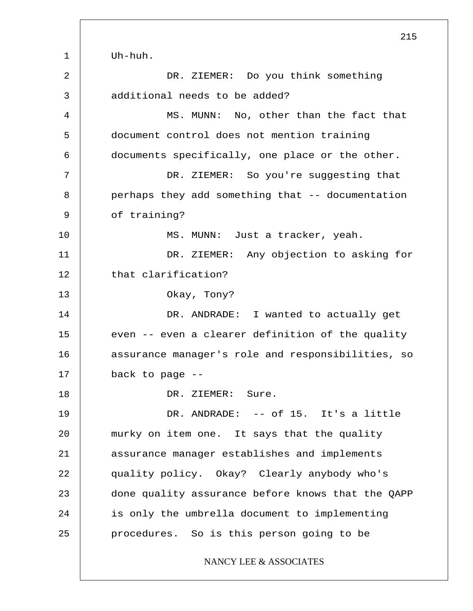1 2 3 4 5 6 7 8 9 10 11 12 13 14 15 16 17 18 19 20 21 22 23 24 25 215 Uh-huh. DR. ZIEMER: Do you think something additional needs to be added? MS. MUNN: No, other than the fact that document control does not mention training documents specifically, one place or the other. DR. ZIEMER: So you're suggesting that perhaps they add something that -- documentation of training? MS. MUNN: Just a tracker, yeah. DR. ZIEMER: Any objection to asking for that clarification? Okay, Tony? DR. ANDRADE: I wanted to actually get even -- even a clearer definition of the quality assurance manager's role and responsibilities, so back to page -- DR. ZIEMER: Sure. DR. ANDRADE: -- of 15. It's a little murky on item one. It says that the quality assurance manager establishes and implements quality policy. Okay? Clearly anybody who's done quality assurance before knows that the QAPP is only the umbrella document to implementing procedures. So is this person going to be NANCY LEE & ASSOCIATES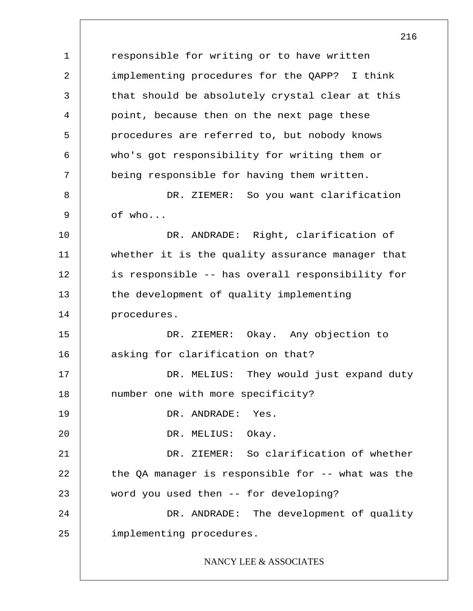1 2 3 4 5 6 7 8 9 10 11 12 13 14 15 16 17 18 19 20 21 22 23 24 25 216 responsible for writing or to have written implementing procedures for the QAPP? I think that should be absolutely crystal clear at this point, because then on the next page these procedures are referred to, but nobody knows who's got responsibility for writing them or being responsible for having them written. DR. ZIEMER: So you want clarification of who... DR. ANDRADE: Right, clarification of whether it is the quality assurance manager that is responsible -- has overall responsibility for the development of quality implementing procedures. DR. ZIEMER: Okay. Any objection to asking for clarification on that? DR. MELIUS: They would just expand duty number one with more specificity? DR. ANDRADE: Yes. DR. MELIUS: Okay. DR. ZIEMER: So clarification of whether the QA manager is responsible for -- what was the word you used then -- for developing? DR. ANDRADE: The development of quality implementing procedures. NANCY LEE & ASSOCIATES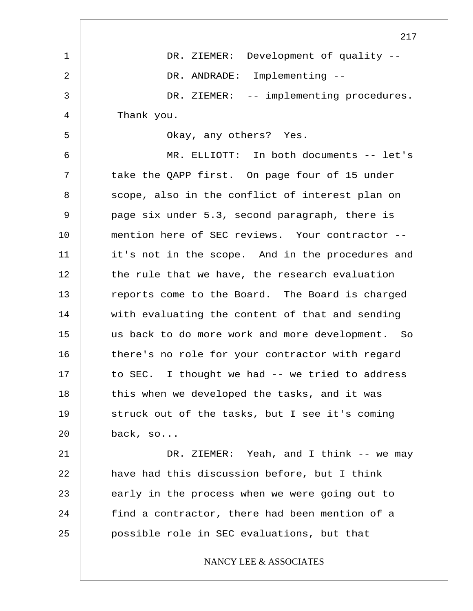|    | 217                                              |
|----|--------------------------------------------------|
| 1  | DR. ZIEMER: Development of quality --            |
| 2  | DR. ANDRADE: Implementing --                     |
| 3  | DR. ZIEMER: -- implementing procedures.          |
| 4  | Thank you.                                       |
| 5  | Okay, any others? Yes.                           |
| 6  | MR. ELLIOTT: In both documents -- let's          |
| 7  | take the QAPP first. On page four of 15 under    |
| 8  | scope, also in the conflict of interest plan on  |
| 9  | page six under 5.3, second paragraph, there is   |
| 10 | mention here of SEC reviews. Your contractor --  |
| 11 | it's not in the scope. And in the procedures and |
| 12 | the rule that we have, the research evaluation   |
| 13 | reports come to the Board. The Board is charged  |
| 14 | with evaluating the content of that and sending  |
| 15 | us back to do more work and more development. So |
| 16 | there's no role for your contractor with regard  |
| 17 | to SEC. I thought we had -- we tried to address  |
| 18 | this when we developed the tasks, and it was     |
| 19 | struck out of the tasks, but I see it's coming   |
| 20 | back, so                                         |
| 21 | DR. ZIEMER: Yeah, and I think -- we may          |
| 22 | have had this discussion before, but I think     |
| 23 | early in the process when we were going out to   |
| 24 | find a contractor, there had been mention of a   |
| 25 | possible role in SEC evaluations, but that       |
|    | NANCY LEE & ASSOCIATES                           |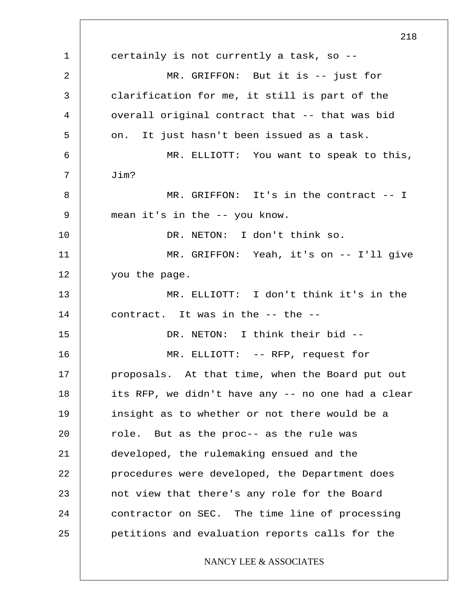1 2 3 4 5 6 7 8 9 10 11 12 13 14 15 16 17 18 19 20 21 22 23 24 25 218 certainly is not currently a task, so -- MR. GRIFFON: But it is -- just for clarification for me, it still is part of the overall original contract that -- that was bid on. It just hasn't been issued as a task. MR. ELLIOTT: You want to speak to this, Jim? MR. GRIFFON: It's in the contract -- I mean it's in the -- you know. DR. NETON: I don't think so. MR. GRIFFON: Yeah, it's on -- I'll give you the page. MR. ELLIOTT: I don't think it's in the contract. It was in the -- the -- DR. NETON: I think their bid --MR. ELLIOTT: -- RFP, request for proposals. At that time, when the Board put out its RFP, we didn't have any -- no one had a clear insight as to whether or not there would be a role. But as the proc-- as the rule was developed, the rulemaking ensued and the procedures were developed, the Department does not view that there's any role for the Board contractor on SEC. The time line of processing petitions and evaluation reports calls for the NANCY LEE & ASSOCIATES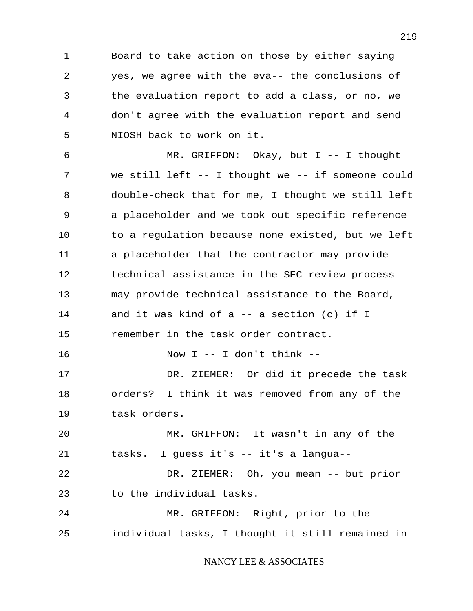Board to take action on those by either saying yes, we agree with the eva-- the conclusions of the evaluation report to add a class, or no, we don't agree with the evaluation report and send NIOSH back to work on it.

1

2

3

4

5

6 7 8 9 10 11 12 13 14 15 16 17 18 19 20 21 22 23 24 25 MR. GRIFFON: Okay, but I -- I thought we still left -- I thought we -- if someone could double-check that for me, I thought we still left a placeholder and we took out specific reference to a regulation because none existed, but we left a placeholder that the contractor may provide technical assistance in the SEC review process - may provide technical assistance to the Board, and it was kind of  $a$  -- a section (c) if I remember in the task order contract. Now  $I$  -- I don't think --DR. ZIEMER: Or did it precede the task orders? I think it was removed from any of the task orders. MR. GRIFFON: It wasn't in any of the tasks. I guess it's -- it's a langua-- DR. ZIEMER: Oh, you mean -- but prior to the individual tasks. MR. GRIFFON: Right, prior to the individual tasks, I thought it still remained in NANCY LEE & ASSOCIATES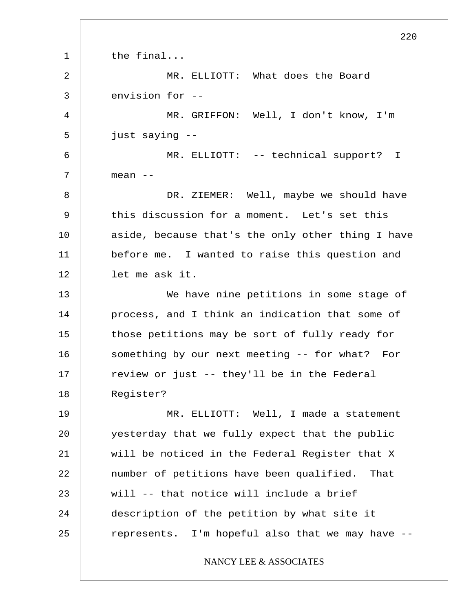1 2 3 4 5 6 7 8 9 10 11 12 13 14 15 16 17 18 19 20 21 22 23 24 25 220 the final... MR. ELLIOTT: What does the Board envision for -- MR. GRIFFON: Well, I don't know, I'm just saying -- MR. ELLIOTT: -- technical support? I mean -- DR. ZIEMER: Well, maybe we should have this discussion for a moment. Let's set this aside, because that's the only other thing I have before me. I wanted to raise this question and let me ask it. We have nine petitions in some stage of process, and I think an indication that some of those petitions may be sort of fully ready for something by our next meeting -- for what? For review or just -- they'll be in the Federal Register? MR. ELLIOTT: Well, I made a statement yesterday that we fully expect that the public will be noticed in the Federal Register that X number of petitions have been qualified. That will -- that notice will include a brief description of the petition by what site it represents. I'm hopeful also that we may have -- NANCY LEE & ASSOCIATES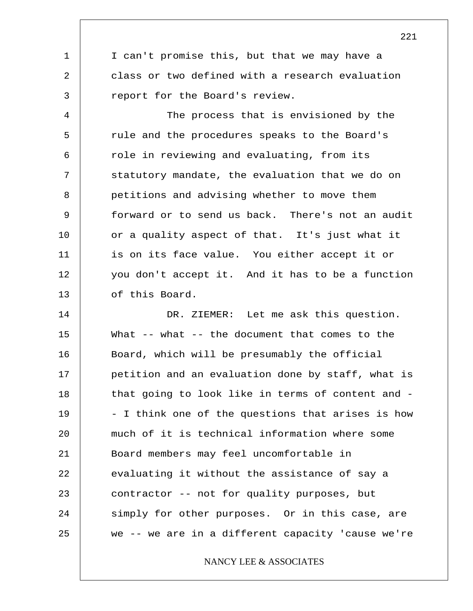I can't promise this, but that we may have a class or two defined with a research evaluation report for the Board's review.

1

2

3

4 5 6 7 8 9 10 11 12 13 The process that is envisioned by the rule and the procedures speaks to the Board's role in reviewing and evaluating, from its statutory mandate, the evaluation that we do on petitions and advising whether to move them forward or to send us back. There's not an audit or a quality aspect of that. It's just what it is on its face value. You either accept it or you don't accept it. And it has to be a function of this Board.

14 15 16 17 18 19 20 21 22 23 24 25 DR. ZIEMER: Let me ask this question. What  $--$  what  $--$  the document that comes to the Board, which will be presumably the official petition and an evaluation done by staff, what is that going to look like in terms of content and - - I think one of the questions that arises is how much of it is technical information where some Board members may feel uncomfortable in evaluating it without the assistance of say a contractor -- not for quality purposes, but simply for other purposes. Or in this case, are we -- we are in a different capacity 'cause we're

NANCY LEE & ASSOCIATES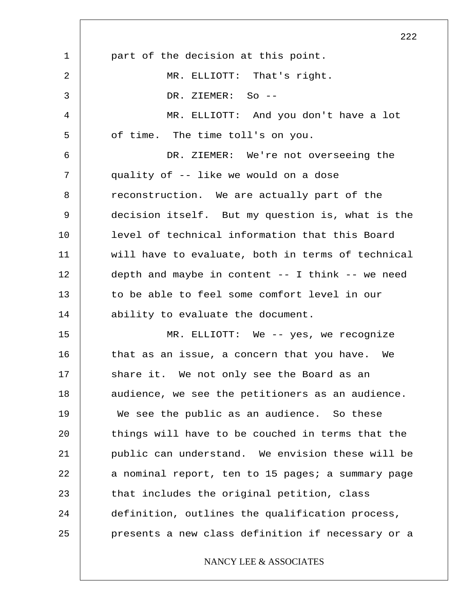|             | 222                                                  |
|-------------|------------------------------------------------------|
| $\mathbf 1$ | part of the decision at this point.                  |
| 2           | MR. ELLIOTT: That's right.                           |
| 3           | DR. ZIEMER: So --                                    |
| 4           | MR. ELLIOTT: And you don't have a lot                |
| 5           | of time. The time toll's on you.                     |
| 6           | DR. ZIEMER: We're not overseeing the                 |
| 7           | quality of -- like we would on a dose                |
| 8           | reconstruction. We are actually part of the          |
| 9           | decision itself. But my question is, what is the     |
| 10          | level of technical information that this Board       |
| 11          | will have to evaluate, both in terms of technical    |
| 12          | depth and maybe in content $--$ I think $--$ we need |
| 13          | to be able to feel some comfort level in our         |
| 14          | ability to evaluate the document.                    |
| 15          | MR. ELLIOTT: We -- yes, we recognize                 |
| 16          | that as an issue, a concern that you have. We        |
| 17          | share it. We not only see the Board as an            |
| 18          | audience, we see the petitioners as an audience.     |
| 19          | We see the public as an audience. So these           |
| 20          | things will have to be couched in terms that the     |
| 21          | public can understand. We envision these will be     |
| 22          | a nominal report, ten to 15 pages; a summary page    |
| 23          | that includes the original petition, class           |
| 24          | definition, outlines the qualification process,      |
| 25          | presents a new class definition if necessary or a    |
|             | NANCY LEE & ASSOCIATES                               |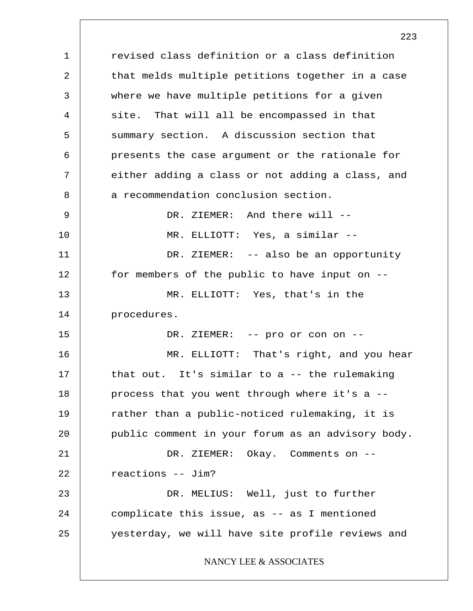1 2 3 4 5 6 7 8 9 10 11 12 13 14 15 16 17 18 19 20 21 22 23 24 25 revised class definition or a class definition that melds multiple petitions together in a case where we have multiple petitions for a given site. That will all be encompassed in that summary section. A discussion section that presents the case argument or the rationale for either adding a class or not adding a class, and a recommendation conclusion section. DR. ZIEMER: And there will --MR. ELLIOTT: Yes, a similar -- DR. ZIEMER: -- also be an opportunity for members of the public to have input on -- MR. ELLIOTT: Yes, that's in the procedures. DR. ZIEMER: -- pro or con on -- MR. ELLIOTT: That's right, and you hear that out. It's similar to a -- the rulemaking process that you went through where it's a - rather than a public-noticed rulemaking, it is public comment in your forum as an advisory body. DR. ZIEMER: Okay. Comments on - reactions -- Jim? DR. MELIUS: Well, just to further complicate this issue, as -- as I mentioned yesterday, we will have site profile reviews and NANCY LEE & ASSOCIATES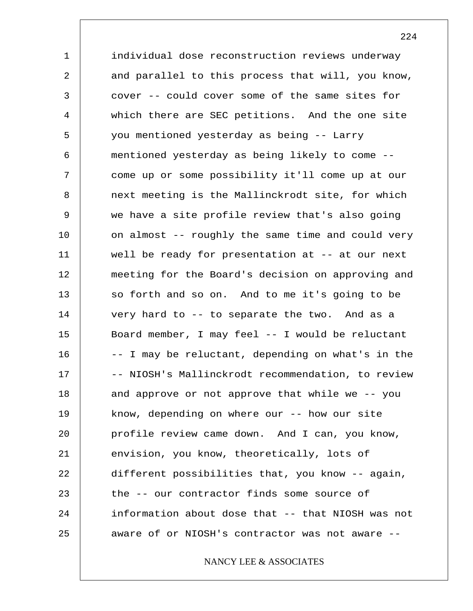1 2 3 4 5 6 7 8 9 10 11 12 13 14 15 16 17 18 19 20 21 22 23 24 25 individual dose reconstruction reviews underway and parallel to this process that will, you know, cover -- could cover some of the same sites for which there are SEC petitions. And the one site you mentioned yesterday as being -- Larry mentioned yesterday as being likely to come - come up or some possibility it'll come up at our next meeting is the Mallinckrodt site, for which we have a site profile review that's also going on almost -- roughly the same time and could very well be ready for presentation at -- at our next meeting for the Board's decision on approving and so forth and so on. And to me it's going to be very hard to -- to separate the two. And as a Board member, I may feel -- I would be reluctant -- I may be reluctant, depending on what's in the -- NIOSH's Mallinckrodt recommendation, to review and approve or not approve that while we -- you know, depending on where our -- how our site profile review came down. And I can, you know, envision, you know, theoretically, lots of different possibilities that, you know -- again, the -- our contractor finds some source of information about dose that -- that NIOSH was not aware of or NIOSH's contractor was not aware --

NANCY LEE & ASSOCIATES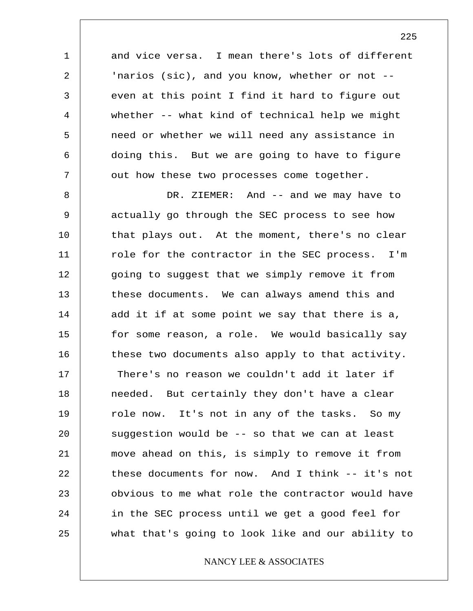and vice versa. I mean there's lots of different 'narios (sic), and you know, whether or not - even at this point I find it hard to figure out whether -- what kind of technical help we might need or whether we will need any assistance in doing this. But we are going to have to figure out how these two processes come together.

1

2

3

4

5

6

7

8 9 10 11 12 13 14 15 16 17 18 19 20 21 22 23 24 25 DR. ZIEMER: And -- and we may have to actually go through the SEC process to see how that plays out. At the moment, there's no clear role for the contractor in the SEC process. I'm going to suggest that we simply remove it from these documents. We can always amend this and add it if at some point we say that there is a, for some reason, a role. We would basically say these two documents also apply to that activity. There's no reason we couldn't add it later if needed. But certainly they don't have a clear role now. It's not in any of the tasks. So my suggestion would be -- so that we can at least move ahead on this, is simply to remove it from these documents for now. And I think -- it's not obvious to me what role the contractor would have in the SEC process until we get a good feel for what that's going to look like and our ability to

## NANCY LEE & ASSOCIATES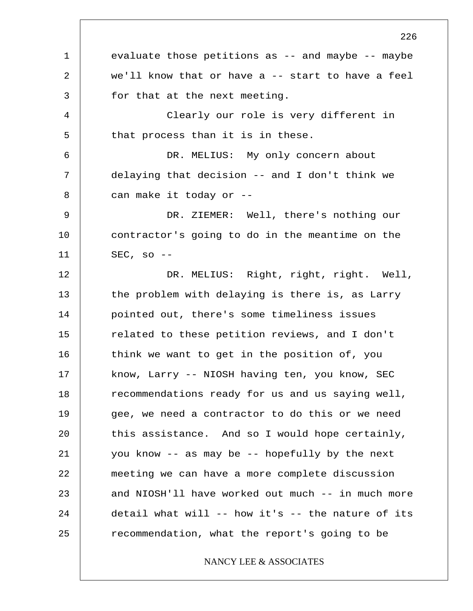1 2 3 4 5 6 7 8 9 10 11 12 13 14 15 16 17 18 19 20 21 22 23 24 25 evaluate those petitions as -- and maybe -- maybe we'll know that or have a -- start to have a feel for that at the next meeting. Clearly our role is very different in that process than it is in these. DR. MELIUS: My only concern about delaying that decision -- and I don't think we can make it today or -- DR. ZIEMER: Well, there's nothing our contractor's going to do in the meantime on the  $SEC, so --$ DR. MELIUS: Right, right, right. Well, the problem with delaying is there is, as Larry pointed out, there's some timeliness issues related to these petition reviews, and I don't think we want to get in the position of, you know, Larry -- NIOSH having ten, you know, SEC recommendations ready for us and us saying well, gee, we need a contractor to do this or we need this assistance. And so I would hope certainly, you know -- as may be -- hopefully by the next meeting we can have a more complete discussion and NIOSH'll have worked out much -- in much more detail what will -- how it's -- the nature of its recommendation, what the report's going to be NANCY LEE & ASSOCIATES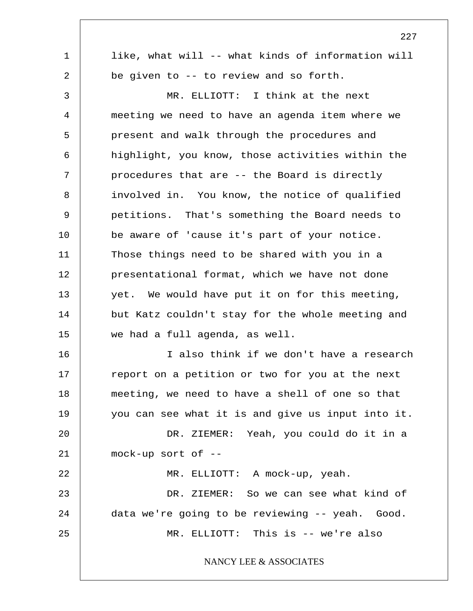1 2 3 4 5 6 7 8 9 10 11 12 13 14 15 16 17 18 19 20 21 22 23 24 25 227 like, what will -- what kinds of information will be given to -- to review and so forth. MR. ELLIOTT: I think at the next meeting we need to have an agenda item where we present and walk through the procedures and highlight, you know, those activities within the procedures that are -- the Board is directly involved in. You know, the notice of qualified petitions. That's something the Board needs to be aware of 'cause it's part of your notice. Those things need to be shared with you in a presentational format, which we have not done yet. We would have put it on for this meeting, but Katz couldn't stay for the whole meeting and we had a full agenda, as well. I also think if we don't have a research report on a petition or two for you at the next meeting, we need to have a shell of one so that you can see what it is and give us input into it. DR. ZIEMER: Yeah, you could do it in a mock-up sort of -- MR. ELLIOTT: A mock-up, yeah. DR. ZIEMER: So we can see what kind of data we're going to be reviewing -- yeah. Good. MR. ELLIOTT: This is -- we're also NANCY LEE & ASSOCIATES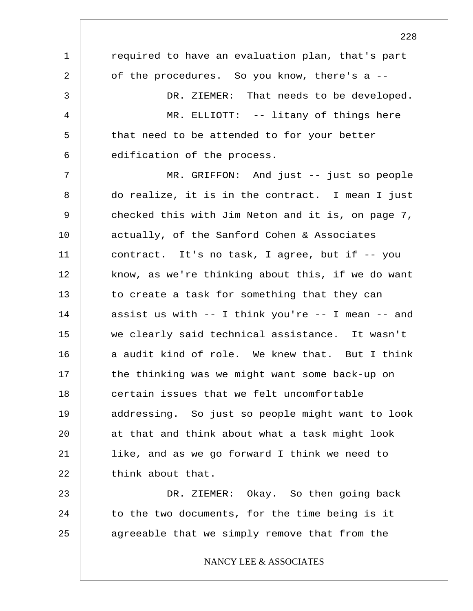1 2 3 4 5 6 7 8 9 10 11 12 13 14 15 16 17 18 19 20 21 22 23 24 25 228 required to have an evaluation plan, that's part of the procedures. So you know, there's a -- DR. ZIEMER: That needs to be developed. MR. ELLIOTT: -- litany of things here that need to be attended to for your better edification of the process. MR. GRIFFON: And just -- just so people do realize, it is in the contract. I mean I just checked this with Jim Neton and it is, on page 7, actually, of the Sanford Cohen & Associates contract. It's no task, I agree, but if -- you know, as we're thinking about this, if we do want to create a task for something that they can assist us with -- I think you're -- I mean -- and we clearly said technical assistance. It wasn't a audit kind of role. We knew that. But I think the thinking was we might want some back-up on certain issues that we felt uncomfortable addressing. So just so people might want to look at that and think about what a task might look like, and as we go forward I think we need to think about that. DR. ZIEMER: Okay. So then going back to the two documents, for the time being is it agreeable that we simply remove that from the NANCY LEE & ASSOCIATES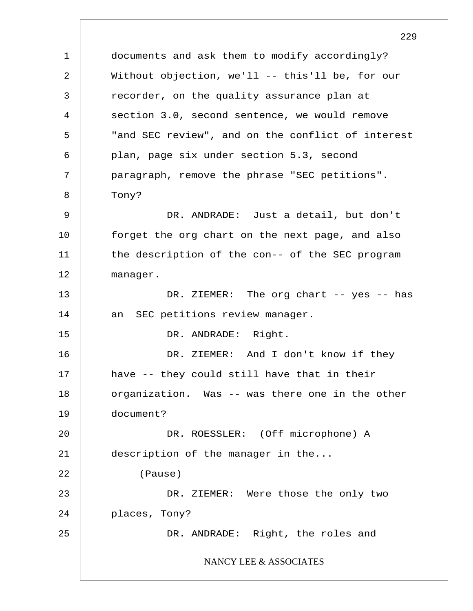1 2 3 4 5 6 7 8 9 10 11 12 13 14 15 16 17 18 19 20 21 22 23 24 25 229 documents and ask them to modify accordingly? Without objection, we'll -- this'll be, for our recorder, on the quality assurance plan at section 3.0, second sentence, we would remove "and SEC review", and on the conflict of interest plan, page six under section 5.3, second paragraph, remove the phrase "SEC petitions". Tony? DR. ANDRADE: Just a detail, but don't forget the org chart on the next page, and also the description of the con-- of the SEC program manager. DR. ZIEMER: The org chart -- yes -- has an SEC petitions review manager. DR. ANDRADE: Right. DR. ZIEMER: And I don't know if they have -- they could still have that in their organization. Was -- was there one in the other document? DR. ROESSLER: (Off microphone) A description of the manager in the... (Pause) DR. ZIEMER: Were those the only two places, Tony? DR. ANDRADE: Right, the roles and NANCY LEE & ASSOCIATES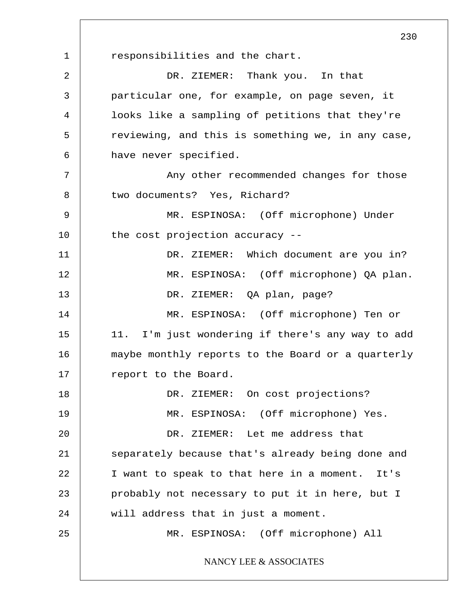1 2 3 4 5 6 7 8 9 10 11 12 13 14 15 16 17 18 19 20 21 22 23 24 25 responsibilities and the chart. DR. ZIEMER: Thank you. In that particular one, for example, on page seven, it looks like a sampling of petitions that they're reviewing, and this is something we, in any case, have never specified. Any other recommended changes for those two documents? Yes, Richard? MR. ESPINOSA: (Off microphone) Under the cost projection accuracy -- DR. ZIEMER: Which document are you in? MR. ESPINOSA: (Off microphone) QA plan. DR. ZIEMER: QA plan, page? MR. ESPINOSA: (Off microphone) Ten or 11. I'm just wondering if there's any way to add maybe monthly reports to the Board or a quarterly report to the Board. DR. ZIEMER: On cost projections? MR. ESPINOSA: (Off microphone) Yes. DR. ZIEMER: Let me address that separately because that's already being done and I want to speak to that here in a moment. It's probably not necessary to put it in here, but I will address that in just a moment. MR. ESPINOSA: (Off microphone) All NANCY LEE & ASSOCIATES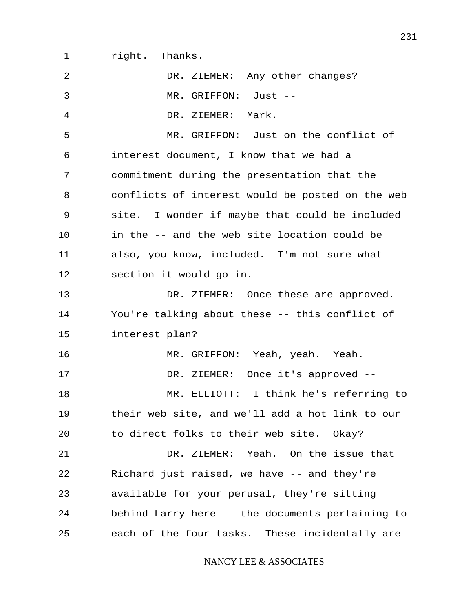|    | 231                                              |
|----|--------------------------------------------------|
| 1  | right. Thanks.                                   |
| 2  | DR. ZIEMER: Any other changes?                   |
| 3  | MR. GRIFFON: Just --                             |
| 4  | DR. ZIEMER:<br>Mark.                             |
| 5  | MR. GRIFFON: Just on the conflict of             |
| 6  | interest document, I know that we had a          |
| 7  | commitment during the presentation that the      |
| 8  | conflicts of interest would be posted on the web |
| 9  | site. I wonder if maybe that could be included   |
| 10 | in the -- and the web site location could be     |
| 11 | also, you know, included. I'm not sure what      |
| 12 | section it would go in.                          |
| 13 | DR. ZIEMER: Once these are approved.             |
| 14 | You're talking about these -- this conflict of   |
| 15 | interest plan?                                   |
| 16 | MR. GRIFFON: Yeah, yeah. Yeah.                   |
| 17 | DR. ZIEMER: Once it's approved --                |
| 18 | MR. ELLIOTT: I think he's referring to           |
| 19 | their web site, and we'll add a hot link to our  |
| 20 | to direct folks to their web site. Okay?         |
| 21 | DR. ZIEMER: Yeah. On the issue that              |
| 22 | Richard just raised, we have -- and they're      |
| 23 | available for your perusal, they're sitting      |
| 24 | behind Larry here -- the documents pertaining to |
| 25 | each of the four tasks. These incidentally are   |
|    | NANCY LEE & ASSOCIATES                           |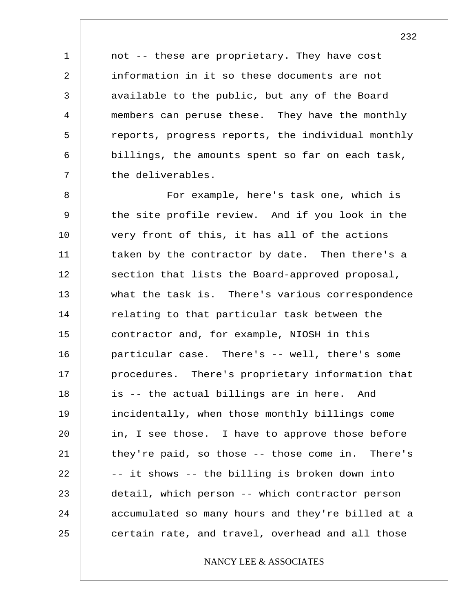not -- these are proprietary. They have cost information in it so these documents are not available to the public, but any of the Board members can peruse these. They have the monthly reports, progress reports, the individual monthly billings, the amounts spent so far on each task, the deliverables.

1

2

3

4

5

6

7

8 9 10 11 12 13 14 15 16 17 18 19 20 21 22 23 24 25 For example, here's task one, which is the site profile review. And if you look in the very front of this, it has all of the actions taken by the contractor by date. Then there's a section that lists the Board-approved proposal, what the task is. There's various correspondence relating to that particular task between the contractor and, for example, NIOSH in this particular case. There's -- well, there's some procedures. There's proprietary information that is -- the actual billings are in here. And incidentally, when those monthly billings come in, I see those. I have to approve those before they're paid, so those -- those come in. There's -- it shows -- the billing is broken down into detail, which person -- which contractor person accumulated so many hours and they're billed at a certain rate, and travel, overhead and all those

## NANCY LEE & ASSOCIATES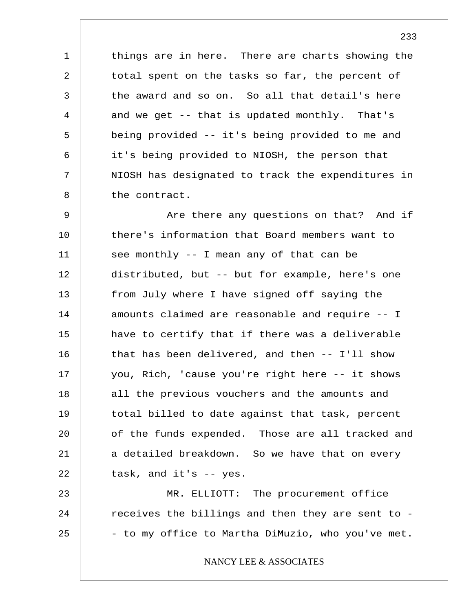things are in here. There are charts showing the total spent on the tasks so far, the percent of the award and so on. So all that detail's here and we get -- that is updated monthly. That's being provided -- it's being provided to me and it's being provided to NIOSH, the person that NIOSH has designated to track the expenditures in the contract.

1

2

3

4

5

6

7

8

9 10 11 12 13 14 15 16 17 18 19 20 21 22 Are there any questions on that? And if there's information that Board members want to see monthly -- I mean any of that can be distributed, but -- but for example, here's one from July where I have signed off saying the amounts claimed are reasonable and require -- I have to certify that if there was a deliverable that has been delivered, and then -- I'll show you, Rich, 'cause you're right here -- it shows all the previous vouchers and the amounts and total billed to date against that task, percent of the funds expended. Those are all tracked and a detailed breakdown. So we have that on every task, and it's -- yes.

23 24 25 MR. ELLIOTT: The procurement office receives the billings and then they are sent to - - to my office to Martha DiMuzio, who you've met.

NANCY LEE & ASSOCIATES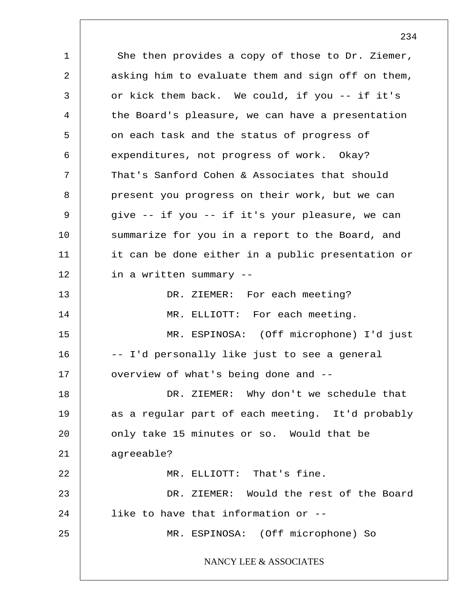1 2 3 4 5 6 7 8 9 10 11 12 13 14 15 16 17 18 19 20 21 22 23 24 25 She then provides a copy of those to Dr. Ziemer, asking him to evaluate them and sign off on them, or kick them back. We could, if you -- if it's the Board's pleasure, we can have a presentation on each task and the status of progress of expenditures, not progress of work. Okay? That's Sanford Cohen & Associates that should present you progress on their work, but we can give -- if you -- if it's your pleasure, we can summarize for you in a report to the Board, and it can be done either in a public presentation or in a written summary -- DR. ZIEMER: For each meeting? MR. ELLIOTT: For each meeting. MR. ESPINOSA: (Off microphone) I'd just -- I'd personally like just to see a general overview of what's being done and -- DR. ZIEMER: Why don't we schedule that as a regular part of each meeting. It'd probably only take 15 minutes or so. Would that be agreeable? MR. ELLIOTT: That's fine. DR. ZIEMER: Would the rest of the Board like to have that information or -- MR. ESPINOSA: (Off microphone) So NANCY LEE & ASSOCIATES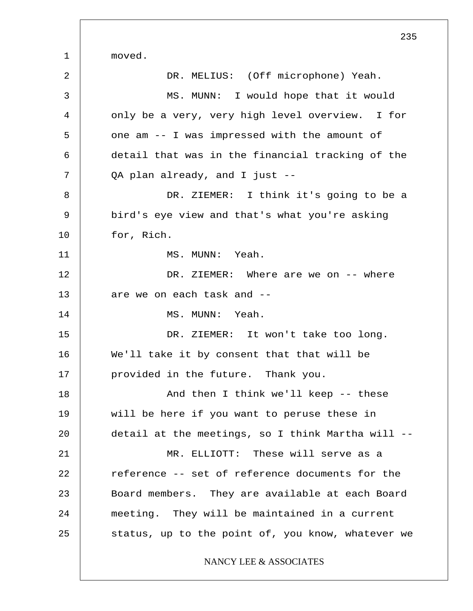1 2 3 4 5 6 7 8 9 10 11 12 13 14 15 16 17 18 19 20 21 22 23 24 25 235 moved. DR. MELIUS: (Off microphone) Yeah. MS. MUNN: I would hope that it would only be a very, very high level overview. I for one am -- I was impressed with the amount of detail that was in the financial tracking of the QA plan already, and I just -- DR. ZIEMER: I think it's going to be a bird's eye view and that's what you're asking for, Rich. MS. MUNN: Yeah. DR. ZIEMER: Where are we on -- where are we on each task and -- MS. MUNN: Yeah. DR. ZIEMER: It won't take too long. We'll take it by consent that that will be provided in the future. Thank you. And then I think we'll keep -- these will be here if you want to peruse these in detail at the meetings, so I think Martha will -- MR. ELLIOTT: These will serve as a reference -- set of reference documents for the Board members. They are available at each Board meeting. They will be maintained in a current status, up to the point of, you know, whatever we NANCY LEE & ASSOCIATES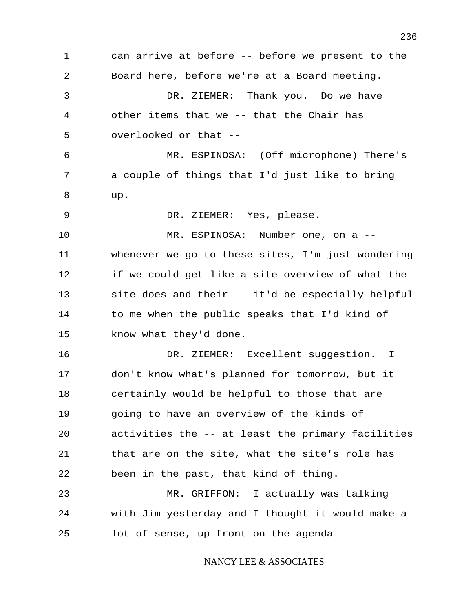1 2 3 4 5 6 7 8 9 10 11 12 13 14 15 16 17 18 19 20 21 22 23 24 25 236 can arrive at before -- before we present to the Board here, before we're at a Board meeting. DR. ZIEMER: Thank you. Do we have other items that we -- that the Chair has overlooked or that -- MR. ESPINOSA: (Off microphone) There's a couple of things that I'd just like to bring up. DR. ZIEMER: Yes, please. MR. ESPINOSA: Number one, on a - whenever we go to these sites, I'm just wondering if we could get like a site overview of what the site does and their -- it'd be especially helpful to me when the public speaks that I'd kind of know what they'd done. DR. ZIEMER: Excellent suggestion. I don't know what's planned for tomorrow, but it certainly would be helpful to those that are going to have an overview of the kinds of activities the -- at least the primary facilities that are on the site, what the site's role has been in the past, that kind of thing. MR. GRIFFON: I actually was talking with Jim yesterday and I thought it would make a lot of sense, up front on the agenda -- NANCY LEE & ASSOCIATES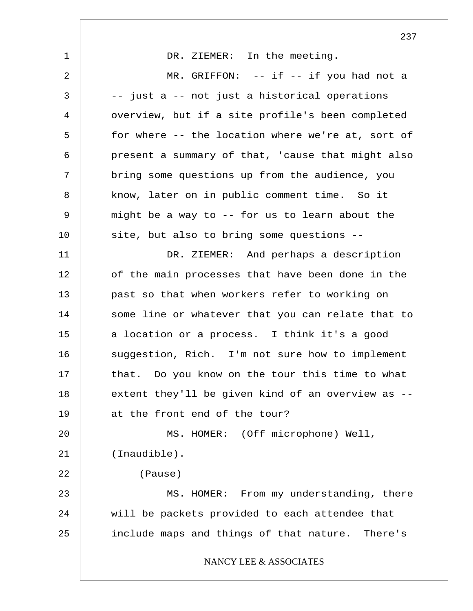1 2 3 4 5 6 7 8 9 10 11 12 13 14 15 16 17 18 19 20 21 22 23 24 25 237 DR. ZIEMER: In the meeting. MR. GRIFFON: -- if -- if you had not a -- just a -- not just a historical operations overview, but if a site profile's been completed for where -- the location where we're at, sort of present a summary of that, 'cause that might also bring some questions up from the audience, you know, later on in public comment time. So it might be a way to -- for us to learn about the site, but also to bring some questions -- DR. ZIEMER: And perhaps a description of the main processes that have been done in the past so that when workers refer to working on some line or whatever that you can relate that to a location or a process. I think it's a good suggestion, Rich. I'm not sure how to implement that. Do you know on the tour this time to what extent they'll be given kind of an overview as - at the front end of the tour? MS. HOMER: (Off microphone) Well, (Inaudible). (Pause) MS. HOMER: From my understanding, there will be packets provided to each attendee that include maps and things of that nature. There's NANCY LEE & ASSOCIATES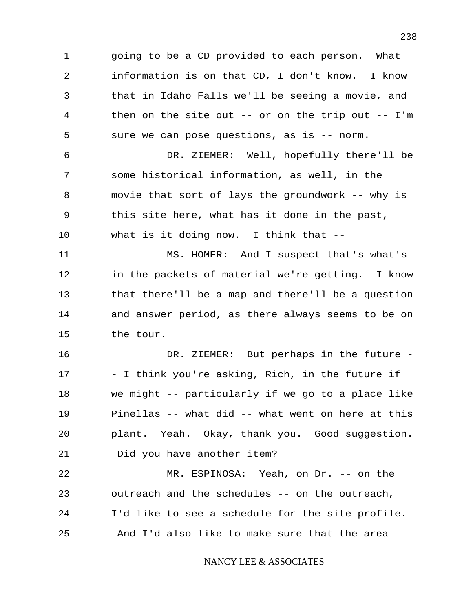1 2 3 4 5 6 7 8 9 10 11 12 13 14 15 16 17 18 19 20 21 22 23 24 25 going to be a CD provided to each person. What information is on that CD, I don't know. I know that in Idaho Falls we'll be seeing a movie, and then on the site out -- or on the trip out -- I'm sure we can pose questions, as is -- norm. DR. ZIEMER: Well, hopefully there'll be some historical information, as well, in the movie that sort of lays the groundwork -- why is this site here, what has it done in the past, what is it doing now. I think that --MS. HOMER: And I suspect that's what's in the packets of material we're getting. I know that there'll be a map and there'll be a question and answer period, as there always seems to be on the tour. DR. ZIEMER: But perhaps in the future -- I think you're asking, Rich, in the future if we might -- particularly if we go to a place like Pinellas -- what did -- what went on here at this plant. Yeah. Okay, thank you. Good suggestion. Did you have another item? MR. ESPINOSA: Yeah, on Dr. -- on the outreach and the schedules -- on the outreach, I'd like to see a schedule for the site profile. And I'd also like to make sure that the area -- NANCY LEE & ASSOCIATES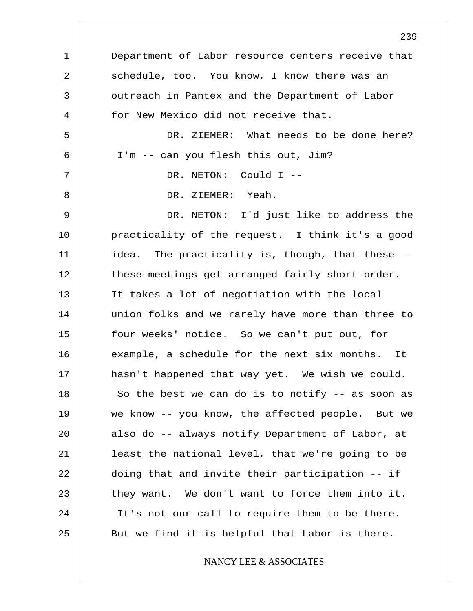1 2 3 4 5 6 7 8 9 10 11 12 13 14 15 16 17 18 19 20 21 22 23 24 25 Department of Labor resource centers receive that schedule, too. You know, I know there was an outreach in Pantex and the Department of Labor for New Mexico did not receive that. DR. ZIEMER: What needs to be done here? I'm -- can you flesh this out, Jim? DR. NETON: Could I -- DR. ZIEMER: Yeah. DR. NETON: I'd just like to address the practicality of the request. I think it's a good idea. The practicality is, though, that these - these meetings get arranged fairly short order. It takes a lot of negotiation with the local union folks and we rarely have more than three to four weeks' notice. So we can't put out, for example, a schedule for the next six months. It hasn't happened that way yet. We wish we could. So the best we can do is to notify -- as soon as we know -- you know, the affected people. But we also do -- always notify Department of Labor, at least the national level, that we're going to be doing that and invite their participation -- if they want. We don't want to force them into it. It's not our call to require them to be there. But we find it is helpful that Labor is there.

NANCY LEE & ASSOCIATES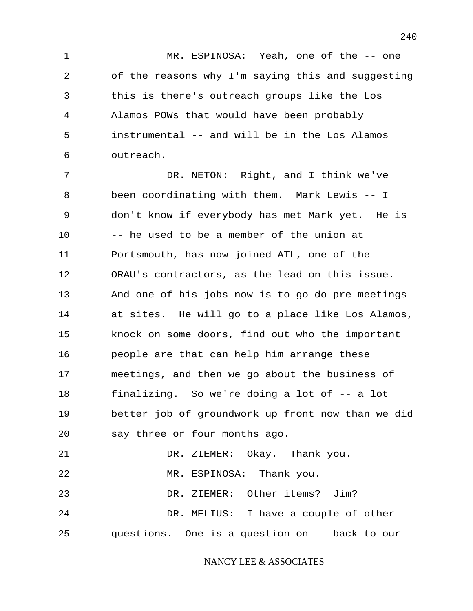MR. ESPINOSA: Yeah, one of the -- one of the reasons why I'm saying this and suggesting this is there's outreach groups like the Los Alamos POWs that would have been probably instrumental -- and will be in the Los Alamos outreach.

1

2

3

4

5

6

7 8 9 10 11 12 13 14 15 16 17 18 19 20 21 22 23 24 25 DR. NETON: Right, and I think we've been coordinating with them. Mark Lewis -- I don't know if everybody has met Mark yet. He is -- he used to be a member of the union at Portsmouth, has now joined ATL, one of the -- ORAU's contractors, as the lead on this issue. And one of his jobs now is to go do pre-meetings at sites. He will go to a place like Los Alamos, knock on some doors, find out who the important people are that can help him arrange these meetings, and then we go about the business of finalizing. So we're doing a lot of -- a lot better job of groundwork up front now than we did say three or four months ago. DR. ZIEMER: Okay. Thank you. MR. ESPINOSA: Thank you. DR. ZIEMER: Other items? Jim? DR. MELIUS: I have a couple of other questions. One is a question on -- back to our - NANCY LEE & ASSOCIATES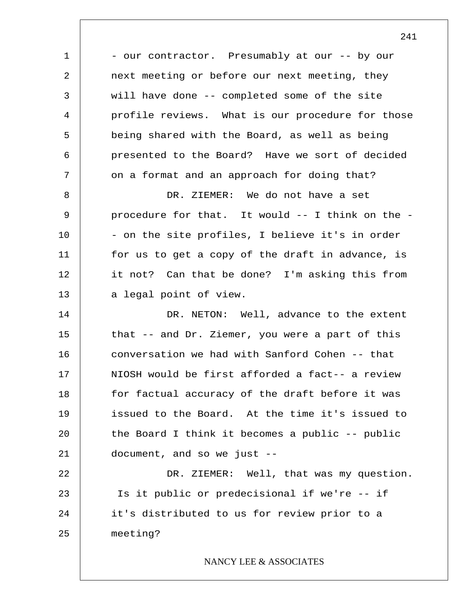1 2 3 4 5 6 7 8 9 10 11 12 13 14 15 16 17 18 19 20 21 22 23 24 25 - our contractor. Presumably at our -- by our next meeting or before our next meeting, they will have done -- completed some of the site profile reviews. What is our procedure for those being shared with the Board, as well as being presented to the Board? Have we sort of decided on a format and an approach for doing that? DR. ZIEMER: We do not have a set procedure for that. It would -- I think on the - - on the site profiles, I believe it's in order for us to get a copy of the draft in advance, is it not? Can that be done? I'm asking this from a legal point of view. DR. NETON: Well, advance to the extent that -- and Dr. Ziemer, you were a part of this conversation we had with Sanford Cohen -- that NIOSH would be first afforded a fact-- a review for factual accuracy of the draft before it was issued to the Board. At the time it's issued to the Board I think it becomes a public  $-$ - public document, and so we just -- DR. ZIEMER: Well, that was my question. Is it public or predecisional if we're -- if it's distributed to us for review prior to a meeting? NANCY LEE & ASSOCIATES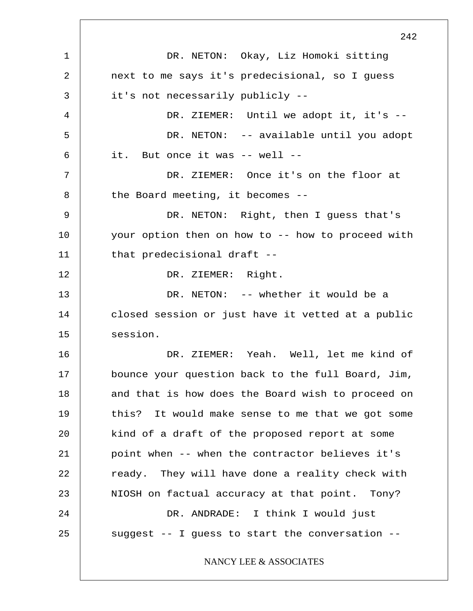1 2 3 4 5 6 7 8 9 10 11 12 13 14 15 16 17 18 19 20 21 22 23 24 25 242 DR. NETON: Okay, Liz Homoki sitting next to me says it's predecisional, so I guess it's not necessarily publicly -- DR. ZIEMER: Until we adopt it, it's --DR. NETON: -- available until you adopt it. But once it was -- well -- DR. ZIEMER: Once it's on the floor at the Board meeting, it becomes -- DR. NETON: Right, then I guess that's your option then on how to -- how to proceed with that predecisional draft -- DR. ZIEMER: Right. DR. NETON: -- whether it would be a closed session or just have it vetted at a public session. DR. ZIEMER: Yeah. Well, let me kind of bounce your question back to the full Board, Jim, and that is how does the Board wish to proceed on this? It would make sense to me that we got some kind of a draft of the proposed report at some point when -- when the contractor believes it's ready. They will have done a reality check with NIOSH on factual accuracy at that point. Tony? DR. ANDRADE: I think I would just suggest -- I guess to start the conversation -- NANCY LEE & ASSOCIATES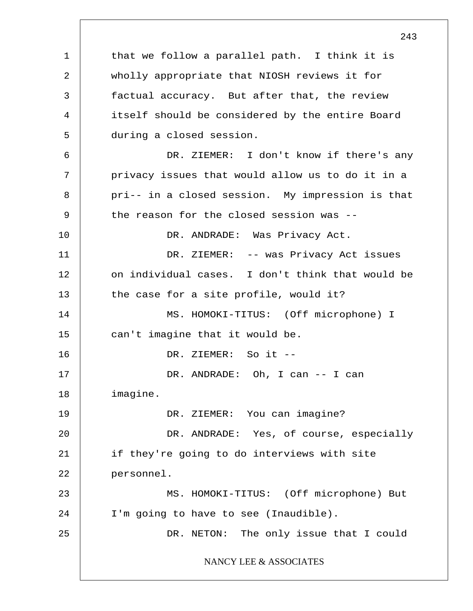1 2 3 4 5 6 7 8 9 10 11 12 13 14 15 16 17 18 19 20 21 22 23 24 25 that we follow a parallel path. I think it is wholly appropriate that NIOSH reviews it for factual accuracy. But after that, the review itself should be considered by the entire Board during a closed session. DR. ZIEMER: I don't know if there's any privacy issues that would allow us to do it in a pri-- in a closed session. My impression is that the reason for the closed session was -- DR. ANDRADE: Was Privacy Act. DR. ZIEMER: -- was Privacy Act issues on individual cases. I don't think that would be the case for a site profile, would it? MS. HOMOKI-TITUS: (Off microphone) I can't imagine that it would be. DR. ZIEMER: So it -- DR. ANDRADE: Oh, I can -- I can imagine. DR. ZIEMER: You can imagine? DR. ANDRADE: Yes, of course, especially if they're going to do interviews with site personnel. MS. HOMOKI-TITUS: (Off microphone) But I'm going to have to see (Inaudible). DR. NETON: The only issue that I could NANCY LEE & ASSOCIATES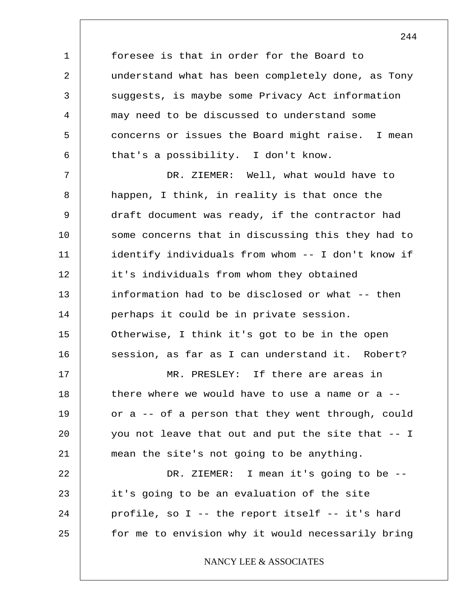foresee is that in order for the Board to understand what has been completely done, as Tony suggests, is maybe some Privacy Act information may need to be discussed to understand some concerns or issues the Board might raise. I mean that's a possibility. I don't know.

1

2

3

4

5

6

7 8 9 10 11 12 13 14 15 16 17 18 19 20 21 22 23 DR. ZIEMER: Well, what would have to happen, I think, in reality is that once the draft document was ready, if the contractor had some concerns that in discussing this they had to identify individuals from whom -- I don't know if it's individuals from whom they obtained information had to be disclosed or what -- then perhaps it could be in private session. Otherwise, I think it's got to be in the open session, as far as I can understand it. Robert? MR. PRESLEY: If there are areas in there where we would have to use a name or a  $-$ or a -- of a person that they went through, could you not leave that out and put the site that -- I mean the site's not going to be anything. DR. ZIEMER: I mean it's going to be - it's going to be an evaluation of the site

24 25 profile, so I -- the report itself -- it's hard for me to envision why it would necessarily bring

NANCY LEE & ASSOCIATES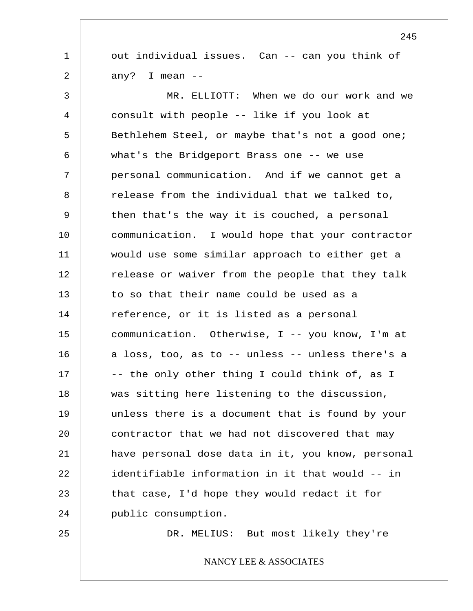out individual issues. Can -- can you think of any? I mean --

3 4 5 6 7 8 9 10 11 12 13 14 15 16 17 18 19 20 21 22 23 24 MR. ELLIOTT: When we do our work and we consult with people -- like if you look at Bethlehem Steel, or maybe that's not a good one; what's the Bridgeport Brass one -- we use personal communication. And if we cannot get a release from the individual that we talked to, then that's the way it is couched, a personal communication. I would hope that your contractor would use some similar approach to either get a release or waiver from the people that they talk to so that their name could be used as a reference, or it is listed as a personal communication. Otherwise, I -- you know, I'm at a loss, too, as to -- unless -- unless there's a -- the only other thing I could think of, as I was sitting here listening to the discussion, unless there is a document that is found by your contractor that we had not discovered that may have personal dose data in it, you know, personal identifiable information in it that would -- in that case, I'd hope they would redact it for public consumption.

25

1

2

DR. MELIUS: But most likely they're

NANCY LEE & ASSOCIATES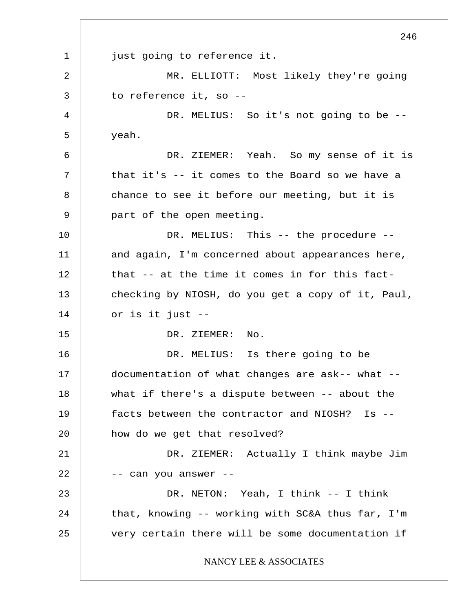1 2 3 4 5 6 7 8 9 10 11 12 13 14 15 16 17 18 19 20 21 22 23 24 25 246 just going to reference it. MR. ELLIOTT: Most likely they're going to reference it, so -- DR. MELIUS: So it's not going to be -yeah. DR. ZIEMER: Yeah. So my sense of it is that it's -- it comes to the Board so we have a chance to see it before our meeting, but it is part of the open meeting. DR. MELIUS: This -- the procedure -and again, I'm concerned about appearances here, that -- at the time it comes in for this factchecking by NIOSH, do you get a copy of it, Paul, or is it just -- DR. ZIEMER: No. DR. MELIUS: Is there going to be documentation of what changes are ask-- what - what if there's a dispute between -- about the facts between the contractor and NIOSH? Is - how do we get that resolved? DR. ZIEMER: Actually I think maybe Jim -- can you answer -- DR. NETON: Yeah, I think -- I think that, knowing -- working with SC&A thus far, I'm very certain there will be some documentation if NANCY LEE & ASSOCIATES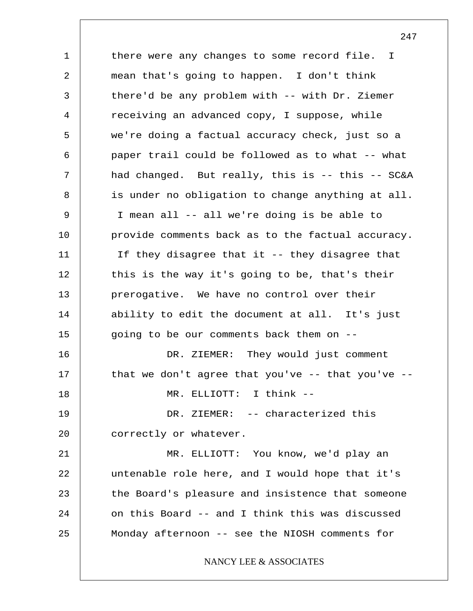1 2 3 4 5 6 7 8 9 10 11 12 13 14 15 16 17 18 19 20 21 22 23 24 25 there were any changes to some record file. I mean that's going to happen. I don't think there'd be any problem with -- with Dr. Ziemer receiving an advanced copy, I suppose, while we're doing a factual accuracy check, just so a paper trail could be followed as to what -- what had changed. But really, this is -- this -- SC&A is under no obligation to change anything at all. I mean all -- all we're doing is be able to provide comments back as to the factual accuracy. If they disagree that it -- they disagree that this is the way it's going to be, that's their prerogative. We have no control over their ability to edit the document at all. It's just going to be our comments back them on -- DR. ZIEMER: They would just comment that we don't agree that you've  $-$ - that you've  $-$ -MR. ELLIOTT: I think -- DR. ZIEMER: -- characterized this correctly or whatever. MR. ELLIOTT: You know, we'd play an untenable role here, and I would hope that it's the Board's pleasure and insistence that someone on this Board -- and I think this was discussed Monday afternoon -- see the NIOSH comments for NANCY LEE & ASSOCIATES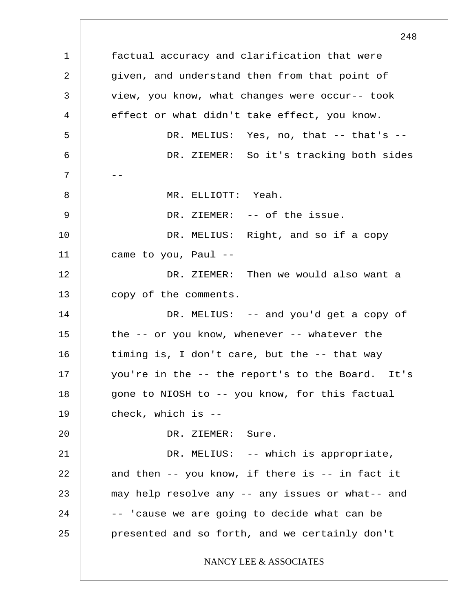1 2 3 4 5 6  $7$  --8 9 10 11 12 13 14 15 16 17 18 19 20 21 22 23 24 25 248 factual accuracy and clarification that were given, and understand then from that point of view, you know, what changes were occur-- took effect or what didn't take effect, you know. DR. MELIUS: Yes, no, that -- that's -- DR. ZIEMER: So it's tracking both sides MR. ELLIOTT: Yeah. DR. ZIEMER: -- of the issue. DR. MELIUS: Right, and so if a copy came to you, Paul -- DR. ZIEMER: Then we would also want a copy of the comments. DR. MELIUS: -- and you'd get a copy of the -- or you know, whenever -- whatever the timing is, I don't care, but the -- that way you're in the -- the report's to the Board. It's gone to NIOSH to -- you know, for this factual check, which is -- DR. ZIEMER: Sure. DR. MELIUS: -- which is appropriate, and then -- you know, if there is -- in fact it may help resolve any -- any issues or what-- and -- 'cause we are going to decide what can be presented and so forth, and we certainly don't NANCY LEE & ASSOCIATES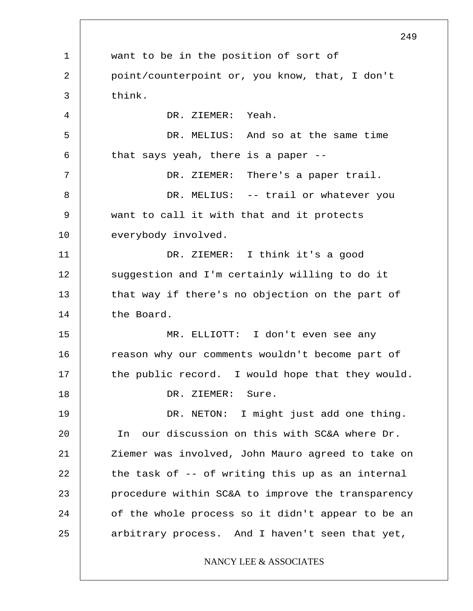1 2 3 4 5 6 7 8 9 10 11 12 13 14 15 16 17 18 19 20 21 22 23 24 25 249 want to be in the position of sort of point/counterpoint or, you know, that, I don't think. DR. ZIEMER: Yeah. DR. MELIUS: And so at the same time that says yeah, there is a paper -- DR. ZIEMER: There's a paper trail. DR. MELIUS: -- trail or whatever you want to call it with that and it protects everybody involved. DR. ZIEMER: I think it's a good suggestion and I'm certainly willing to do it that way if there's no objection on the part of the Board. MR. ELLIOTT: I don't even see any reason why our comments wouldn't become part of the public record. I would hope that they would. DR. ZIEMER: Sure. DR. NETON: I might just add one thing. In our discussion on this with SC&A where Dr. Ziemer was involved, John Mauro agreed to take on the task of -- of writing this up as an internal procedure within SC&A to improve the transparency of the whole process so it didn't appear to be an arbitrary process. And I haven't seen that yet, NANCY LEE & ASSOCIATES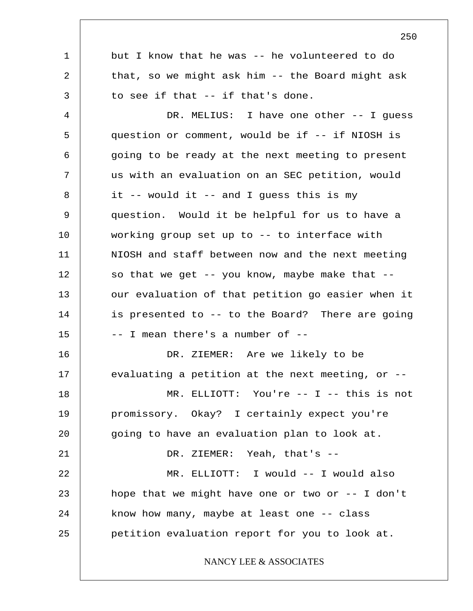1 2 3 4 5 6 7 8 9 10 11 12 13 14 15 16 17 18 19 20 21 22 23 24 25 but I know that he was -- he volunteered to do that, so we might ask him -- the Board might ask to see if that -- if that's done. DR. MELIUS: I have one other -- I guess question or comment, would be if -- if NIOSH is going to be ready at the next meeting to present us with an evaluation on an SEC petition, would it -- would it -- and I guess this is my question. Would it be helpful for us to have a working group set up to -- to interface with NIOSH and staff between now and the next meeting so that we get  $-$ - you know, maybe make that  $-$ our evaluation of that petition go easier when it is presented to -- to the Board? There are going -- I mean there's a number of -- DR. ZIEMER: Are we likely to be evaluating a petition at the next meeting, or -- MR. ELLIOTT: You're -- I -- this is not promissory. Okay? I certainly expect you're going to have an evaluation plan to look at. DR. ZIEMER: Yeah, that's -- MR. ELLIOTT: I would -- I would also hope that we might have one or two or  $-$ - I don't know how many, maybe at least one -- class petition evaluation report for you to look at. NANCY LEE & ASSOCIATES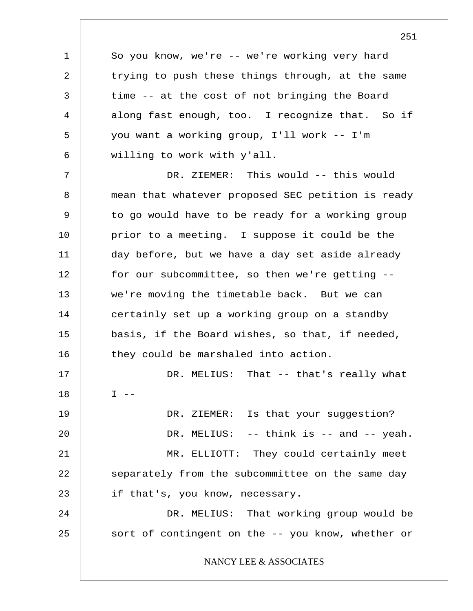So you know, we're -- we're working very hard trying to push these things through, at the same time -- at the cost of not bringing the Board along fast enough, too. I recognize that. So if you want a working group, I'll work -- I'm willing to work with y'all.

1

2

3

4

5

6

7 8 9 10 11 12 13 14 15 16 17 18 19 20 21 22 23 24 25 DR. ZIEMER: This would -- this would mean that whatever proposed SEC petition is ready to go would have to be ready for a working group prior to a meeting. I suppose it could be the day before, but we have a day set aside already for our subcommittee, so then we're getting - we're moving the timetable back. But we can certainly set up a working group on a standby basis, if the Board wishes, so that, if needed, they could be marshaled into action. DR. MELIUS: That -- that's really what  $T = -$ DR. ZIEMER: Is that your suggestion? DR. MELIUS: -- think is -- and -- yeah. MR. ELLIOTT: They could certainly meet separately from the subcommittee on the same day if that's, you know, necessary. DR. MELIUS: That working group would be sort of contingent on the -- you know, whether or NANCY LEE & ASSOCIATES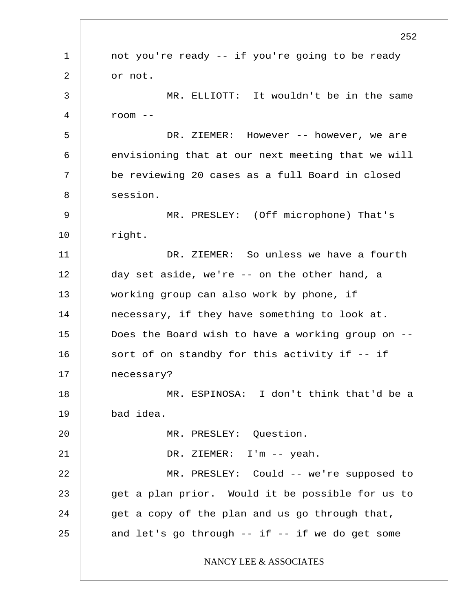1 2 3 4 5 6 7 8 9 10 11 12 13 14 15 16 17 18 19 20 21 22 23 24 25 252 not you're ready -- if you're going to be ready or not. MR. ELLIOTT: It wouldn't be in the same room -- DR. ZIEMER: However -- however, we are envisioning that at our next meeting that we will be reviewing 20 cases as a full Board in closed session. MR. PRESLEY: (Off microphone) That's right. DR. ZIEMER: So unless we have a fourth day set aside, we're -- on the other hand, a working group can also work by phone, if necessary, if they have something to look at. Does the Board wish to have a working group on - sort of on standby for this activity if -- if necessary? MR. ESPINOSA: I don't think that'd be a bad idea. MR. PRESLEY: Question. DR. ZIEMER: I'm -- yeah. MR. PRESLEY: Could -- we're supposed to get a plan prior. Would it be possible for us to get a copy of the plan and us go through that, and let's go through  $--$  if  $--$  if we do get some NANCY LEE & ASSOCIATES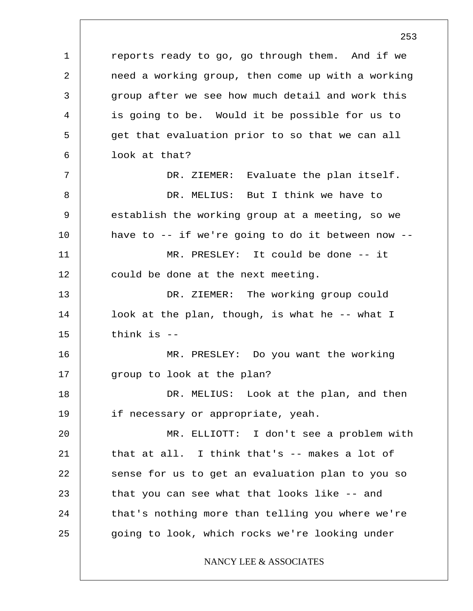1 2 3 4 5 6 7 8 9 10 11 12 13 14 15 16 17 18 19 20 21 22 23 24 25 reports ready to go, go through them. And if we need a working group, then come up with a working group after we see how much detail and work this is going to be. Would it be possible for us to get that evaluation prior to so that we can all look at that? DR. ZIEMER: Evaluate the plan itself. DR. MELIUS: But I think we have to establish the working group at a meeting, so we have to -- if we're going to do it between now -- MR. PRESLEY: It could be done -- it could be done at the next meeting. DR. ZIEMER: The working group could look at the plan, though, is what he -- what I think is -- MR. PRESLEY: Do you want the working group to look at the plan? DR. MELIUS: Look at the plan, and then if necessary or appropriate, yeah. MR. ELLIOTT: I don't see a problem with that at all. I think that's -- makes a lot of sense for us to get an evaluation plan to you so that you can see what that looks like -- and that's nothing more than telling you where we're going to look, which rocks we're looking under NANCY LEE & ASSOCIATES

253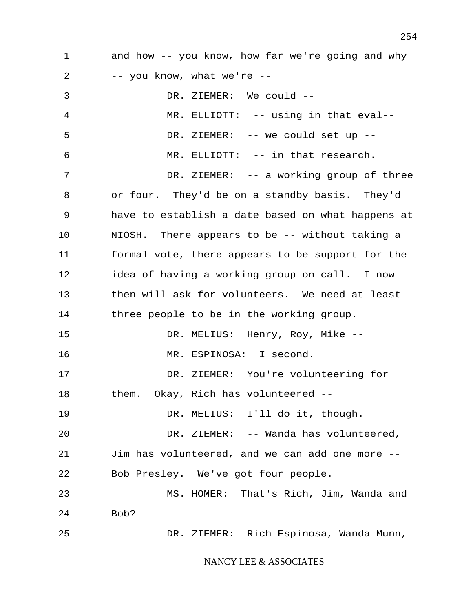1 2 3 4 5 6 7 8 9 10 11 12 13 14 15 16 17 18 19 20 21 22 23 24 25 254 and how -- you know, how far we're going and why -- you know, what we're -- DR. ZIEMER: We could -- MR. ELLIOTT: -- using in that eval-- DR. ZIEMER: -- we could set up -- MR. ELLIOTT: -- in that research. DR. ZIEMER: -- a working group of three or four. They'd be on a standby basis. They'd have to establish a date based on what happens at NIOSH. There appears to be -- without taking a formal vote, there appears to be support for the idea of having a working group on call. I now then will ask for volunteers. We need at least three people to be in the working group. DR. MELIUS: Henry, Roy, Mike -- MR. ESPINOSA: I second. DR. ZIEMER: You're volunteering for them. Okay, Rich has volunteered -- DR. MELIUS: I'll do it, though. DR. ZIEMER: -- Wanda has volunteered, Jim has volunteered, and we can add one more -- Bob Presley. We've got four people. MS. HOMER: That's Rich, Jim, Wanda and Bob? DR. ZIEMER: Rich Espinosa, Wanda Munn, NANCY LEE & ASSOCIATES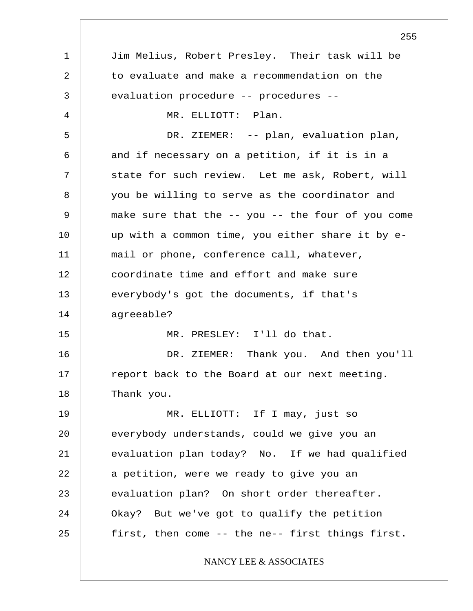1 2 3 4 5 6 7 8 9 10 11 12 13 14 15 16 17 18 19 20 21 22 23 24 25 255 Jim Melius, Robert Presley. Their task will be to evaluate and make a recommendation on the evaluation procedure -- procedures -- MR. ELLIOTT: Plan. DR. ZIEMER: -- plan, evaluation plan, and if necessary on a petition, if it is in a state for such review. Let me ask, Robert, will you be willing to serve as the coordinator and make sure that the -- you -- the four of you come up with a common time, you either share it by email or phone, conference call, whatever, coordinate time and effort and make sure everybody's got the documents, if that's agreeable? MR. PRESLEY: I'll do that. DR. ZIEMER: Thank you. And then you'll report back to the Board at our next meeting. Thank you. MR. ELLIOTT: If I may, just so everybody understands, could we give you an evaluation plan today? No. If we had qualified a petition, were we ready to give you an evaluation plan? On short order thereafter. Okay? But we've got to qualify the petition first, then come -- the ne-- first things first. NANCY LEE & ASSOCIATES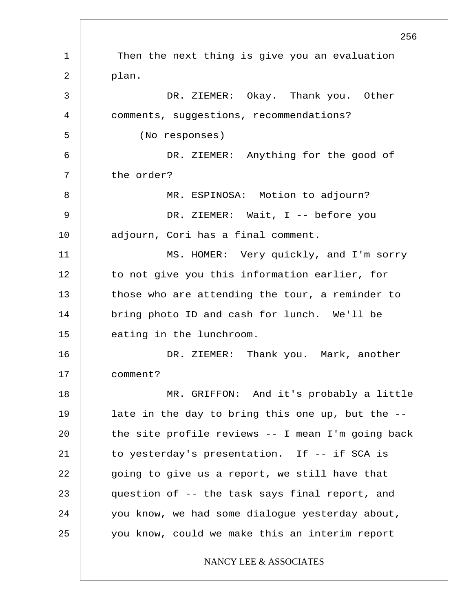1 2 3 4 5 6 7 8 9 10 11 12 13 14 15 16 17 18 19 20 21 22 23 24 25 256 Then the next thing is give you an evaluation plan. DR. ZIEMER: Okay. Thank you. Other comments, suggestions, recommendations? (No responses) DR. ZIEMER: Anything for the good of the order? MR. ESPINOSA: Motion to adjourn? DR. ZIEMER: Wait, I -- before you adjourn, Cori has a final comment. MS. HOMER: Very quickly, and I'm sorry to not give you this information earlier, for those who are attending the tour, a reminder to bring photo ID and cash for lunch. We'll be eating in the lunchroom. DR. ZIEMER: Thank you. Mark, another comment? MR. GRIFFON: And it's probably a little late in the day to bring this one up, but the - the site profile reviews -- I mean I'm going back to yesterday's presentation. If -- if SCA is going to give us a report, we still have that question of -- the task says final report, and you know, we had some dialogue yesterday about, you know, could we make this an interim report NANCY LEE & ASSOCIATES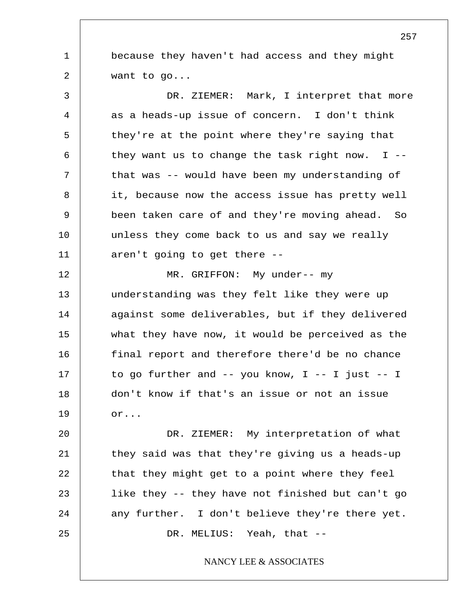1 2 because they haven't had access and they might want to go...

3 4 5 6 7 8 9 10 11 DR. ZIEMER: Mark, I interpret that more as a heads-up issue of concern. I don't think they're at the point where they're saying that they want us to change the task right now.  $I$  -that was -- would have been my understanding of it, because now the access issue has pretty well been taken care of and they're moving ahead. So unless they come back to us and say we really aren't going to get there --

12 13 14 15 16 17 18 19 MR. GRIFFON: My under-- my understanding was they felt like they were up against some deliverables, but if they delivered what they have now, it would be perceived as the final report and therefore there'd be no chance to go further and  $--$  you know, I  $--$  I just  $--$  I don't know if that's an issue or not an issue or...

20 21 22 23 24 25 DR. ZIEMER: My interpretation of what they said was that they're giving us a heads-up that they might get to a point where they feel like they -- they have not finished but can't go any further. I don't believe they're there yet. DR. MELIUS: Yeah, that --

NANCY LEE & ASSOCIATES

257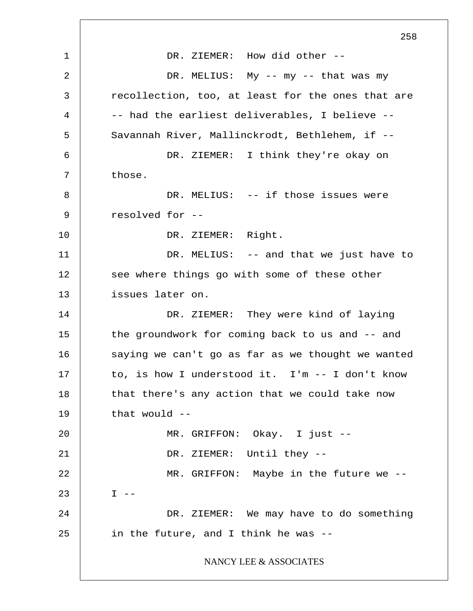1 2 3 4 5 6 7 8 9 10 11 12 13 14 15 16 17 18 19 20 21 22 23 24 25 258 DR. ZIEMER: How did other -- DR. MELIUS: My -- my -- that was my recollection, too, at least for the ones that are -- had the earliest deliverables, I believe -- Savannah River, Mallinckrodt, Bethlehem, if -- DR. ZIEMER: I think they're okay on those. DR. MELIUS: -- if those issues were resolved for -- DR. ZIEMER: Right. DR. MELIUS: -- and that we just have to see where things go with some of these other issues later on. DR. ZIEMER: They were kind of laying the groundwork for coming back to us and -- and saying we can't go as far as we thought we wanted to, is how I understood it. I'm -- I don't know that there's any action that we could take now that would -- MR. GRIFFON: Okay. I just -- DR. ZIEMER: Until they -- MR. GRIFFON: Maybe in the future we --  $I - -$ DR. ZIEMER: We may have to do something in the future, and I think he was -- NANCY LEE & ASSOCIATES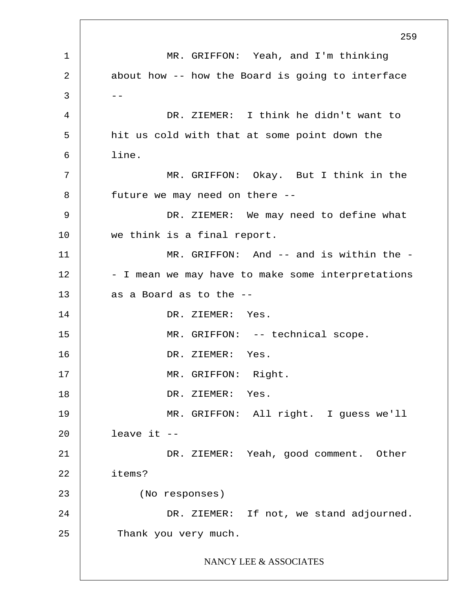1 2  $3 \mid - -$ 4 5 6 7 8 9 10 11 12 13 14 15 16 17 18 19 20 21 22 23 24 25 259 MR. GRIFFON: Yeah, and I'm thinking about how -- how the Board is going to interface DR. ZIEMER: I think he didn't want to hit us cold with that at some point down the line. MR. GRIFFON: Okay. But I think in the future we may need on there -- DR. ZIEMER: We may need to define what we think is a final report. MR. GRIFFON: And -- and is within the -- I mean we may have to make some interpretations as a Board as to the -- DR. ZIEMER: Yes. MR. GRIFFON: -- technical scope. DR. ZIEMER: Yes. MR. GRIFFON: Right. DR. ZIEMER: Yes. MR. GRIFFON: All right. I guess we'll leave it -- DR. ZIEMER: Yeah, good comment. Other items? (No responses) DR. ZIEMER: If not, we stand adjourned. Thank you very much. NANCY LEE & ASSOCIATES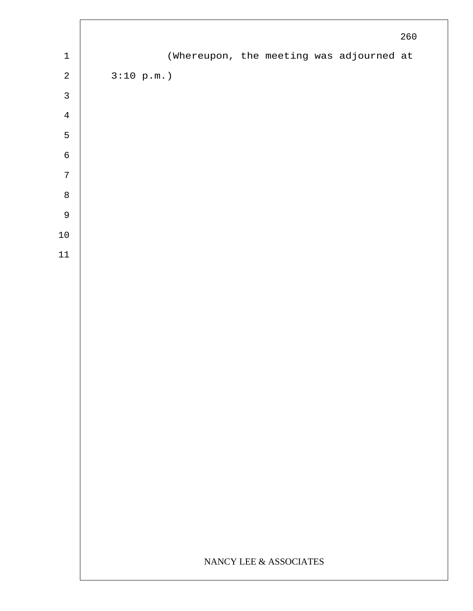|                            |                        |  |  |  |                                          | $260$ |
|----------------------------|------------------------|--|--|--|------------------------------------------|-------|
| $\ensuremath{\mathbbm{1}}$ |                        |  |  |  | (Whereupon, the meeting was adjourned at |       |
| $\sqrt{2}$                 | 3:10 p.m.              |  |  |  |                                          |       |
| $\mathbf{3}$               |                        |  |  |  |                                          |       |
| $\,4$                      |                        |  |  |  |                                          |       |
| $\mathsf S$                |                        |  |  |  |                                          |       |
| $\epsilon$                 |                        |  |  |  |                                          |       |
| $\sqrt{ }$                 |                        |  |  |  |                                          |       |
| $\,8\,$                    |                        |  |  |  |                                          |       |
| $\mathsf 9$                |                        |  |  |  |                                          |       |
| $1\,0$                     |                        |  |  |  |                                          |       |
| $11\,$                     |                        |  |  |  |                                          |       |
|                            |                        |  |  |  |                                          |       |
|                            |                        |  |  |  |                                          |       |
|                            |                        |  |  |  |                                          |       |
|                            |                        |  |  |  |                                          |       |
|                            |                        |  |  |  |                                          |       |
|                            |                        |  |  |  |                                          |       |
|                            |                        |  |  |  |                                          |       |
|                            |                        |  |  |  |                                          |       |
|                            |                        |  |  |  |                                          |       |
|                            |                        |  |  |  |                                          |       |
|                            |                        |  |  |  |                                          |       |
|                            |                        |  |  |  |                                          |       |
|                            |                        |  |  |  |                                          |       |
|                            |                        |  |  |  |                                          |       |
|                            | NANCY LEE & ASSOCIATES |  |  |  |                                          |       |
|                            |                        |  |  |  |                                          |       |